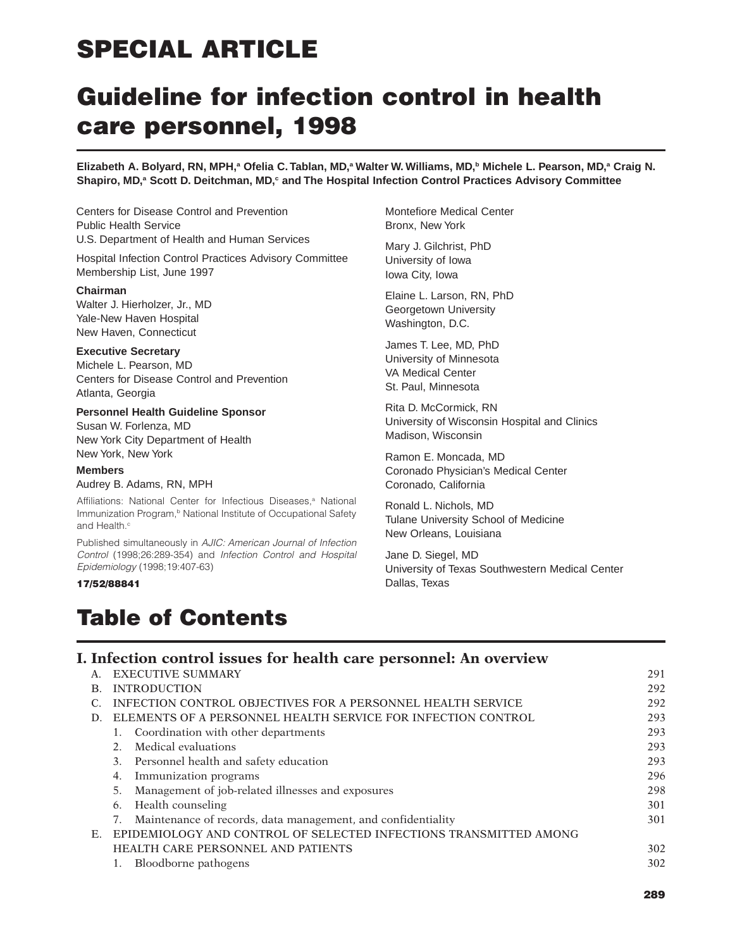# **SPECIAL ARTICLE**

# **Guideline for infection control in health care personnel, 1998**

Elizabeth A. Bolyard, RN, MPH,<sup>a</sup> Ofelia C. Tablan, MD,<sup>a</sup> Walter W. Williams, MD,<sup>b</sup> Michele L. Pearson, MD,<sup>a</sup> Craig N. Shapiro, MD,<sup>a</sup> Scott D. Deitchman, MD,<sup>c</sup> and The Hospital Infection Control Practices Advisory Committee

Centers for Disease Control and Prevention Public Health Service U.S. Department of Health and Human Services

Hospital Infection Control Practices Advisory Committee Membership List, June 1997

#### **Chairman**

Walter J. Hierholzer, Jr., MD Yale-New Haven Hospital New Haven, Connecticut

#### **Executive Secretary**

Michele L. Pearson, MD Centers for Disease Control and Prevention Atlanta, Georgia

#### **Personnel Health Guideline Sponsor**

Susan W. Forlenza, MD New York City Department of Health New York, New York

#### **Members**

Audrey B. Adams, RN, MPH

Affiliations: National Center for Infectious Diseases,<sup>a</sup> National Immunization Program,<sup>b</sup> National Institute of Occupational Safety and Health.<sup>c</sup>

Published simultaneously in AJIC: American Journal of Infection Control (1998;26:289-354) and Infection Control and Hospital Epidemiology (1998;19:407-63)

# **17/52/88841**

Montefiore Medical Center Bronx, New York

Mary J. Gilchrist, PhD University of Iowa Iowa City, Iowa

Elaine L. Larson, RN, PhD Georgetown University Washington, D.C.

James T. Lee, MD, PhD University of Minnesota VA Medical Center St. Paul, Minnesota

Rita D. McCormick, RN University of Wisconsin Hospital and Clinics Madison, Wisconsin

Ramon E. Moncada, MD Coronado Physician's Medical Center Coronado, California

Ronald L. Nichols, MD Tulane University School of Medicine New Orleans, Louisiana

Jane D. Siegel, MD University of Texas Southwestern Medical Center Dallas, Texas

# **Table of Contents**

# **[I. Infection control issues for health care personnel: An overview](#page-2-0)**

| А. | <b>EXECUTIVE SUMMARY</b>                                          | 291 |
|----|-------------------------------------------------------------------|-----|
| B. | <b>INTRODUCTION</b>                                               | 292 |
|    | INFECTION CONTROL OBJECTIVES FOR A PERSONNEL HEALTH SERVICE       | 292 |
| D. | ELEMENTS OF A PERSONNEL HEALTH SERVICE FOR INFECTION CONTROL      | 293 |
|    | 1. Coordination with other departments                            | 293 |
|    | Medical evaluations                                               | 293 |
|    | Personnel health and safety education<br>3.                       | 293 |
|    | Immunization programs<br>4.                                       | 296 |
|    | Management of job-related illnesses and exposures<br>5.           | 298 |
|    | Health counseling<br>6.                                           | 301 |
|    | Maintenance of records, data management, and confidentiality      | 301 |
| E. | EPIDEMIOLOGY AND CONTROL OF SELECTED INFECTIONS TRANSMITTED AMONG |     |
|    | <b>HEALTH CARE PERSONNEL AND PATIENTS</b>                         | 302 |
|    | Bloodborne pathogens                                              | 302 |
|    |                                                                   |     |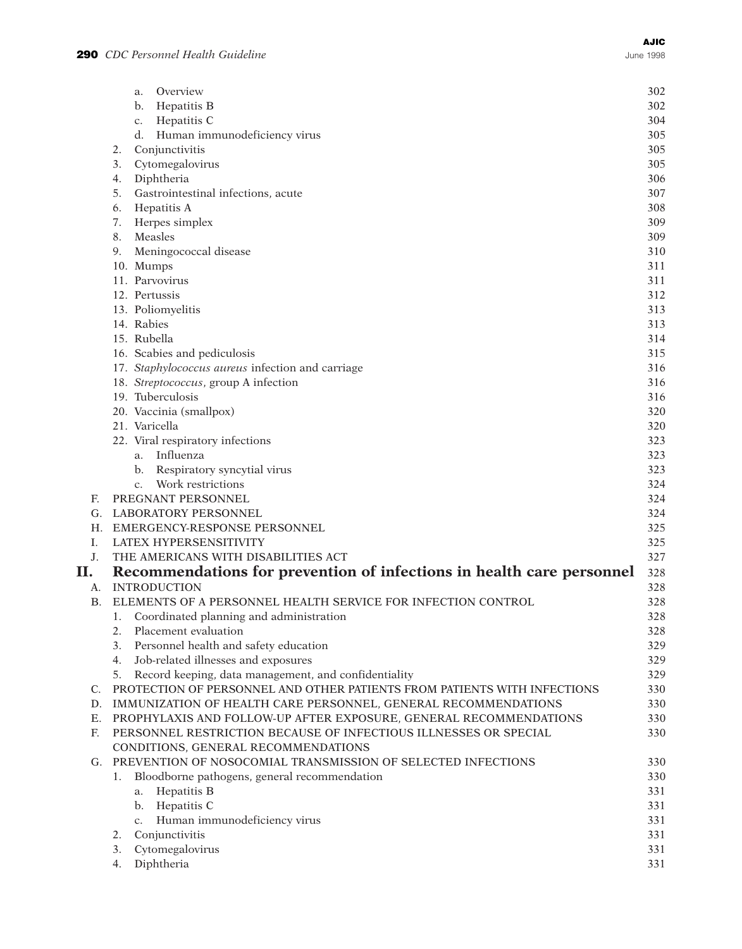|           | Overview<br>a.                                                           | 302 |
|-----------|--------------------------------------------------------------------------|-----|
|           | Hepatitis B<br>b.                                                        | 302 |
|           | Hepatitis C<br>c.                                                        | 304 |
|           | d.<br>Human immunodeficiency virus                                       | 305 |
|           | Conjunctivitis<br>2.                                                     | 305 |
|           | Cytomegalovirus<br>3.                                                    | 305 |
|           | Diphtheria<br>4.                                                         | 306 |
|           | 5.<br>Gastrointestinal infections, acute                                 | 307 |
|           | Hepatitis A<br>6.                                                        | 308 |
|           | Herpes simplex<br>7.                                                     | 309 |
|           | Measles<br>8.                                                            | 309 |
|           | Meningococcal disease<br>9.                                              | 310 |
|           | 10. Mumps                                                                | 311 |
|           | 11. Parvovirus                                                           | 311 |
|           | 12. Pertussis                                                            | 312 |
|           | 13. Poliomyelitis                                                        | 313 |
|           | 14. Rabies                                                               | 313 |
|           | 15. Rubella                                                              | 314 |
|           | 16. Scabies and pediculosis                                              | 315 |
|           | 17. Staphylococcus aureus infection and carriage                         | 316 |
|           | 18. Streptococcus, group A infection                                     | 316 |
|           | 19. Tuberculosis                                                         | 316 |
|           | 20. Vaccinia (smallpox)                                                  | 320 |
|           | 21. Varicella                                                            | 320 |
|           | 22. Viral respiratory infections                                         | 323 |
|           | Influenza<br>a.                                                          | 323 |
|           | b.<br>Respiratory syncytial virus                                        | 323 |
|           | Work restrictions<br>$C_{\star}$                                         | 324 |
| F.        | PREGNANT PERSONNEL                                                       | 324 |
| G.        | LABORATORY PERSONNEL                                                     | 324 |
|           | H. EMERGENCY-RESPONSE PERSONNEL                                          | 325 |
| Ι.        | <b>LATEX HYPERSENSITIVITY</b>                                            | 325 |
| J.        | THE AMERICANS WITH DISABILITIES ACT                                      | 327 |
| П.        | Recommendations for prevention of infections in health care personnel    | 328 |
| А.        | <b>INTRODUCTION</b>                                                      | 328 |
| <b>B.</b> | ELEMENTS OF A PERSONNEL HEALTH SERVICE FOR INFECTION CONTROL             | 328 |
|           | Coordinated planning and administration<br>1.                            | 328 |
|           | 2.<br>Placement evaluation                                               | 328 |
|           | Personnel health and safety education<br>3.                              | 329 |
|           | Job-related illnesses and exposures<br>4.                                | 329 |
|           | Record keeping, data management, and confidentiality<br>5.               | 329 |
| C.        | PROTECTION OF PERSONNEL AND OTHER PATIENTS FROM PATIENTS WITH INFECTIONS | 330 |
| D.        | IMMUNIZATION OF HEALTH CARE PERSONNEL, GENERAL RECOMMENDATIONS           | 330 |
| Ε.        | PROPHYLAXIS AND FOLLOW-UP AFTER EXPOSURE, GENERAL RECOMMENDATIONS        | 330 |
| F.        | PERSONNEL RESTRICTION BECAUSE OF INFECTIOUS ILLNESSES OR SPECIAL         | 330 |
|           | CONDITIONS, GENERAL RECOMMENDATIONS                                      |     |
| G.        | PREVENTION OF NOSOCOMIAL TRANSMISSION OF SELECTED INFECTIONS             | 330 |
|           | Bloodborne pathogens, general recommendation<br>1.                       | 330 |
|           | Hepatitis B<br>a.                                                        | 331 |
|           | Hepatitis C<br>b.                                                        | 331 |
|           | Human immunodeficiency virus<br>c.                                       | 331 |
|           | Conjunctivitis<br>2.                                                     | 331 |
|           | Cytomegalovirus<br>3.                                                    | 331 |
|           | Diphtheria<br>4.                                                         | 331 |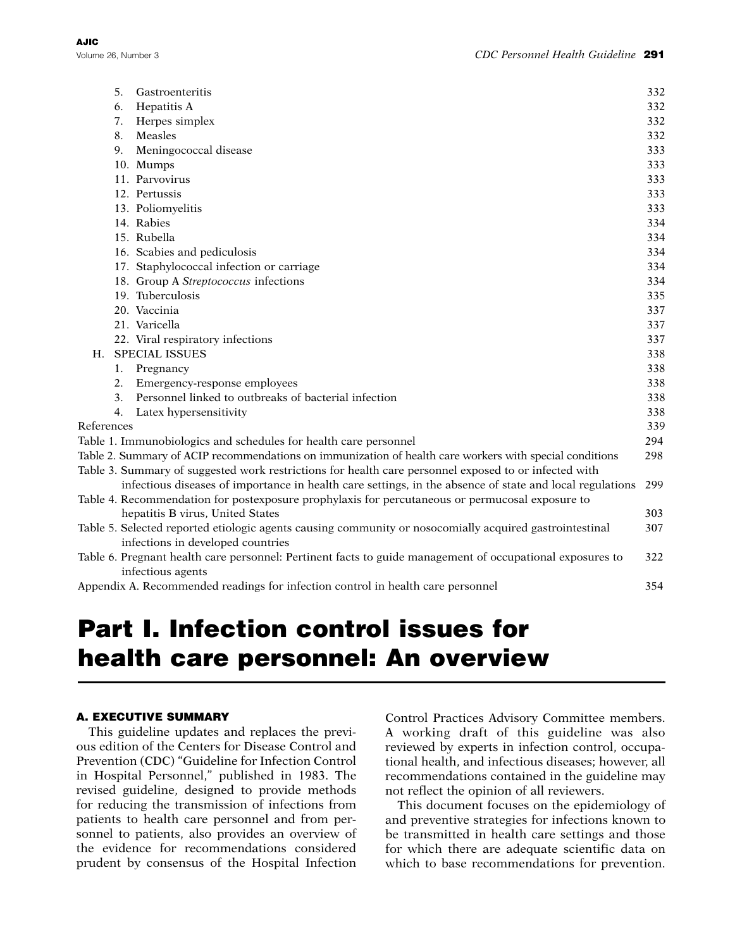<span id="page-2-0"></span>

|            | 5. | Gastroenteritis                                                                                                                | 332 |
|------------|----|--------------------------------------------------------------------------------------------------------------------------------|-----|
|            | 6. | Hepatitis A                                                                                                                    | 332 |
|            | 7. | Herpes simplex                                                                                                                 | 332 |
|            | 8. | Measles                                                                                                                        | 332 |
|            | 9. | Meningococcal disease                                                                                                          | 333 |
|            |    | 10. Mumps                                                                                                                      | 333 |
|            |    | 11. Parvovirus                                                                                                                 | 333 |
|            |    | 12. Pertussis                                                                                                                  | 333 |
|            |    | 13. Poliomyelitis                                                                                                              | 333 |
|            |    | 14. Rabies                                                                                                                     | 334 |
|            |    | 15. Rubella                                                                                                                    | 334 |
|            |    | 16. Scabies and pediculosis                                                                                                    | 334 |
|            |    | 17. Staphylococcal infection or carriage                                                                                       | 334 |
|            |    | 18. Group A Streptococcus infections                                                                                           | 334 |
|            |    | 19. Tuberculosis                                                                                                               | 335 |
|            |    | 20. Vaccinia                                                                                                                   | 337 |
|            |    | 21. Varicella                                                                                                                  | 337 |
|            |    | 22. Viral respiratory infections                                                                                               | 337 |
| H.         |    | <b>SPECIAL ISSUES</b>                                                                                                          | 338 |
|            | 1. | Pregnancy                                                                                                                      | 338 |
|            | 2. | Emergency-response employees                                                                                                   | 338 |
|            | 3. | Personnel linked to outbreaks of bacterial infection                                                                           | 338 |
|            | 4. | Latex hypersensitivity                                                                                                         | 338 |
| References |    |                                                                                                                                | 339 |
|            |    | Table 1. Immunobiologics and schedules for health care personnel                                                               | 294 |
|            |    | Table 2. Summary of ACIP recommendations on immunization of health care workers with special conditions                        | 298 |
|            |    | Table 3. Summary of suggested work restrictions for health care personnel exposed to or infected with                          |     |
|            |    | infectious diseases of importance in health care settings, in the absence of state and local regulations                       | 299 |
|            |    | Table 4. Recommendation for postexposure prophylaxis for percutaneous or permucosal exposure to                                |     |
|            |    | hepatitis B virus, United States                                                                                               | 303 |
|            |    | Table 5. Selected reported etiologic agents causing community or nosocomially acquired gastrointestinal                        | 307 |
|            |    | infections in developed countries                                                                                              |     |
|            |    | Table 6. Pregnant health care personnel: Pertinent facts to guide management of occupational exposures to<br>infectious agents | 322 |
|            |    | Appendix A. Recommended readings for infection control in health care personnel                                                | 354 |
|            |    |                                                                                                                                |     |

# **Part I. Infection control issues for health care personnel: An overview**

# **A. EXECUTIVE SUMMARY**

This guideline updates and replaces the previous edition of the Centers for Disease Control and Prevention (CDC) "Guideline for Infection Control in Hospital Personnel," published in 1983. The revised guideline, designed to provide methods for reducing the transmission of infections from patients to health care personnel and from personnel to patients, also provides an overview of the evidence for recommendations considered prudent by consensus of the Hospital Infection

Control Practices Advisory Committee members. A working draft of this guideline was also reviewed by experts in infection control, occupational health, and infectious diseases; however, all recommendations contained in the guideline may not reflect the opinion of all reviewers.

This document focuses on the epidemiology of and preventive strategies for infections known to be transmitted in health care settings and those for which there are adequate scientific data on which to base recommendations for prevention.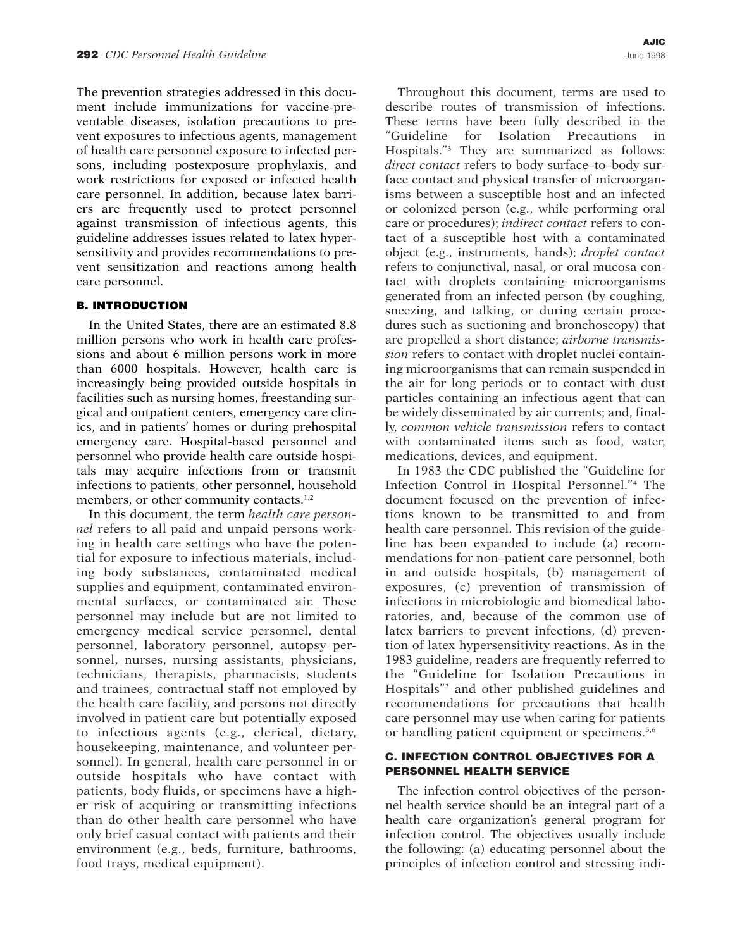<span id="page-3-0"></span>The prevention strategies addressed in this document include immunizations for vaccine-preventable diseases, isolation precautions to prevent exposures to infectious agents, management of health care personnel exposure to infected persons, including postexposure prophylaxis, and work restrictions for exposed or infected health care personnel. In addition, because latex barriers are frequently used to protect personnel against transmission of infectious agents, this guideline addresses issues related to latex hypersensitivity and provides recommendations to prevent sensitization and reactions among health care personnel.

#### **B. INTRODUCTION**

In the United States, there are an estimated 8.8 million persons who work in health care professions and about 6 million persons work in more than 6000 hospitals. However, health care is increasingly being provided outside hospitals in facilities such as nursing homes, freestanding surgical and outpatient centers, emergency care clinics, and in patients' homes or during prehospital emergency care. Hospital-based personnel and personnel who provide health care outside hospitals may acquire infections from or transmit infections to patients, other personnel, household members, or other community contacts.<sup>1,2</sup>

In this document, the term *health care personnel* refers to all paid and unpaid persons working in health care settings who have the potential for exposure to infectious materials, including body substances, contaminated medical supplies and equipment, contaminated environmental surfaces, or contaminated air. These personnel may include but are not limited to emergency medical service personnel, dental personnel, laboratory personnel, autopsy personnel, nurses, nursing assistants, physicians, technicians, therapists, pharmacists, students and trainees, contractual staff not employed by the health care facility, and persons not directly involved in patient care but potentially exposed to infectious agents (e.g., clerical, dietary, housekeeping, maintenance, and volunteer personnel). In general, health care personnel in or outside hospitals who have contact with patients, body fluids, or specimens have a higher risk of acquiring or transmitting infections than do other health care personnel who have only brief casual contact with patients and their environment (e.g., beds, furniture, bathrooms, food trays, medical equipment).

Throughout this document, terms are used to describe routes of transmission of infections. These terms have been fully described in the "Guideline for Isolation Precautions in Hospitals."3 They are summarized as follows: *direct contact* refers to body surface–to–body surface contact and physical transfer of microorganisms between a susceptible host and an infected or colonized person (e.g., while performing oral care or procedures); *indirect contact* refers to contact of a susceptible host with a contaminated object (e.g., instruments, hands); *droplet contact*  refers to conjunctival, nasal, or oral mucosa contact with droplets containing microorganisms generated from an infected person (by coughing, sneezing, and talking, or during certain procedures such as suctioning and bronchoscopy) that are propelled a short distance; *airborne transmission* refers to contact with droplet nuclei containing microorganisms that can remain suspended in the air for long periods or to contact with dust particles containing an infectious agent that can be widely disseminated by air currents; and, finally, *common vehicle transmission* refers to contact with contaminated items such as food, water, medications, devices, and equipment.

In 1983 the CDC published the "Guideline for Infection Control in Hospital Personnel."4 The document focused on the prevention of infections known to be transmitted to and from health care personnel. This revision of the guideline has been expanded to include (a) recommendations for non–patient care personnel, both in and outside hospitals, (b) management of exposures, (c) prevention of transmission of infections in microbiologic and biomedical laboratories, and, because of the common use of latex barriers to prevent infections, (d) prevention of latex hypersensitivity reactions. As in the 1983 guideline, readers are frequently referred to the "Guideline for Isolation Precautions in Hospitals"3 and other published guidelines and recommendations for precautions that health care personnel may use when caring for patients or handling patient equipment or specimens.5,6

## **C. INFECTION CONTROL OBJECTIVES FOR A PERSONNEL HEALTH SERVICE**

The infection control objectives of the personnel health service should be an integral part of a health care organization's general program for infection control. The objectives usually include the following: (a) educating personnel about the principles of infection control and stressing indi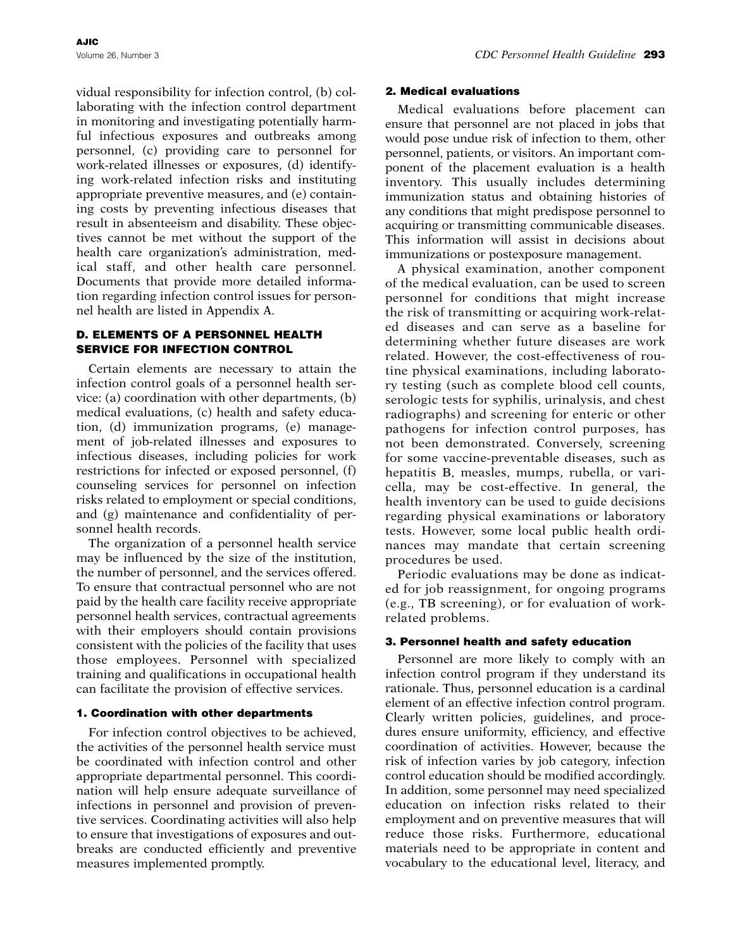<span id="page-4-0"></span>vidual responsibility for infection control, (b) collaborating with the infection control department in monitoring and investigating potentially harmful infectious exposures and outbreaks among personnel, (c) providing care to personnel for work-related illnesses or exposures, (d) identifying work-related infection risks and instituting appropriate preventive measures, and (e) containing costs by preventing infectious diseases that result in absenteeism and disability. These objectives cannot be met without the support of the health care organization's administration, medical staff, and other health care personnel. Documents that provide more detailed information regarding infection control issues for personnel health are listed in Appendix A.

# **D. ELEMENTS OF A PERSONNEL HEALTH SERVICE FOR INFECTION CONTROL**

Certain elements are necessary to attain the infection control goals of a personnel health service: (a) coordination with other departments, (b) medical evaluations, (c) health and safety education, (d) immunization programs, (e) management of job-related illnesses and exposures to infectious diseases, including policies for work restrictions for infected or exposed personnel, (f) counseling services for personnel on infection risks related to employment or special conditions, and (g) maintenance and confidentiality of personnel health records.

The organization of a personnel health service may be influenced by the size of the institution, the number of personnel, and the services offered. To ensure that contractual personnel who are not paid by the health care facility receive appropriate personnel health services, contractual agreements with their employers should contain provisions consistent with the policies of the facility that uses those employees. Personnel with specialized training and qualifications in occupational health can facilitate the provision of effective services.

# **1. Coordination with other departments**

For infection control objectives to be achieved, the activities of the personnel health service must be coordinated with infection control and other appropriate departmental personnel. This coordination will help ensure adequate surveillance of infections in personnel and provision of preventive services. Coordinating activities will also help to ensure that investigations of exposures and outbreaks are conducted efficiently and preventive measures implemented promptly.

# **2. Medical evaluations**

Medical evaluations before placement can ensure that personnel are not placed in jobs that would pose undue risk of infection to them, other personnel, patients, or visitors. An important component of the placement evaluation is a health inventory. This usually includes determining immunization status and obtaining histories of any conditions that might predispose personnel to acquiring or transmitting communicable diseases. This information will assist in decisions about immunizations or postexposure management.

A physical examination, another component of the medical evaluation, can be used to screen personnel for conditions that might increase the risk of transmitting or acquiring work-related diseases and can serve as a baseline for determining whether future diseases are work related. However, the cost-effectiveness of routine physical examinations, including laboratory testing (such as complete blood cell counts, serologic tests for syphilis, urinalysis, and chest radiographs) and screening for enteric or other pathogens for infection control purposes, has not been demonstrated. Conversely, screening for some vaccine-preventable diseases, such as hepatitis B, measles, mumps, rubella, or varicella, may be cost-effective. In general, the health inventory can be used to guide decisions regarding physical examinations or laboratory tests. However, some local public health ordinances may mandate that certain screening procedures be used.

Periodic evaluations may be done as indicated for job reassignment, for ongoing programs (e.g., TB screening), or for evaluation of workrelated problems.

# **3. Personnel health and safety education**

Personnel are more likely to comply with an infection control program if they understand its rationale. Thus, personnel education is a cardinal element of an effective infection control program. Clearly written policies, guidelines, and procedures ensure uniformity, efficiency, and effective coordination of activities. However, because the risk of infection varies by job category, infection control education should be modified accordingly. In addition, some personnel may need specialized education on infection risks related to their employment and on preventive measures that will reduce those risks. Furthermore, educational materials need to be appropriate in content and vocabulary to the educational level, literacy, and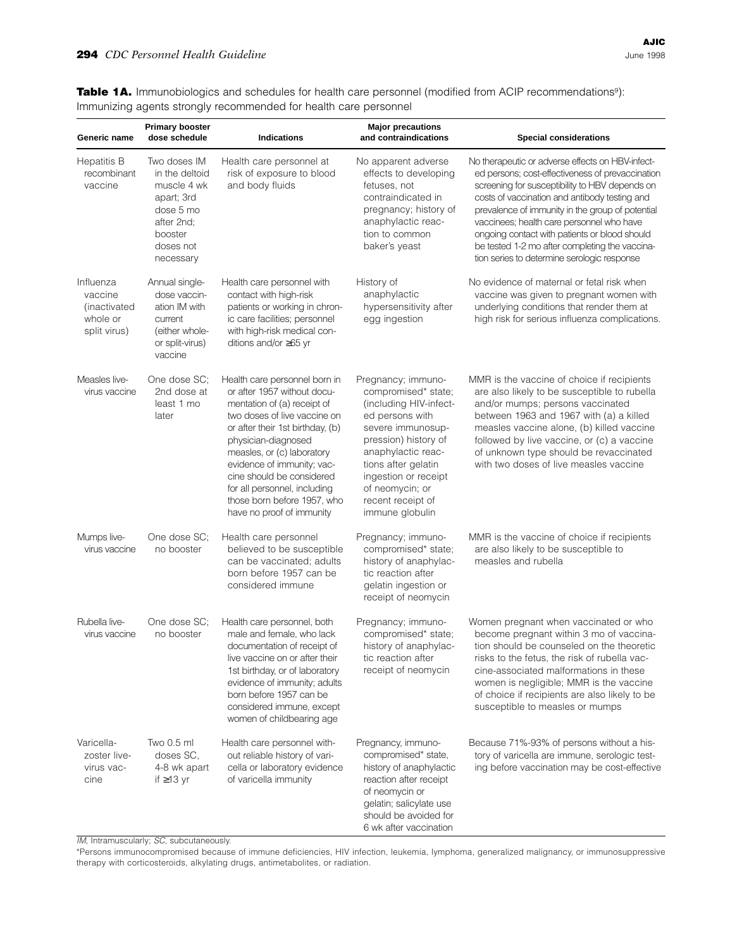**Table 1A.** Immunobiologics and schedules for health care personnel (modified from ACIP recommendations<sup>9</sup>): Immunizing agents strongly recommended for health care personnel

| Generic name                                                     | <b>Primary booster</b><br>dose schedule                                                                                     | <b>Indications</b>                                                                                                                                                                                                                                                                                                                                                          | <b>Major precautions</b><br>and contraindications                                                                                                                                                                                                                   | <b>Special considerations</b>                                                                                                                                                                                                                                                                                                                                                                                                                              |
|------------------------------------------------------------------|-----------------------------------------------------------------------------------------------------------------------------|-----------------------------------------------------------------------------------------------------------------------------------------------------------------------------------------------------------------------------------------------------------------------------------------------------------------------------------------------------------------------------|---------------------------------------------------------------------------------------------------------------------------------------------------------------------------------------------------------------------------------------------------------------------|------------------------------------------------------------------------------------------------------------------------------------------------------------------------------------------------------------------------------------------------------------------------------------------------------------------------------------------------------------------------------------------------------------------------------------------------------------|
| <b>Hepatitis B</b><br>recombinant<br>vaccine                     | Two doses IM<br>in the deltoid<br>muscle 4 wk<br>apart; 3rd<br>dose 5 mo<br>after 2nd;<br>booster<br>doses not<br>necessary | Health care personnel at<br>risk of exposure to blood<br>and body fluids                                                                                                                                                                                                                                                                                                    | No apparent adverse<br>effects to developing<br>fetuses, not<br>contraindicated in<br>pregnancy; history of<br>anaphylactic reac-<br>tion to common<br>baker's yeast                                                                                                | No therapeutic or adverse effects on HBV-infect-<br>ed persons; cost-effectiveness of prevaccination<br>screening for susceptibility to HBV depends on<br>costs of vaccination and antibody testing and<br>prevalence of immunity in the group of potential<br>vaccinees; health care personnel who have<br>ongoing contact with patients or blood should<br>be tested 1-2 mo after completing the vaccina-<br>tion series to determine serologic response |
| Influenza<br>vaccine<br>(inactivated<br>whole or<br>split virus) | Annual single-<br>dose vaccin-<br>ation IM with<br>current<br>(either whole-<br>or split-virus)<br>vaccine                  | Health care personnel with<br>contact with high-risk<br>patients or working in chron-<br>ic care facilities; personnel<br>with high-risk medical con-<br>ditions and/or ≥65 yr                                                                                                                                                                                              | History of<br>anaphylactic<br>hypersensitivity after<br>egg ingestion                                                                                                                                                                                               | No evidence of maternal or fetal risk when<br>vaccine was given to pregnant women with<br>underlying conditions that render them at<br>high risk for serious influenza complications.                                                                                                                                                                                                                                                                      |
| Measles live-<br>virus vaccine                                   | One dose SC;<br>2nd dose at<br>least 1 mo<br>later                                                                          | Health care personnel born in<br>or after 1957 without docu-<br>mentation of (a) receipt of<br>two doses of live vaccine on<br>or after their 1st birthday, (b)<br>physician-diagnosed<br>measles, or (c) laboratory<br>evidence of immunity; vac-<br>cine should be considered<br>for all personnel, including<br>those born before 1957, who<br>have no proof of immunity | Pregnancy; immuno-<br>compromised* state;<br>(including HIV-infect-<br>ed persons with<br>severe immunosup-<br>pression) history of<br>anaphylactic reac-<br>tions after gelatin<br>ingestion or receipt<br>of neomycin; or<br>recent receipt of<br>immune globulin | MMR is the vaccine of choice if recipients<br>are also likely to be susceptible to rubella<br>and/or mumps; persons vaccinated<br>between 1963 and 1967 with (a) a killed<br>measles vaccine alone, (b) killed vaccine<br>followed by live vaccine, or (c) a vaccine<br>of unknown type should be revaccinated<br>with two doses of live measles vaccine                                                                                                   |
| Mumps live-<br>virus vaccine                                     | One dose SC:<br>no booster                                                                                                  | Health care personnel<br>believed to be susceptible<br>can be vaccinated; adults<br>born before 1957 can be<br>considered immune                                                                                                                                                                                                                                            | Pregnancy; immuno-<br>compromised* state;<br>history of anaphylac-<br>tic reaction after<br>gelatin ingestion or<br>receipt of neomycin                                                                                                                             | MMR is the vaccine of choice if recipients<br>are also likely to be susceptible to<br>measles and rubella                                                                                                                                                                                                                                                                                                                                                  |
| Rubella live-<br>virus vaccine                                   | One dose SC:<br>no booster                                                                                                  | Health care personnel, both<br>male and female, who lack<br>documentation of receipt of<br>live vaccine on or after their<br>1st birthday, or of laboratory<br>evidence of immunity; adults<br>born before 1957 can be<br>considered immune, except<br>women of childbearing age                                                                                            | Pregnancy; immuno-<br>compromised* state;<br>history of anaphylac-<br>tic reaction after<br>receipt of neomycin                                                                                                                                                     | Women pregnant when vaccinated or who<br>become pregnant within 3 mo of vaccina-<br>tion should be counseled on the theoretic<br>risks to the fetus, the risk of rubella vac-<br>cine-associated malformations in these<br>women is negligible; MMR is the vaccine<br>of choice if recipients are also likely to be<br>susceptible to measles or mumps                                                                                                     |
| Varicella-<br>zoster live-<br>virus vac-<br>cine                 | Two 0.5 ml<br>doses SC.<br>4-8 wk apart<br>if ≥13 yr                                                                        | Health care personnel with-<br>out reliable history of vari-<br>cella or laboratory evidence<br>of varicella immunity                                                                                                                                                                                                                                                       | Pregnancy, immuno-<br>compromised* state.<br>history of anaphylactic<br>reaction after receipt<br>of neomycin or<br>gelatin; salicylate use<br>should be avoided for<br>6 wk after vaccination                                                                      | Because 71%-93% of persons without a his-<br>tory of varicella are immune, serologic test-<br>ing before vaccination may be cost-effective                                                                                                                                                                                                                                                                                                                 |

IM, Intramuscularly; SC, subcutaneously.

\*Persons immunocompromised because of immune deficiencies, HIV infection, leukemia, lymphoma, generalized malignancy, or immunosuppressive therapy with corticosteroids, alkylating drugs, antimetabolites, or radiation.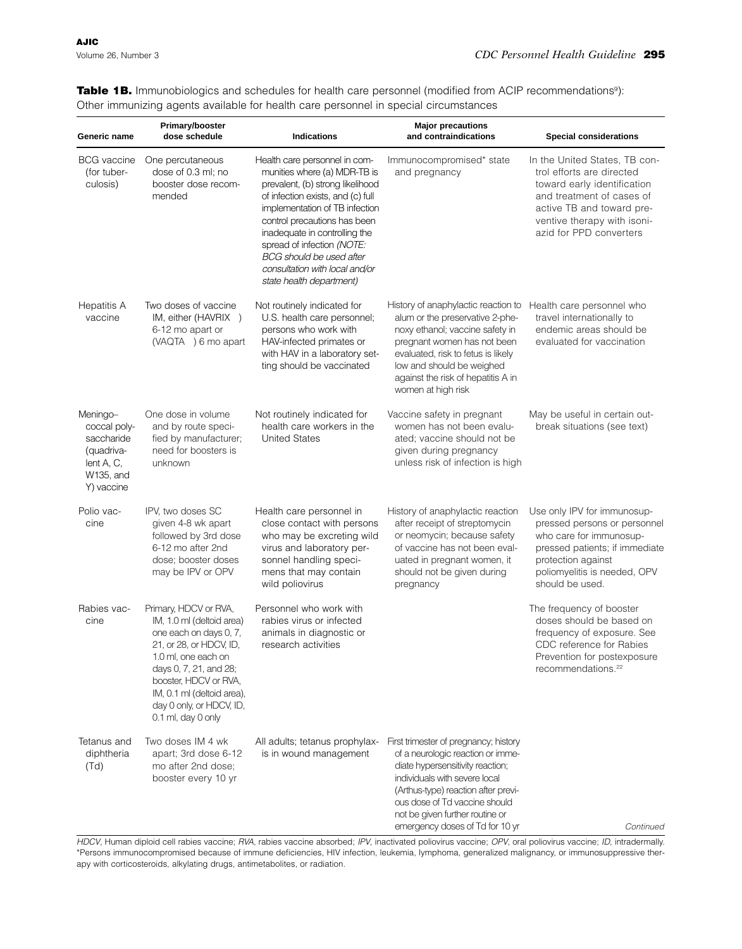**Table 1B.** Immunobiologics and schedules for health care personnel (modified from ACIP recommendations<sup>9</sup>): Other immunizing agents available for health care personnel in special circumstances

| Generic name                                                                                  | Primary/booster<br>dose schedule                                                                                                                                                                                                                                  | <b>Indications</b>                                                                                                                                                                                                                                                                                                                                                       | <b>Major precautions</b><br>and contraindications                                                                                                                                                                                                                                             | <b>Special considerations</b>                                                                                                                                                                                 |
|-----------------------------------------------------------------------------------------------|-------------------------------------------------------------------------------------------------------------------------------------------------------------------------------------------------------------------------------------------------------------------|--------------------------------------------------------------------------------------------------------------------------------------------------------------------------------------------------------------------------------------------------------------------------------------------------------------------------------------------------------------------------|-----------------------------------------------------------------------------------------------------------------------------------------------------------------------------------------------------------------------------------------------------------------------------------------------|---------------------------------------------------------------------------------------------------------------------------------------------------------------------------------------------------------------|
| <b>BCG</b> vaccine<br>(for tuber-<br>culosis)                                                 | One percutaneous<br>dose of 0.3 ml; no<br>booster dose recom-<br>mended                                                                                                                                                                                           | Health care personnel in com-<br>munities where (a) MDR-TB is<br>prevalent, (b) strong likelihood<br>of infection exists, and (c) full<br>implementation of TB infection<br>control precautions has been<br>inadequate in controlling the<br>spread of infection (NOTE:<br><b>BCG</b> should be used after<br>consultation with local and/or<br>state health department) | Immunocompromised* state<br>and pregnancy                                                                                                                                                                                                                                                     | In the United States, TB con-<br>trol efforts are directed<br>toward early identification<br>and treatment of cases of<br>active TB and toward pre-<br>ventive therapy with isoni-<br>azid for PPD converters |
| <b>Hepatitis A</b><br>vaccine                                                                 | Two doses of vaccine<br>IM, either (HAVRIXTM)<br>6-12 mo apart or<br>(VAQTA™) 6 mo apart                                                                                                                                                                          | Not routinely indicated for<br>U.S. health care personnel;<br>persons who work with<br>HAV-infected primates or<br>with HAV in a laboratory set-<br>ting should be vaccinated                                                                                                                                                                                            | History of anaphylactic reaction to<br>alum or the preservative 2-phe-<br>noxy ethanol; vaccine safety in<br>pregnant women has not been<br>evaluated, risk to fetus is likely<br>low and should be weighed<br>against the risk of hepatitis A in<br>women at high risk                       | Health care personnel who<br>travel internationally to<br>endemic areas should be<br>evaluated for vaccination                                                                                                |
| Meningo-<br>coccal poly-<br>saccharide<br>(quadriva-<br>lent A, C,<br>W135, and<br>Y) vaccine | One dose in volume<br>and by route speci-<br>fied by manufacturer;<br>need for boosters is<br>unknown                                                                                                                                                             | Not routinely indicated for<br>health care workers in the<br><b>United States</b>                                                                                                                                                                                                                                                                                        | Vaccine safety in pregnant<br>women has not been evalu-<br>ated; vaccine should not be<br>given during pregnancy<br>unless risk of infection is high                                                                                                                                          | May be useful in certain out-<br>break situations (see text)                                                                                                                                                  |
| Polio vac-<br>cine                                                                            | IPV, two doses SC<br>given 4-8 wk apart<br>followed by 3rd dose<br>6-12 mo after 2nd<br>dose; booster doses<br>may be IPV or OPV                                                                                                                                  | Health care personnel in<br>close contact with persons<br>who may be excreting wild<br>virus and laboratory per-<br>sonnel handling speci-<br>mens that may contain<br>wild poliovirus                                                                                                                                                                                   | History of anaphylactic reaction<br>after receipt of streptomycin<br>or neomycin; because safety<br>of vaccine has not been eval-<br>uated in pregnant women, it<br>should not be given during<br>pregnancy                                                                                   | Use only IPV for immunosup-<br>pressed persons or personnel<br>who care for immunosup-<br>pressed patients; if immediate<br>protection against<br>poliomyelitis is needed, OPV<br>should be used.             |
| Rabies vac-<br>cine                                                                           | Primary, HDCV or RVA,<br>IM, 1.0 ml (deltoid area)<br>one each on days 0, 7,<br>21, or 28, or HDCV, ID,<br>1.0 ml, one each on<br>days 0, 7, 21, and 28;<br>booster, HDCV or RVA,<br>IM, 0.1 ml (deltoid area),<br>day 0 only, or HDCV, ID,<br>0.1 ml, day 0 only | Personnel who work with<br>rabies virus or infected<br>animals in diagnostic or<br>research activities                                                                                                                                                                                                                                                                   |                                                                                                                                                                                                                                                                                               | The frequency of booster<br>doses should be based on<br>frequency of exposure. See<br>CDC reference for Rabies<br>Prevention for postexposure<br>recommendations. <sup>22</sup>                               |
| Tetanus and<br>diphtheria<br>(Td)                                                             | Two doses IM 4 wk<br>apart; 3rd dose 6-12<br>mo after 2nd dose;<br>booster every 10 yr                                                                                                                                                                            | All adults; tetanus prophylax-<br>is in wound management                                                                                                                                                                                                                                                                                                                 | First trimester of pregnancy; history<br>of a neurologic reaction or imme-<br>diate hypersensitivity reaction;<br>individuals with severe local<br>(Arthus-type) reaction after previ-<br>ous dose of Td vaccine should<br>not be given further routine or<br>emergency doses of Td for 10 yr | Continued                                                                                                                                                                                                     |

HDCV, Human diploid cell rabies vaccine; RVA, rabies vaccine absorbed; IPV, inactivated poliovirus vaccine; OPV, oral poliovirus vaccine; ID, intradermally. \*Persons immunocompromised because of immune deficiencies, HIV infection, leukemia, lymphoma, generalized malignancy, or immunosuppressive therapy with corticosteroids, alkylating drugs, antimetabolites, or radiation.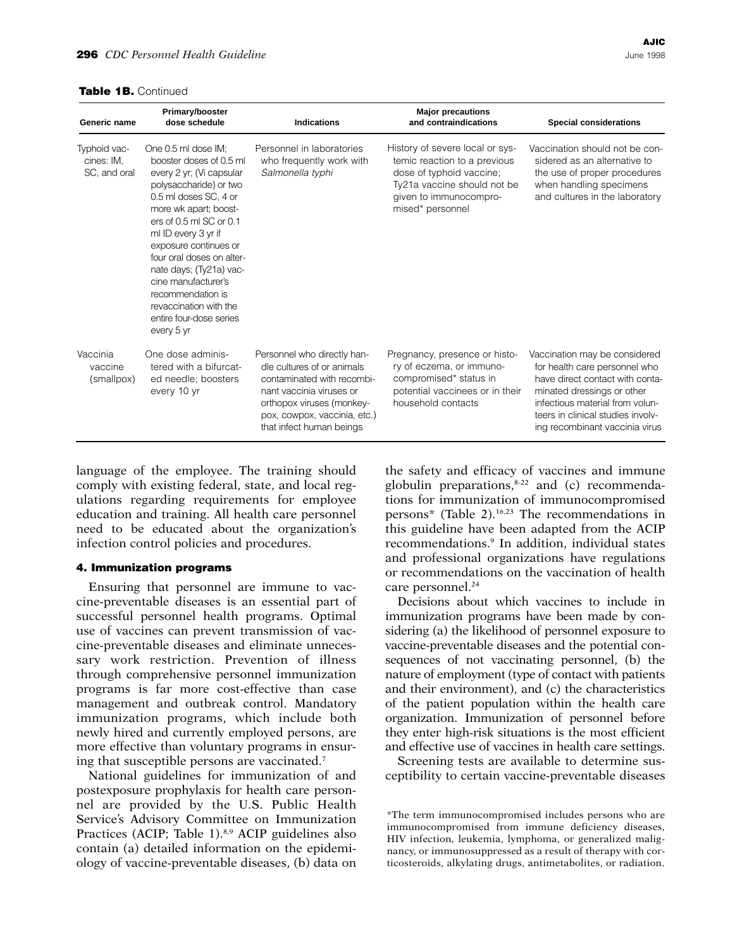| Generic name                               | Primary/booster<br>dose schedule                                                                                                                                                                                                                                                                                                                                                                           | <b>Indications</b>                                                                                                                                                                                           | <b>Major precautions</b><br>and contraindications                                                                                                                        | <b>Special considerations</b>                                                                                                                                                                                                             |
|--------------------------------------------|------------------------------------------------------------------------------------------------------------------------------------------------------------------------------------------------------------------------------------------------------------------------------------------------------------------------------------------------------------------------------------------------------------|--------------------------------------------------------------------------------------------------------------------------------------------------------------------------------------------------------------|--------------------------------------------------------------------------------------------------------------------------------------------------------------------------|-------------------------------------------------------------------------------------------------------------------------------------------------------------------------------------------------------------------------------------------|
| Typhoid vac-<br>cines: IM.<br>SC, and oral | One 0.5 ml dose IM;<br>booster doses of 0.5 ml<br>every 2 yr; (Vi capsular<br>polysaccharide) or two<br>0.5 ml doses SC, 4 or<br>more wk apart; boost-<br>ers of 0.5 ml $SC$ or 0.1<br>ml ID every 3 yr if<br>exposure continues or<br>four oral doses on alter-<br>nate days; (Ty21a) vac-<br>cine manufacturer's<br>recommendation is<br>revaccination with the<br>entire four-dose series<br>every 5 yr | Personnel in laboratories<br>who frequently work with<br>Salmonella typhi                                                                                                                                    | History of severe local or sys-<br>temic reaction to a previous<br>dose of typhoid vaccine;<br>Ty21a vaccine should not be<br>given to immunocompro-<br>mised* personnel | Vaccination should not be con-<br>sidered as an alternative to<br>the use of proper procedures<br>when handling specimens<br>and cultures in the laboratory                                                                               |
| Vaccinia<br>vaccine<br>(smallpox)          | One dose adminis-<br>tered with a bifurcat-<br>ed needle; boosters<br>every 10 yr                                                                                                                                                                                                                                                                                                                          | Personnel who directly han-<br>dle cultures of or animals<br>contaminated with recombi-<br>nant vaccinia viruses or<br>orthopox viruses (monkey-<br>pox, cowpox, vaccinia, etc.)<br>that infect human beings | Pregnancy, presence or histo-<br>ry of eczema, or immuno-<br>compromised* status in<br>potential vaccinees or in their<br>household contacts                             | Vaccination may be considered<br>for health care personnel who<br>have direct contact with conta-<br>minated dressings or other<br>infectious material from volun-<br>teers in clinical studies involv-<br>ing recombinant vaccinia virus |

language of the employee. The training should comply with existing federal, state, and local regulations regarding requirements for employee education and training. All health care personnel need to be educated about the organization's infection control policies and procedures.

#### **4. Immunization programs**

Ensuring that personnel are immune to vaccine-preventable diseases is an essential part of successful personnel health programs. Optimal use of vaccines can prevent transmission of vaccine-preventable diseases and eliminate unnecessary work restriction. Prevention of illness through comprehensive personnel immunization programs is far more cost-effective than case management and outbreak control. Mandatory immunization programs, which include both newly hired and currently employed persons, are more effective than voluntary programs in ensuring that susceptible persons are vaccinated.7

National guidelines for immunization of and postexposure prophylaxis for health care personnel are provided by the U.S. Public Health Service's Advisory Committee on Immunization Practices (ACIP; Table 1).<sup>8,9</sup> ACIP guidelines also contain (a) detailed information on the epidemiology of vaccine-preventable diseases, (b) data on

the safety and efficacy of vaccines and immune globulin preparations, $8-22$  and (c) recommendations for immunization of immunocompromised persons\* (Table 2).16,23 The recommendations in this guideline have been adapted from the ACIP recommendations.9 In addition, individual states and professional organizations have regulations or recommendations on the vaccination of health care personnel.<sup>24</sup>

Decisions about which vaccines to include in immunization programs have been made by considering (a) the likelihood of personnel exposure to vaccine-preventable diseases and the potential consequences of not vaccinating personnel, (b) the nature of employment (type of contact with patients and their environment), and (c) the characteristics of the patient population within the health care organization. Immunization of personnel before they enter high-risk situations is the most efficient and effective use of vaccines in health care settings.

Screening tests are available to determine susceptibility to certain vaccine-preventable diseases

<sup>\*</sup>The term immunocompromised includes persons who are immunocompromised from immune deficiency diseases, HIV infection, leukemia, lymphoma, or generalized malignancy, or immunosuppressed as a result of therapy with corticosteroids, alkylating drugs, antimetabolites, or radiation.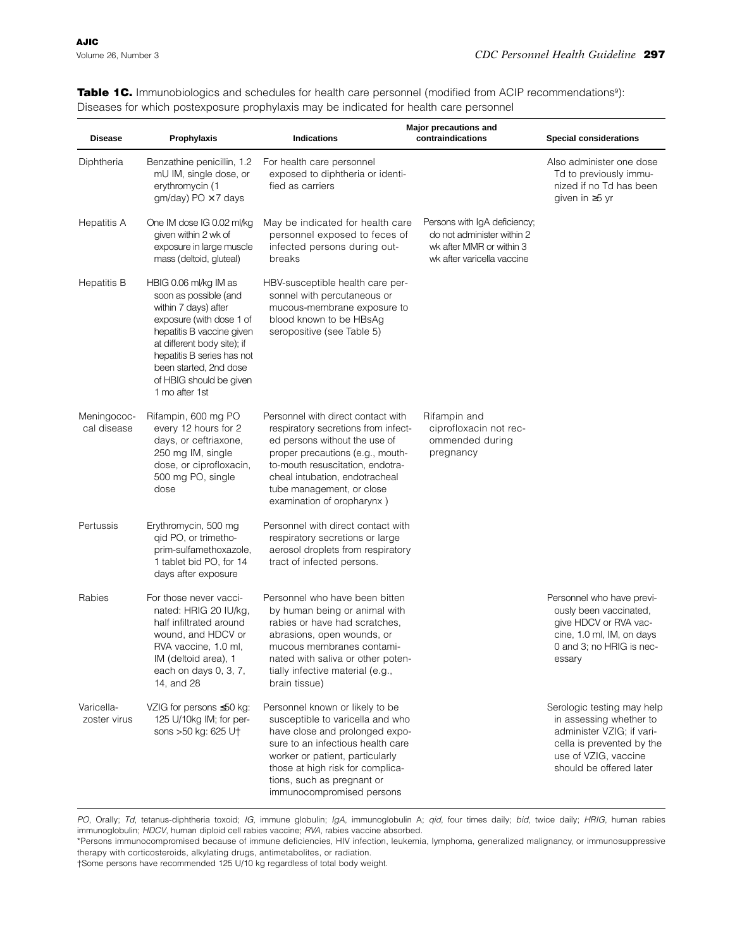**Table 1C.** Immunobiologics and schedules for health care personnel (modified from ACIP recommendations<sup>9</sup>): Diseases for which postexposure prophylaxis may be indicated for health care personnel

| <b>Disease</b>             | Prophylaxis                                                                                                                                                                                                                                                         | <b>Indications</b>                                                                                                                                                                                                                                                              | <b>Major precautions and</b><br>contraindications                                                                    | <b>Special considerations</b>                                                                                                                                      |
|----------------------------|---------------------------------------------------------------------------------------------------------------------------------------------------------------------------------------------------------------------------------------------------------------------|---------------------------------------------------------------------------------------------------------------------------------------------------------------------------------------------------------------------------------------------------------------------------------|----------------------------------------------------------------------------------------------------------------------|--------------------------------------------------------------------------------------------------------------------------------------------------------------------|
| Diphtheria                 | Benzathine penicillin, 1.2<br>mU IM, single dose, or<br>erythromycin (1<br>gm/day) $PO \times 7$ days                                                                                                                                                               | For health care personnel<br>exposed to diphtheria or identi-<br>fied as carriers                                                                                                                                                                                               |                                                                                                                      | Also administer one dose<br>Td to previously immu-<br>nized if no Td has been<br>given in $\geq$ 5 yr                                                              |
| Hepatitis A                | One IM dose IG 0.02 ml/kg<br>given within 2 wk of<br>exposure in large muscle<br>mass (deltoid, gluteal)                                                                                                                                                            | May be indicated for health care<br>personnel exposed to feces of<br>infected persons during out-<br>breaks                                                                                                                                                                     | Persons with IgA deficiency;<br>do not administer within 2<br>wk after MMR or within 3<br>wk after varicella vaccine |                                                                                                                                                                    |
| <b>Hepatitis B</b>         | HBIG 0.06 ml/kg IM as<br>soon as possible (and<br>within 7 days) after<br>exposure (with dose 1 of<br>hepatitis B vaccine given<br>at different body site); if<br>hepatitis B series has not<br>been started, 2nd dose<br>of HBIG should be given<br>1 mo after 1st | HBV-susceptible health care per-<br>sonnel with percutaneous or<br>mucous-membrane exposure to<br>blood known to be HBsAg<br>seropositive (see Table 5)                                                                                                                         |                                                                                                                      |                                                                                                                                                                    |
| Meningococ-<br>cal disease | Rifampin, 600 mg PO<br>every 12 hours for 2<br>days, or ceftriaxone,<br>250 mg IM, single<br>dose, or ciprofloxacin,<br>500 mg PO, single<br>dose                                                                                                                   | Personnel with direct contact with<br>respiratory secretions from infect-<br>ed persons without the use of<br>proper precautions (e.g., mouth-<br>to-mouth resuscitation, endotra-<br>cheal intubation, endotracheal<br>tube management, or close<br>examination of oropharynx) | Rifampin and<br>ciprofloxacin not rec-<br>ommended during<br>pregnancy                                               |                                                                                                                                                                    |
| Pertussis                  | Erythromycin, 500 mg<br>qid PO, or trimetho-<br>prim-sulfamethoxazole,<br>1 tablet bid PO, for 14<br>days after exposure                                                                                                                                            | Personnel with direct contact with<br>respiratory secretions or large<br>aerosol droplets from respiratory<br>tract of infected persons.                                                                                                                                        |                                                                                                                      |                                                                                                                                                                    |
| Rabies                     | For those never vacci-<br>nated: HRIG 20 IU/kg,<br>half infiltrated around<br>wound, and HDCV or<br>RVA vaccine, 1.0 ml,<br>IM (deltoid area), 1<br>each on days 0, 3, 7,<br>14, and 28                                                                             | Personnel who have been bitten<br>by human being or animal with<br>rabies or have had scratches.<br>abrasions, open wounds, or<br>mucous membranes contami-<br>nated with saliva or other poten-<br>tially infective material (e.g.,<br>brain tissue)                           |                                                                                                                      | Personnel who have previ-<br>ously been vaccinated,<br>give HDCV or RVA vac-<br>cine, 1.0 ml, IM, on days<br>0 and 3; no HRIG is nec-<br>essary                    |
| Varicella-<br>zoster virus | VZIG for persons ≤50 kg:<br>125 U/10kg IM; for per-<br>sons >50 kg: 625 U†                                                                                                                                                                                          | Personnel known or likely to be<br>susceptible to varicella and who<br>have close and prolonged expo-<br>sure to an infectious health care<br>worker or patient, particularly<br>those at high risk for complica-<br>tions, such as pregnant or<br>immunocompromised persons    |                                                                                                                      | Serologic testing may help<br>in assessing whether to<br>administer VZIG; if vari-<br>cella is prevented by the<br>use of VZIG, vaccine<br>should be offered later |

PO, Orally; Td, tetanus-diphtheria toxoid; IG, immune globulin; IgA, immunoglobulin A; qid, four times daily; bid, twice daily; HRIG, human rabies immunoglobulin; HDCV, human diploid cell rabies vaccine; RVA, rabies vaccine absorbed.

\*Persons immunocompromised because of immune deficiencies, HIV infection, leukemia, lymphoma, generalized malignancy, or immunosuppressive therapy with corticosteroids, alkylating drugs, antimetabolites, or radiation.

†Some persons have recommended 125 U/10 kg regardless of total body weight.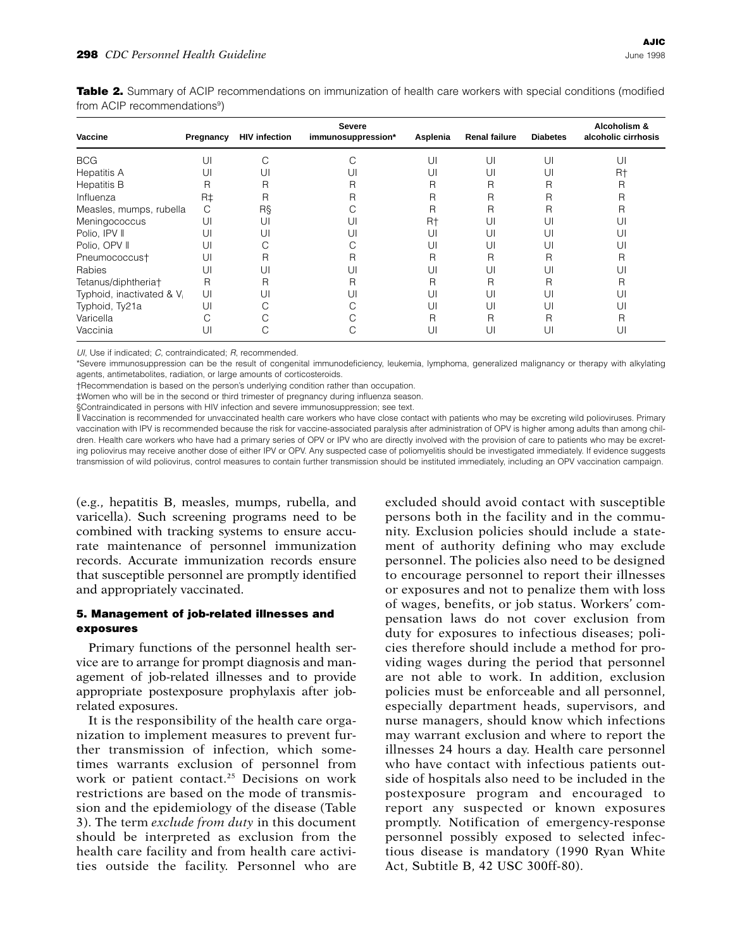**Table 2.** Summary of ACIP recommendations on immunization of health care workers with special conditions (modified from ACIP recommendations<sup>9</sup>)

| Vaccine                               | Pregnancy   | <b>HIV infection</b> | Severe<br>immunosuppression* | Asplenia       | <b>Renal failure</b> | <b>Diabetes</b> | Alcoholism &<br>alcoholic cirrhosis |
|---------------------------------------|-------------|----------------------|------------------------------|----------------|----------------------|-----------------|-------------------------------------|
| <b>BCG</b>                            | UI          |                      |                              | UI             | UI                   | UI              | UI                                  |
| Hepatitis A                           | UI          | UI                   | UI                           | UI             | UI                   | UI              | R <sup>+</sup>                      |
| <b>Hepatitis B</b>                    | R           | R                    | R                            | R              | R                    | R               | R                                   |
| Influenza                             | R‡          | R                    | R                            | R              | R                    | R               | R                                   |
| Measles, mumps, rubella               | C           | R§                   |                              | R              | R                    | R               | R                                   |
| Meningococcus                         | UI          | Ul                   | ال                           | R <sup>+</sup> | UI                   | UI              | UI                                  |
| Polio, IPV II                         | UI          | UI                   | UI                           | U              | UI                   | UI              | Ul                                  |
| Polio, OPV II                         | UI          |                      |                              | UI             | UI                   | UI              | Ul                                  |
| Pneumococcust                         | UI          | R                    | R                            | R              | R                    | R               | R                                   |
| Rabies                                | UI          | ال                   | UI                           | UI             | UI                   | UI              | UI                                  |
| Tetanus/diphtheria <sup>+</sup>       | R           | R                    | R                            | R              | R                    | R               | R                                   |
| Typhoid, inactivated & V <sub>i</sub> | UI          | ال                   | Ul                           | UI             | UI                   | UI              | UI                                  |
| Typhoid, Ty21a                        | UI          |                      |                              | UI             | UI                   | UI              | Ul                                  |
| Varicella                             | $\sim$<br>◡ |                      |                              | R              | R                    | R               | R                                   |
| Vaccinia                              | UI          |                      |                              | U              | UI                   | UI              | U                                   |

UI, Use if indicated; C, contraindicated; R, recommended.

\*Severe immunosuppression can be the result of congenital immunodeficiency, leukemia, lymphoma, generalized malignancy or therapy with alkylating agents, antimetabolites, radiation, or large amounts of corticosteroids.

†Recommendation is based on the person's underlying condition rather than occupation.

‡Women who will be in the second or third trimester of pregnancy during influenza season.

§Contraindicated in persons with HIV infection and severe immunosuppression; see text.

|| Vaccination is recommended for unvaccinated health care workers who have close contact with patients who may be excreting wild polioviruses. Primary vaccination with IPV is recommended because the risk for vaccine-associated paralysis after administration of OPV is higher among adults than among children. Health care workers who have had a primary series of OPV or IPV who are directly involved with the provision of care to patients who may be excreting poliovirus may receive another dose of either IPV or OPV. Any suspected case of poliomyelitis should be investigated immediately. If evidence suggests transmission of wild poliovirus, control measures to contain further transmission should be instituted immediately, including an OPV vaccination campaign.

(e.g., hepatitis B, measles, mumps, rubella, and varicella). Such screening programs need to be combined with tracking systems to ensure accurate maintenance of personnel immunization records. Accurate immunization records ensure that susceptible personnel are promptly identified and appropriately vaccinated.

#### **5. Management of job-related illnesses and exposures**

Primary functions of the personnel health service are to arrange for prompt diagnosis and management of job-related illnesses and to provide appropriate postexposure prophylaxis after jobrelated exposures.

It is the responsibility of the health care organization to implement measures to prevent further transmission of infection, which sometimes warrants exclusion of personnel from work or patient contact.<sup>25</sup> Decisions on work restrictions are based on the mode of transmission and the epidemiology of the disease (Table 3). The term *exclude from duty* in this document should be interpreted as exclusion from the health care facility and from health care activities outside the facility. Personnel who are excluded should avoid contact with susceptible persons both in the facility and in the community. Exclusion policies should include a statement of authority defining who may exclude personnel. The policies also need to be designed to encourage personnel to report their illnesses or exposures and not to penalize them with loss of wages, benefits, or job status. Workers' compensation laws do not cover exclusion from duty for exposures to infectious diseases; policies therefore should include a method for providing wages during the period that personnel are not able to work. In addition, exclusion policies must be enforceable and all personnel, especially department heads, supervisors, and nurse managers, should know which infections may warrant exclusion and where to report the illnesses 24 hours a day. Health care personnel who have contact with infectious patients outside of hospitals also need to be included in the postexposure program and encouraged to report any suspected or known exposures promptly. Notification of emergency-response personnel possibly exposed to selected infectious disease is mandatory (1990 Ryan White Act, Subtitle B, 42 USC 300ff-80).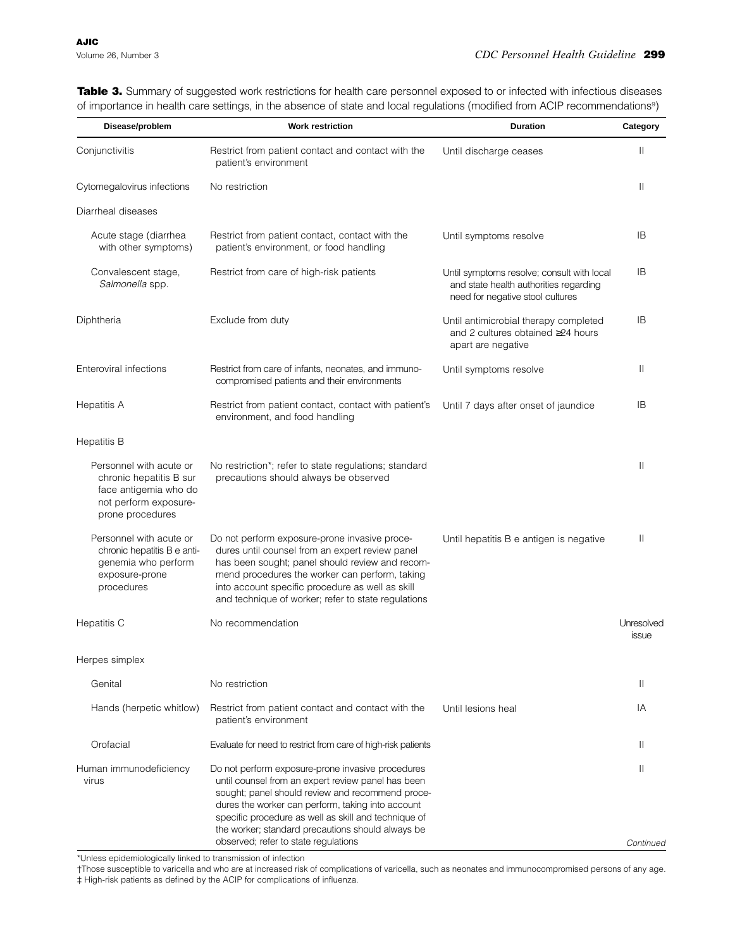| Disease/problem                                                                                                          | <b>Work restriction</b>                                                                                                                                                                                                                                                                                                                                               | <b>Duration</b>                                                                                                          | Category                  |
|--------------------------------------------------------------------------------------------------------------------------|-----------------------------------------------------------------------------------------------------------------------------------------------------------------------------------------------------------------------------------------------------------------------------------------------------------------------------------------------------------------------|--------------------------------------------------------------------------------------------------------------------------|---------------------------|
| Conjunctivitis                                                                                                           | Restrict from patient contact and contact with the                                                                                                                                                                                                                                                                                                                    |                                                                                                                          | $\mathbf{I}$              |
|                                                                                                                          | patient's environment                                                                                                                                                                                                                                                                                                                                                 | Until discharge ceases                                                                                                   |                           |
| Cytomegalovirus infections                                                                                               | No restriction                                                                                                                                                                                                                                                                                                                                                        |                                                                                                                          | $\mathbf{I}$              |
| Diarrheal diseases                                                                                                       |                                                                                                                                                                                                                                                                                                                                                                       |                                                                                                                          |                           |
| Acute stage (diarrhea<br>with other symptoms)                                                                            | Restrict from patient contact, contact with the<br>patient's environment, or food handling                                                                                                                                                                                                                                                                            | Until symptoms resolve                                                                                                   | IB                        |
| Convalescent stage,<br>Salmonella spp.                                                                                   | Restrict from care of high-risk patients                                                                                                                                                                                                                                                                                                                              | Until symptoms resolve; consult with local<br>and state health authorities regarding<br>need for negative stool cultures | IB                        |
| Diphtheria                                                                                                               | Exclude from duty                                                                                                                                                                                                                                                                                                                                                     | Until antimicrobial therapy completed<br>and 2 cultures obtained ≥24 hours<br>apart are negative                         | IB                        |
| Enteroviral infections                                                                                                   | Restrict from care of infants, neonates, and immuno-<br>compromised patients and their environments                                                                                                                                                                                                                                                                   | Until symptoms resolve                                                                                                   | $\mathbf{I}$              |
| <b>Hepatitis A</b>                                                                                                       | Restrict from patient contact, contact with patient's<br>environment, and food handling                                                                                                                                                                                                                                                                               | Until 7 days after onset of jaundice                                                                                     | IB                        |
| <b>Hepatitis B</b>                                                                                                       |                                                                                                                                                                                                                                                                                                                                                                       |                                                                                                                          |                           |
| Personnel with acute or<br>chronic hepatitis B sur<br>face antigemia who do<br>not perform exposure-<br>prone procedures | No restriction*; refer to state regulations; standard<br>precautions should always be observed                                                                                                                                                                                                                                                                        |                                                                                                                          | Ш                         |
| Personnel with acute or<br>chronic hepatitis B e anti-<br>genemia who perform<br>exposure-prone<br>procedures            | Do not perform exposure-prone invasive proce-<br>dures until counsel from an expert review panel<br>has been sought; panel should review and recom-<br>mend procedures the worker can perform, taking<br>into account specific procedure as well as skill<br>and technique of worker; refer to state regulations                                                      | Until hepatitis B e antigen is negative                                                                                  | Ш                         |
| Hepatitis C                                                                                                              | No recommendation                                                                                                                                                                                                                                                                                                                                                     |                                                                                                                          | Unresolved<br>issue       |
| Herpes simplex                                                                                                           |                                                                                                                                                                                                                                                                                                                                                                       |                                                                                                                          |                           |
| Genital                                                                                                                  | No restriction                                                                                                                                                                                                                                                                                                                                                        |                                                                                                                          | $\mathbf{H}$              |
| Hands (herpetic whitlow)                                                                                                 | Restrict from patient contact and contact with the<br>patient's environment                                                                                                                                                                                                                                                                                           | Until lesions heal                                                                                                       | IA                        |
| Orofacial                                                                                                                | Evaluate for need to restrict from care of high-risk patients                                                                                                                                                                                                                                                                                                         |                                                                                                                          | $\mathbf{H}$              |
| Human immunodeficiency<br>virus                                                                                          | Do not perform exposure-prone invasive procedures<br>until counsel from an expert review panel has been<br>sought; panel should review and recommend proce-<br>dures the worker can perform, taking into account<br>specific procedure as well as skill and technique of<br>the worker; standard precautions should always be<br>observed; refer to state regulations |                                                                                                                          | $\mathbf{I}$<br>Continued |

Table 3. Summary of suggested work restrictions for health care personnel exposed to or infected with infectious diseases of importance in health care settings, in the absence of state and local regulations (modified from ACIP recommendations<sup>9</sup>)

\*Unless epidemiologically linked to transmission of infection

†Those susceptible to varicella and who are at increased risk of complications of varicella, such as neonates and immunocompromised persons of any age. ‡ High-risk patients as defined by the ACIP for complications of influenza.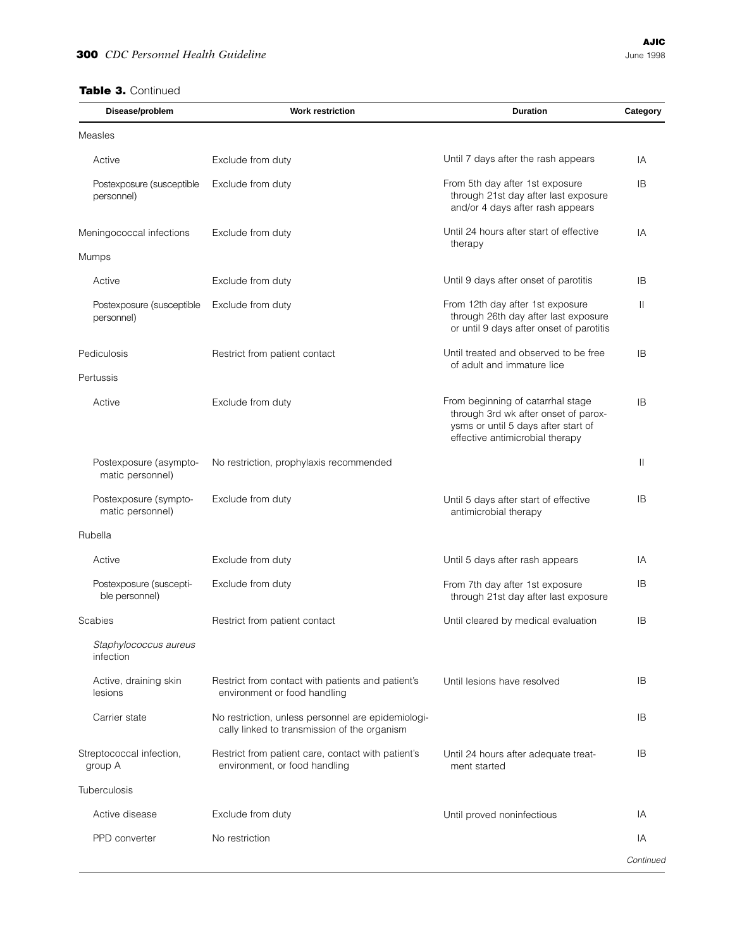| Disease/problem                            | <b>Work restriction</b>                                                                            | <b>Duration</b>                                                                                                                                     | Category     |
|--------------------------------------------|----------------------------------------------------------------------------------------------------|-----------------------------------------------------------------------------------------------------------------------------------------------------|--------------|
| Measles                                    |                                                                                                    |                                                                                                                                                     |              |
| Active                                     | Exclude from duty                                                                                  | Until 7 days after the rash appears                                                                                                                 | IA           |
| Postexposure (susceptible<br>personnel)    | Exclude from duty                                                                                  | From 5th day after 1st exposure<br>through 21st day after last exposure<br>and/or 4 days after rash appears                                         | IB           |
| Meningococcal infections                   | Exclude from duty                                                                                  | Until 24 hours after start of effective<br>therapy                                                                                                  | IA           |
| Mumps                                      |                                                                                                    |                                                                                                                                                     |              |
| Active                                     | Exclude from duty                                                                                  | Until 9 days after onset of parotitis                                                                                                               | IB           |
| Postexposure (susceptible<br>personnel)    | Exclude from duty                                                                                  | From 12th day after 1st exposure<br>through 26th day after last exposure<br>or until 9 days after onset of parotitis                                | $\mathbf{H}$ |
| Pediculosis                                | Restrict from patient contact                                                                      | Until treated and observed to be free<br>of adult and immature lice                                                                                 | IB           |
| Pertussis                                  |                                                                                                    |                                                                                                                                                     |              |
| Active                                     | Exclude from duty                                                                                  | From beginning of catarrhal stage<br>through 3rd wk after onset of parox-<br>ysms or until 5 days after start of<br>effective antimicrobial therapy | IB           |
| Postexposure (asympto-<br>matic personnel) | No restriction, prophylaxis recommended                                                            |                                                                                                                                                     | Ш            |
| Postexposure (sympto-<br>matic personnel)  | Exclude from duty                                                                                  | Until 5 days after start of effective<br>antimicrobial therapy                                                                                      | IB           |
| Rubella                                    |                                                                                                    |                                                                                                                                                     |              |
| Active                                     | Exclude from duty                                                                                  | Until 5 days after rash appears                                                                                                                     | IA           |
| Postexposure (suscepti-<br>ble personnel)  | Exclude from duty                                                                                  | From 7th day after 1st exposure<br>through 21st day after last exposure                                                                             | IB           |
| Scabies                                    | Restrict from patient contact                                                                      | Until cleared by medical evaluation                                                                                                                 | ΙB           |
| Staphylococcus aureus<br>infection         |                                                                                                    |                                                                                                                                                     |              |
| Active, draining skin<br>lesions           | Restrict from contact with patients and patient's<br>environment or food handling                  | Until lesions have resolved                                                                                                                         | IB           |
| Carrier state                              | No restriction, unless personnel are epidemiologi-<br>cally linked to transmission of the organism |                                                                                                                                                     | IB           |
| Streptococcal infection,<br>group A        | Restrict from patient care, contact with patient's<br>environment, or food handling                | Until 24 hours after adequate treat-<br>ment started                                                                                                | IB           |
| Tuberculosis                               |                                                                                                    |                                                                                                                                                     |              |
| Active disease                             | Exclude from duty                                                                                  | Until proved noninfectious                                                                                                                          | IA           |
| PPD converter                              | No restriction                                                                                     |                                                                                                                                                     | IA           |
|                                            |                                                                                                    |                                                                                                                                                     | Continued    |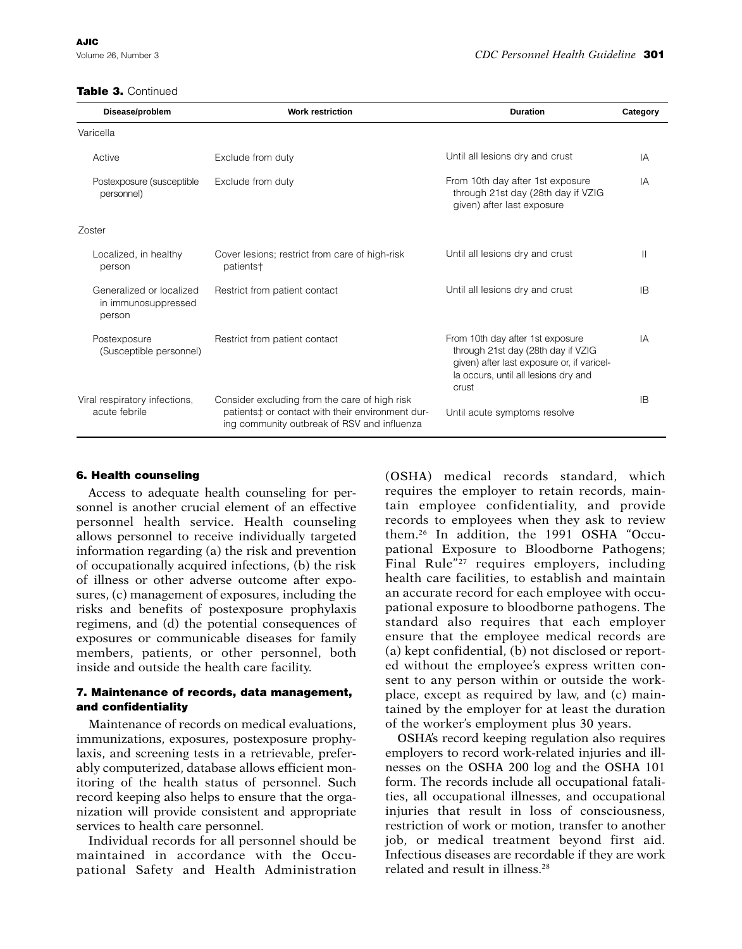#### **Table 3.** Continued

| Disease/problem                                           | <b>Work restriction</b>                                                                                                                          | <b>Duration</b>                                                                                                                                                       | Category  |
|-----------------------------------------------------------|--------------------------------------------------------------------------------------------------------------------------------------------------|-----------------------------------------------------------------------------------------------------------------------------------------------------------------------|-----------|
| Varicella                                                 |                                                                                                                                                  |                                                                                                                                                                       |           |
| Active                                                    | Exclude from duty                                                                                                                                | Until all lesions dry and crust                                                                                                                                       | IA        |
| Postexposure (susceptible<br>personnel)                   | Exclude from duty                                                                                                                                | From 10th day after 1st exposure<br>through 21st day (28th day if VZIG<br>given) after last exposure                                                                  | IA        |
| Zoster                                                    |                                                                                                                                                  |                                                                                                                                                                       |           |
| Localized, in healthy<br>person                           | Cover lesions; restrict from care of high-risk<br>patients <sup>+</sup>                                                                          | Until all lesions dry and crust                                                                                                                                       | Ш         |
| Generalized or localized<br>in immunosuppressed<br>person | Restrict from patient contact                                                                                                                    | Until all lesions dry and crust                                                                                                                                       | <b>IB</b> |
| Postexposure<br>(Susceptible personnel)                   | Restrict from patient contact                                                                                                                    | From 10th day after 1st exposure<br>through 21st day (28th day if VZIG<br>given) after last exposure or, if varicel-<br>la occurs, until all lesions dry and<br>crust | IA        |
| Viral respiratory infections,<br>acute febrile            | Consider excluding from the care of high risk<br>patients‡ or contact with their environment dur-<br>ing community outbreak of RSV and influenza | Until acute symptoms resolve                                                                                                                                          | ΙB        |

## **6. Health counseling**

Access to adequate health counseling for personnel is another crucial element of an effective personnel health service. Health counseling allows personnel to receive individually targeted information regarding (a) the risk and prevention of occupationally acquired infections, (b) the risk of illness or other adverse outcome after exposures, (c) management of exposures, including the risks and benefits of postexposure prophylaxis regimens, and (d) the potential consequences of exposures or communicable diseases for family members, patients, or other personnel, both inside and outside the health care facility.

#### **7. Maintenance of records, data management, and confidentiality**

Maintenance of records on medical evaluations, immunizations, exposures, postexposure prophylaxis, and screening tests in a retrievable, preferably computerized, database allows efficient monitoring of the health status of personnel. Such record keeping also helps to ensure that the organization will provide consistent and appropriate services to health care personnel.

Individual records for all personnel should be maintained in accordance with the Occupational Safety and Health Administration

(OSHA) medical records standard, which requires the employer to retain records, maintain employee confidentiality, and provide records to employees when they ask to review them.26 In addition, the 1991 OSHA "Occupational Exposure to Bloodborne Pathogens; Final Rule"<sup>27</sup> requires employers, including health care facilities, to establish and maintain an accurate record for each employee with occupational exposure to bloodborne pathogens. The standard also requires that each employer ensure that the employee medical records are (a) kept confidential, (b) not disclosed or reported without the employee's express written consent to any person within or outside the workplace, except as required by law, and (c) maintained by the employer for at least the duration of the worker's employment plus 30 years.

OSHA's record keeping regulation also requires employers to record work-related injuries and illnesses on the OSHA 200 log and the OSHA 101 form. The records include all occupational fatalities, all occupational illnesses, and occupational injuries that result in loss of consciousness, restriction of work or motion, transfer to another job, or medical treatment beyond first aid. Infectious diseases are recordable if they are work related and result in illness.28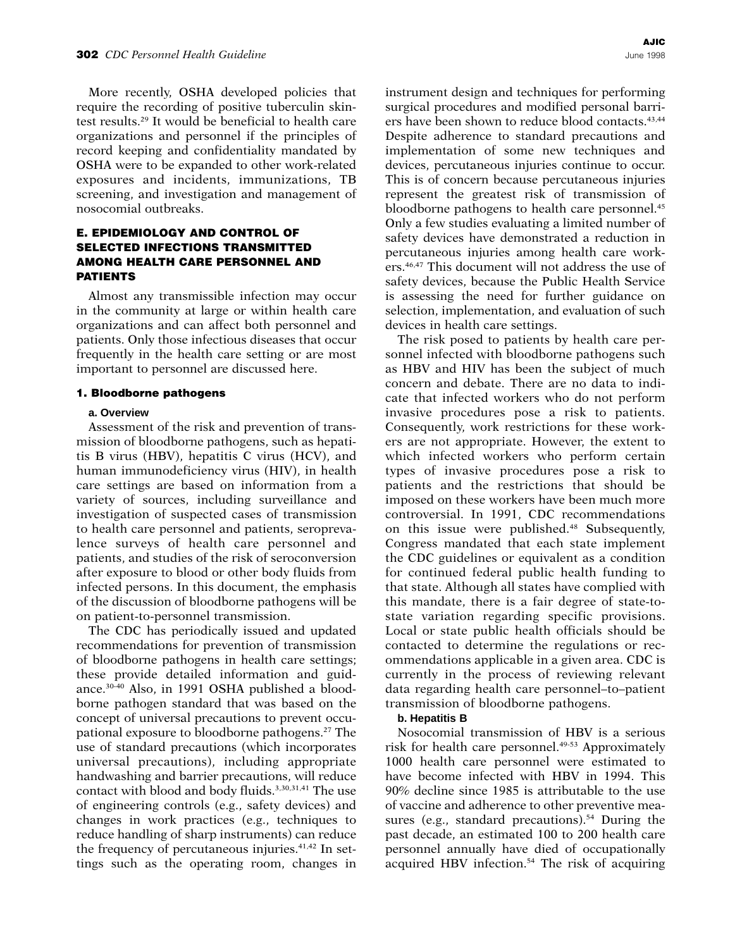<span id="page-13-0"></span>More recently, OSHA developed policies that require the recording of positive tuberculin skintest results.29 It would be beneficial to health care organizations and personnel if the principles of record keeping and confidentiality mandated by OSHA were to be expanded to other work-related exposures and incidents, immunizations, TB screening, and investigation and management of nosocomial outbreaks.

# **E. EPIDEMIOLOGY AND CONTROL OF SELECTED INFECTIONS TRANSMITTED AMONG HEALTH CARE PERSONNEL AND PATIENTS**

Almost any transmissible infection may occur in the community at large or within health care organizations and can affect both personnel and patients. Only those infectious diseases that occur frequently in the health care setting or are most important to personnel are discussed here.

#### **1. Bloodborne pathogens**

#### **a. Overview**

Assessment of the risk and prevention of transmission of bloodborne pathogens, such as hepatitis B virus (HBV), hepatitis C virus (HCV), and human immunodeficiency virus (HIV), in health care settings are based on information from a variety of sources, including surveillance and investigation of suspected cases of transmission to health care personnel and patients, seroprevalence surveys of health care personnel and patients, and studies of the risk of seroconversion after exposure to blood or other body fluids from infected persons. In this document, the emphasis of the discussion of bloodborne pathogens will be on patient-to-personnel transmission.

The CDC has periodically issued and updated recommendations for prevention of transmission of bloodborne pathogens in health care settings; these provide detailed information and guidance.30-40 Also, in 1991 OSHA published a bloodborne pathogen standard that was based on the concept of universal precautions to prevent occupational exposure to bloodborne pathogens.27 The use of standard precautions (which incorporates universal precautions), including appropriate handwashing and barrier precautions, will reduce contact with blood and body fluids.<sup>3,30,31,41</sup> The use of engineering controls (e.g., safety devices) and changes in work practices (e.g., techniques to reduce handling of sharp instruments) can reduce the frequency of percutaneous injuries.41,42 In settings such as the operating room, changes in

instrument design and techniques for performing surgical procedures and modified personal barriers have been shown to reduce blood contacts.<sup>43,44</sup> Despite adherence to standard precautions and implementation of some new techniques and devices, percutaneous injuries continue to occur. This is of concern because percutaneous injuries represent the greatest risk of transmission of bloodborne pathogens to health care personnel.<sup>45</sup> Only a few studies evaluating a limited number of safety devices have demonstrated a reduction in percutaneous injuries among health care workers.46,47 This document will not address the use of safety devices, because the Public Health Service is assessing the need for further guidance on selection, implementation, and evaluation of such devices in health care settings.

The risk posed to patients by health care personnel infected with bloodborne pathogens such as HBV and HIV has been the subject of much concern and debate. There are no data to indicate that infected workers who do not perform invasive procedures pose a risk to patients. Consequently, work restrictions for these workers are not appropriate. However, the extent to which infected workers who perform certain types of invasive procedures pose a risk to patients and the restrictions that should be imposed on these workers have been much more controversial. In 1991, CDC recommendations on this issue were published.<sup>48</sup> Subsequently, Congress mandated that each state implement the CDC guidelines or equivalent as a condition for continued federal public health funding to that state. Although all states have complied with this mandate, there is a fair degree of state-tostate variation regarding specific provisions. Local or state public health officials should be contacted to determine the regulations or recommendations applicable in a given area. CDC is currently in the process of reviewing relevant data regarding health care personnel–to–patient transmission of bloodborne pathogens.

#### **b. Hepatitis B**

Nosocomial transmission of HBV is a serious risk for health care personnel.<sup>49-53</sup> Approximately 1000 health care personnel were estimated to have become infected with HBV in 1994. This 90% decline since 1985 is attributable to the use of vaccine and adherence to other preventive measures (e.g., standard precautions).<sup>54</sup> During the past decade, an estimated 100 to 200 health care personnel annually have died of occupationally acquired HBV infection.54 The risk of acquiring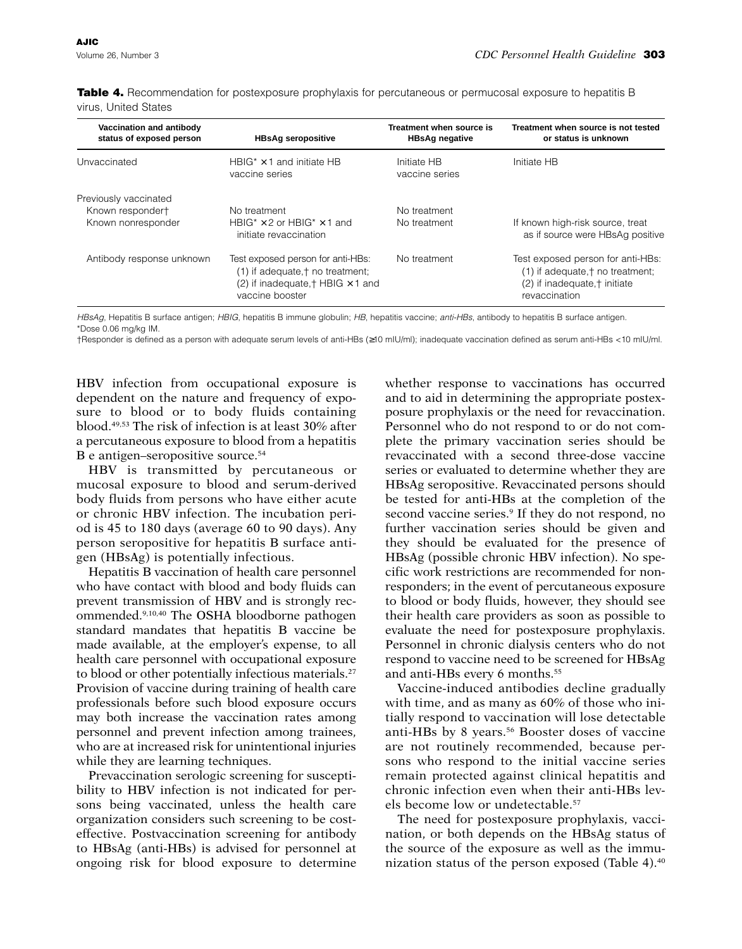| Vaccination and antibody<br>status of exposed person | <b>HBsAg seropositive</b>                                                                                                                    | Treatment when source is<br><b>HBsAg negative</b> | Treatment when source is not tested<br>or status is unknown                                                             |  |
|------------------------------------------------------|----------------------------------------------------------------------------------------------------------------------------------------------|---------------------------------------------------|-------------------------------------------------------------------------------------------------------------------------|--|
| Unvaccinated                                         | HBIG <sup>*</sup> $\times$ 1 and initiate HB<br>vaccine series                                                                               | Initiate HB<br>vaccine series                     | Initiate HB                                                                                                             |  |
| Previously vaccinated                                |                                                                                                                                              |                                                   |                                                                                                                         |  |
| Known respondert                                     | No treatment                                                                                                                                 | No treatment                                      |                                                                                                                         |  |
| Known nonresponder                                   | HBIG* $\times$ 2 or HBIG* $\times$ 1 and<br>initiate revaccination                                                                           | No treatment                                      | If known high-risk source, treat<br>as if source were HBsAg positive                                                    |  |
| Antibody response unknown                            | Test exposed person for anti-HBs:<br>(1) if adequate, t no treatment:<br>(2) if inadequate, $\dagger$ HBIG $\times$ 1 and<br>vaccine booster | No treatment                                      | Test exposed person for anti-HBs:<br>(1) if adequate, t no treatment;<br>(2) if inadequate, † initiate<br>revaccination |  |

Table 4. Recommendation for postexposure prophylaxis for percutaneous or permucosal exposure to hepatitis B virus, United States

HBsAg, Hepatitis B surface antigen; HBIG, hepatitis B immune globulin; HB, hepatitis vaccine; anti-HBs, antibody to hepatitis B surface antigen. \*Dose 0.06 mg/kg IM.

†Responder is defined as a person with adequate serum levels of anti-HBs (≥ 10 mIU/ml); inadequate vaccination defined as serum anti-HBs <10 mIU/ml.

HBV infection from occupational exposure is dependent on the nature and frequency of exposure to blood or to body fluids containing blood.49,53 The risk of infection is at least 30% after a percutaneous exposure to blood from a hepatitis B e antigen–seropositive source.54

HBV is transmitted by percutaneous or mucosal exposure to blood and serum-derived body fluids from persons who have either acute or chronic HBV infection. The incubation period is 45 to 180 days (average 60 to 90 days). Any person seropositive for hepatitis B surface antigen (HBsAg) is potentially infectious.

Hepatitis B vaccination of health care personnel who have contact with blood and body fluids can prevent transmission of HBV and is strongly recommended.9,10,40 The OSHA bloodborne pathogen standard mandates that hepatitis B vaccine be made available, at the employer's expense, to all health care personnel with occupational exposure to blood or other potentially infectious materials.<sup>27</sup> Provision of vaccine during training of health care professionals before such blood exposure occurs may both increase the vaccination rates among personnel and prevent infection among trainees, who are at increased risk for unintentional injuries while they are learning techniques.

Prevaccination serologic screening for susceptibility to HBV infection is not indicated for persons being vaccinated, unless the health care organization considers such screening to be costeffective. Postvaccination screening for antibody to HBsAg (anti-HBs) is advised for personnel at ongoing risk for blood exposure to determine whether response to vaccinations has occurred and to aid in determining the appropriate postexposure prophylaxis or the need for revaccination. Personnel who do not respond to or do not complete the primary vaccination series should be revaccinated with a second three-dose vaccine series or evaluated to determine whether they are HBsAg seropositive. Revaccinated persons should be tested for anti-HBs at the completion of the second vaccine series.<sup>9</sup> If they do not respond, no further vaccination series should be given and they should be evaluated for the presence of HBsAg (possible chronic HBV infection). No specific work restrictions are recommended for nonresponders; in the event of percutaneous exposure to blood or body fluids, however, they should see their health care providers as soon as possible to evaluate the need for postexposure prophylaxis. Personnel in chronic dialysis centers who do not respond to vaccine need to be screened for HBsAg and anti-HBs every 6 months.55

Vaccine-induced antibodies decline gradually with time, and as many as 60% of those who initially respond to vaccination will lose detectable anti-HBs by 8 years.<sup>56</sup> Booster doses of vaccine are not routinely recommended, because persons who respond to the initial vaccine series remain protected against clinical hepatitis and chronic infection even when their anti-HBs levels become low or undetectable.57

The need for postexposure prophylaxis, vaccination, or both depends on the HBsAg status of the source of the exposure as well as the immunization status of the person exposed (Table 4).<sup>40</sup>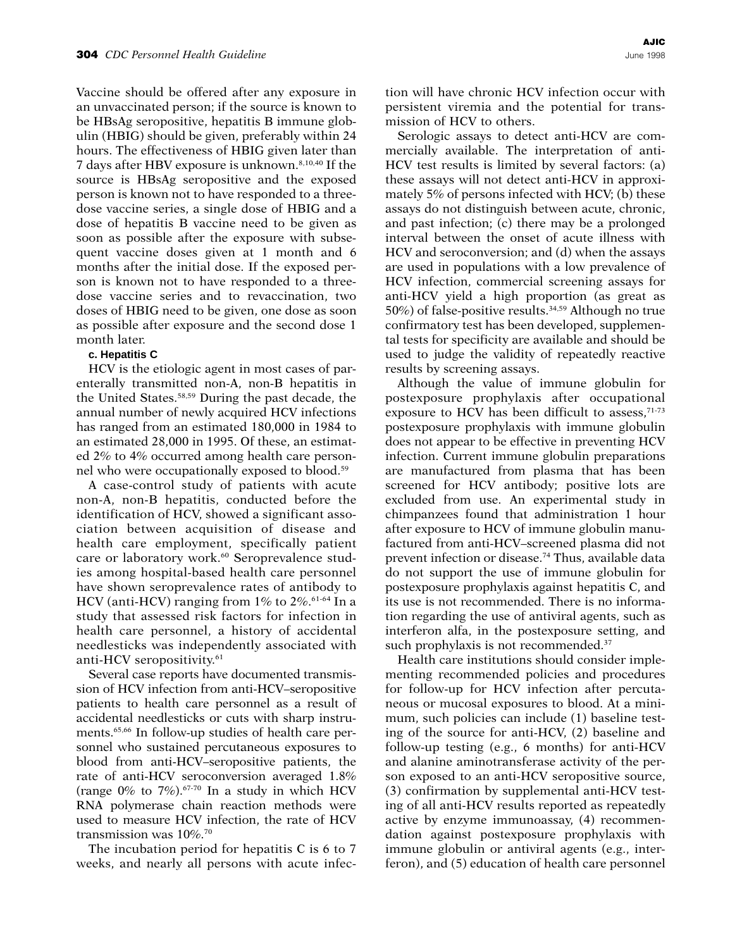Vaccine should be offered after any exposure in an unvaccinated person; if the source is known to be HBsAg seropositive, hepatitis B immune globulin (HBIG) should be given, preferably within 24 hours. The effectiveness of HBIG given later than 7 days after HBV exposure is unknown.8,10,40 If the source is HBsAg seropositive and the exposed person is known not to have responded to a threedose vaccine series, a single dose of HBIG and a dose of hepatitis B vaccine need to be given as soon as possible after the exposure with subsequent vaccine doses given at 1 month and 6 months after the initial dose. If the exposed person is known not to have responded to a threedose vaccine series and to revaccination, two doses of HBIG need to be given, one dose as soon as possible after exposure and the second dose 1 month later.

#### **c. Hepatitis C**

HCV is the etiologic agent in most cases of parenterally transmitted non-A, non-B hepatitis in the United States.58,59 During the past decade, the annual number of newly acquired HCV infections has ranged from an estimated 180,000 in 1984 to an estimated 28,000 in 1995. Of these, an estimated 2% to 4% occurred among health care personnel who were occupationally exposed to blood.59

A case-control study of patients with acute non-A, non-B hepatitis, conducted before the identification of HCV, showed a significant association between acquisition of disease and health care employment, specifically patient care or laboratory work.<sup>60</sup> Seroprevalence studies among hospital-based health care personnel have shown seroprevalence rates of antibody to HCV (anti-HCV) ranging from  $1\%$  to  $2\%$ .<sup>61-64</sup> In a study that assessed risk factors for infection in health care personnel, a history of accidental needlesticks was independently associated with anti-HCV seropositivity.<sup>61</sup>

Several case reports have documented transmission of HCV infection from anti-HCV–seropositive patients to health care personnel as a result of accidental needlesticks or cuts with sharp instruments.65,66 In follow-up studies of health care personnel who sustained percutaneous exposures to blood from anti-HCV–seropositive patients, the rate of anti-HCV seroconversion averaged 1.8% (range  $0\%$  to  $7\%$ ).<sup>67-70</sup> In a study in which HCV RNA polymerase chain reaction methods were used to measure HCV infection, the rate of HCV transmission was 10%.70

The incubation period for hepatitis C is 6 to 7 weeks, and nearly all persons with acute infection will have chronic HCV infection occur with persistent viremia and the potential for transmission of HCV to others.

Serologic assays to detect anti-HCV are commercially available. The interpretation of anti-HCV test results is limited by several factors: (a) these assays will not detect anti-HCV in approximately 5% of persons infected with HCV; (b) these assays do not distinguish between acute, chronic, and past infection; (c) there may be a prolonged interval between the onset of acute illness with HCV and seroconversion; and (d) when the assays are used in populations with a low prevalence of HCV infection, commercial screening assays for anti-HCV yield a high proportion (as great as 50%) of false-positive results.34,59 Although no true confirmatory test has been developed, supplemental tests for specificity are available and should be used to judge the validity of repeatedly reactive results by screening assays.

Although the value of immune globulin for postexposure prophylaxis after occupational exposure to HCV has been difficult to assess, $71-73$ postexposure prophylaxis with immune globulin does not appear to be effective in preventing HCV infection. Current immune globulin preparations are manufactured from plasma that has been screened for HCV antibody; positive lots are excluded from use. An experimental study in chimpanzees found that administration 1 hour after exposure to HCV of immune globulin manufactured from anti-HCV–screened plasma did not prevent infection or disease.74 Thus, available data do not support the use of immune globulin for postexposure prophylaxis against hepatitis C, and its use is not recommended. There is no information regarding the use of antiviral agents, such as interferon alfa, in the postexposure setting, and such prophylaxis is not recommended.<sup>37</sup>

Health care institutions should consider implementing recommended policies and procedures for follow-up for HCV infection after percutaneous or mucosal exposures to blood. At a minimum, such policies can include (1) baseline testing of the source for anti-HCV, (2) baseline and follow-up testing (e.g., 6 months) for anti-HCV and alanine aminotransferase activity of the person exposed to an anti-HCV seropositive source, (3) confirmation by supplemental anti-HCV testing of all anti-HCV results reported as repeatedly active by enzyme immunoassay, (4) recommendation against postexposure prophylaxis with immune globulin or antiviral agents (e.g., interferon), and (5) education of health care personnel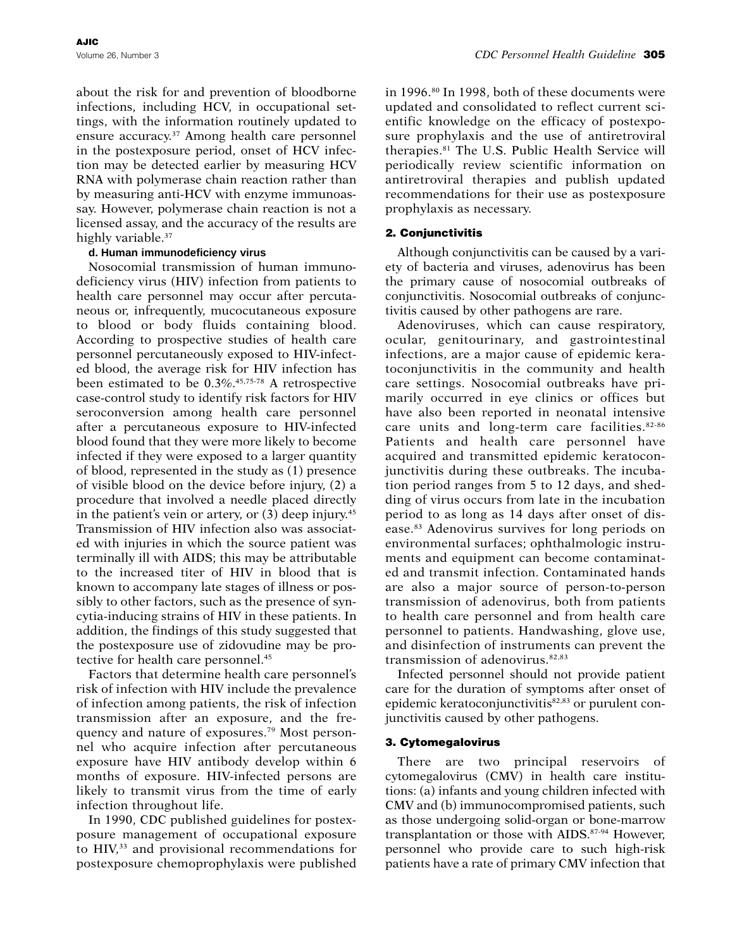about the risk for and prevention of bloodborne infections, including HCV, in occupational settings, with the information routinely updated to ensure accuracy.37 Among health care personnel in the postexposure period, onset of HCV infection may be detected earlier by measuring HCV RNA with polymerase chain reaction rather than by measuring anti-HCV with enzyme immunoassay. However, polymerase chain reaction is not a licensed assay, and the accuracy of the results are highly variable.<sup>37</sup>

## **d. Human immunodeficiency virus**

Nosocomial transmission of human immunodeficiency virus (HIV) infection from patients to health care personnel may occur after percutaneous or, infrequently, mucocutaneous exposure to blood or body fluids containing blood. According to prospective studies of health care personnel percutaneously exposed to HIV-infected blood, the average risk for HIV infection has been estimated to be  $0.3\%$ .<sup>45,75-78</sup> A retrospective case-control study to identify risk factors for HIV seroconversion among health care personnel after a percutaneous exposure to HIV-infected blood found that they were more likely to become infected if they were exposed to a larger quantity of blood, represented in the study as (1) presence of visible blood on the device before injury, (2) a procedure that involved a needle placed directly in the patient's vein or artery, or  $(3)$  deep injury.<sup>45</sup> Transmission of HIV infection also was associated with injuries in which the source patient was terminally ill with AIDS; this may be attributable to the increased titer of HIV in blood that is known to accompany late stages of illness or possibly to other factors, such as the presence of syncytia-inducing strains of HIV in these patients. In addition, the findings of this study suggested that the postexposure use of zidovudine may be protective for health care personnel.45

Factors that determine health care personnel's risk of infection with HIV include the prevalence of infection among patients, the risk of infection transmission after an exposure, and the frequency and nature of exposures.79 Most personnel who acquire infection after percutaneous exposure have HIV antibody develop within 6 months of exposure. HIV-infected persons are likely to transmit virus from the time of early infection throughout life.

In 1990, CDC published guidelines for postexposure management of occupational exposure to HIV,33 and provisional recommendations for postexposure chemoprophylaxis were published in 1996.<sup>80</sup> In 1998, both of these documents were updated and consolidated to reflect current scientific knowledge on the efficacy of postexposure prophylaxis and the use of antiretroviral therapies.81 The U.S. Public Health Service will periodically review scientific information on antiretroviral therapies and publish updated recommendations for their use as postexposure prophylaxis as necessary.

## **2. Conjunctivitis**

Although conjunctivitis can be caused by a variety of bacteria and viruses, adenovirus has been the primary cause of nosocomial outbreaks of conjunctivitis. Nosocomial outbreaks of conjunctivitis caused by other pathogens are rare.

Adenoviruses, which can cause respiratory, ocular, genitourinary, and gastrointestinal infections, are a major cause of epidemic keratoconjunctivitis in the community and health care settings. Nosocomial outbreaks have primarily occurred in eye clinics or offices but have also been reported in neonatal intensive care units and long-term care facilities.82-86 Patients and health care personnel have acquired and transmitted epidemic keratoconjunctivitis during these outbreaks. The incubation period ranges from 5 to 12 days, and shedding of virus occurs from late in the incubation period to as long as 14 days after onset of disease.83 Adenovirus survives for long periods on environmental surfaces; ophthalmologic instruments and equipment can become contaminated and transmit infection. Contaminated hands are also a major source of person-to-person transmission of adenovirus, both from patients to health care personnel and from health care personnel to patients. Handwashing, glove use, and disinfection of instruments can prevent the transmission of adenovirus.<sup>82,83</sup>

Infected personnel should not provide patient care for the duration of symptoms after onset of epidemic keratoconjunctivitis<sup>82,83</sup> or purulent conjunctivitis caused by other pathogens.

#### **3. Cytomegalovirus**

There are two principal reservoirs of cytomegalovirus (CMV) in health care institutions: (a) infants and young children infected with CMV and (b) immunocompromised patients, such as those undergoing solid-organ or bone-marrow transplantation or those with AIDS.<sup>87-94</sup> However, personnel who provide care to such high-risk patients have a rate of primary CMV infection that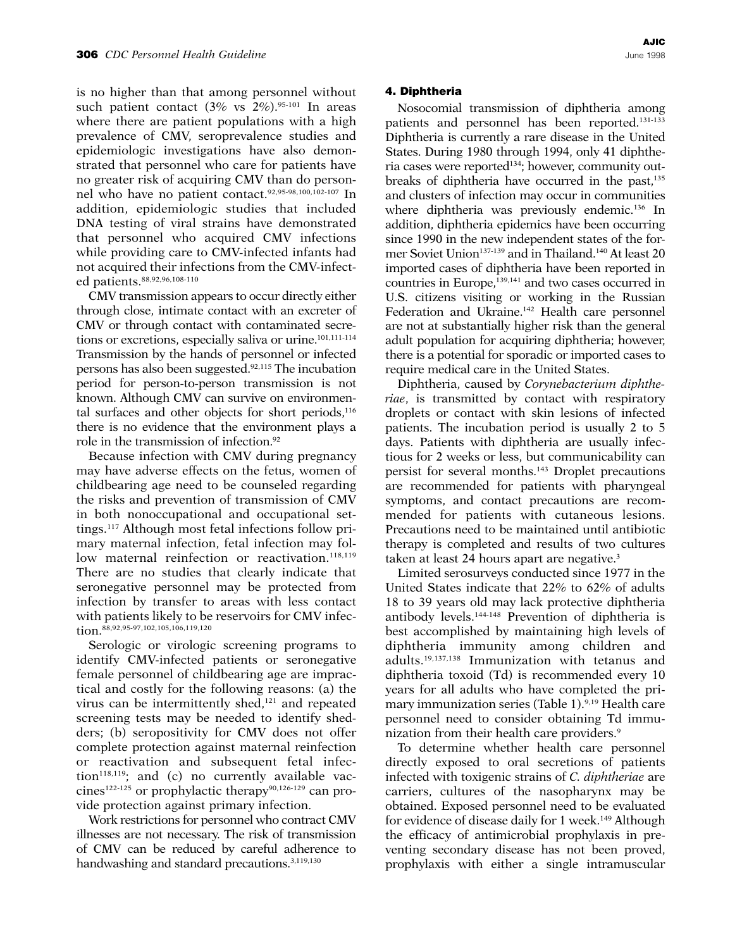is no higher than that among personnel without such patient contact  $(3\% \text{ vs } 2\%)$ .<sup>95-101</sup> In areas where there are patient populations with a high prevalence of CMV, seroprevalence studies and epidemiologic investigations have also demonstrated that personnel who care for patients have no greater risk of acquiring CMV than do personnel who have no patient contact.92,95-98,100,102-107 In addition, epidemiologic studies that included DNA testing of viral strains have demonstrated that personnel who acquired CMV infections while providing care to CMV-infected infants had not acquired their infections from the CMV-infected patients.88,92,96,108-110

CMV transmission appears to occur directly either through close, intimate contact with an excreter of CMV or through contact with contaminated secretions or excretions, especially saliva or urine.<sup>101,111-114</sup> Transmission by the hands of personnel or infected persons has also been suggested.<sup>92,115</sup> The incubation period for person-to-person transmission is not known. Although CMV can survive on environmental surfaces and other objects for short periods,<sup>116</sup> there is no evidence that the environment plays a role in the transmission of infection.<sup>92</sup>

Because infection with CMV during pregnancy may have adverse effects on the fetus, women of childbearing age need to be counseled regarding the risks and prevention of transmission of CMV in both nonoccupational and occupational settings.117 Although most fetal infections follow primary maternal infection, fetal infection may follow maternal reinfection or reactivation.<sup>118,119</sup> There are no studies that clearly indicate that seronegative personnel may be protected from infection by transfer to areas with less contact with patients likely to be reservoirs for CMV infection. 88,92,95-97,102,105,106,119,120

Serologic or virologic screening programs to identify CMV-infected patients or seronegative female personnel of childbearing age are impractical and costly for the following reasons: (a) the virus can be intermittently shed,<sup>121</sup> and repeated screening tests may be needed to identify shedders; (b) seropositivity for CMV does not offer complete protection against maternal reinfection or reactivation and subsequent fetal infection<sup>118,119</sup>; and (c) no currently available vaccines<sup>122-125</sup> or prophylactic therapy<sup>90,126-129</sup> can provide protection against primary infection.

Work restrictions for personnel who contract CMV illnesses are not necessary. The risk of transmission of CMV can be reduced by careful adherence to handwashing and standard precautions.<sup>3,119,130</sup>

#### **4. Diphtheria**

Nosocomial transmission of diphtheria among patients and personnel has been reported.131-133 Diphtheria is currently a rare disease in the United States. During 1980 through 1994, only 41 diphtheria cases were reported<sup>134</sup>; however, community outbreaks of diphtheria have occurred in the past,<sup>135</sup> and clusters of infection may occur in communities where diphtheria was previously endemic.<sup>136</sup> In addition, diphtheria epidemics have been occurring since 1990 in the new independent states of the former Soviet Union<sup>137-139</sup> and in Thailand.<sup>140</sup> At least 20 imported cases of diphtheria have been reported in countries in Europe,<sup>139,141</sup> and two cases occurred in U.S. citizens visiting or working in the Russian Federation and Ukraine.<sup>142</sup> Health care personnel are not at substantially higher risk than the general adult population for acquiring diphtheria; however, there is a potential for sporadic or imported cases to require medical care in the United States.

Diphtheria, caused by *Corynebacterium diphtheriae*, is transmitted by contact with respiratory droplets or contact with skin lesions of infected patients. The incubation period is usually 2 to 5 days. Patients with diphtheria are usually infectious for 2 weeks or less, but communicability can persist for several months.143 Droplet precautions are recommended for patients with pharyngeal symptoms, and contact precautions are recommended for patients with cutaneous lesions. Precautions need to be maintained until antibiotic therapy is completed and results of two cultures taken at least 24 hours apart are negative.<sup>3</sup>

Limited serosurveys conducted since 1977 in the United States indicate that 22% to 62% of adults 18 to 39 years old may lack protective diphtheria antibody levels.144-148 Prevention of diphtheria is best accomplished by maintaining high levels of diphtheria immunity among children and adults.19,137,138 Immunization with tetanus and diphtheria toxoid (Td) is recommended every 10 years for all adults who have completed the primary immunization series (Table 1).<sup>9,19</sup> Health care personnel need to consider obtaining Td immunization from their health care providers.<sup>9</sup>

To determine whether health care personnel directly exposed to oral secretions of patients infected with toxigenic strains of *C. diphtheriae* are carriers, cultures of the nasopharynx may be obtained. Exposed personnel need to be evaluated for evidence of disease daily for 1 week.<sup>149</sup> Although the efficacy of antimicrobial prophylaxis in preventing secondary disease has not been proved, prophylaxis with either a single intramuscular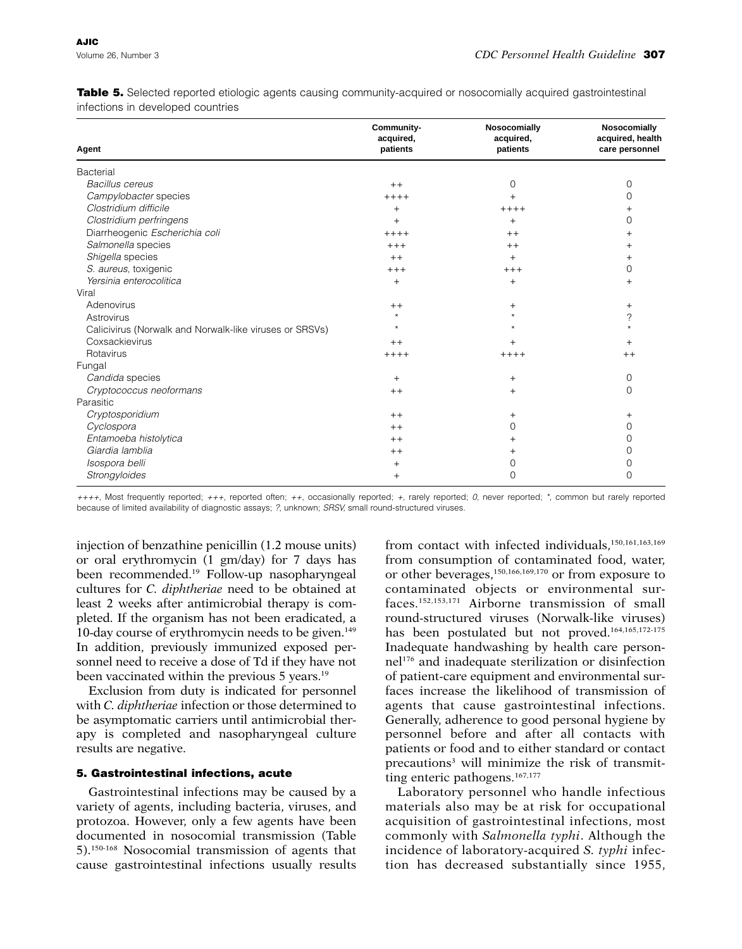**Table 5.** Selected reported etiologic agents causing community-acquired or nosocomially acquired gastrointestinal infections in developed countries

| Agent                                                   | Community-<br>acquired,<br>patients | Nosocomially<br>acquired,<br>patients | Nosocomially<br>acquired, health<br>care personnel |
|---------------------------------------------------------|-------------------------------------|---------------------------------------|----------------------------------------------------|
| <b>Bacterial</b>                                        |                                     |                                       |                                                    |
| <b>Bacillus cereus</b>                                  | $++$                                | $\mathbf 0$                           | 0                                                  |
| Campylobacter species                                   | $+++++$                             | $\ddot{}$                             | $\Omega$                                           |
| Clostridium difficile                                   | $+$                                 | $+++++$                               | $\,^+$                                             |
| Clostridium perfringens                                 | $\ddot{}$                           | $+$                                   | $\Omega$                                           |
| Diarrheogenic Escherichia coli                          | $+++++$                             | $++$                                  |                                                    |
| Salmonella species                                      | $+++$                               | $++$                                  | $\pm$                                              |
| Shigella species                                        | $++$                                | $+$                                   | $\,{}^+$                                           |
| S. aureus, toxigenic                                    | $+++$                               | $+++$                                 | 0                                                  |
| Yersinia enterocolitica                                 | $+$                                 | $+$                                   | $^{+}$                                             |
| Viral                                                   |                                     |                                       |                                                    |
| Adenovirus                                              | $++$                                | $\overline{+}$                        | $\ddot{}$                                          |
| Astrovirus                                              | $\star$                             |                                       | ?                                                  |
| Calicivirus (Norwalk and Norwalk-like viruses or SRSVs) |                                     |                                       |                                                    |
| Coxsackievirus                                          | $++$                                |                                       |                                                    |
| Rotavirus                                               | $++++$                              | $+++++$                               | $++$                                               |
| Fungal                                                  |                                     |                                       |                                                    |
| Candida species                                         | $^{+}$                              | $+$                                   | 0                                                  |
| Cryptococcus neoformans                                 | $++$                                | $^{+}$                                | $\Omega$                                           |
| Parasitic                                               |                                     |                                       |                                                    |
| Cryptosporidium                                         | $++$                                | $\overline{+}$                        | $\ddot{}$                                          |
| Cyclospora                                              | $++$                                | O                                     | 0                                                  |
| Entamoeba histolytica                                   | $++$                                | $^+$                                  | O                                                  |
| Giardia lamblia                                         | $++$                                |                                       | O                                                  |
| Isospora belli                                          | $^{+}$                              | 0                                     | 0                                                  |
| Strongyloides                                           |                                     | O                                     | $\Omega$                                           |

++++, Most frequently reported; +++, reported often; ++, occasionally reported; +, rarely reported; 0, never reported; \*, common but rarely reported because of limited availability of diagnostic assays; ?, unknown; SRSV, small round-structured viruses.

injection of benzathine penicillin (1.2 mouse units) or oral erythromycin (1 gm/day) for 7 days has been recommended.19 Follow-up nasopharyngeal cultures for *C. diphtheriae* need to be obtained at least 2 weeks after antimicrobial therapy is completed. If the organism has not been eradicated, a 10-day course of erythromycin needs to be given.149 In addition, previously immunized exposed personnel need to receive a dose of Td if they have not been vaccinated within the previous 5 years.<sup>19</sup>

Exclusion from duty is indicated for personnel with *C. diphtheriae* infection or those determined to be asymptomatic carriers until antimicrobial therapy is completed and nasopharyngeal culture results are negative.

## **5. Gastrointestinal infections, acute**

Gastrointestinal infections may be caused by a variety of agents, including bacteria, viruses, and protozoa. However, only a few agents have been documented in nosocomial transmission (Table 5).150-168 Nosocomial transmission of agents that cause gastrointestinal infections usually results

from contact with infected individuals,<sup>150,161,163,169</sup> from consumption of contaminated food, water, or other beverages,150,166,169,170 or from exposure to contaminated objects or environmental surfaces.152,153,171 Airborne transmission of small round-structured viruses (Norwalk-like viruses) has been postulated but not proved.164,165,172-175 Inadequate handwashing by health care personnel176 and inadequate sterilization or disinfection of patient-care equipment and environmental surfaces increase the likelihood of transmission of agents that cause gastrointestinal infections. Generally, adherence to good personal hygiene by personnel before and after all contacts with patients or food and to either standard or contact precautions3 will minimize the risk of transmitting enteric pathogens.<sup>167,177</sup>

Laboratory personnel who handle infectious materials also may be at risk for occupational acquisition of gastrointestinal infections, most commonly with *Salmonella typhi*. Although the incidence of laboratory-acquired *S. typhi* infection has decreased substantially since 1955,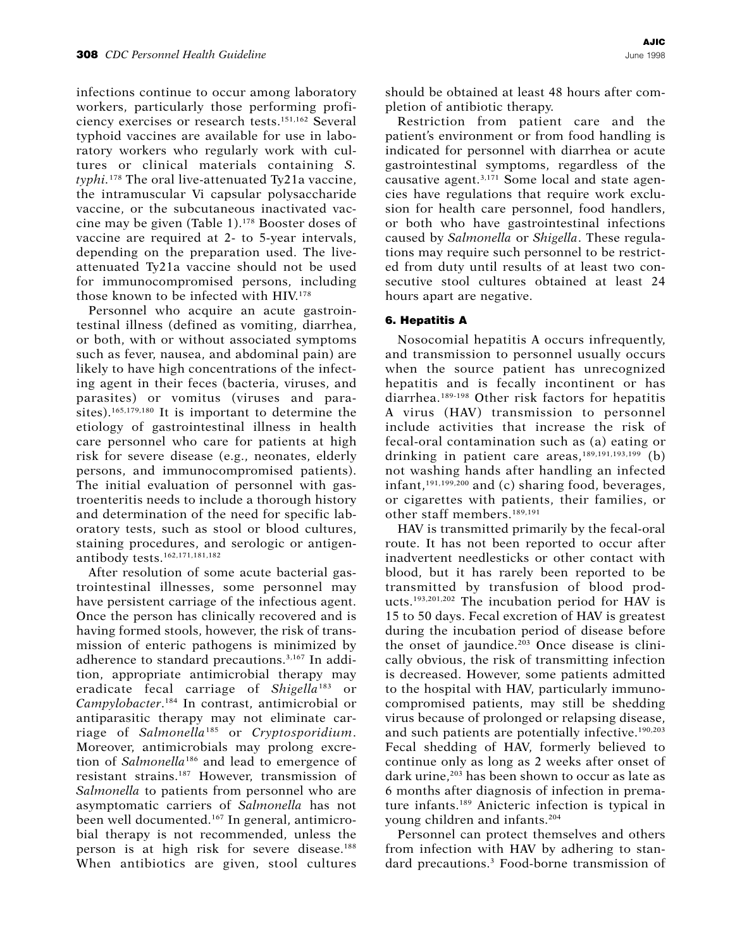infections continue to occur among laboratory workers, particularly those performing proficiency exercises or research tests.151,162 Several typhoid vaccines are available for use in laboratory workers who regularly work with cultures or clinical materials containing *S. typhi.*178 The oral live-attenuated Ty21a vaccine, the intramuscular Vi capsular polysaccharide vaccine, or the subcutaneous inactivated vaccine may be given (Table 1).178 Booster doses of vaccine are required at 2- to 5-year intervals, depending on the preparation used. The liveattenuated Ty21a vaccine should not be used for immunocompromised persons, including those known to be infected with HIV.178

Personnel who acquire an acute gastrointestinal illness (defined as vomiting, diarrhea, or both, with or without associated symptoms such as fever, nausea, and abdominal pain) are likely to have high concentrations of the infecting agent in their feces (bacteria, viruses, and parasites) or vomitus (viruses and parasites).<sup>165,179,180</sup> It is important to determine the etiology of gastrointestinal illness in health care personnel who care for patients at high risk for severe disease (e.g., neonates, elderly persons, and immunocompromised patients). The initial evaluation of personnel with gastroenteritis needs to include a thorough history and determination of the need for specific laboratory tests, such as stool or blood cultures, staining procedures, and serologic or antigenantibody tests.162,171,181,182

After resolution of some acute bacterial gastrointestinal illnesses, some personnel may have persistent carriage of the infectious agent. Once the person has clinically recovered and is having formed stools, however, the risk of transmission of enteric pathogens is minimized by adherence to standard precautions.3,167 In addition, appropriate antimicrobial therapy may eradicate fecal carriage of *Shigella*183 or *Campylobacter*. 184 In contrast, antimicrobial or antiparasitic therapy may not eliminate carriage of *Salmonella*185 or *Cryptosporidium*. Moreover, antimicrobials may prolong excretion of *Salmonella*186 and lead to emergence of resistant strains.187 However, transmission of *Salmonella* to patients from personnel who are asymptomatic carriers of *Salmonella* has not been well documented.<sup>167</sup> In general, antimicrobial therapy is not recommended, unless the person is at high risk for severe disease.188 When antibiotics are given, stool cultures

should be obtained at least 48 hours after completion of antibiotic therapy.

Restriction from patient care and the patient's environment or from food handling is indicated for personnel with diarrhea or acute gastrointestinal symptoms, regardless of the causative agent.3,171 Some local and state agencies have regulations that require work exclusion for health care personnel, food handlers, or both who have gastrointestinal infections caused by *Salmonella* or *Shigella*. These regulations may require such personnel to be restricted from duty until results of at least two consecutive stool cultures obtained at least 24 hours apart are negative.

# **6. Hepatitis A**

Nosocomial hepatitis A occurs infrequently, and transmission to personnel usually occurs when the source patient has unrecognized hepatitis and is fecally incontinent or has diarrhea.189-198 Other risk factors for hepatitis A virus (HAV) transmission to personnel include activities that increase the risk of fecal-oral contamination such as (a) eating or drinking in patient care areas, $189,191,193,199$  (b) not washing hands after handling an infected infant, $191,199,200$  and (c) sharing food, beverages, or cigarettes with patients, their families, or other staff members.189,191

HAV is transmitted primarily by the fecal-oral route. It has not been reported to occur after inadvertent needlesticks or other contact with blood, but it has rarely been reported to be transmitted by transfusion of blood products.193,201,202 The incubation period for HAV is 15 to 50 days. Fecal excretion of HAV is greatest during the incubation period of disease before the onset of jaundice.<sup>203</sup> Once disease is clinically obvious, the risk of transmitting infection is decreased. However, some patients admitted to the hospital with HAV, particularly immunocompromised patients, may still be shedding virus because of prolonged or relapsing disease, and such patients are potentially infective.<sup>190,203</sup> Fecal shedding of HAV, formerly believed to continue only as long as 2 weeks after onset of dark urine,<sup>203</sup> has been shown to occur as late as 6 months after diagnosis of infection in premature infants.189 Anicteric infection is typical in young children and infants.204

Personnel can protect themselves and others from infection with HAV by adhering to standard precautions.3 Food-borne transmission of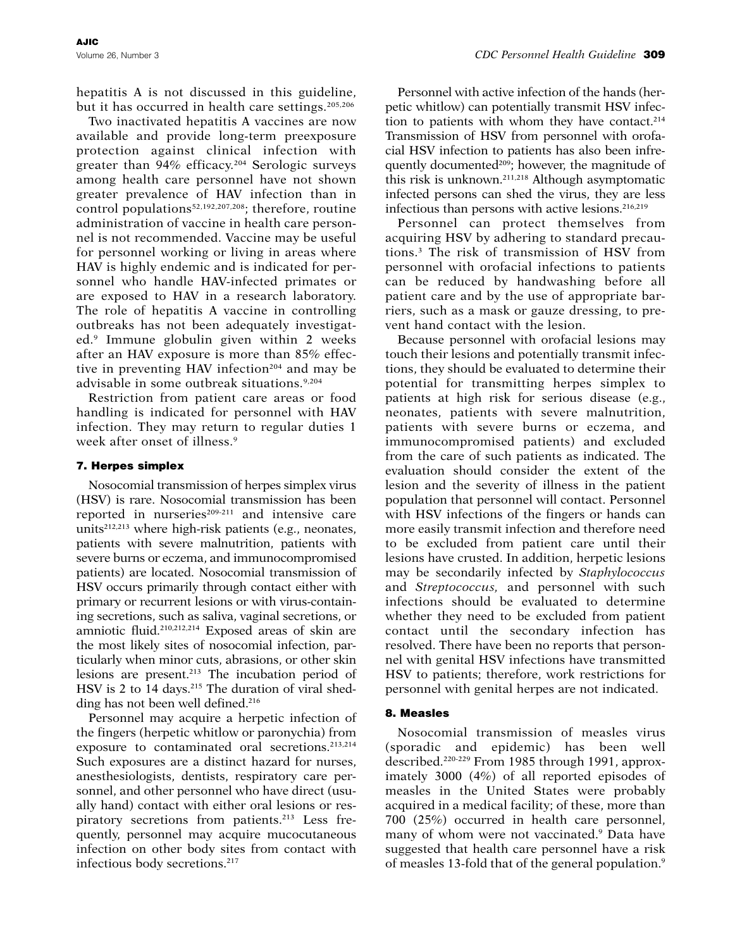hepatitis A is not discussed in this guideline, but it has occurred in health care settings.205,206

Two inactivated hepatitis A vaccines are now available and provide long-term preexposure protection against clinical infection with greater than 94% efficacy.204 Serologic surveys among health care personnel have not shown greater prevalence of HAV infection than in control populations52,192,207,208; therefore, routine administration of vaccine in health care personnel is not recommended. Vaccine may be useful for personnel working or living in areas where HAV is highly endemic and is indicated for personnel who handle HAV-infected primates or are exposed to HAV in a research laboratory. The role of hepatitis A vaccine in controlling outbreaks has not been adequately investigated.9 Immune globulin given within 2 weeks after an HAV exposure is more than 85% effective in preventing HAV infection<sup>204</sup> and may be advisable in some outbreak situations.<sup>9,204</sup>

Restriction from patient care areas or food handling is indicated for personnel with HAV infection. They may return to regular duties 1 week after onset of illness.<sup>9</sup>

# **7. Herpes simplex**

Nosocomial transmission of herpes simplex virus (HSV) is rare. Nosocomial transmission has been reported in nurseries $209-211$  and intensive care units $212,213$  where high-risk patients (e.g., neonates, patients with severe malnutrition, patients with severe burns or eczema, and immunocompromised patients) are located. Nosocomial transmission of HSV occurs primarily through contact either with primary or recurrent lesions or with virus-containing secretions, such as saliva, vaginal secretions, or amniotic fluid.210,212,214 Exposed areas of skin are the most likely sites of nosocomial infection, particularly when minor cuts, abrasions, or other skin lesions are present.213 The incubation period of HSV is 2 to 14 days.<sup>215</sup> The duration of viral shedding has not been well defined.<sup>216</sup>

Personnel may acquire a herpetic infection of the fingers (herpetic whitlow or paronychia) from exposure to contaminated oral secretions.<sup>213,214</sup> Such exposures are a distinct hazard for nurses, anesthesiologists, dentists, respiratory care personnel, and other personnel who have direct (usually hand) contact with either oral lesions or respiratory secretions from patients.<sup>213</sup> Less frequently, personnel may acquire mucocutaneous infection on other body sites from contact with infectious body secretions.<sup>217</sup>

Personnel with active infection of the hands (herpetic whitlow) can potentially transmit HSV infection to patients with whom they have contact.<sup>214</sup> Transmission of HSV from personnel with orofacial HSV infection to patients has also been infrequently documented<sup>209</sup>; however, the magnitude of this risk is unknown.211,218 Although asymptomatic infected persons can shed the virus, they are less infectious than persons with active lesions.<sup>216,219</sup>

Personnel can protect themselves from acquiring HSV by adhering to standard precautions.3 The risk of transmission of HSV from personnel with orofacial infections to patients can be reduced by handwashing before all patient care and by the use of appropriate barriers, such as a mask or gauze dressing, to prevent hand contact with the lesion.

Because personnel with orofacial lesions may touch their lesions and potentially transmit infections, they should be evaluated to determine their potential for transmitting herpes simplex to patients at high risk for serious disease (e.g., neonates, patients with severe malnutrition, patients with severe burns or eczema, and immunocompromised patients) and excluded from the care of such patients as indicated. The evaluation should consider the extent of the lesion and the severity of illness in the patient population that personnel will contact. Personnel with HSV infections of the fingers or hands can more easily transmit infection and therefore need to be excluded from patient care until their lesions have crusted. In addition, herpetic lesions may be secondarily infected by *Staphylococcus*  and *Streptococcus,* and personnel with such infections should be evaluated to determine whether they need to be excluded from patient contact until the secondary infection has resolved. There have been no reports that personnel with genital HSV infections have transmitted HSV to patients; therefore, work restrictions for personnel with genital herpes are not indicated.

#### **8. Measles**

Nosocomial transmission of measles virus (sporadic and epidemic) has been well described.220-229 From 1985 through 1991, approximately 3000 (4%) of all reported episodes of measles in the United States were probably acquired in a medical facility; of these, more than 700 (25%) occurred in health care personnel, many of whom were not vaccinated.<sup>9</sup> Data have suggested that health care personnel have a risk of measles 13-fold that of the general population.<sup>9</sup>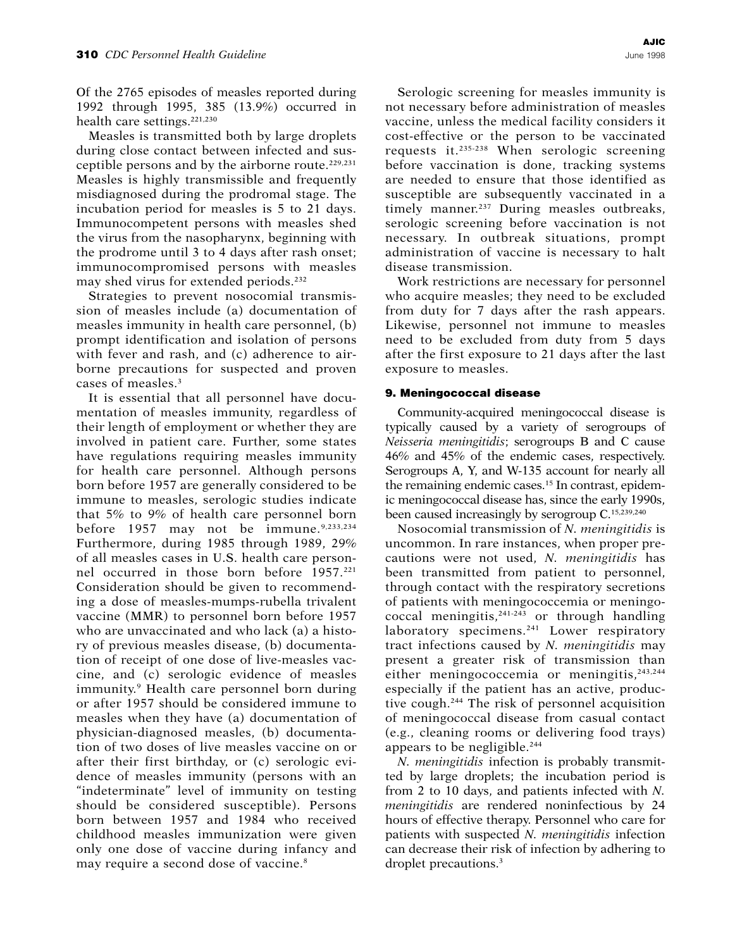Of the 2765 episodes of measles reported during 1992 through 1995, 385 (13.9%) occurred in health care settings.<sup>221,230</sup>

Measles is transmitted both by large droplets during close contact between infected and susceptible persons and by the airborne route.<sup>229,231</sup> Measles is highly transmissible and frequently misdiagnosed during the prodromal stage. The incubation period for measles is 5 to 21 days. Immunocompetent persons with measles shed the virus from the nasopharynx, beginning with the prodrome until 3 to 4 days after rash onset; immunocompromised persons with measles may shed virus for extended periods.<sup>232</sup>

Strategies to prevent nosocomial transmission of measles include (a) documentation of measles immunity in health care personnel, (b) prompt identification and isolation of persons with fever and rash, and (c) adherence to airborne precautions for suspected and proven cases of measles.3

It is essential that all personnel have documentation of measles immunity, regardless of their length of employment or whether they are involved in patient care. Further, some states have regulations requiring measles immunity for health care personnel. Although persons born before 1957 are generally considered to be immune to measles, serologic studies indicate that 5% to 9% of health care personnel born before 1957 may not be immune.<sup>9,233,234</sup> Furthermore, during 1985 through 1989, 29% of all measles cases in U.S. health care personnel occurred in those born before 1957.221 Consideration should be given to recommending a dose of measles-mumps-rubella trivalent vaccine (MMR) to personnel born before 1957 who are unvaccinated and who lack (a) a history of previous measles disease, (b) documentation of receipt of one dose of live-measles vaccine, and (c) serologic evidence of measles immunity.9 Health care personnel born during or after 1957 should be considered immune to measles when they have (a) documentation of physician-diagnosed measles, (b) documentation of two doses of live measles vaccine on or after their first birthday, or (c) serologic evidence of measles immunity (persons with an "indeterminate" level of immunity on testing should be considered susceptible). Persons born between 1957 and 1984 who received childhood measles immunization were given only one dose of vaccine during infancy and may require a second dose of vaccine.<sup>8</sup>

Serologic screening for measles immunity is not necessary before administration of measles vaccine, unless the medical facility considers it cost-effective or the person to be vaccinated requests it.235-238 When serologic screening before vaccination is done, tracking systems are needed to ensure that those identified as susceptible are subsequently vaccinated in a timely manner.<sup>237</sup> During measles outbreaks, serologic screening before vaccination is not necessary. In outbreak situations, prompt administration of vaccine is necessary to halt disease transmission.

Work restrictions are necessary for personnel who acquire measles; they need to be excluded from duty for 7 days after the rash appears. Likewise, personnel not immune to measles need to be excluded from duty from 5 days after the first exposure to 21 days after the last exposure to measles.

#### **9. Meningococcal disease**

Community-acquired meningococcal disease is typically caused by a variety of serogroups of *Neisseria meningitidis*; serogroups B and C cause 46% and 45% of the endemic cases, respectively. Serogroups A, Y, and W-135 account for nearly all the remaining endemic cases.<sup>15</sup> In contrast, epidemic meningococcal disease has, since the early 1990s, been caused increasingly by serogroup C.15,239,240

Nosocomial transmission of *N. meningitidis* is uncommon. In rare instances, when proper precautions were not used, *N. meningitidis* has been transmitted from patient to personnel, through contact with the respiratory secretions of patients with meningococcemia or meningococcal meningitis,  $241-243$  or through handling laboratory specimens.<sup>241</sup> Lower respiratory tract infections caused by *N. meningitidis* may present a greater risk of transmission than either meningococcemia or meningitis,<sup>243,244</sup> especially if the patient has an active, productive cough.244 The risk of personnel acquisition of meningococcal disease from casual contact (e.g., cleaning rooms or delivering food trays) appears to be negligible.244

*N. meningitidis* infection is probably transmitted by large droplets; the incubation period is from 2 to 10 days, and patients infected with *N. meningitidis* are rendered noninfectious by 24 hours of effective therapy. Personnel who care for patients with suspected *N. meningitidis* infection can decrease their risk of infection by adhering to droplet precautions.<sup>3</sup>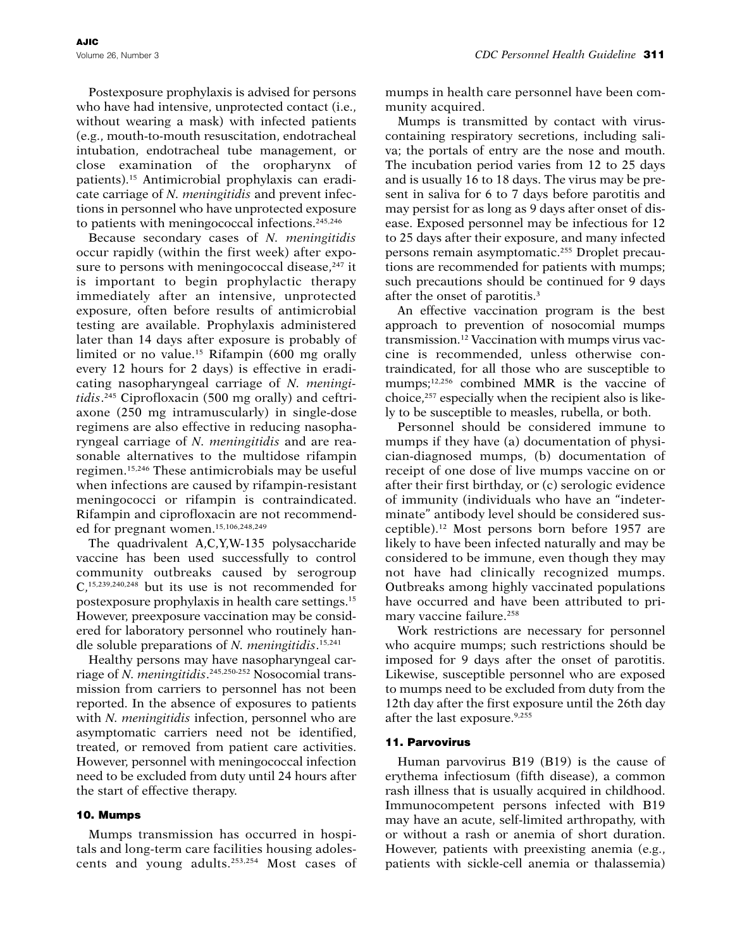Postexposure prophylaxis is advised for persons who have had intensive, unprotected contact (i.e., without wearing a mask) with infected patients (e.g., mouth-to-mouth resuscitation, endotracheal intubation, endotracheal tube management, or close examination of the oropharynx of patients).15 Antimicrobial prophylaxis can eradicate carriage of *N. meningitidis* and prevent infections in personnel who have unprotected exposure to patients with meningococcal infections.<sup>245,246</sup>

Because secondary cases of *N. meningitidis*  occur rapidly (within the first week) after exposure to persons with meningococcal disease, $247$  it is important to begin prophylactic therapy immediately after an intensive, unprotected exposure, often before results of antimicrobial testing are available. Prophylaxis administered later than 14 days after exposure is probably of limited or no value.15 Rifampin (600 mg orally every 12 hours for 2 days) is effective in eradicating nasopharyngeal carriage of *N. meningitidis*. 245 Ciprofloxacin (500 mg orally) and ceftriaxone (250 mg intramuscularly) in single-dose regimens are also effective in reducing nasopharyngeal carriage of *N. meningitidis* and are reasonable alternatives to the multidose rifampin regimen.15,246 These antimicrobials may be useful when infections are caused by rifampin-resistant meningococci or rifampin is contraindicated. Rifampin and ciprofloxacin are not recommended for pregnant women.15,106,248,249

The quadrivalent A,C,Y,W-135 polysaccharide vaccine has been used successfully to control community outbreaks caused by serogroup C,15,239,240,248 but its use is not recommended for postexposure prophylaxis in health care settings.15 However, preexposure vaccination may be considered for laboratory personnel who routinely handle soluble preparations of *N. meningitidis*.<sup>15,241</sup>

Healthy persons may have nasopharyngeal carriage of *N. meningitidis*. 245,250-252 Nosocomial transmission from carriers to personnel has not been reported. In the absence of exposures to patients with *N. meningitidis* infection, personnel who are asymptomatic carriers need not be identified, treated, or removed from patient care activities. However, personnel with meningococcal infection need to be excluded from duty until 24 hours after the start of effective therapy.

#### **10. Mumps**

Mumps transmission has occurred in hospitals and long-term care facilities housing adolescents and young adults.253,254 Most cases of mumps in health care personnel have been community acquired.

Mumps is transmitted by contact with viruscontaining respiratory secretions, including saliva; the portals of entry are the nose and mouth. The incubation period varies from 12 to 25 days and is usually 16 to 18 days. The virus may be present in saliva for 6 to 7 days before parotitis and may persist for as long as 9 days after onset of disease. Exposed personnel may be infectious for 12 to 25 days after their exposure, and many infected persons remain asymptomatic.255 Droplet precautions are recommended for patients with mumps; such precautions should be continued for 9 days after the onset of parotitis.3

An effective vaccination program is the best approach to prevention of nosocomial mumps transmission.12 Vaccination with mumps virus vaccine is recommended, unless otherwise contraindicated, for all those who are susceptible to mumps;<sup>12,256</sup> combined MMR is the vaccine of choice,257 especially when the recipient also is likely to be susceptible to measles, rubella, or both.

Personnel should be considered immune to mumps if they have (a) documentation of physician-diagnosed mumps, (b) documentation of receipt of one dose of live mumps vaccine on or after their first birthday, or (c) serologic evidence of immunity (individuals who have an "indeterminate" antibody level should be considered susceptible).12 Most persons born before 1957 are likely to have been infected naturally and may be considered to be immune, even though they may not have had clinically recognized mumps. Outbreaks among highly vaccinated populations have occurred and have been attributed to primary vaccine failure.<sup>258</sup>

Work restrictions are necessary for personnel who acquire mumps; such restrictions should be imposed for 9 days after the onset of parotitis. Likewise, susceptible personnel who are exposed to mumps need to be excluded from duty from the 12th day after the first exposure until the 26th day after the last exposure.<sup>9,255</sup>

#### **11. Parvovirus**

Human parvovirus B19 (B19) is the cause of erythema infectiosum (fifth disease), a common rash illness that is usually acquired in childhood. Immunocompetent persons infected with B19 may have an acute, self-limited arthropathy, with or without a rash or anemia of short duration. However, patients with preexisting anemia (e.g., patients with sickle-cell anemia or thalassemia)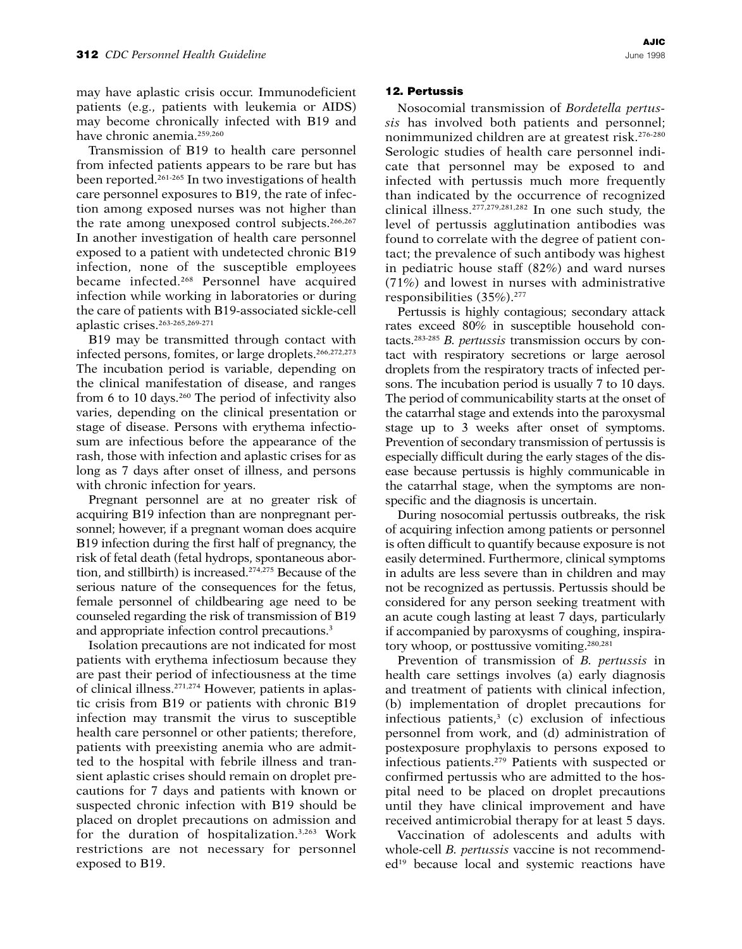may have aplastic crisis occur. Immunodeficient patients (e.g., patients with leukemia or AIDS) may become chronically infected with B19 and have chronic anemia.<sup>259,260</sup>

Transmission of B19 to health care personnel from infected patients appears to be rare but has been reported.261-265 In two investigations of health care personnel exposures to B19, the rate of infection among exposed nurses was not higher than the rate among unexposed control subjects.<sup>266,267</sup> In another investigation of health care personnel exposed to a patient with undetected chronic B19 infection, none of the susceptible employees became infected.268 Personnel have acquired infection while working in laboratories or during the care of patients with B19-associated sickle-cell aplastic crises.263-265,269-271

B19 may be transmitted through contact with infected persons, fomites, or large droplets.266,272,273 The incubation period is variable, depending on the clinical manifestation of disease, and ranges from 6 to 10 days.<sup>260</sup> The period of infectivity also varies, depending on the clinical presentation or stage of disease. Persons with erythema infectiosum are infectious before the appearance of the rash, those with infection and aplastic crises for as long as 7 days after onset of illness, and persons with chronic infection for years.

Pregnant personnel are at no greater risk of acquiring B19 infection than are nonpregnant personnel; however, if a pregnant woman does acquire B19 infection during the first half of pregnancy, the risk of fetal death (fetal hydrops, spontaneous abortion, and stillbirth) is increased.<sup>274,275</sup> Because of the serious nature of the consequences for the fetus, female personnel of childbearing age need to be counseled regarding the risk of transmission of B19 and appropriate infection control precautions.<sup>3</sup>

Isolation precautions are not indicated for most patients with erythema infectiosum because they are past their period of infectiousness at the time of clinical illness.271,274 However, patients in aplastic crisis from B19 or patients with chronic B19 infection may transmit the virus to susceptible health care personnel or other patients; therefore, patients with preexisting anemia who are admitted to the hospital with febrile illness and transient aplastic crises should remain on droplet precautions for 7 days and patients with known or suspected chronic infection with B19 should be placed on droplet precautions on admission and for the duration of hospitalization.3,263 Work restrictions are not necessary for personnel exposed to B19.

#### **12. Pertussis**

Nosocomial transmission of *Bordetella pertussis* has involved both patients and personnel; nonimmunized children are at greatest risk.276-280 Serologic studies of health care personnel indicate that personnel may be exposed to and infected with pertussis much more frequently than indicated by the occurrence of recognized clinical illness.277,279,281,282 In one such study, the level of pertussis agglutination antibodies was found to correlate with the degree of patient contact; the prevalence of such antibody was highest in pediatric house staff (82%) and ward nurses (71%) and lowest in nurses with administrative responsibilities (35%).277

Pertussis is highly contagious; secondary attack rates exceed 80% in susceptible household contacts.283-285 *B. pertussis* transmission occurs by contact with respiratory secretions or large aerosol droplets from the respiratory tracts of infected persons. The incubation period is usually 7 to 10 days. The period of communicability starts at the onset of the catarrhal stage and extends into the paroxysmal stage up to 3 weeks after onset of symptoms. Prevention of secondary transmission of pertussis is especially difficult during the early stages of the disease because pertussis is highly communicable in the catarrhal stage, when the symptoms are nonspecific and the diagnosis is uncertain.

During nosocomial pertussis outbreaks, the risk of acquiring infection among patients or personnel is often difficult to quantify because exposure is not easily determined. Furthermore, clinical symptoms in adults are less severe than in children and may not be recognized as pertussis. Pertussis should be considered for any person seeking treatment with an acute cough lasting at least 7 days, particularly if accompanied by paroxysms of coughing, inspiratory whoop, or posttussive vomiting.280,281

Prevention of transmission of *B. pertussis* in health care settings involves (a) early diagnosis and treatment of patients with clinical infection, (b) implementation of droplet precautions for infectious patients, $3$  (c) exclusion of infectious personnel from work, and (d) administration of postexposure prophylaxis to persons exposed to infectious patients.<sup>279</sup> Patients with suspected or confirmed pertussis who are admitted to the hospital need to be placed on droplet precautions until they have clinical improvement and have received antimicrobial therapy for at least 5 days.

Vaccination of adolescents and adults with whole-cell *B. pertussis* vaccine is not recommended19 because local and systemic reactions have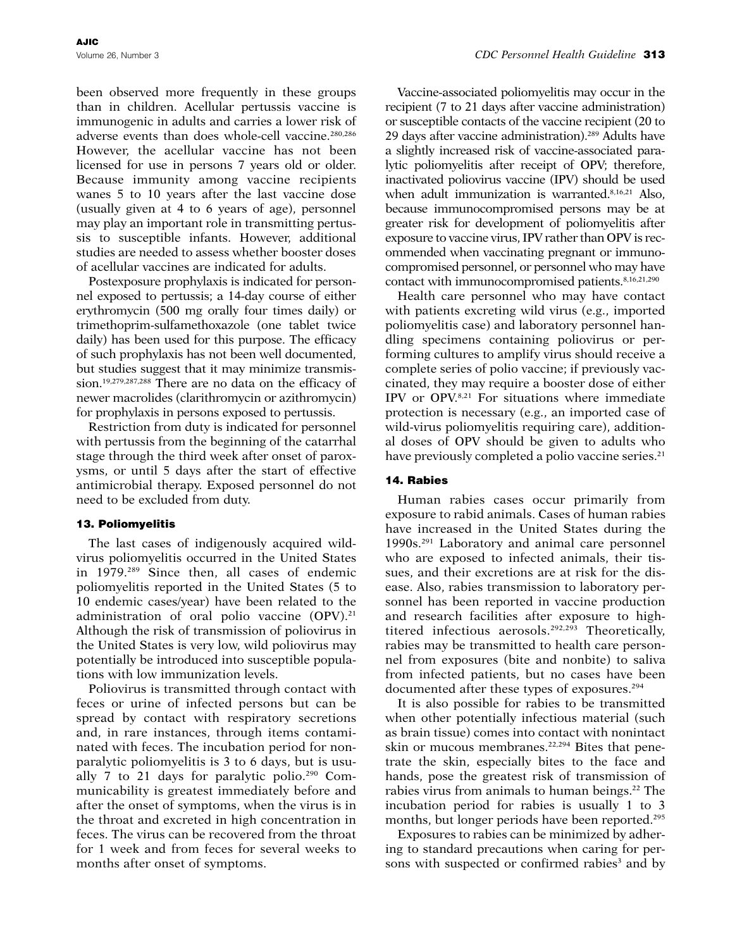been observed more frequently in these groups than in children. Acellular pertussis vaccine is immunogenic in adults and carries a lower risk of adverse events than does whole-cell vaccine.<sup>280,286</sup> However, the acellular vaccine has not been licensed for use in persons 7 years old or older. Because immunity among vaccine recipients wanes 5 to 10 years after the last vaccine dose (usually given at 4 to 6 years of age), personnel may play an important role in transmitting pertussis to susceptible infants. However, additional studies are needed to assess whether booster doses of acellular vaccines are indicated for adults.

Postexposure prophylaxis is indicated for personnel exposed to pertussis; a 14-day course of either erythromycin (500 mg orally four times daily) or trimethoprim-sulfamethoxazole (one tablet twice daily) has been used for this purpose. The efficacy of such prophylaxis has not been well documented, but studies suggest that it may minimize transmission.19,279,287,288 There are no data on the efficacy of newer macrolides (clarithromycin or azithromycin) for prophylaxis in persons exposed to pertussis.

Restriction from duty is indicated for personnel with pertussis from the beginning of the catarrhal stage through the third week after onset of paroxysms, or until 5 days after the start of effective antimicrobial therapy. Exposed personnel do not need to be excluded from duty.

#### **13. Poliomyelitis**

The last cases of indigenously acquired wildvirus poliomyelitis occurred in the United States in 1979.289 Since then, all cases of endemic poliomyelitis reported in the United States (5 to 10 endemic cases/year) have been related to the administration of oral polio vaccine  $(OPV)<sup>21</sup>$ Although the risk of transmission of poliovirus in the United States is very low, wild poliovirus may potentially be introduced into susceptible populations with low immunization levels.

Poliovirus is transmitted through contact with feces or urine of infected persons but can be spread by contact with respiratory secretions and, in rare instances, through items contaminated with feces. The incubation period for nonparalytic poliomyelitis is 3 to 6 days, but is usually 7 to 21 days for paralytic polio.<sup>290</sup> Communicability is greatest immediately before and after the onset of symptoms, when the virus is in the throat and excreted in high concentration in feces. The virus can be recovered from the throat for 1 week and from feces for several weeks to months after onset of symptoms.

Vaccine-associated poliomyelitis may occur in the recipient (7 to 21 days after vaccine administration) or susceptible contacts of the vaccine recipient (20 to 29 days after vaccine administration).289 Adults have a slightly increased risk of vaccine-associated paralytic poliomyelitis after receipt of OPV; therefore, inactivated poliovirus vaccine (IPV) should be used when adult immunization is warranted.<sup>8,16,21</sup> Also, because immunocompromised persons may be at greater risk for development of poliomyelitis after exposure to vaccine virus, IPV rather than OPV is recommended when vaccinating pregnant or immunocompromised personnel, or personnel who may have contact with immunocompromised patients.<sup>8,16,21,290</sup>

Health care personnel who may have contact with patients excreting wild virus (e.g., imported poliomyelitis case) and laboratory personnel handling specimens containing poliovirus or performing cultures to amplify virus should receive a complete series of polio vaccine; if previously vaccinated, they may require a booster dose of either IPV or OPV.8,21 For situations where immediate protection is necessary (e.g., an imported case of wild-virus poliomyelitis requiring care), additional doses of OPV should be given to adults who have previously completed a polio vaccine series.<sup>21</sup>

## **14. Rabies**

Human rabies cases occur primarily from exposure to rabid animals. Cases of human rabies have increased in the United States during the 1990s.291 Laboratory and animal care personnel who are exposed to infected animals, their tissues, and their excretions are at risk for the disease. Also, rabies transmission to laboratory personnel has been reported in vaccine production and research facilities after exposure to hightitered infectious aerosols.292,293 Theoretically, rabies may be transmitted to health care personnel from exposures (bite and nonbite) to saliva from infected patients, but no cases have been documented after these types of exposures.<sup>294</sup>

It is also possible for rabies to be transmitted when other potentially infectious material (such as brain tissue) comes into contact with nonintact skin or mucous membranes.<sup>22,294</sup> Bites that penetrate the skin, especially bites to the face and hands, pose the greatest risk of transmission of rabies virus from animals to human beings.<sup>22</sup> The incubation period for rabies is usually 1 to 3 months, but longer periods have been reported.<sup>295</sup>

Exposures to rabies can be minimized by adhering to standard precautions when caring for persons with suspected or confirmed rabies<sup>3</sup> and by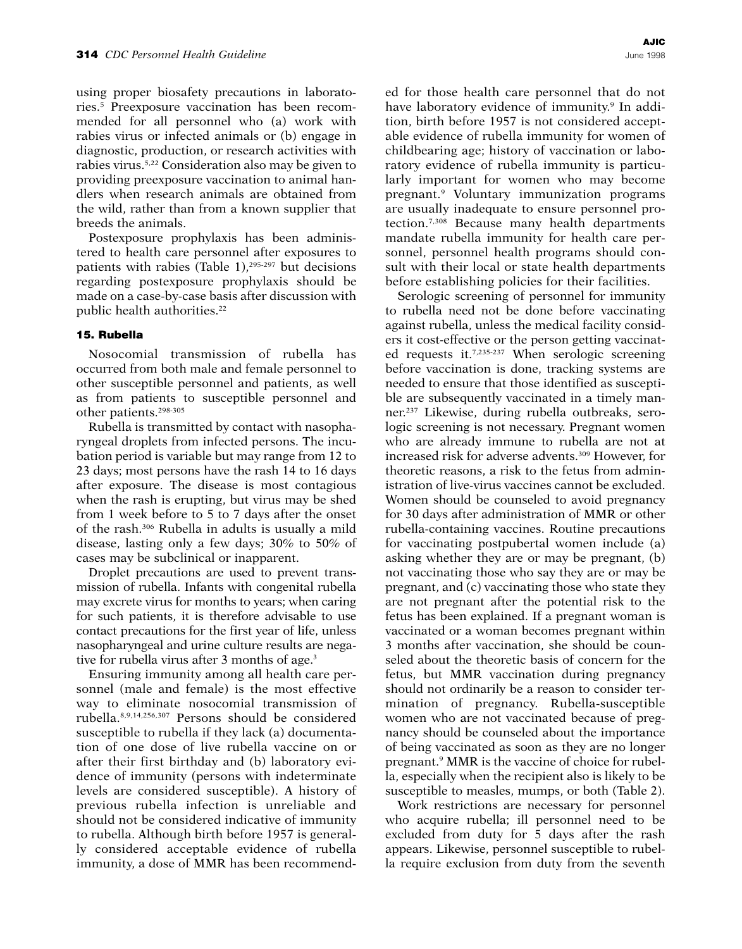using proper biosafety precautions in laboratories.5 Preexposure vaccination has been recommended for all personnel who (a) work with rabies virus or infected animals or (b) engage in diagnostic, production, or research activities with rabies virus.5,22 Consideration also may be given to providing preexposure vaccination to animal handlers when research animals are obtained from the wild, rather than from a known supplier that breeds the animals.

Postexposure prophylaxis has been administered to health care personnel after exposures to patients with rabies (Table 1), $295-297$  but decisions regarding postexposure prophylaxis should be made on a case-by-case basis after discussion with public health authorities.<sup>22</sup>

#### **15. Rubella**

Nosocomial transmission of rubella has occurred from both male and female personnel to other susceptible personnel and patients, as well as from patients to susceptible personnel and other patients.298-305

Rubella is transmitted by contact with nasopharyngeal droplets from infected persons. The incubation period is variable but may range from 12 to 23 days; most persons have the rash 14 to 16 days after exposure. The disease is most contagious when the rash is erupting, but virus may be shed from 1 week before to 5 to 7 days after the onset of the rash.306 Rubella in adults is usually a mild disease, lasting only a few days; 30% to 50% of cases may be subclinical or inapparent.

Droplet precautions are used to prevent transmission of rubella. Infants with congenital rubella may excrete virus for months to years; when caring for such patients, it is therefore advisable to use contact precautions for the first year of life, unless nasopharyngeal and urine culture results are negative for rubella virus after 3 months of age.<sup>3</sup>

Ensuring immunity among all health care personnel (male and female) is the most effective way to eliminate nosocomial transmission of rubella.8,9,14,256,307 Persons should be considered susceptible to rubella if they lack (a) documentation of one dose of live rubella vaccine on or after their first birthday and (b) laboratory evidence of immunity (persons with indeterminate levels are considered susceptible). A history of previous rubella infection is unreliable and should not be considered indicative of immunity to rubella. Although birth before 1957 is generally considered acceptable evidence of rubella immunity, a dose of MMR has been recommend-

ed for those health care personnel that do not have laboratory evidence of immunity.<sup>9</sup> In addition, birth before 1957 is not considered acceptable evidence of rubella immunity for women of childbearing age; history of vaccination or laboratory evidence of rubella immunity is particularly important for women who may become pregnant.9 Voluntary immunization programs are usually inadequate to ensure personnel protection.7,308 Because many health departments mandate rubella immunity for health care personnel, personnel health programs should consult with their local or state health departments before establishing policies for their facilities.

Serologic screening of personnel for immunity to rubella need not be done before vaccinating against rubella, unless the medical facility considers it cost-effective or the person getting vaccinated requests it.7,235-237 When serologic screening before vaccination is done, tracking systems are needed to ensure that those identified as susceptible are subsequently vaccinated in a timely manner.237 Likewise, during rubella outbreaks, serologic screening is not necessary. Pregnant women who are already immune to rubella are not at increased risk for adverse advents.309 However, for theoretic reasons, a risk to the fetus from administration of live-virus vaccines cannot be excluded. Women should be counseled to avoid pregnancy for 30 days after administration of MMR or other rubella-containing vaccines. Routine precautions for vaccinating postpubertal women include (a) asking whether they are or may be pregnant, (b) not vaccinating those who say they are or may be pregnant, and (c) vaccinating those who state they are not pregnant after the potential risk to the fetus has been explained. If a pregnant woman is vaccinated or a woman becomes pregnant within 3 months after vaccination, she should be counseled about the theoretic basis of concern for the fetus, but MMR vaccination during pregnancy should not ordinarily be a reason to consider termination of pregnancy. Rubella-susceptible women who are not vaccinated because of pregnancy should be counseled about the importance of being vaccinated as soon as they are no longer pregnant.9 MMR is the vaccine of choice for rubella, especially when the recipient also is likely to be susceptible to measles, mumps, or both (Table 2).

Work restrictions are necessary for personnel who acquire rubella; ill personnel need to be excluded from duty for 5 days after the rash appears. Likewise, personnel susceptible to rubella require exclusion from duty from the seventh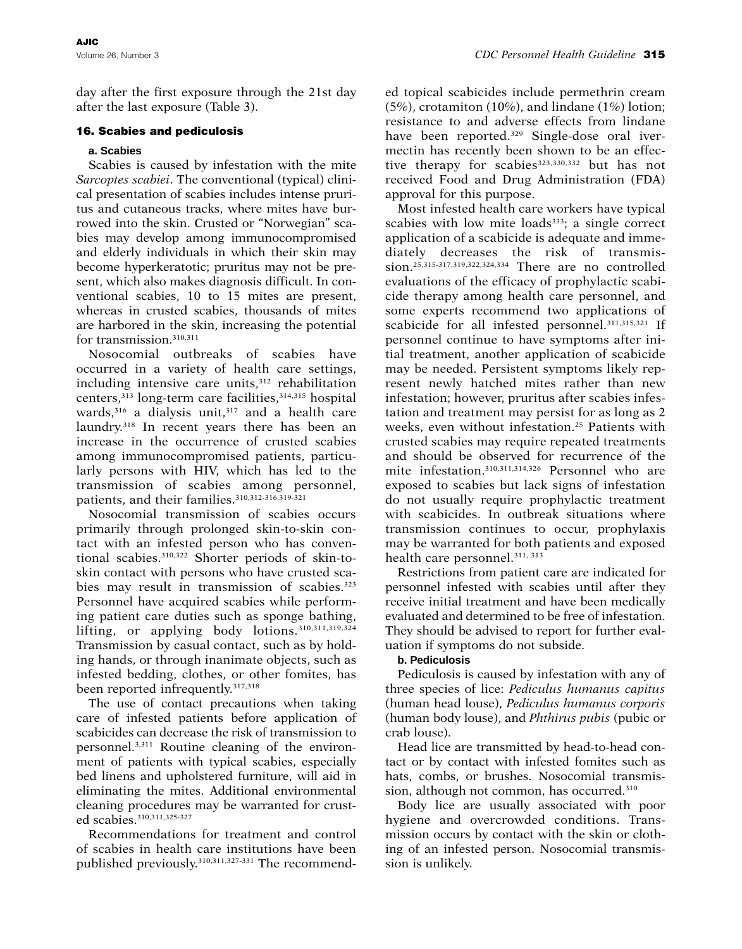day after the first exposure through the 21st day after the last exposure (Table 3).

# **16. Scabies and pediculosis**

# **a. Scabies**

Scabies is caused by infestation with the mite *Sarcoptes scabiei*. The conventional (typical) clinical presentation of scabies includes intense pruritus and cutaneous tracks, where mites have burrowed into the skin. Crusted or "Norwegian" scabies may develop among immunocompromised and elderly individuals in which their skin may become hyperkeratotic; pruritus may not be present, which also makes diagnosis difficult. In conventional scabies, 10 to 15 mites are present, whereas in crusted scabies, thousands of mites are harbored in the skin, increasing the potential for transmission.310,311

Nosocomial outbreaks of scabies have occurred in a variety of health care settings, including intensive care units, $312$  rehabilitation centers,313 long-term care facilities,314,315 hospital wards, $316$  a dialysis unit, $317$  and a health care laundry.<sup>318</sup> In recent years there has been an increase in the occurrence of crusted scabies among immunocompromised patients, particularly persons with HIV, which has led to the transmission of scabies among personnel, patients, and their families.310,312-316,319-321

Nosocomial transmission of scabies occurs primarily through prolonged skin-to-skin contact with an infested person who has conventional scabies.310,322 Shorter periods of skin-toskin contact with persons who have crusted scabies may result in transmission of scabies.<sup>323</sup> Personnel have acquired scabies while performing patient care duties such as sponge bathing, lifting, or applying body lotions.310,311,319,324 Transmission by casual contact, such as by holding hands, or through inanimate objects, such as infested bedding, clothes, or other fomites, has been reported infrequently.317,318

The use of contact precautions when taking care of infested patients before application of scabicides can decrease the risk of transmission to personnel.3,311 Routine cleaning of the environment of patients with typical scabies, especially bed linens and upholstered furniture, will aid in eliminating the mites. Additional environmental cleaning procedures may be warranted for crusted scabies.310,311,325-327

Recommendations for treatment and control of scabies in health care institutions have been published previously.310,311,327-331 The recommended topical scabicides include permethrin cream  $(5%)$ , crotamiton  $(10%)$ , and lindane  $(1%)$  lotion; resistance to and adverse effects from lindane have been reported.<sup>329</sup> Single-dose oral ivermectin has recently been shown to be an effective therapy for scabies<sup>323,330,332</sup> but has not received Food and Drug Administration (FDA) approval for this purpose.

Most infested health care workers have typical scabies with low mite loads<sup>333</sup>; a single correct application of a scabicide is adequate and immediately decreases the risk of transmission.25,315-317,319,322,324,334 There are no controlled evaluations of the efficacy of prophylactic scabicide therapy among health care personnel, and some experts recommend two applications of scabicide for all infested personnel.<sup>311,315,321</sup> If personnel continue to have symptoms after initial treatment, another application of scabicide may be needed. Persistent symptoms likely represent newly hatched mites rather than new infestation; however, pruritus after scabies infestation and treatment may persist for as long as 2 weeks, even without infestation.<sup>25</sup> Patients with crusted scabies may require repeated treatments and should be observed for recurrence of the mite infestation.310,311,314,326 Personnel who are exposed to scabies but lack signs of infestation do not usually require prophylactic treatment with scabicides. In outbreak situations where transmission continues to occur, prophylaxis may be warranted for both patients and exposed health care personnel.311, 313

Restrictions from patient care are indicated for personnel infested with scabies until after they receive initial treatment and have been medically evaluated and determined to be free of infestation. They should be advised to report for further evaluation if symptoms do not subside.

# **b. Pediculosis**

Pediculosis is caused by infestation with any of three species of lice: *Pediculus humanus capitus*  (human head louse), *Pediculus humanus corporis*  (human body louse), and *Phthirus pubis* (pubic or crab louse).

Head lice are transmitted by head-to-head contact or by contact with infested fomites such as hats, combs, or brushes. Nosocomial transmission, although not common, has occurred.<sup>310</sup>

Body lice are usually associated with poor hygiene and overcrowded conditions. Transmission occurs by contact with the skin or clothing of an infested person. Nosocomial transmission is unlikely.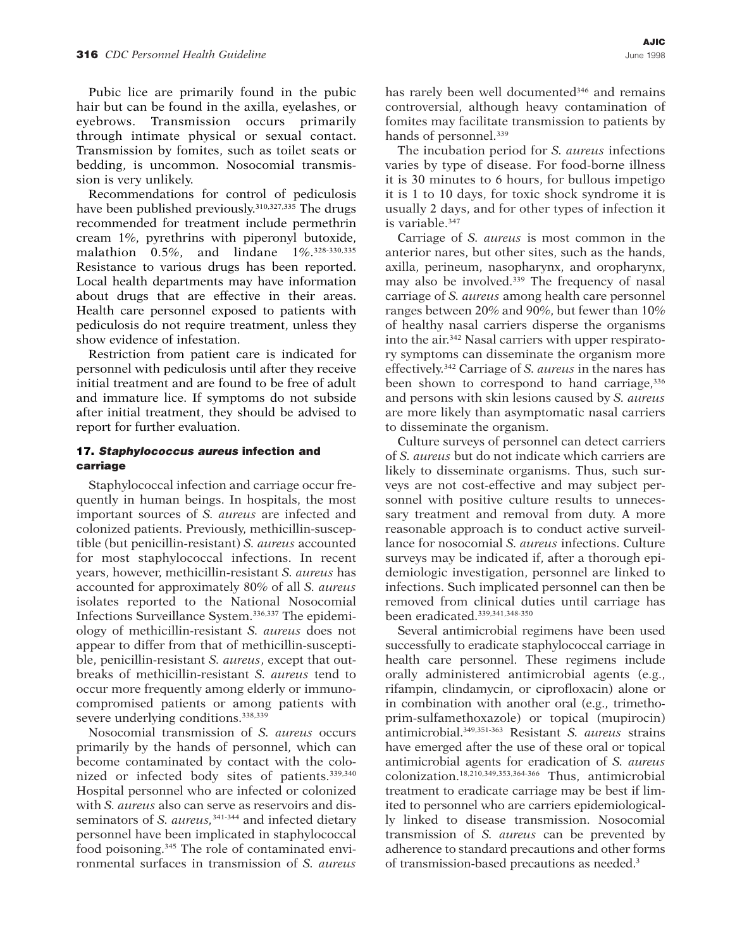Pubic lice are primarily found in the pubic hair but can be found in the axilla, eyelashes, or eyebrows. Transmission occurs primarily through intimate physical or sexual contact. Transmission by fomites, such as toilet seats or bedding, is uncommon. Nosocomial transmission is very unlikely.

Recommendations for control of pediculosis have been published previously. 310,327,335 The drugs recommended for treatment include permethrin cream 1%, pyrethrins with piperonyl butoxide, malathion 0.5%, and lindane 1%.<sup>328-330,335</sup> Resistance to various drugs has been reported. Local health departments may have information about drugs that are effective in their areas. Health care personnel exposed to patients with pediculosis do not require treatment, unless they show evidence of infestation.

Restriction from patient care is indicated for personnel with pediculosis until after they receive initial treatment and are found to be free of adult and immature lice. If symptoms do not subside after initial treatment, they should be advised to report for further evaluation.

#### **17. Staphylococcus aureus infection and carriage**

Staphylococcal infection and carriage occur frequently in human beings. In hospitals, the most important sources of *S. aureus* are infected and colonized patients. Previously, methicillin-susceptible (but penicillin-resistant) *S. aureus* accounted for most staphylococcal infections. In recent years, however, methicillin-resistant *S. aureus* has accounted for approximately 80% of all *S. aureus*  isolates reported to the National Nosocomial Infections Surveillance System.336,337 The epidemiology of methicillin-resistant *S. aureus* does not appear to differ from that of methicillin-susceptible, penicillin-resistant *S. aureus*, except that outbreaks of methicillin-resistant *S. aureus* tend to occur more frequently among elderly or immunocompromised patients or among patients with severe underlying conditions.<sup>338,339</sup>

Nosocomial transmission of *S. aureus* occurs primarily by the hands of personnel, which can become contaminated by contact with the colonized or infected body sites of patients.<sup>339,340</sup> Hospital personnel who are infected or colonized with *S. aureus* also can serve as reservoirs and disseminators of *S. aureus*,<sup>341-344</sup> and infected dietary personnel have been implicated in staphylococcal food poisoning.345 The role of contaminated environmental surfaces in transmission of *S. aureus*  has rarely been well documented<sup>346</sup> and remains controversial, although heavy contamination of fomites may facilitate transmission to patients by hands of personnel.<sup>339</sup>

The incubation period for *S. aureus* infections varies by type of disease. For food-borne illness it is 30 minutes to 6 hours, for bullous impetigo it is 1 to 10 days, for toxic shock syndrome it is usually 2 days, and for other types of infection it is variable.<sup>347</sup>

Carriage of *S. aureus* is most common in the anterior nares, but other sites, such as the hands, axilla, perineum, nasopharynx, and oropharynx, may also be involved.<sup>339</sup> The frequency of nasal carriage of *S. aureus* among health care personnel ranges between 20% and 90%, but fewer than 10% of healthy nasal carriers disperse the organisms into the air.<sup>342</sup> Nasal carriers with upper respiratory symptoms can disseminate the organism more effectively.342 Carriage of *S. aureus* in the nares has been shown to correspond to hand carriage,<sup>336</sup> and persons with skin lesions caused by *S. aureus*  are more likely than asymptomatic nasal carriers to disseminate the organism.

Culture surveys of personnel can detect carriers of *S. aureus* but do not indicate which carriers are likely to disseminate organisms. Thus, such surveys are not cost-effective and may subject personnel with positive culture results to unnecessary treatment and removal from duty. A more reasonable approach is to conduct active surveillance for nosocomial *S. aureus* infections. Culture surveys may be indicated if, after a thorough epidemiologic investigation, personnel are linked to infections. Such implicated personnel can then be removed from clinical duties until carriage has been eradicated.339,341,348-350

Several antimicrobial regimens have been used successfully to eradicate staphylococcal carriage in health care personnel. These regimens include orally administered antimicrobial agents (e.g., rifampin, clindamycin, or ciprofloxacin) alone or in combination with another oral (e.g., trimethoprim-sulfamethoxazole) or topical (mupirocin) antimicrobial.349,351-363 Resistant *S. aureus* strains have emerged after the use of these oral or topical antimicrobial agents for eradication of *S. aureus*  colonization.18,210,349,353,364-366 Thus, antimicrobial treatment to eradicate carriage may be best if limited to personnel who are carriers epidemiologically linked to disease transmission. Nosocomial transmission of *S. aureus* can be prevented by adherence to standard precautions and other forms of transmission-based precautions as needed.3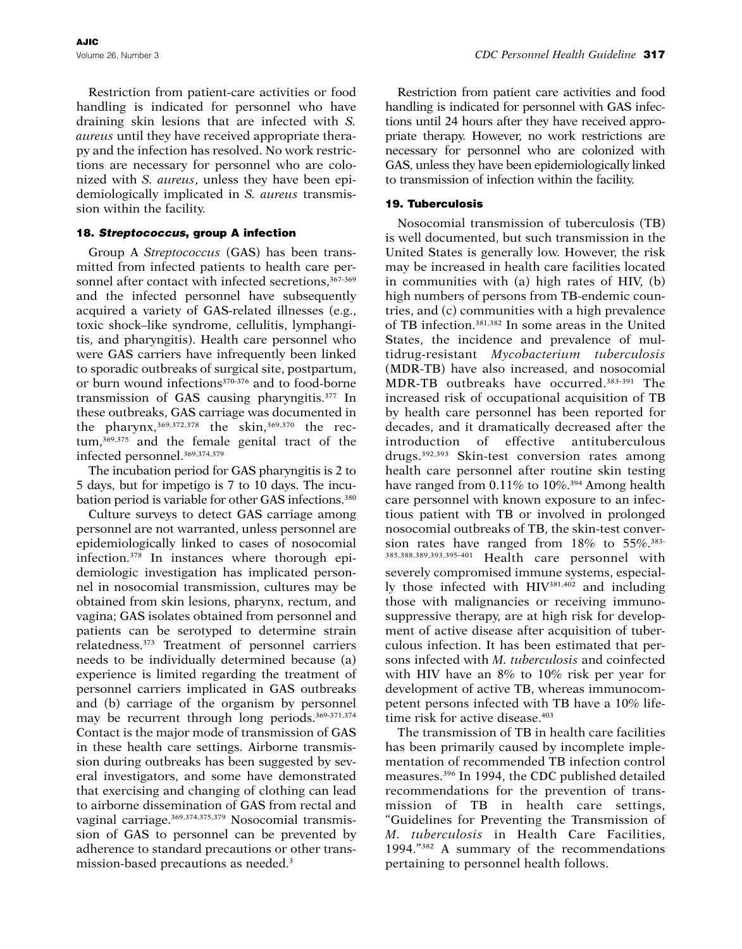Restriction from patient-care activities or food handling is indicated for personnel who have draining skin lesions that are infected with *S. aureus* until they have received appropriate therapy and the infection has resolved. No work restrictions are necessary for personnel who are colonized with *S. aureus*, unless they have been epidemiologically implicated in *S. aureus* transmission within the facility.

#### **18. Streptococcus, group A infection**

Group A *Streptococcus* (GAS) has been transmitted from infected patients to health care personnel after contact with infected secretions, 367-369 and the infected personnel have subsequently acquired a variety of GAS-related illnesses (e.g., toxic shock–like syndrome, cellulitis, lymphangitis, and pharyngitis). Health care personnel who were GAS carriers have infrequently been linked to sporadic outbreaks of surgical site, postpartum, or burn wound infections<sup>370-376</sup> and to food-borne transmission of GAS causing pharyngitis.377 In these outbreaks, GAS carriage was documented in the pharynx,  $369,372,378$  the skin,  $369,370$  the rectum,369,375 and the female genital tract of the infected personnel.369,374,379

The incubation period for GAS pharyngitis is 2 to 5 days, but for impetigo is 7 to 10 days. The incubation period is variable for other GAS infections.<sup>380</sup>

Culture surveys to detect GAS carriage among personnel are not warranted, unless personnel are epidemiologically linked to cases of nosocomial infection.378 In instances where thorough epidemiologic investigation has implicated personnel in nosocomial transmission, cultures may be obtained from skin lesions, pharynx, rectum, and vagina; GAS isolates obtained from personnel and patients can be serotyped to determine strain relatedness.373 Treatment of personnel carriers needs to be individually determined because (a) experience is limited regarding the treatment of personnel carriers implicated in GAS outbreaks and (b) carriage of the organism by personnel may be recurrent through long periods.<sup>369-371,374</sup> Contact is the major mode of transmission of GAS in these health care settings. Airborne transmission during outbreaks has been suggested by several investigators, and some have demonstrated that exercising and changing of clothing can lead to airborne dissemination of GAS from rectal and vaginal carriage.369,374,375,379 Nosocomial transmission of GAS to personnel can be prevented by adherence to standard precautions or other transmission-based precautions as needed.3

Restriction from patient care activities and food handling is indicated for personnel with GAS infections until 24 hours after they have received appropriate therapy. However, no work restrictions are necessary for personnel who are colonized with GAS, unless they have been epidemiologically linked to transmission of infection within the facility.

## **19. Tuberculosis**

Nosocomial transmission of tuberculosis (TB) is well documented, but such transmission in the United States is generally low. However, the risk may be increased in health care facilities located in communities with (a) high rates of HIV, (b) high numbers of persons from TB-endemic countries, and (c) communities with a high prevalence of TB infection.381,382 In some areas in the United States, the incidence and prevalence of multidrug-resistant *Mycobacterium tuberculosis*  (MDR-TB) have also increased, and nosocomial MDR-TB outbreaks have occurred.383-391 The increased risk of occupational acquisition of TB by health care personnel has been reported for decades, and it dramatically decreased after the introduction of effective antituberculous drugs.392,393 Skin-test conversion rates among health care personnel after routine skin testing have ranged from 0.11% to 10%.<sup>394</sup> Among health care personnel with known exposure to an infectious patient with TB or involved in prolonged nosocomial outbreaks of TB, the skin-test conversion rates have ranged from  $18\%$  to  $55\%$ <sup>383-</sup> 385,388,389,393,395-401 Health care personnel with severely compromised immune systems, especially those infected with HIV381,402 and including those with malignancies or receiving immunosuppressive therapy, are at high risk for development of active disease after acquisition of tuberculous infection. It has been estimated that persons infected with *M. tuberculosis* and coinfected with HIV have an 8% to 10% risk per year for development of active TB, whereas immunocompetent persons infected with TB have a 10% lifetime risk for active disease.<sup>403</sup>

The transmission of TB in health care facilities has been primarily caused by incomplete implementation of recommended TB infection control measures.396 In 1994, the CDC published detailed recommendations for the prevention of transmission of TB in health care settings, "Guidelines for Preventing the Transmission of *M. tuberculosis* in Health Care Facilities, 1994."382 A summary of the recommendations pertaining to personnel health follows.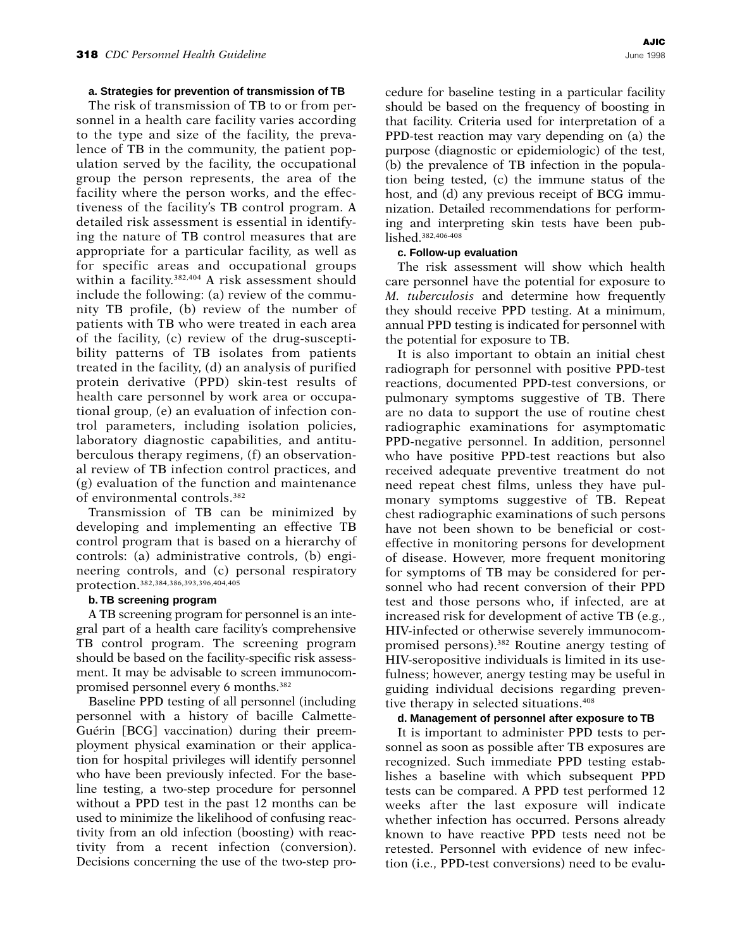#### **a. Strategies for prevention of transmission of TB**

The risk of transmission of TB to or from personnel in a health care facility varies according to the type and size of the facility, the prevalence of TB in the community, the patient population served by the facility, the occupational group the person represents, the area of the facility where the person works, and the effectiveness of the facility's TB control program. A detailed risk assessment is essential in identifying the nature of TB control measures that are appropriate for a particular facility, as well as for specific areas and occupational groups within a facility.<sup>382,404</sup> A risk assessment should include the following: (a) review of the community TB profile, (b) review of the number of patients with TB who were treated in each area of the facility, (c) review of the drug-susceptibility patterns of TB isolates from patients treated in the facility, (d) an analysis of purified protein derivative (PPD) skin-test results of health care personnel by work area or occupational group, (e) an evaluation of infection control parameters, including isolation policies, laboratory diagnostic capabilities, and antituberculous therapy regimens, (f) an observational review of TB infection control practices, and (g) evaluation of the function and maintenance of environmental controls.382

Transmission of TB can be minimized by developing and implementing an effective TB control program that is based on a hierarchy of controls: (a) administrative controls, (b) engineering controls, and (c) personal respiratory protection.382,384,386,393,396,404,405

# **b. TB screening program**

A TB screening program for personnel is an integral part of a health care facility's comprehensive TB control program. The screening program should be based on the facility-specific risk assessment. It may be advisable to screen immunocompromised personnel every 6 months.382

Baseline PPD testing of all personnel (including personnel with a history of bacille Calmette-Guérin [BCG] vaccination) during their preemployment physical examination or their application for hospital privileges will identify personnel who have been previously infected. For the baseline testing, a two-step procedure for personnel without a PPD test in the past 12 months can be used to minimize the likelihood of confusing reactivity from an old infection (boosting) with reactivity from a recent infection (conversion). Decisions concerning the use of the two-step procedure for baseline testing in a particular facility should be based on the frequency of boosting in that facility. Criteria used for interpretation of a PPD-test reaction may vary depending on (a) the purpose (diagnostic or epidemiologic) of the test, (b) the prevalence of TB infection in the population being tested, (c) the immune status of the host, and (d) any previous receipt of BCG immunization. Detailed recommendations for performing and interpreting skin tests have been published.382,406-408

#### **c. Follow-up evaluation**

The risk assessment will show which health care personnel have the potential for exposure to *M. tuberculosis* and determine how frequently they should receive PPD testing. At a minimum, annual PPD testing is indicated for personnel with the potential for exposure to TB.

It is also important to obtain an initial chest radiograph for personnel with positive PPD-test reactions, documented PPD-test conversions, or pulmonary symptoms suggestive of TB. There are no data to support the use of routine chest radiographic examinations for asymptomatic PPD-negative personnel. In addition, personnel who have positive PPD-test reactions but also received adequate preventive treatment do not need repeat chest films, unless they have pulmonary symptoms suggestive of TB. Repeat chest radiographic examinations of such persons have not been shown to be beneficial or costeffective in monitoring persons for development of disease. However, more frequent monitoring for symptoms of TB may be considered for personnel who had recent conversion of their PPD test and those persons who, if infected, are at increased risk for development of active TB (e.g., HIV-infected or otherwise severely immunocompromised persons).382 Routine anergy testing of HIV-seropositive individuals is limited in its usefulness; however, anergy testing may be useful in guiding individual decisions regarding preventive therapy in selected situations.408

## **d. Management of personnel after exposure to TB**

It is important to administer PPD tests to personnel as soon as possible after TB exposures are recognized. Such immediate PPD testing establishes a baseline with which subsequent PPD tests can be compared. A PPD test performed 12 weeks after the last exposure will indicate whether infection has occurred. Persons already known to have reactive PPD tests need not be retested. Personnel with evidence of new infection (i.e., PPD-test conversions) need to be evalu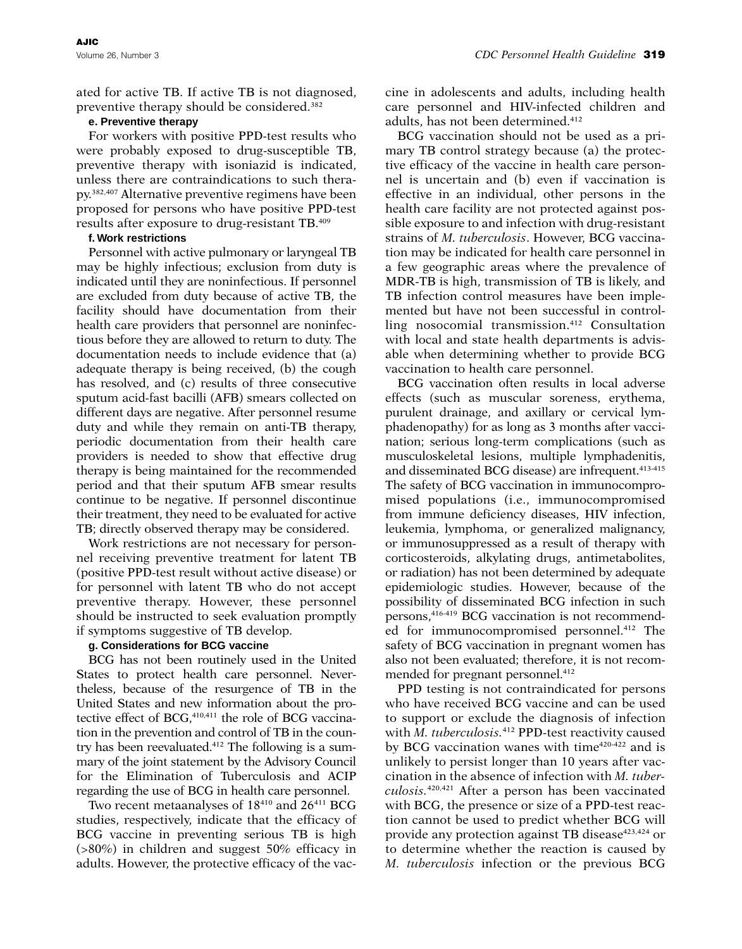ated for active TB. If active TB is not diagnosed, preventive therapy should be considered.382

#### **e. Preventive therapy**

For workers with positive PPD-test results who were probably exposed to drug-susceptible TB, preventive therapy with isoniazid is indicated, unless there are contraindications to such therapy.382,407 Alternative preventive regimens have been proposed for persons who have positive PPD-test results after exposure to drug-resistant TB.409

# **f. Work restrictions**

Personnel with active pulmonary or laryngeal TB may be highly infectious; exclusion from duty is indicated until they are noninfectious. If personnel are excluded from duty because of active TB, the facility should have documentation from their health care providers that personnel are noninfectious before they are allowed to return to duty. The documentation needs to include evidence that (a) adequate therapy is being received, (b) the cough has resolved, and (c) results of three consecutive sputum acid-fast bacilli (AFB) smears collected on different days are negative. After personnel resume duty and while they remain on anti-TB therapy, periodic documentation from their health care providers is needed to show that effective drug therapy is being maintained for the recommended period and that their sputum AFB smear results continue to be negative. If personnel discontinue their treatment, they need to be evaluated for active TB; directly observed therapy may be considered.

Work restrictions are not necessary for personnel receiving preventive treatment for latent TB (positive PPD-test result without active disease) or for personnel with latent TB who do not accept preventive therapy. However, these personnel should be instructed to seek evaluation promptly if symptoms suggestive of TB develop.

# **g. Considerations for BCG vaccine**

BCG has not been routinely used in the United States to protect health care personnel. Nevertheless, because of the resurgence of TB in the United States and new information about the protective effect of BCG,<sup>410,411</sup> the role of BCG vaccination in the prevention and control of TB in the country has been reevaluated.<sup>412</sup> The following is a summary of the joint statement by the Advisory Council for the Elimination of Tuberculosis and ACIP regarding the use of BCG in health care personnel.

Two recent metaanalyses of 18410 and 26411 BCG studies, respectively, indicate that the efficacy of BCG vaccine in preventing serious TB is high (>80%) in children and suggest 50% efficacy in adults. However, the protective efficacy of the vaccine in adolescents and adults, including health care personnel and HIV-infected children and adults, has not been determined.412

BCG vaccination should not be used as a primary TB control strategy because (a) the protective efficacy of the vaccine in health care personnel is uncertain and (b) even if vaccination is effective in an individual, other persons in the health care facility are not protected against possible exposure to and infection with drug-resistant strains of *M. tuberculosis*. However, BCG vaccination may be indicated for health care personnel in a few geographic areas where the prevalence of MDR-TB is high, transmission of TB is likely, and TB infection control measures have been implemented but have not been successful in controlling nosocomial transmission.412 Consultation with local and state health departments is advisable when determining whether to provide BCG vaccination to health care personnel.

BCG vaccination often results in local adverse effects (such as muscular soreness, erythema, purulent drainage, and axillary or cervical lymphadenopathy) for as long as 3 months after vaccination; serious long-term complications (such as musculoskeletal lesions, multiple lymphadenitis, and disseminated BCG disease) are infrequent.<sup>413-415</sup> The safety of BCG vaccination in immunocompromised populations (i.e., immunocompromised from immune deficiency diseases, HIV infection, leukemia, lymphoma, or generalized malignancy, or immunosuppressed as a result of therapy with corticosteroids, alkylating drugs, antimetabolites, or radiation) has not been determined by adequate epidemiologic studies. However, because of the possibility of disseminated BCG infection in such persons,416-419 BCG vaccination is not recommended for immunocompromised personnel.412 The safety of BCG vaccination in pregnant women has also not been evaluated; therefore, it is not recommended for pregnant personnel.412

PPD testing is not contraindicated for persons who have received BCG vaccine and can be used to support or exclude the diagnosis of infection with *M. tuberculosis.*412 PPD-test reactivity caused by BCG vaccination wanes with time<sup>420-422</sup> and is unlikely to persist longer than 10 years after vaccination in the absence of infection with *M. tuberculosis.*420,421 After a person has been vaccinated with BCG, the presence or size of a PPD-test reaction cannot be used to predict whether BCG will provide any protection against TB disease<sup>423,424</sup> or to determine whether the reaction is caused by *M. tuberculosis* infection or the previous BCG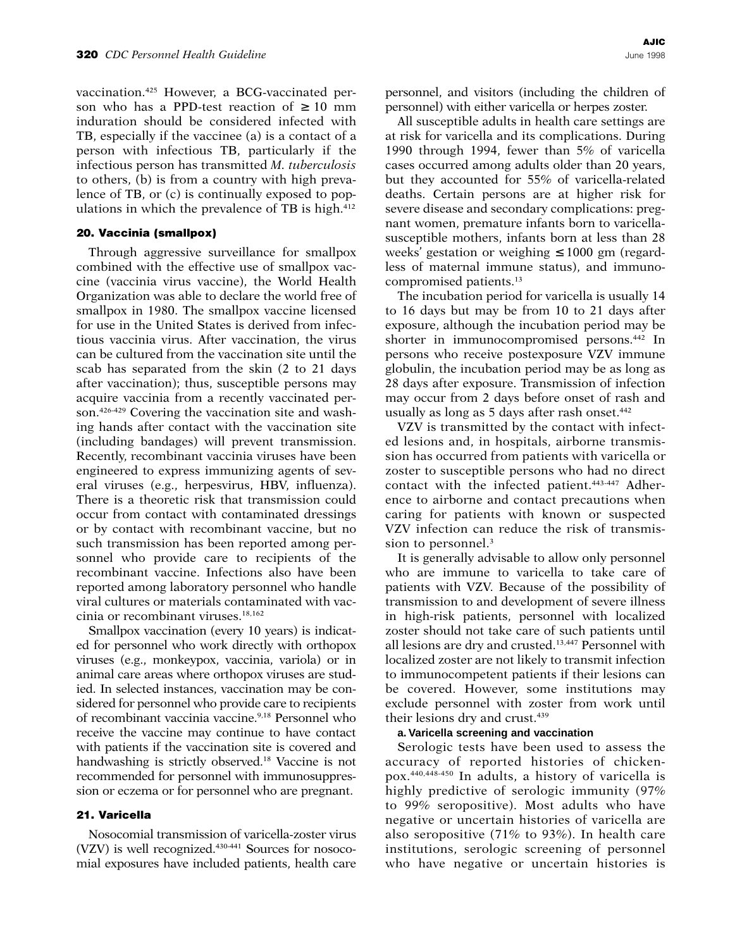vaccination.425 However, a BCG-vaccinated person who has a PPD-test reaction of  $\geq 10$  mm induration should be considered infected with TB, especially if the vaccinee (a) is a contact of a person with infectious TB, particularly if the infectious person has transmitted *M. tuberculosis*  to others, (b) is from a country with high prevalence of TB, or (c) is continually exposed to populations in which the prevalence of TB is high.412

#### **20. Vaccinia (smallpox)**

Through aggressive surveillance for smallpox combined with the effective use of smallpox vaccine (vaccinia virus vaccine), the World Health Organization was able to declare the world free of smallpox in 1980. The smallpox vaccine licensed for use in the United States is derived from infectious vaccinia virus. After vaccination, the virus can be cultured from the vaccination site until the scab has separated from the skin (2 to 21 days after vaccination); thus, susceptible persons may acquire vaccinia from a recently vaccinated person.426-429 Covering the vaccination site and washing hands after contact with the vaccination site (including bandages) will prevent transmission. Recently, recombinant vaccinia viruses have been engineered to express immunizing agents of several viruses (e.g., herpesvirus, HBV, influenza). There is a theoretic risk that transmission could occur from contact with contaminated dressings or by contact with recombinant vaccine, but no such transmission has been reported among personnel who provide care to recipients of the recombinant vaccine. Infections also have been reported among laboratory personnel who handle viral cultures or materials contaminated with vaccinia or recombinant viruses.18,162

Smallpox vaccination (every 10 years) is indicated for personnel who work directly with orthopox viruses (e.g., monkeypox, vaccinia, variola) or in animal care areas where orthopox viruses are studied. In selected instances, vaccination may be considered for personnel who provide care to recipients of recombinant vaccinia vaccine.9,18 Personnel who receive the vaccine may continue to have contact with patients if the vaccination site is covered and handwashing is strictly observed.<sup>18</sup> Vaccine is not recommended for personnel with immunosuppression or eczema or for personnel who are pregnant.

#### **21. Varicella**

Nosocomial transmission of varicella-zoster virus (VZV) is well recognized.430-441 Sources for nosocomial exposures have included patients, health care personnel, and visitors (including the children of personnel) with either varicella or herpes zoster.

All susceptible adults in health care settings are at risk for varicella and its complications. During 1990 through 1994, fewer than 5% of varicella cases occurred among adults older than 20 years, but they accounted for 55% of varicella-related deaths. Certain persons are at higher risk for severe disease and secondary complications: pregnant women, premature infants born to varicellasusceptible mothers, infants born at less than 28 weeks' gestation or weighing ≤ 1000 gm (regardless of maternal immune status), and immunocompromised patients.13

The incubation period for varicella is usually 14 to 16 days but may be from 10 to 21 days after exposure, although the incubation period may be shorter in immunocompromised persons.<sup>442</sup> In persons who receive postexposure VZV immune globulin, the incubation period may be as long as 28 days after exposure. Transmission of infection may occur from 2 days before onset of rash and usually as long as  $5$  days after rash onset.<sup>442</sup>

VZV is transmitted by the contact with infected lesions and, in hospitals, airborne transmission has occurred from patients with varicella or zoster to susceptible persons who had no direct contact with the infected patient.<sup>443-447</sup> Adherence to airborne and contact precautions when caring for patients with known or suspected VZV infection can reduce the risk of transmission to personnel.<sup>3</sup>

It is generally advisable to allow only personnel who are immune to varicella to take care of patients with VZV. Because of the possibility of transmission to and development of severe illness in high-risk patients, personnel with localized zoster should not take care of such patients until all lesions are dry and crusted.13,447 Personnel with localized zoster are not likely to transmit infection to immunocompetent patients if their lesions can be covered. However, some institutions may exclude personnel with zoster from work until their lesions dry and crust.<sup>439</sup>

#### **a. Varicella screening and vaccination**

Serologic tests have been used to assess the accuracy of reported histories of chickenpox.440,448-450 In adults, a history of varicella is highly predictive of serologic immunity (97% to 99% seropositive). Most adults who have negative or uncertain histories of varicella are also seropositive (71% to 93%). In health care institutions, serologic screening of personnel who have negative or uncertain histories is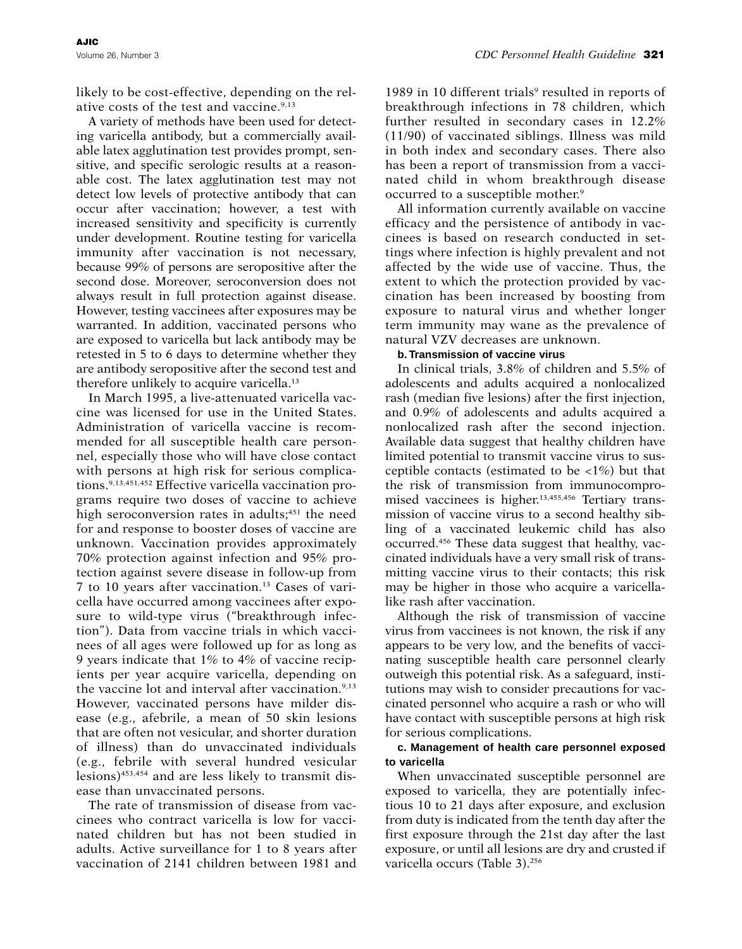likely to be cost-effective, depending on the relative costs of the test and vaccine.<sup>9,13</sup>

A variety of methods have been used for detecting varicella antibody, but a commercially available latex agglutination test provides prompt, sensitive, and specific serologic results at a reasonable cost. The latex agglutination test may not detect low levels of protective antibody that can occur after vaccination; however, a test with increased sensitivity and specificity is currently under development. Routine testing for varicella immunity after vaccination is not necessary, because 99% of persons are seropositive after the second dose. Moreover, seroconversion does not always result in full protection against disease. However, testing vaccinees after exposures may be warranted. In addition, vaccinated persons who are exposed to varicella but lack antibody may be retested in 5 to 6 days to determine whether they are antibody seropositive after the second test and therefore unlikely to acquire varicella.<sup>13</sup>

In March 1995, a live-attenuated varicella vaccine was licensed for use in the United States. Administration of varicella vaccine is recommended for all susceptible health care personnel, especially those who will have close contact with persons at high risk for serious complications.9,13,451,452 Effective varicella vaccination programs require two doses of vaccine to achieve high seroconversion rates in adults; $451$  the need for and response to booster doses of vaccine are unknown. Vaccination provides approximately 70% protection against infection and 95% protection against severe disease in follow-up from 7 to 10 years after vaccination.13 Cases of varicella have occurred among vaccinees after exposure to wild-type virus ("breakthrough infection"). Data from vaccine trials in which vaccinees of all ages were followed up for as long as 9 years indicate that 1% to 4% of vaccine recipients per year acquire varicella, depending on the vaccine lot and interval after vaccination.<sup>9,13</sup> However, vaccinated persons have milder disease (e.g., afebrile, a mean of 50 skin lesions that are often not vesicular, and shorter duration of illness) than do unvaccinated individuals (e.g., febrile with several hundred vesicular lesions)453,454 and are less likely to transmit disease than unvaccinated persons.

The rate of transmission of disease from vaccinees who contract varicella is low for vaccinated children but has not been studied in adults. Active surveillance for 1 to 8 years after vaccination of 2141 children between 1981 and

1989 in 10 different trials $9$  resulted in reports of breakthrough infections in 78 children, which further resulted in secondary cases in 12.2% (11/90) of vaccinated siblings. Illness was mild in both index and secondary cases. There also has been a report of transmission from a vaccinated child in whom breakthrough disease occurred to a susceptible mother.<sup>9</sup>

All information currently available on vaccine efficacy and the persistence of antibody in vaccinees is based on research conducted in settings where infection is highly prevalent and not affected by the wide use of vaccine. Thus, the extent to which the protection provided by vaccination has been increased by boosting from exposure to natural virus and whether longer term immunity may wane as the prevalence of natural VZV decreases are unknown.

## **b. Transmission of vaccine virus**

In clinical trials, 3.8% of children and 5.5% of adolescents and adults acquired a nonlocalized rash (median five lesions) after the first injection, and 0.9% of adolescents and adults acquired a nonlocalized rash after the second injection. Available data suggest that healthy children have limited potential to transmit vaccine virus to susceptible contacts (estimated to be  $\langle 1\% \rangle$  but that the risk of transmission from immunocompromised vaccinees is higher.13,455,456 Tertiary transmission of vaccine virus to a second healthy sibling of a vaccinated leukemic child has also occurred.456 These data suggest that healthy, vaccinated individuals have a very small risk of transmitting vaccine virus to their contacts; this risk may be higher in those who acquire a varicellalike rash after vaccination.

Although the risk of transmission of vaccine virus from vaccinees is not known, the risk if any appears to be very low, and the benefits of vaccinating susceptible health care personnel clearly outweigh this potential risk. As a safeguard, institutions may wish to consider precautions for vaccinated personnel who acquire a rash or who will have contact with susceptible persons at high risk for serious complications.

#### **c. Management of health care personnel exposed to varicella**

When unvaccinated susceptible personnel are exposed to varicella, they are potentially infectious 10 to 21 days after exposure, and exclusion from duty is indicated from the tenth day after the first exposure through the 21st day after the last exposure, or until all lesions are dry and crusted if varicella occurs (Table 3).256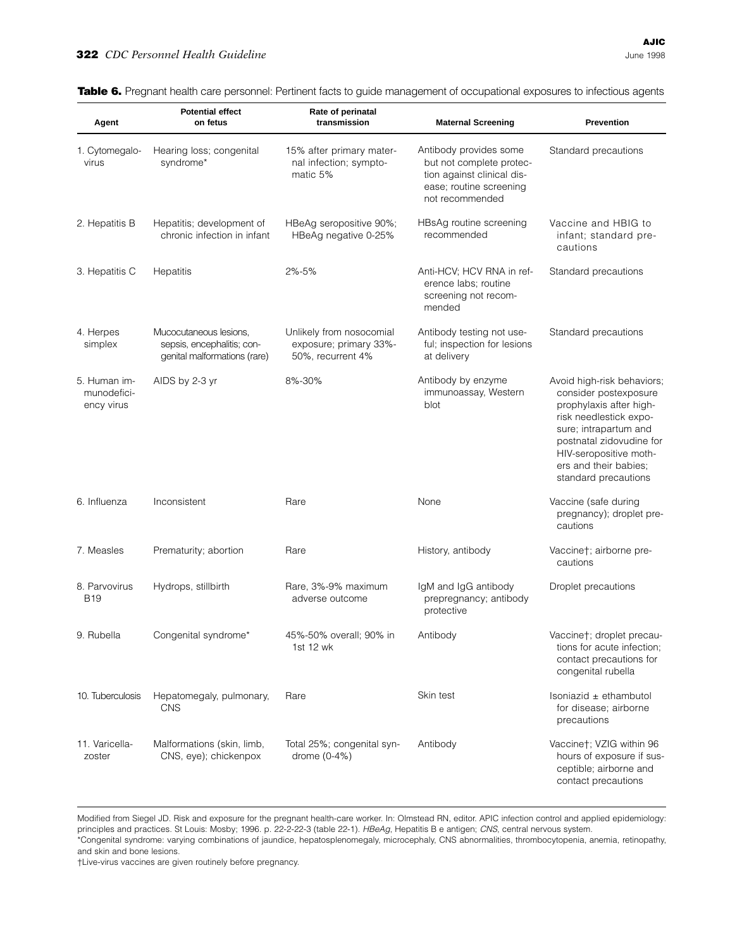| Agent                                     | <b>Potential effect</b><br>on fetus                                                  | Rate of perinatal<br>transmission                                       | <b>Maternal Screening</b>                                                                                                      | <b>Prevention</b>                                                                                                                                                                                                                        |
|-------------------------------------------|--------------------------------------------------------------------------------------|-------------------------------------------------------------------------|--------------------------------------------------------------------------------------------------------------------------------|------------------------------------------------------------------------------------------------------------------------------------------------------------------------------------------------------------------------------------------|
| 1. Cytomegalo-<br>virus                   | Hearing loss; congenital<br>syndrome*                                                | 15% after primary mater-<br>nal infection; sympto-<br>matic 5%          | Antibody provides some<br>but not complete protec-<br>tion against clinical dis-<br>ease; routine screening<br>not recommended | Standard precautions                                                                                                                                                                                                                     |
| 2. Hepatitis B                            | Hepatitis; development of<br>chronic infection in infant                             | HBeAg seropositive 90%;<br>HBeAg negative 0-25%                         | HBsAg routine screening<br>recommended                                                                                         | Vaccine and HBIG to<br>infant; standard pre-<br>cautions                                                                                                                                                                                 |
| 3. Hepatitis C                            | Hepatitis                                                                            | 2%-5%                                                                   | Anti-HCV; HCV RNA in ref-<br>erence labs; routine<br>screening not recom-<br>mended                                            | Standard precautions                                                                                                                                                                                                                     |
| 4. Herpes<br>simplex                      | Mucocutaneous lesions,<br>sepsis, encephalitis; con-<br>genital malformations (rare) | Unlikely from nosocomial<br>exposure; primary 33%-<br>50%, recurrent 4% | Antibody testing not use-<br>ful; inspection for lesions<br>at delivery                                                        | Standard precautions                                                                                                                                                                                                                     |
| 5. Human im-<br>munodefici-<br>ency virus | AIDS by 2-3 yr                                                                       | 8%-30%                                                                  | Antibody by enzyme<br>immunoassay, Western<br>blot                                                                             | Avoid high-risk behaviors;<br>consider postexposure<br>prophylaxis after high-<br>risk needlestick expo-<br>sure; intrapartum and<br>postnatal zidovudine for<br>HIV-seropositive moth-<br>ers and their babies;<br>standard precautions |
| 6. Influenza                              | Inconsistent                                                                         | Rare                                                                    | None                                                                                                                           | Vaccine (safe during<br>pregnancy); droplet pre-<br>cautions                                                                                                                                                                             |
| 7. Measles                                | Prematurity; abortion                                                                | Rare                                                                    | History, antibody                                                                                                              | Vaccine†; airborne pre-<br>cautions                                                                                                                                                                                                      |
| 8. Parvovirus<br><b>B19</b>               | Hydrops, stillbirth                                                                  | Rare, 3%-9% maximum<br>adverse outcome                                  | IgM and IgG antibody<br>prepregnancy; antibody<br>protective                                                                   | Droplet precautions                                                                                                                                                                                                                      |
| 9. Rubella                                | Congenital syndrome*                                                                 | 45%-50% overall; 90% in<br>1st 12 wk                                    | Antibody                                                                                                                       | Vaccine†; droplet precau-<br>tions for acute infection;<br>contact precautions for<br>congenital rubella                                                                                                                                 |
| 10. Tuberculosis                          | Hepatomegaly, pulmonary,<br>CNS                                                      | Rare                                                                    | Skin test                                                                                                                      | Isoniazid ± ethambutol<br>for disease; airborne<br>precautions                                                                                                                                                                           |
| 11. Varicella-<br>zoster                  | Malformations (skin, limb,<br>CNS, eye); chickenpox                                  | Total 25%; congenital syn-<br>drome (0-4%)                              | Antibody                                                                                                                       | Vaccine†; VZIG within 96<br>hours of exposure if sus-<br>ceptible; airborne and<br>contact precautions                                                                                                                                   |

**Table 6.** Pregnant health care personnel: Pertinent facts to guide management of occupational exposures to infectious agents

Modified from Siegel JD. Risk and exposure for the pregnant health-care worker. In: Olmstead RN, editor. APIC infection control and applied epidemiology: principles and practices. St Louis: Mosby; 1996. p. 22-2-22-3 (table 22-1). HBeAg, Hepatitis B e antigen; CNS, central nervous system.

\*Congenital syndrome: varying combinations of jaundice, hepatosplenomegaly, microcephaly, CNS abnormalities, thrombocytopenia, anemia, retinopathy, and skin and bone lesions.

†Live-virus vaccines are given routinely before pregnancy.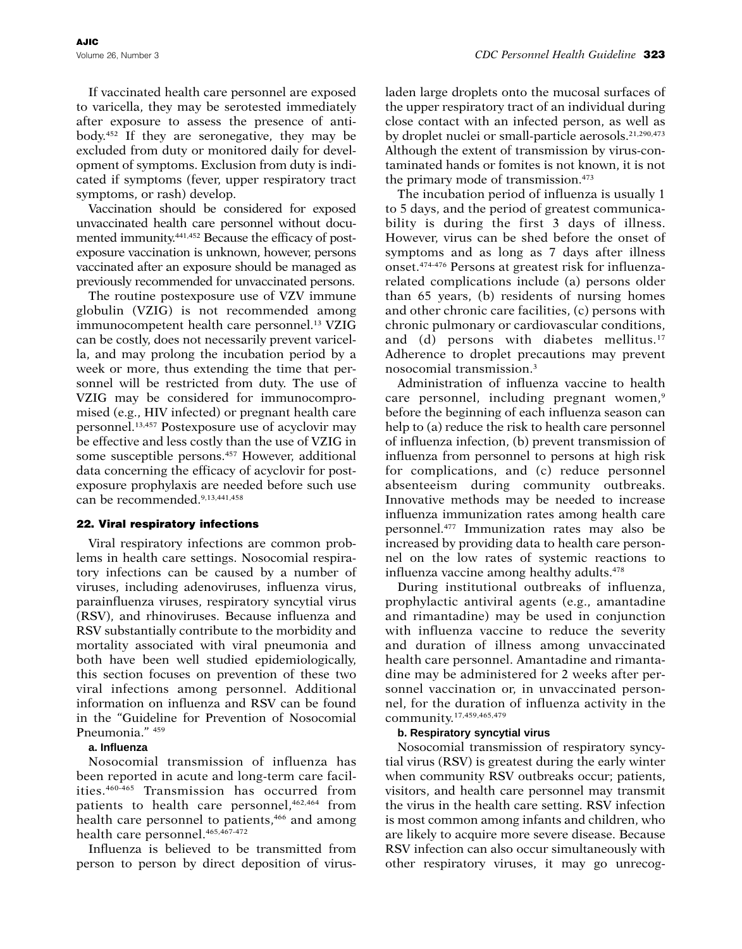If vaccinated health care personnel are exposed to varicella, they may be serotested immediately after exposure to assess the presence of antibody.452 If they are seronegative, they may be excluded from duty or monitored daily for development of symptoms. Exclusion from duty is indicated if symptoms (fever, upper respiratory tract symptoms, or rash) develop.

Vaccination should be considered for exposed unvaccinated health care personnel without documented immunity. 441,452 Because the efficacy of postexposure vaccination is unknown, however, persons vaccinated after an exposure should be managed as previously recommended for unvaccinated persons.

The routine postexposure use of VZV immune globulin (VZIG) is not recommended among immunocompetent health care personnel.<sup>13</sup> VZIG can be costly, does not necessarily prevent varicella, and may prolong the incubation period by a week or more, thus extending the time that personnel will be restricted from duty. The use of VZIG may be considered for immunocompromised (e.g., HIV infected) or pregnant health care personnel.13,457 Postexposure use of acyclovir may be effective and less costly than the use of VZIG in some susceptible persons.457 However, additional data concerning the efficacy of acyclovir for postexposure prophylaxis are needed before such use can be recommended.9,13,441,458

#### **22. Viral respiratory infections**

Viral respiratory infections are common problems in health care settings. Nosocomial respiratory infections can be caused by a number of viruses, including adenoviruses, influenza virus, parainfluenza viruses, respiratory syncytial virus (RSV), and rhinoviruses. Because influenza and RSV substantially contribute to the morbidity and mortality associated with viral pneumonia and both have been well studied epidemiologically, this section focuses on prevention of these two viral infections among personnel. Additional information on influenza and RSV can be found in the "Guideline for Prevention of Nosocomial Pneumonia." 459

#### **a. Influenza**

Nosocomial transmission of influenza has been reported in acute and long-term care facilities.460-465 Transmission has occurred from patients to health care personnel,<sup>462,464</sup> from health care personnel to patients,<sup>466</sup> and among health care personnel.465,467-472

Influenza is believed to be transmitted from person to person by direct deposition of virusladen large droplets onto the mucosal surfaces of the upper respiratory tract of an individual during close contact with an infected person, as well as by droplet nuclei or small-particle aerosols.<sup>21,290,473</sup> Although the extent of transmission by virus-contaminated hands or fomites is not known, it is not the primary mode of transmission.<sup>473</sup>

The incubation period of influenza is usually 1 to 5 days, and the period of greatest communicability is during the first 3 days of illness. However, virus can be shed before the onset of symptoms and as long as 7 days after illness onset.474-476 Persons at greatest risk for influenzarelated complications include (a) persons older than 65 years, (b) residents of nursing homes and other chronic care facilities, (c) persons with chronic pulmonary or cardiovascular conditions, and (d) persons with diabetes mellitus.<sup>17</sup> Adherence to droplet precautions may prevent nosocomial transmission.3

Administration of influenza vaccine to health care personnel, including pregnant women,<sup>9</sup> before the beginning of each influenza season can help to (a) reduce the risk to health care personnel of influenza infection, (b) prevent transmission of influenza from personnel to persons at high risk for complications, and (c) reduce personnel absenteeism during community outbreaks. Innovative methods may be needed to increase influenza immunization rates among health care personnel.477 Immunization rates may also be increased by providing data to health care personnel on the low rates of systemic reactions to influenza vaccine among healthy adults.478

During institutional outbreaks of influenza, prophylactic antiviral agents (e.g., amantadine and rimantadine) may be used in conjunction with influenza vaccine to reduce the severity and duration of illness among unvaccinated health care personnel. Amantadine and rimantadine may be administered for 2 weeks after personnel vaccination or, in unvaccinated personnel, for the duration of influenza activity in the community.17,459,465,479

#### **b. Respiratory syncytial virus**

Nosocomial transmission of respiratory syncytial virus (RSV) is greatest during the early winter when community RSV outbreaks occur; patients, visitors, and health care personnel may transmit the virus in the health care setting. RSV infection is most common among infants and children, who are likely to acquire more severe disease. Because RSV infection can also occur simultaneously with other respiratory viruses, it may go unrecog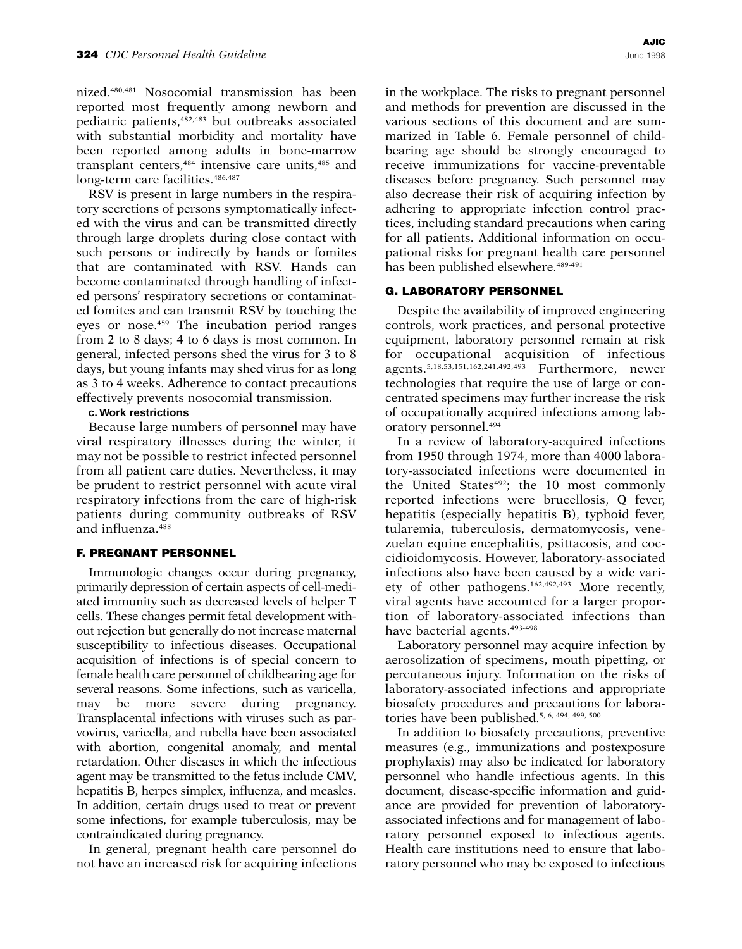nized.480,481 Nosocomial transmission has been reported most frequently among newborn and pediatric patients,482,483 but outbreaks associated with substantial morbidity and mortality have been reported among adults in bone-marrow transplant centers,<sup>484</sup> intensive care units,<sup>485</sup> and long-term care facilities.<sup>486,487</sup>

RSV is present in large numbers in the respiratory secretions of persons symptomatically infected with the virus and can be transmitted directly through large droplets during close contact with such persons or indirectly by hands or fomites that are contaminated with RSV. Hands can become contaminated through handling of infected persons' respiratory secretions or contaminated fomites and can transmit RSV by touching the eyes or nose.<sup>459</sup> The incubation period ranges from 2 to 8 days; 4 to 6 days is most common. In general, infected persons shed the virus for 3 to 8 days, but young infants may shed virus for as long as 3 to 4 weeks. Adherence to contact precautions effectively prevents nosocomial transmission.

## **c. Work restrictions**

Because large numbers of personnel may have viral respiratory illnesses during the winter, it may not be possible to restrict infected personnel from all patient care duties. Nevertheless, it may be prudent to restrict personnel with acute viral respiratory infections from the care of high-risk patients during community outbreaks of RSV and influenza.488

# **F. PREGNANT PERSONNEL**

Immunologic changes occur during pregnancy, primarily depression of certain aspects of cell-mediated immunity such as decreased levels of helper T cells. These changes permit fetal development without rejection but generally do not increase maternal susceptibility to infectious diseases. Occupational acquisition of infections is of special concern to female health care personnel of childbearing age for several reasons. Some infections, such as varicella, may be more severe during pregnancy. Transplacental infections with viruses such as parvovirus, varicella, and rubella have been associated with abortion, congenital anomaly, and mental retardation. Other diseases in which the infectious agent may be transmitted to the fetus include CMV, hepatitis B, herpes simplex, influenza, and measles. In addition, certain drugs used to treat or prevent some infections, for example tuberculosis, may be contraindicated during pregnancy.

In general, pregnant health care personnel do not have an increased risk for acquiring infections

in the workplace. The risks to pregnant personnel and methods for prevention are discussed in the various sections of this document and are summarized in Table 6. Female personnel of childbearing age should be strongly encouraged to receive immunizations for vaccine-preventable diseases before pregnancy. Such personnel may also decrease their risk of acquiring infection by adhering to appropriate infection control practices, including standard precautions when caring for all patients. Additional information on occupational risks for pregnant health care personnel has been published elsewhere.<sup>489-491</sup>

# **G. LABORATORY PERSONNEL**

Despite the availability of improved engineering controls, work practices, and personal protective equipment, laboratory personnel remain at risk for occupational acquisition of infectious agents.5,18,53,151,162,241,492,493 Furthermore, newer technologies that require the use of large or concentrated specimens may further increase the risk of occupationally acquired infections among laboratory personnel.494

In a review of laboratory-acquired infections from 1950 through 1974, more than 4000 laboratory-associated infections were documented in the United States<sup>492</sup>; the 10 most commonly reported infections were brucellosis, Q fever, hepatitis (especially hepatitis B), typhoid fever, tularemia, tuberculosis, dermatomycosis, venezuelan equine encephalitis, psittacosis, and coccidioidomycosis. However, laboratory-associated infections also have been caused by a wide variety of other pathogens.162,492,493 More recently, viral agents have accounted for a larger proportion of laboratory-associated infections than have bacterial agents.<sup>493-498</sup>

Laboratory personnel may acquire infection by aerosolization of specimens, mouth pipetting, or percutaneous injury. Information on the risks of laboratory-associated infections and appropriate biosafety procedures and precautions for laboratories have been published.<sup>5, 6, 494, 499, 500</sup>

In addition to biosafety precautions, preventive measures (e.g., immunizations and postexposure prophylaxis) may also be indicated for laboratory personnel who handle infectious agents. In this document, disease-specific information and guidance are provided for prevention of laboratoryassociated infections and for management of laboratory personnel exposed to infectious agents. Health care institutions need to ensure that laboratory personnel who may be exposed to infectious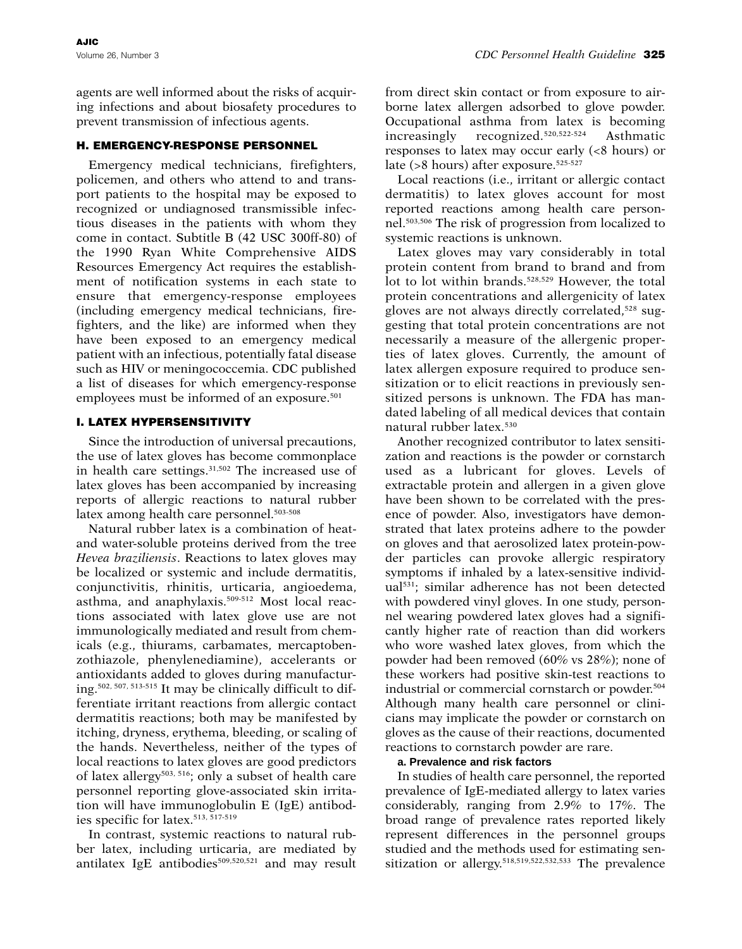agents are well informed about the risks of acquiring infections and about biosafety procedures to prevent transmission of infectious agents.

## **H. EMERGENCY-RESPONSE PERSONNEL**

Emergency medical technicians, firefighters, policemen, and others who attend to and transport patients to the hospital may be exposed to recognized or undiagnosed transmissible infectious diseases in the patients with whom they come in contact. Subtitle B (42 USC 300ff-80) of the 1990 Ryan White Comprehensive AIDS Resources Emergency Act requires the establishment of notification systems in each state to ensure that emergency-response employees (including emergency medical technicians, firefighters, and the like) are informed when they have been exposed to an emergency medical patient with an infectious, potentially fatal disease such as HIV or meningococcemia. CDC published a list of diseases for which emergency-response employees must be informed of an exposure.<sup>501</sup>

# **I. LATEX HYPERSENSITIVITY**

Since the introduction of universal precautions, the use of latex gloves has become commonplace in health care settings.<sup>31,502</sup> The increased use of latex gloves has been accompanied by increasing reports of allergic reactions to natural rubber latex among health care personnel.<sup>503-508</sup>

Natural rubber latex is a combination of heatand water-soluble proteins derived from the tree *Hevea braziliensis*. Reactions to latex gloves may be localized or systemic and include dermatitis, conjunctivitis, rhinitis, urticaria, angioedema, asthma, and anaphylaxis.509-512 Most local reactions associated with latex glove use are not immunologically mediated and result from chemicals (e.g., thiurams, carbamates, mercaptobenzothiazole, phenylenediamine), accelerants or antioxidants added to gloves during manufacturing.502, 507, 513-515 It may be clinically difficult to differentiate irritant reactions from allergic contact dermatitis reactions; both may be manifested by itching, dryness, erythema, bleeding, or scaling of the hands. Nevertheless, neither of the types of local reactions to latex gloves are good predictors of latex allergy503, 516; only a subset of health care personnel reporting glove-associated skin irritation will have immunoglobulin E (IgE) antibodies specific for latex.513, 517-519

In contrast, systemic reactions to natural rubber latex, including urticaria, are mediated by antilatex IgE antibodies $509,520,521$  and may result

from direct skin contact or from exposure to airborne latex allergen adsorbed to glove powder. Occupational asthma from latex is becoming increasingly recognized.520,522-524 Asthmatic responses to latex may occur early (<8 hours) or late (>8 hours) after exposure. $525-527$ 

Local reactions (i.e., irritant or allergic contact dermatitis) to latex gloves account for most reported reactions among health care personnel.503,506 The risk of progression from localized to systemic reactions is unknown.

Latex gloves may vary considerably in total protein content from brand to brand and from lot to lot within brands.528,529 However, the total protein concentrations and allergenicity of latex gloves are not always directly correlated,<sup>528</sup> suggesting that total protein concentrations are not necessarily a measure of the allergenic properties of latex gloves. Currently, the amount of latex allergen exposure required to produce sensitization or to elicit reactions in previously sensitized persons is unknown. The FDA has mandated labeling of all medical devices that contain natural rubber latex.530

Another recognized contributor to latex sensitization and reactions is the powder or cornstarch used as a lubricant for gloves. Levels of extractable protein and allergen in a given glove have been shown to be correlated with the presence of powder. Also, investigators have demonstrated that latex proteins adhere to the powder on gloves and that aerosolized latex protein-powder particles can provoke allergic respiratory symptoms if inhaled by a latex-sensitive individual531; similar adherence has not been detected with powdered vinyl gloves. In one study, personnel wearing powdered latex gloves had a significantly higher rate of reaction than did workers who wore washed latex gloves, from which the powder had been removed (60% vs 28%); none of these workers had positive skin-test reactions to industrial or commercial cornstarch or powder.<sup>504</sup> Although many health care personnel or clinicians may implicate the powder or cornstarch on gloves as the cause of their reactions, documented reactions to cornstarch powder are rare.

# **a. Prevalence and risk factors**

In studies of health care personnel, the reported prevalence of IgE-mediated allergy to latex varies considerably, ranging from 2.9% to 17%. The broad range of prevalence rates reported likely represent differences in the personnel groups studied and the methods used for estimating sensitization or allergy.518,519,522,532,533 The prevalence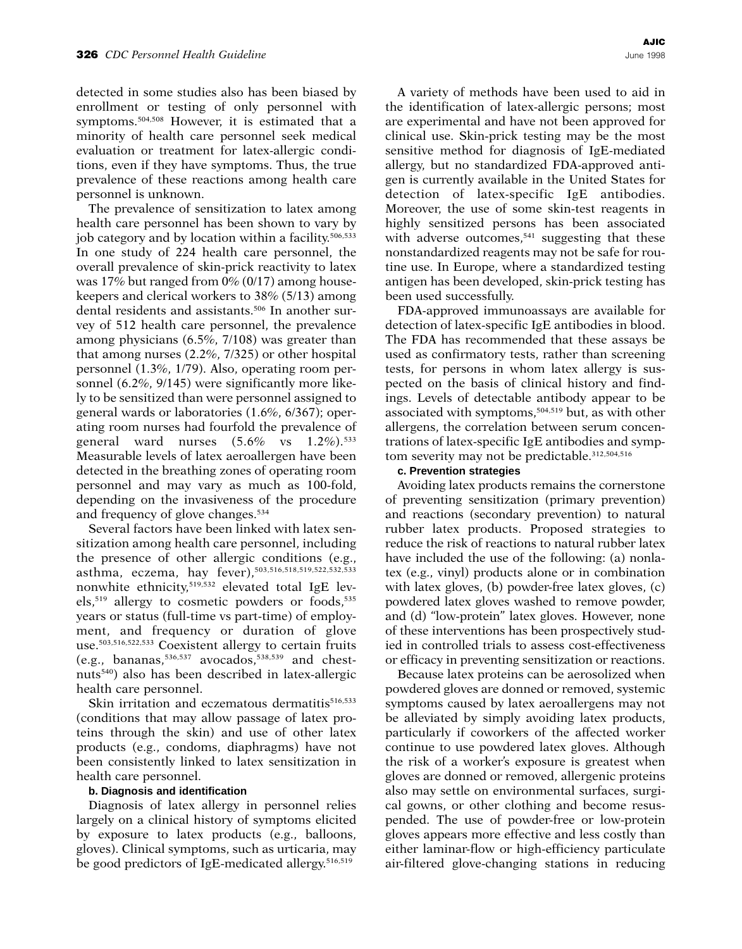detected in some studies also has been biased by enrollment or testing of only personnel with symptoms.504,508 However, it is estimated that a minority of health care personnel seek medical evaluation or treatment for latex-allergic conditions, even if they have symptoms. Thus, the true prevalence of these reactions among health care personnel is unknown.

The prevalence of sensitization to latex among health care personnel has been shown to vary by job category and by location within a facility. 506,533 In one study of 224 health care personnel, the overall prevalence of skin-prick reactivity to latex was 17% but ranged from 0% (0/17) among housekeepers and clerical workers to 38% (5/13) among dental residents and assistants.<sup>506</sup> In another survey of 512 health care personnel, the prevalence among physicians (6.5%, 7/108) was greater than that among nurses (2.2%, 7/325) or other hospital personnel (1.3%, 1/79). Also, operating room personnel (6.2%, 9/145) were significantly more likely to be sensitized than were personnel assigned to general wards or laboratories (1.6%, 6/367); operating room nurses had fourfold the prevalence of general ward nurses (5.6% vs 1.2%).<sup>533</sup> Measurable levels of latex aeroallergen have been detected in the breathing zones of operating room personnel and may vary as much as 100-fold, depending on the invasiveness of the procedure and frequency of glove changes.534

Several factors have been linked with latex sensitization among health care personnel, including the presence of other allergic conditions (e.g., asthma, eczema, hay fever), 503,516,518,519,522,532,533 nonwhite ethnicity,519,532 elevated total IgE levels,<sup>519</sup> allergy to cosmetic powders or foods,<sup>535</sup> years or status (full-time vs part-time) of employment, and frequency or duration of glove use.503,516,522,533 Coexistent allergy to certain fruits (e.g., bananas,  $536,537$  avocados,  $538,539$  and chestnuts540) also has been described in latex-allergic health care personnel.

Skin irritation and eczematous dermatitis<sup>516,533</sup> (conditions that may allow passage of latex proteins through the skin) and use of other latex products (e.g., condoms, diaphragms) have not been consistently linked to latex sensitization in health care personnel.

#### **b. Diagnosis and identification**

Diagnosis of latex allergy in personnel relies largely on a clinical history of symptoms elicited by exposure to latex products (e.g., balloons, gloves). Clinical symptoms, such as urticaria, may be good predictors of IgE-medicated allergy.<sup>516,519</sup>

A variety of methods have been used to aid in the identification of latex-allergic persons; most are experimental and have not been approved for clinical use. Skin-prick testing may be the most sensitive method for diagnosis of IgE-mediated allergy, but no standardized FDA-approved antigen is currently available in the United States for detection of latex-specific IgE antibodies. Moreover, the use of some skin-test reagents in highly sensitized persons has been associated with adverse outcomes,<sup> $541$ </sup> suggesting that these nonstandardized reagents may not be safe for routine use. In Europe, where a standardized testing antigen has been developed, skin-prick testing has been used successfully.

FDA-approved immunoassays are available for detection of latex-specific IgE antibodies in blood. The FDA has recommended that these assays be used as confirmatory tests, rather than screening tests, for persons in whom latex allergy is suspected on the basis of clinical history and findings. Levels of detectable antibody appear to be associated with symptoms,<sup>504,519</sup> but, as with other allergens, the correlation between serum concentrations of latex-specific IgE antibodies and symptom severity may not be predictable.<sup>312,504,516</sup>

#### **c. Prevention strategies**

Avoiding latex products remains the cornerstone of preventing sensitization (primary prevention) and reactions (secondary prevention) to natural rubber latex products. Proposed strategies to reduce the risk of reactions to natural rubber latex have included the use of the following: (a) nonlatex (e.g., vinyl) products alone or in combination with latex gloves, (b) powder-free latex gloves, (c) powdered latex gloves washed to remove powder, and (d) "low-protein" latex gloves. However, none of these interventions has been prospectively studied in controlled trials to assess cost-effectiveness or efficacy in preventing sensitization or reactions.

Because latex proteins can be aerosolized when powdered gloves are donned or removed, systemic symptoms caused by latex aeroallergens may not be alleviated by simply avoiding latex products, particularly if coworkers of the affected worker continue to use powdered latex gloves. Although the risk of a worker's exposure is greatest when gloves are donned or removed, allergenic proteins also may settle on environmental surfaces, surgical gowns, or other clothing and become resuspended. The use of powder-free or low-protein gloves appears more effective and less costly than either laminar-flow or high-efficiency particulate air-filtered glove-changing stations in reducing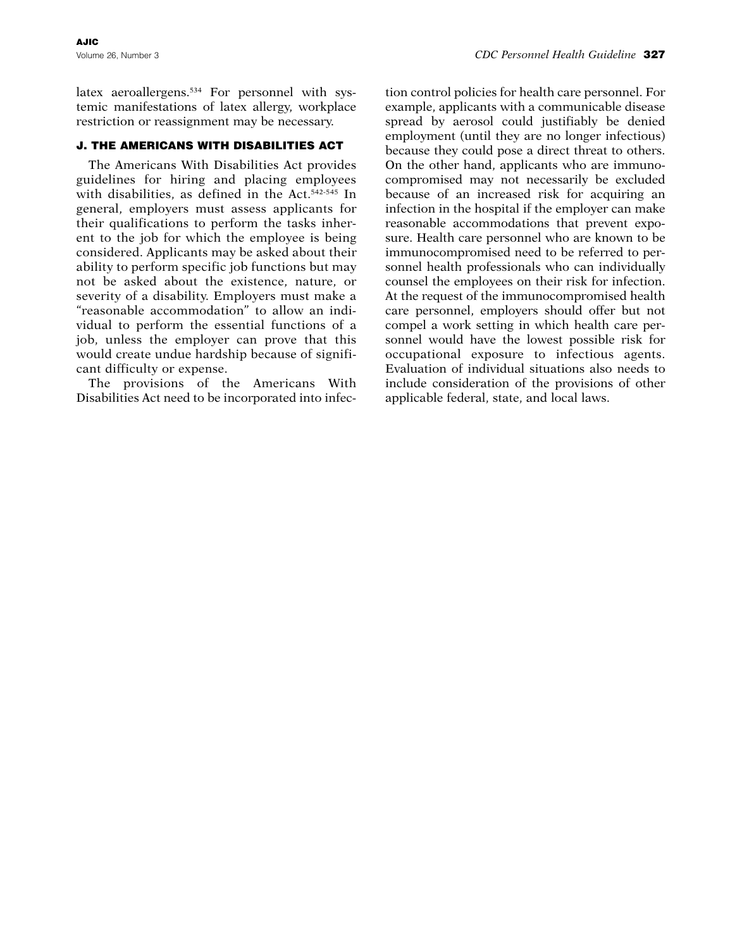latex aeroallergens.<sup>534</sup> For personnel with systemic manifestations of latex allergy, workplace restriction or reassignment may be necessary.

## **J. THE AMERICANS WITH DISABILITIES ACT**

The Americans With Disabilities Act provides guidelines for hiring and placing employees with disabilities, as defined in the Act.<sup>542-545</sup> In general, employers must assess applicants for their qualifications to perform the tasks inherent to the job for which the employee is being considered. Applicants may be asked about their ability to perform specific job functions but may not be asked about the existence, nature, or severity of a disability. Employers must make a "reasonable accommodation" to allow an individual to perform the essential functions of a job, unless the employer can prove that this would create undue hardship because of significant difficulty or expense.

The provisions of the Americans With Disabilities Act need to be incorporated into infec-

tion control policies for health care personnel. For example, applicants with a communicable disease spread by aerosol could justifiably be denied employment (until they are no longer infectious) because they could pose a direct threat to others. On the other hand, applicants who are immunocompromised may not necessarily be excluded because of an increased risk for acquiring an infection in the hospital if the employer can make reasonable accommodations that prevent exposure. Health care personnel who are known to be immunocompromised need to be referred to personnel health professionals who can individually counsel the employees on their risk for infection. At the request of the immunocompromised health care personnel, employers should offer but not compel a work setting in which health care personnel would have the lowest possible risk for occupational exposure to infectious agents. Evaluation of individual situations also needs to include consideration of the provisions of other applicable federal, state, and local laws.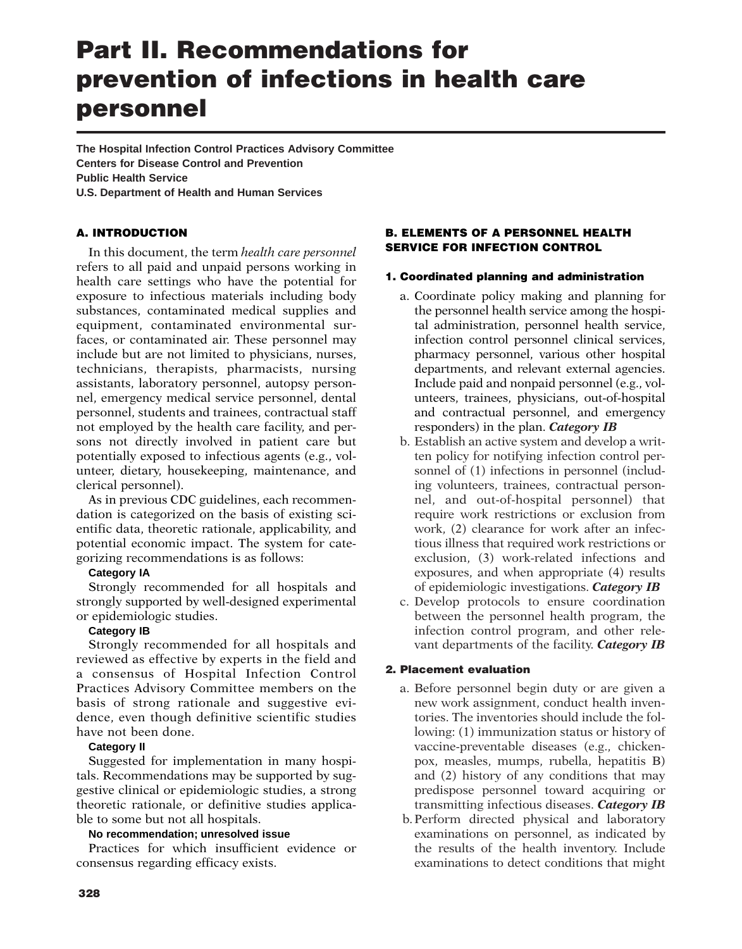# **Part II. Recommendations for prevention of infections in health care personnel**

**The Hospital Infection Control Practices Advisory Committee Centers for Disease Control and Prevention Public Health Service U.S. Department of Health and Human Services** 

# **A. INTRODUCTION**

In this document, the term *health care personnel*  refers to all paid and unpaid persons working in health care settings who have the potential for exposure to infectious materials including body substances, contaminated medical supplies and equipment, contaminated environmental surfaces, or contaminated air. These personnel may include but are not limited to physicians, nurses, technicians, therapists, pharmacists, nursing assistants, laboratory personnel, autopsy personnel, emergency medical service personnel, dental personnel, students and trainees, contractual staff not employed by the health care facility, and persons not directly involved in patient care but potentially exposed to infectious agents (e.g., volunteer, dietary, housekeeping, maintenance, and clerical personnel).

As in previous CDC guidelines, each recommendation is categorized on the basis of existing scientific data, theoretic rationale, applicability, and potential economic impact. The system for categorizing recommendations is as follows:

# **Category IA**

Strongly recommended for all hospitals and strongly supported by well-designed experimental or epidemiologic studies.

# **Category IB**

Strongly recommended for all hospitals and reviewed as effective by experts in the field and a consensus of Hospital Infection Control Practices Advisory Committee members on the basis of strong rationale and suggestive evidence, even though definitive scientific studies have not been done.

# **Category II**

Suggested for implementation in many hospitals. Recommendations may be supported by suggestive clinical or epidemiologic studies, a strong theoretic rationale, or definitive studies applicable to some but not all hospitals.

# **No recommendation; unresolved issue**

Practices for which insufficient evidence or consensus regarding efficacy exists.

# **B. ELEMENTS OF A PERSONNEL HEALTH SERVICE FOR INFECTION CONTROL**

# **1. Coordinated planning and administration**

- a. Coordinate policy making and planning for the personnel health service among the hospital administration, personnel health service, infection control personnel clinical services, pharmacy personnel, various other hospital departments, and relevant external agencies. Include paid and nonpaid personnel (e.g., volunteers, trainees, physicians, out-of-hospital and contractual personnel, and emergency responders) in the plan. *Category IB*
- b. Establish an active system and develop a written policy for notifying infection control personnel of (1) infections in personnel (including volunteers, trainees, contractual personnel, and out-of-hospital personnel) that require work restrictions or exclusion from work, (2) clearance for work after an infectious illness that required work restrictions or exclusion, (3) work-related infections and exposures, and when appropriate (4) results of epidemiologic investigations. *Category IB*
- c. Develop protocols to ensure coordination between the personnel health program, the infection control program, and other relevant departments of the facility. *Category IB*

# **2. Placement evaluation**

- a. Before personnel begin duty or are given a new work assignment, conduct health inventories. The inventories should include the following: (1) immunization status or history of vaccine-preventable diseases (e.g., chickenpox, measles, mumps, rubella, hepatitis B) and (2) history of any conditions that may predispose personnel toward acquiring or transmitting infectious diseases. *Category IB*
- b. Perform directed physical and laboratory examinations on personnel, as indicated by the results of the health inventory. Include examinations to detect conditions that might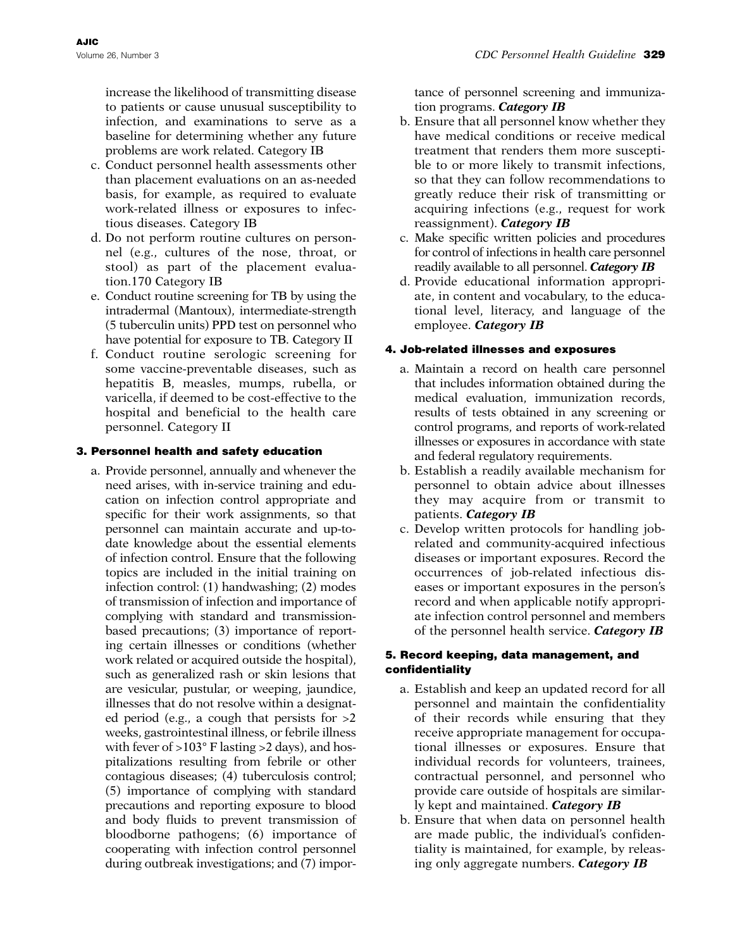increase the likelihood of transmitting disease to patients or cause unusual susceptibility to infection, and examinations to serve as a baseline for determining whether any future problems are work related. Category IB

- c. Conduct personnel health assessments other than placement evaluations on an as-needed basis, for example, as required to evaluate work-related illness or exposures to infectious diseases. Category IB
- d. Do not perform routine cultures on personnel (e.g., cultures of the nose, throat, or stool) as part of the placement evaluation.170 Category IB
- e. Conduct routine screening for TB by using the intradermal (Mantoux), intermediate-strength (5 tuberculin units) PPD test on personnel who have potential for exposure to TB. Category II
- f. Conduct routine serologic screening for some vaccine-preventable diseases, such as hepatitis B, measles, mumps, rubella, or varicella, if deemed to be cost-effective to the hospital and beneficial to the health care personnel. Category II

# **3. Personnel health and safety education**

a. Provide personnel, annually and whenever the need arises, with in-service training and education on infection control appropriate and specific for their work assignments, so that personnel can maintain accurate and up-todate knowledge about the essential elements of infection control. Ensure that the following topics are included in the initial training on infection control: (1) handwashing; (2) modes of transmission of infection and importance of complying with standard and transmissionbased precautions; (3) importance of reporting certain illnesses or conditions (whether work related or acquired outside the hospital), such as generalized rash or skin lesions that are vesicular, pustular, or weeping, jaundice, illnesses that do not resolve within a designated period (e.g., a cough that persists for >2 weeks, gastrointestinal illness, or febrile illness with fever of  $>103^\circ$  F lasting  $>2$  days), and hospitalizations resulting from febrile or other contagious diseases; (4) tuberculosis control; (5) importance of complying with standard precautions and reporting exposure to blood and body fluids to prevent transmission of bloodborne pathogens; (6) importance of cooperating with infection control personnel during outbreak investigations; and (7) importance of personnel screening and immunization programs. *Category IB* 

- b. Ensure that all personnel know whether they have medical conditions or receive medical treatment that renders them more susceptible to or more likely to transmit infections, so that they can follow recommendations to greatly reduce their risk of transmitting or acquiring infections (e.g., request for work reassignment). *Category IB*
- c. Make specific written policies and procedures for control of infections in health care personnel readily available to all personnel. *Category IB*
- d. Provide educational information appropriate, in content and vocabulary, to the educational level, literacy, and language of the employee. *Category IB*

# **4. Job-related illnesses and exposures**

- a. Maintain a record on health care personnel that includes information obtained during the medical evaluation, immunization records, results of tests obtained in any screening or control programs, and reports of work-related illnesses or exposures in accordance with state and federal regulatory requirements.
- b. Establish a readily available mechanism for personnel to obtain advice about illnesses they may acquire from or transmit to patients. *Category IB*
- c. Develop written protocols for handling jobrelated and community-acquired infectious diseases or important exposures. Record the occurrences of job-related infectious diseases or important exposures in the person's record and when applicable notify appropriate infection control personnel and members of the personnel health service. *Category IB*

# **5. Record keeping, data management, and confidentiality**

- a. Establish and keep an updated record for all personnel and maintain the confidentiality of their records while ensuring that they receive appropriate management for occupational illnesses or exposures. Ensure that individual records for volunteers, trainees, contractual personnel, and personnel who provide care outside of hospitals are similarly kept and maintained. *Category IB*
- b. Ensure that when data on personnel health are made public, the individual's confidentiality is maintained, for example, by releasing only aggregate numbers. *Category IB*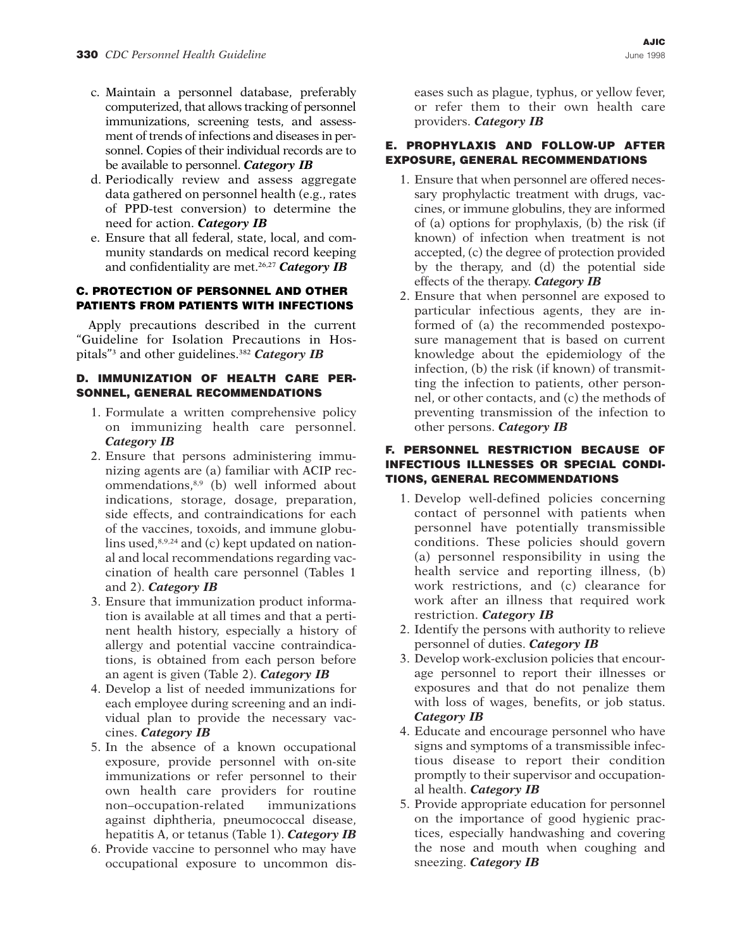- c. Maintain a personnel database, preferably computerized, that allows tracking of personnel immunizations, screening tests, and assessment of trends of infections and diseases in personnel. Copies of their individual records are to be available to personnel. *Category IB*
- d. Periodically review and assess aggregate data gathered on personnel health (e.g., rates of PPD-test conversion) to determine the need for action. *Category IB*
- e. Ensure that all federal, state, local, and community standards on medical record keeping and confidentiality are met.26,27 *Category IB*

## **C. PROTECTION OF PERSONNEL AND OTHER PATIENTS FROM PATIENTS WITH INFECTIONS**

Apply precautions described in the current "Guideline for Isolation Precautions in Hospitals"3 and other guidelines.382 *Category IB* 

## **D. IMMUNIZATION OF HEALTH CARE PER-SONNEL, GENERAL RECOMMENDATIONS**

- 1. Formulate a written comprehensive policy on immunizing health care personnel. *Category IB*
- 2. Ensure that persons administering immunizing agents are (a) familiar with ACIP recommendations,<sup>8,9</sup> (b) well informed about indications, storage, dosage, preparation, side effects, and contraindications for each of the vaccines, toxoids, and immune globulins used, $8,9,24$  and (c) kept updated on national and local recommendations regarding vaccination of health care personnel (Tables 1 and 2). *Category IB*
- 3. Ensure that immunization product information is available at all times and that a pertinent health history, especially a history of allergy and potential vaccine contraindications, is obtained from each person before an agent is given (Table 2). *Category IB*
- 4. Develop a list of needed immunizations for each employee during screening and an individual plan to provide the necessary vaccines. *Category IB*
- 5. In the absence of a known occupational exposure, provide personnel with on-site immunizations or refer personnel to their own health care providers for routine non–occupation-related immunizations against diphtheria, pneumococcal disease, hepatitis A, or tetanus (Table 1). *Category IB*
- 6. Provide vaccine to personnel who may have occupational exposure to uncommon dis-

eases such as plague, typhus, or yellow fever, or refer them to their own health care providers. *Category IB* 

# **E. PROPHYLAXIS AND FOLLOW-UP AFTER EXPOSURE, GENERAL RECOMMENDATIONS**

- 1. Ensure that when personnel are offered necessary prophylactic treatment with drugs, vaccines, or immune globulins, they are informed of (a) options for prophylaxis, (b) the risk (if known) of infection when treatment is not accepted, (c) the degree of protection provided by the therapy, and (d) the potential side effects of the therapy. *Category IB*
- 2. Ensure that when personnel are exposed to particular infectious agents, they are informed of (a) the recommended postexposure management that is based on current knowledge about the epidemiology of the infection, (b) the risk (if known) of transmitting the infection to patients, other personnel, or other contacts, and (c) the methods of preventing transmission of the infection to other persons. *Category IB*

# **F. PERSONNEL RESTRICTION BECAUSE OF INFECTIOUS ILLNESSES OR SPECIAL CONDI-TIONS, GENERAL RECOMMENDATIONS**

- 1. Develop well-defined policies concerning contact of personnel with patients when personnel have potentially transmissible conditions. These policies should govern (a) personnel responsibility in using the health service and reporting illness, (b) work restrictions, and (c) clearance for work after an illness that required work restriction. *Category IB*
- 2. Identify the persons with authority to relieve personnel of duties. *Category IB*
- 3. Develop work-exclusion policies that encourage personnel to report their illnesses or exposures and that do not penalize them with loss of wages, benefits, or job status. *Category IB*
- 4. Educate and encourage personnel who have signs and symptoms of a transmissible infectious disease to report their condition promptly to their supervisor and occupational health. *Category IB*
- 5. Provide appropriate education for personnel on the importance of good hygienic practices, especially handwashing and covering the nose and mouth when coughing and sneezing. *Category IB*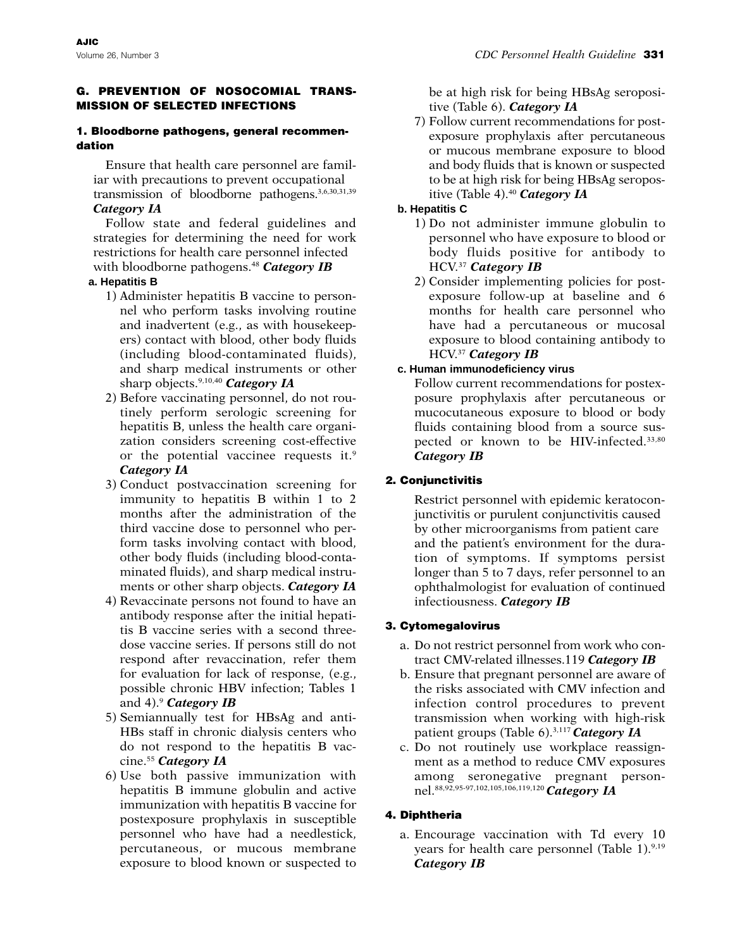# **G. PREVENTION OF NOSOCOMIAL TRANS-MISSION OF SELECTED INFECTIONS**

# **1. Bloodborne pathogens, general recommendation**

Ensure that health care personnel are familiar with precautions to prevent occupational transmission of bloodborne pathogens.3,6,30,31,39 *Category IA* 

Follow state and federal guidelines and strategies for determining the need for work restrictions for health care personnel infected with bloodborne pathogens.48 *Category IB* 

# **a. Hepatitis B**

- 1) Administer hepatitis B vaccine to personnel who perform tasks involving routine and inadvertent (e.g., as with housekeepers) contact with blood, other body fluids (including blood-contaminated fluids), and sharp medical instruments or other sharp objects.9,10,40 *Category IA*
- 2) Before vaccinating personnel, do not routinely perform serologic screening for hepatitis B, unless the health care organization considers screening cost-effective or the potential vaccinee requests it.9 *Category IA*
- 3) Conduct postvaccination screening for immunity to hepatitis B within 1 to 2 months after the administration of the third vaccine dose to personnel who perform tasks involving contact with blood, other body fluids (including blood-contaminated fluids), and sharp medical instruments or other sharp objects. *Category IA*
- 4) Revaccinate persons not found to have an antibody response after the initial hepatitis B vaccine series with a second threedose vaccine series. If persons still do not respond after revaccination, refer them for evaluation for lack of response, (e.g., possible chronic HBV infection; Tables 1 and 4).9 *Category IB*
- 5) Semiannually test for HBsAg and anti-HBs staff in chronic dialysis centers who do not respond to the hepatitis B vaccine.55 *Category IA*
- 6) Use both passive immunization with hepatitis B immune globulin and active immunization with hepatitis B vaccine for postexposure prophylaxis in susceptible personnel who have had a needlestick, percutaneous, or mucous membrane exposure to blood known or suspected to

be at high risk for being HBsAg seropositive (Table 6). *Category IA* 

7) Follow current recommendations for postexposure prophylaxis after percutaneous or mucous membrane exposure to blood and body fluids that is known or suspected to be at high risk for being HBsAg seropositive (Table 4).40 *Category IA* 

# **b. Hepatitis C**

- 1) Do not administer immune globulin to personnel who have exposure to blood or body fluids positive for antibody to HCV.37 *Category IB*
- 2) Consider implementing policies for postexposure follow-up at baseline and 6 months for health care personnel who have had a percutaneous or mucosal exposure to blood containing antibody to HCV.37 *Category IB*

# **c. Human immunodeficiency virus**

Follow current recommendations for postexposure prophylaxis after percutaneous or mucocutaneous exposure to blood or body fluids containing blood from a source suspected or known to be HIV-infected.33,80 *Category IB* 

# **2. Conjunctivitis**

Restrict personnel with epidemic keratoconjunctivitis or purulent conjunctivitis caused by other microorganisms from patient care and the patient's environment for the duration of symptoms. If symptoms persist longer than 5 to 7 days, refer personnel to an ophthalmologist for evaluation of continued infectiousness. *Category IB* 

# **3. Cytomegalovirus**

- a. Do not restrict personnel from work who contract CMV-related illnesses.119 *Category IB*
- b. Ensure that pregnant personnel are aware of the risks associated with CMV infection and infection control procedures to prevent transmission when working with high-risk patient groups (Table 6).3,117 *Category IA*
- c. Do not routinely use workplace reassignment as a method to reduce CMV exposures among seronegative pregnant personnel.88,92,95-97,102,105,106,119,120 *Category IA*

# **4. Diphtheria**

a. Encourage vaccination with Td every 10 years for health care personnel (Table 1). $9,19$ *Category IB*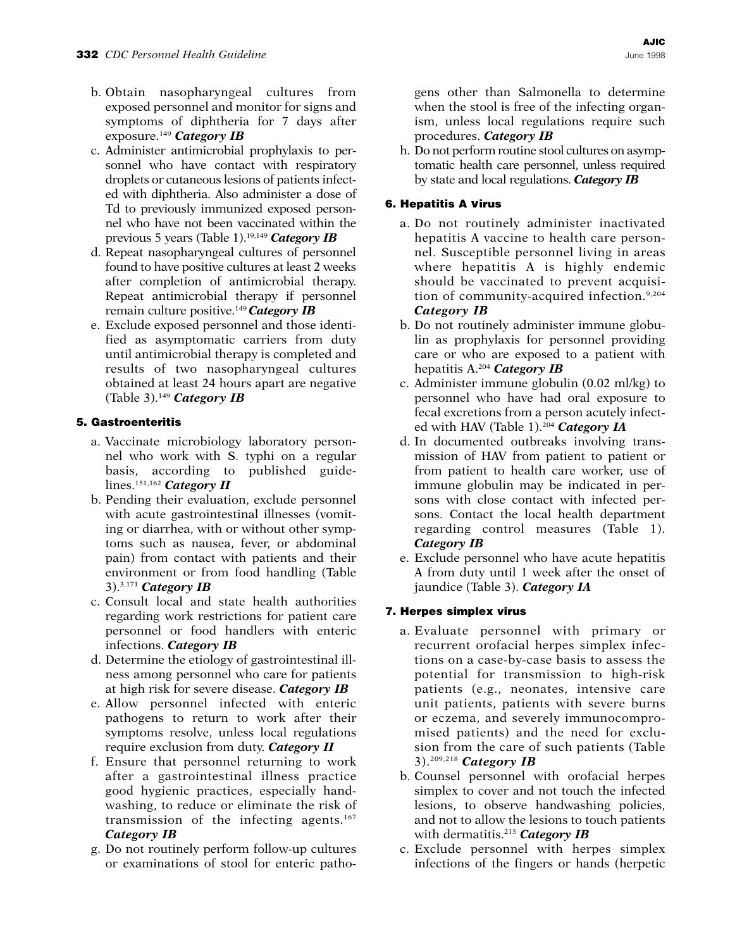- b. Obtain nasopharyngeal cultures from exposed personnel and monitor for signs and symptoms of diphtheria for 7 days after exposure.149 *Category IB*
- c. Administer antimicrobial prophylaxis to personnel who have contact with respiratory droplets or cutaneous lesions of patients infected with diphtheria. Also administer a dose of Td to previously immunized exposed personnel who have not been vaccinated within the previous 5 years (Table 1).19,149 *Category IB*
- d. Repeat nasopharyngeal cultures of personnel found to have positive cultures at least 2 weeks after completion of antimicrobial therapy. Repeat antimicrobial therapy if personnel remain culture positive.149 *Category IB*
- e. Exclude exposed personnel and those identified as asymptomatic carriers from duty until antimicrobial therapy is completed and results of two nasopharyngeal cultures obtained at least 24 hours apart are negative (Table 3).149 *Category IB*

# **5. Gastroenteritis**

- a. Vaccinate microbiology laboratory personnel who work with S. typhi on a regular basis, according to published guidelines.151,162 *Category II*
- b. Pending their evaluation, exclude personnel with acute gastrointestinal illnesses (vomiting or diarrhea, with or without other symptoms such as nausea, fever, or abdominal pain) from contact with patients and their environment or from food handling (Table 3).3,171 *Category IB*
- c. Consult local and state health authorities regarding work restrictions for patient care personnel or food handlers with enteric infections. *Category IB*
- d. Determine the etiology of gastrointestinal illness among personnel who care for patients at high risk for severe disease. *Category IB*
- e. Allow personnel infected with enteric pathogens to return to work after their symptoms resolve, unless local regulations require exclusion from duty. *Category II*
- f. Ensure that personnel returning to work after a gastrointestinal illness practice good hygienic practices, especially handwashing, to reduce or eliminate the risk of transmission of the infecting agents.<sup>167</sup> *Category IB*
- g. Do not routinely perform follow-up cultures or examinations of stool for enteric patho-

gens other than Salmonella to determine when the stool is free of the infecting organism, unless local regulations require such procedures. *Category IB* 

h. Do not perform routine stool cultures on asymptomatic health care personnel, unless required by state and local regulations. *Category IB* 

# **6. Hepatitis A virus**

- a. Do not routinely administer inactivated hepatitis A vaccine to health care personnel. Susceptible personnel living in areas where hepatitis A is highly endemic should be vaccinated to prevent acquisition of community-acquired infection.<sup>9,204</sup> *Category IB*
- b. Do not routinely administer immune globulin as prophylaxis for personnel providing care or who are exposed to a patient with hepatitis A.204 *Category IB*
- c. Administer immune globulin (0.02 ml/kg) to personnel who have had oral exposure to fecal excretions from a person acutely infected with HAV (Table 1).204 *Category IA*
- d. In documented outbreaks involving transmission of HAV from patient to patient or from patient to health care worker, use of immune globulin may be indicated in persons with close contact with infected persons. Contact the local health department regarding control measures (Table 1). *Category IB*
- e. Exclude personnel who have acute hepatitis A from duty until 1 week after the onset of jaundice (Table 3). *Category IA*

# **7. Herpes simplex virus**

- a. Evaluate personnel with primary or recurrent orofacial herpes simplex infections on a case-by-case basis to assess the potential for transmission to high-risk patients (e.g., neonates, intensive care unit patients, patients with severe burns or eczema, and severely immunocompromised patients) and the need for exclusion from the care of such patients (Table 3).209,218 *Category IB*
- b. Counsel personnel with orofacial herpes simplex to cover and not touch the infected lesions, to observe handwashing policies, and not to allow the lesions to touch patients with dermatitis.215 *Category IB*
- c. Exclude personnel with herpes simplex infections of the fingers or hands (herpetic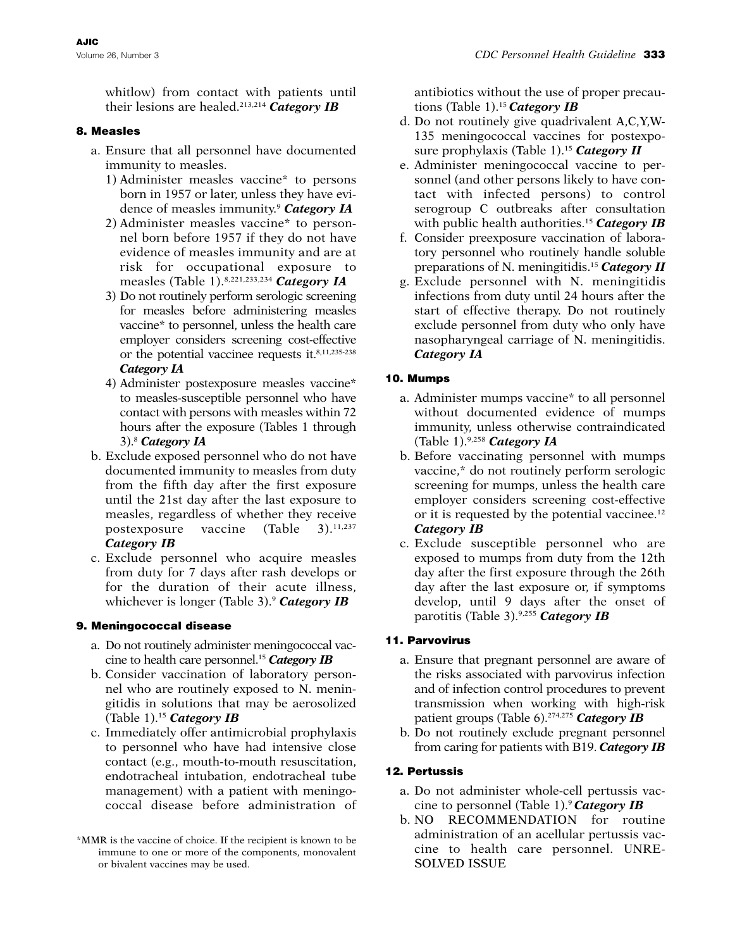whitlow) from contact with patients until their lesions are healed.213,214 *Category IB* 

# **8. Measles**

- a. Ensure that all personnel have documented immunity to measles.
	- 1) Administer measles vaccine\* to persons born in 1957 or later, unless they have evidence of measles immunity. <sup>9</sup>*Category IA*
	- 2) Administer measles vaccine\* to personnel born before 1957 if they do not have evidence of measles immunity and are at risk for occupational exposure to measles (Table 1).8,221,233,234 *Category IA*
	- 3) Do not routinely perform serologic screening for measles before administering measles vaccine\* to personnel, unless the health care employer considers screening cost-effective or the potential vaccinee requests it.8,11,235-238 *Category IA*
	- 4) Administer postexposure measles vaccine\* to measles-susceptible personnel who have contact with persons with measles within 72 hours after the exposure (Tables 1 through 3).8 *Category IA*
- b. Exclude exposed personnel who do not have documented immunity to measles from duty from the fifth day after the first exposure until the 21st day after the last exposure to measles, regardless of whether they receive 3).11,237 postexposure vaccine (Table *Category IB*
- c. Exclude personnel who acquire measles from duty for 7 days after rash develops or for the duration of their acute illness, whichever is longer (Table 3).<sup>9</sup> Category **IB**

# **9. Meningococcal disease**

- a. Do not routinely administer meningococcal vaccine to health care personnel.15 *Category IB*
- b. Consider vaccination of laboratory personnel who are routinely exposed to N. meningitidis in solutions that may be aerosolized (Table 1).15 *Category IB*
- c. Immediately offer antimicrobial prophylaxis to personnel who have had intensive close contact (e.g., mouth-to-mouth resuscitation, endotracheal intubation, endotracheal tube management) with a patient with meningococcal disease before administration of

antibiotics without the use of proper precautions (Table 1).15 *Category IB* 

- d. Do not routinely give quadrivalent A,C,Y,W-135 meningococcal vaccines for postexposure prophylaxis (Table 1).15 *Category II*
- e. Administer meningococcal vaccine to personnel (and other persons likely to have contact with infected persons) to control serogroup C outbreaks after consultation with public health authorities.15 *Category IB*
- f. Consider preexposure vaccination of laboratory personnel who routinely handle soluble preparations of N. meningitidis.15 *Category II*
- g. Exclude personnel with N. meningitidis infections from duty until 24 hours after the start of effective therapy. Do not routinely exclude personnel from duty who only have nasopharyngeal carriage of N. meningitidis. *Category IA*

# **10. Mumps**

- a. Administer mumps vaccine\* to all personnel without documented evidence of mumps immunity, unless otherwise contraindicated (Table 1).9,258 *Category IA*
- b. Before vaccinating personnel with mumps vaccine,\* do not routinely perform serologic screening for mumps, unless the health care employer considers screening cost-effective or it is requested by the potential vaccinee.12 *Category IB*
- c. Exclude susceptible personnel who are exposed to mumps from duty from the 12th day after the first exposure through the 26th day after the last exposure or, if symptoms develop, until 9 days after the onset of parotitis (Table 3).9,255 *Category IB*

# **11. Parvovirus**

- a. Ensure that pregnant personnel are aware of the risks associated with parvovirus infection and of infection control procedures to prevent transmission when working with high-risk patient groups (Table 6).274,275 *Category IB*
- b. Do not routinely exclude pregnant personnel from caring for patients with B19. *Category IB*

# **12. Pertussis**

- a. Do not administer whole-cell pertussis vaccine to personnel (Table 1).9 *Category IB*
- b. NO RECOMMENDATION for routine administration of an acellular pertussis vaccine to health care personnel. UNRE-SOLVED ISSUE

<sup>\*</sup>MMR is the vaccine of choice. If the recipient is known to be immune to one or more of the components, monovalent or bivalent vaccines may be used.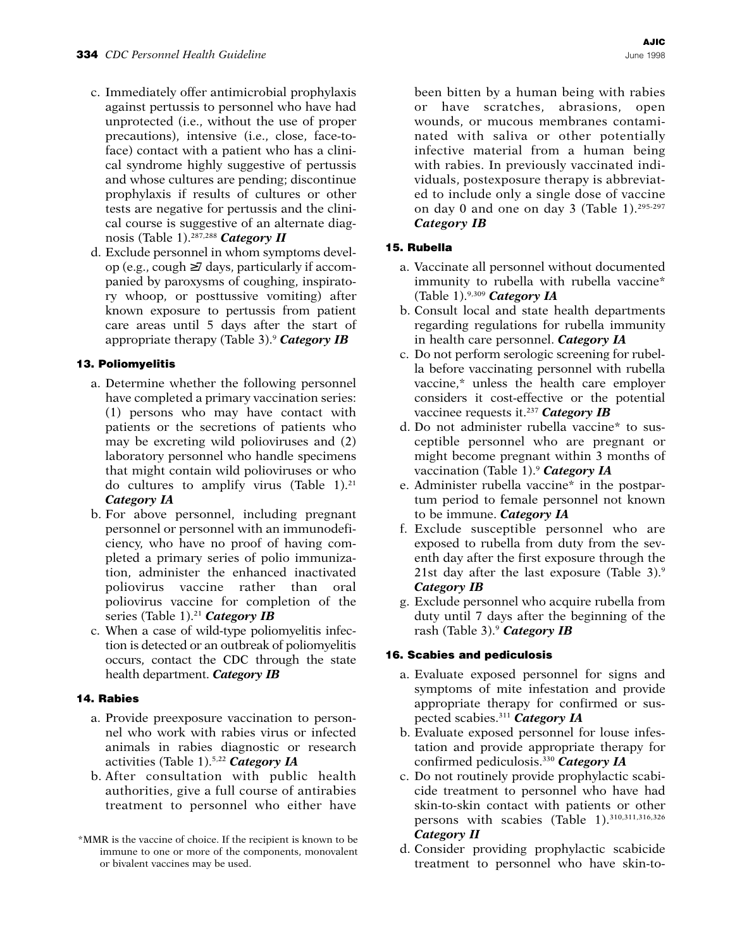- c. Immediately offer antimicrobial prophylaxis against pertussis to personnel who have had unprotected (i.e., without the use of proper precautions), intensive (i.e., close, face-toface) contact with a patient who has a clinical syndrome highly suggestive of pertussis and whose cultures are pending; discontinue prophylaxis if results of cultures or other tests are negative for pertussis and the clinical course is suggestive of an alternate diagnosis (Table 1).287,288 *Category II*
- d. Exclude personnel in whom symptoms develop (e.g., cough  $\geq$ 7 days, particularly if accompanied by paroxysms of coughing, inspiratory whoop, or posttussive vomiting) after known exposure to pertussis from patient care areas until 5 days after the start of appropriate therapy (Table 3).9 *Category IB*

## **13. Poliomyelitis**

- a. Determine whether the following personnel have completed a primary vaccination series: (1) persons who may have contact with patients or the secretions of patients who may be excreting wild polioviruses and (2) laboratory personnel who handle specimens that might contain wild polioviruses or who do cultures to amplify virus (Table 1).<sup>21</sup> *Category IA*
- b. For above personnel, including pregnant personnel or personnel with an immunodeficiency, who have no proof of having completed a primary series of polio immunization, administer the enhanced inactivated poliovirus vaccine rather than oral poliovirus vaccine for completion of the series (Table 1).<sup>21</sup> *Category IB*
- c. When a case of wild-type poliomyelitis infection is detected or an outbreak of poliomyelitis occurs, contact the CDC through the state health department. *Category IB*

#### **14. Rabies**

- a. Provide preexposure vaccination to personnel who work with rabies virus or infected animals in rabies diagnostic or research activities (Table 1).5,22 *Category IA*
- b. After consultation with public health authorities, give a full course of antirabies treatment to personnel who either have

been bitten by a human being with rabies or have scratches, abrasions, open wounds, or mucous membranes contaminated with saliva or other potentially infective material from a human being with rabies. In previously vaccinated individuals, postexposure therapy is abbreviated to include only a single dose of vaccine on day 0 and one on day 3 (Table 1).<sup>295-297</sup> *Category IB* 

## **15. Rubella**

- a. Vaccinate all personnel without documented immunity to rubella with rubella vaccine\* (Table 1).9,309 *Category IA*
- b. Consult local and state health departments regarding regulations for rubella immunity in health care personnel. *Category IA*
- c. Do not perform serologic screening for rubella before vaccinating personnel with rubella vaccine,\* unless the health care employer considers it cost-effective or the potential vaccinee requests it.237 *Category IB*
- d. Do not administer rubella vaccine\* to susceptible personnel who are pregnant or might become pregnant within 3 months of vaccination (Table 1).9 *Category IA*
- e. Administer rubella vaccine\* in the postpartum period to female personnel not known to be immune. *Category IA*
- f. Exclude susceptible personnel who are exposed to rubella from duty from the seventh day after the first exposure through the 21st day after the last exposure (Table 3).<sup>9</sup> *Category IB*
- g. Exclude personnel who acquire rubella from duty until 7 days after the beginning of the rash (Table 3).9 *Category IB*

#### **16. Scabies and pediculosis**

- a. Evaluate exposed personnel for signs and symptoms of mite infestation and provide appropriate therapy for confirmed or suspected scabies.311 *Category IA*
- b. Evaluate exposed personnel for louse infestation and provide appropriate therapy for confirmed pediculosis.330 *Category IA*
- c. Do not routinely provide prophylactic scabicide treatment to personnel who have had skin-to-skin contact with patients or other persons with scabies (Table 1).<sup>310,311,316,326</sup> *Category II*
- d. Consider providing prophylactic scabicide treatment to personnel who have skin-to

<sup>\*</sup>MMR is the vaccine of choice. If the recipient is known to be immune to one or more of the components, monovalent or bivalent vaccines may be used.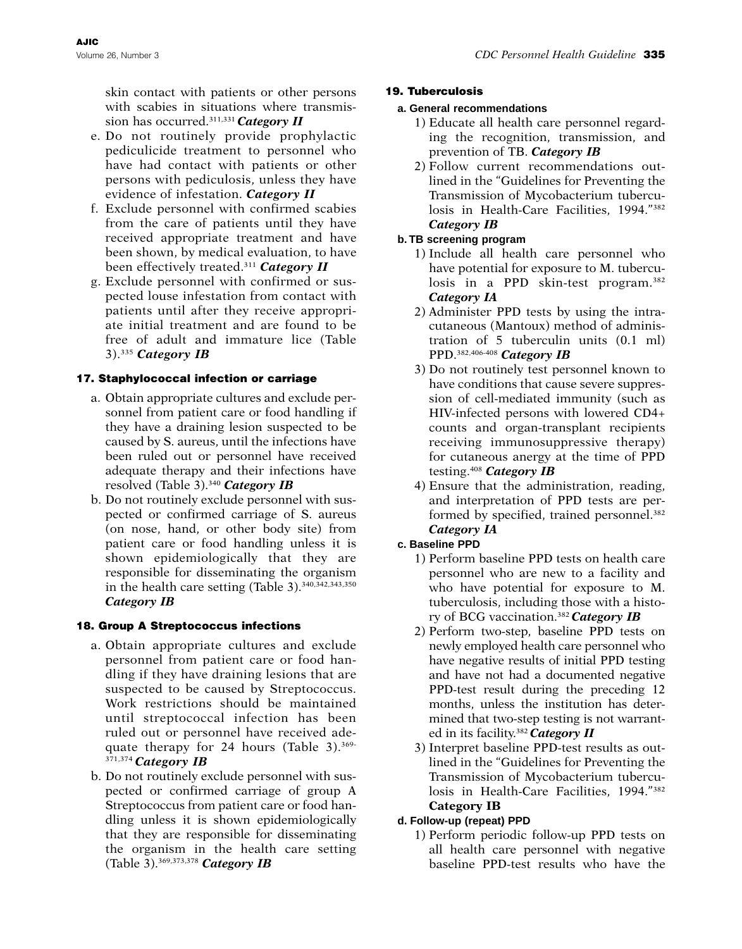Volume 26, Number 3 *CDC Personnel Health Guideline* **335** 

skin contact with patients or other persons with scabies in situations where transmission has occurred.311,331 *Category II* 

- e. Do not routinely provide prophylactic pediculicide treatment to personnel who have had contact with patients or other persons with pediculosis, unless they have evidence of infestation. *Category II*
- f. Exclude personnel with confirmed scabies from the care of patients until they have received appropriate treatment and have been shown, by medical evaluation, to have been effectively treated.311 *Category II*
- g. Exclude personnel with confirmed or suspected louse infestation from contact with patients until after they receive appropriate initial treatment and are found to be free of adult and immature lice (Table 3).335 *Category IB*

# **17. Staphylococcal infection or carriage**

- a. Obtain appropriate cultures and exclude personnel from patient care or food handling if they have a draining lesion suspected to be caused by S. aureus, until the infections have been ruled out or personnel have received adequate therapy and their infections have resolved (Table 3).340 *Category IB*
- b. Do not routinely exclude personnel with suspected or confirmed carriage of S. aureus (on nose, hand, or other body site) from patient care or food handling unless it is shown epidemiologically that they are responsible for disseminating the organism in the health care setting (Table 3).<sup>340,342,343,350</sup> *Category IB*

# **18. Group A Streptococcus infections**

- a. Obtain appropriate cultures and exclude personnel from patient care or food handling if they have draining lesions that are suspected to be caused by Streptococcus. Work restrictions should be maintained until streptococcal infection has been ruled out or personnel have received adequate therapy for 24 hours (Table 3).<sup>369-</sup> 371,374 *Category IB*
- b. Do not routinely exclude personnel with suspected or confirmed carriage of group A Streptococcus from patient care or food handling unless it is shown epidemiologically that they are responsible for disseminating the organism in the health care setting (Table 3).369,373,378 *Category IB*

# **19. Tuberculosis**

# **a. General recommendations**

- 1) Educate all health care personnel regarding the recognition, transmission, and prevention of TB. *Category IB*
- 2) Follow current recommendations outlined in the "Guidelines for Preventing the Transmission of Mycobacterium tuberculosis in Health-Care Facilities, 1994."382 *Category IB*

# **b. TB screening program**

- 1) Include all health care personnel who have potential for exposure to M. tuberculosis in a PPD skin-test program.<sup>382</sup> *Category IA*
- 2) Administer PPD tests by using the intracutaneous (Mantoux) method of administration of 5 tuberculin units (0.1 ml) PPD.382,406-408 *Category IB*
- 3) Do not routinely test personnel known to have conditions that cause severe suppression of cell-mediated immunity (such as HIV-infected persons with lowered CD4+ counts and organ-transplant recipients receiving immunosuppressive therapy) for cutaneous anergy at the time of PPD testing.408 *Category IB*
- 4) Ensure that the administration, reading, and interpretation of PPD tests are performed by specified, trained personnel.<sup>382</sup> *Category IA*

# **c. Baseline PPD**

- 1) Perform baseline PPD tests on health care personnel who are new to a facility and who have potential for exposure to M. tuberculosis, including those with a history of BCG vaccination.382 *Category IB*
- 2) Perform two-step, baseline PPD tests on newly employed health care personnel who have negative results of initial PPD testing and have not had a documented negative PPD-test result during the preceding 12 months, unless the institution has determined that two-step testing is not warranted in its facility. <sup>382</sup>*Category II*
- 3) Interpret baseline PPD-test results as outlined in the "Guidelines for Preventing the Transmission of Mycobacterium tuberculosis in Health-Care Facilities, 1994."382 **Category IB**

# **d. Follow-up (repeat) PPD**

1) Perform periodic follow-up PPD tests on all health care personnel with negative baseline PPD-test results who have the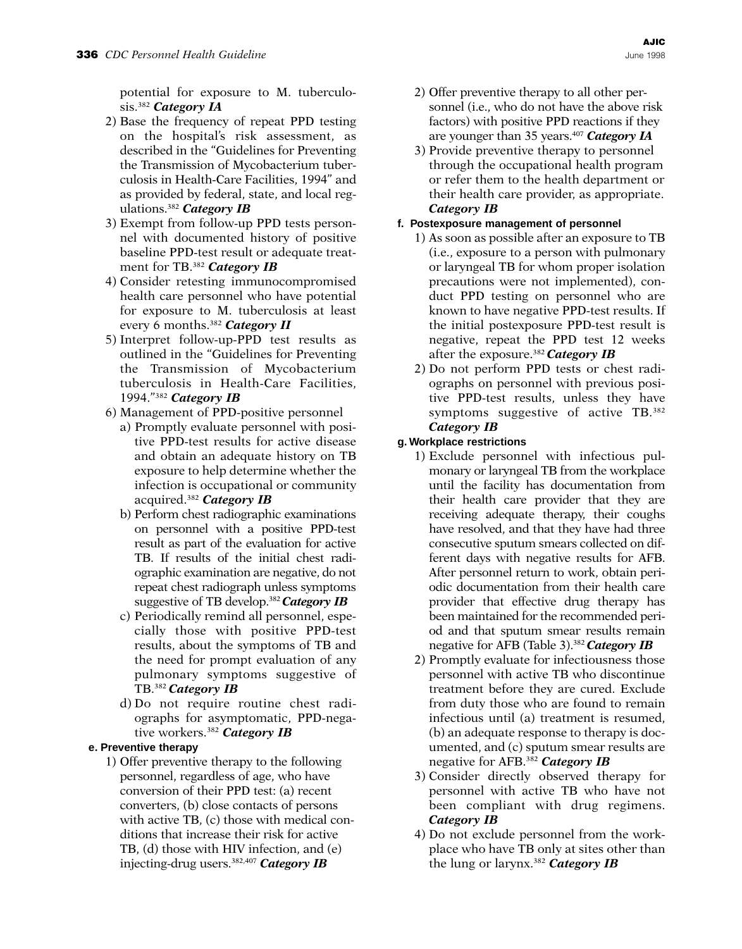potential for exposure to M. tuberculosis.382 *Category IA* 

- 2) Base the frequency of repeat PPD testing on the hospital's risk assessment, as described in the "Guidelines for Preventing the Transmission of Mycobacterium tuberculosis in Health-Care Facilities, 1994" and as provided by federal, state, and local regulations.382 *Category IB*
- 3) Exempt from follow-up PPD tests personnel with documented history of positive baseline PPD-test result or adequate treatment for TB.382 *Category IB*
- 4) Consider retesting immunocompromised health care personnel who have potential for exposure to M. tuberculosis at least every 6 months.382 *Category II*
- 5) Interpret follow-up-PPD test results as outlined in the "Guidelines for Preventing the Transmission of Mycobacterium tuberculosis in Health-Care Facilities, 1994."382 *Category IB*
- 6) Management of PPD-positive personnel
	- a) Promptly evaluate personnel with positive PPD-test results for active disease and obtain an adequate history on TB exposure to help determine whether the infection is occupational or community acquired.382 *Category IB*
	- b) Perform chest radiographic examinations on personnel with a positive PPD-test result as part of the evaluation for active TB. If results of the initial chest radiographic examination are negative, do not repeat chest radiograph unless symptoms suggestive of TB develop.382 *Category IB*
	- c) Periodically remind all personnel, especially those with positive PPD-test results, about the symptoms of TB and the need for prompt evaluation of any pulmonary symptoms suggestive of TB.382 *Category IB*
	- d) Do not require routine chest radiographs for asymptomatic, PPD-negative workers.382 *Category IB*

# **e. Preventive therapy**

1) Offer preventive therapy to the following personnel, regardless of age, who have conversion of their PPD test: (a) recent converters, (b) close contacts of persons with active TB, (c) those with medical conditions that increase their risk for active TB, (d) those with HIV infection, and (e) injecting-drug users.382,407 *Category IB* 

- 2) Offer preventive therapy to all other personnel (i.e., who do not have the above risk factors) with positive PPD reactions if they are younger than 35 years.407 *Category IA*
- 3) Provide preventive therapy to personnel through the occupational health program or refer them to the health department or their health care provider, as appropriate. *Category IB*

# **f. Postexposure management of personnel**

- 1) As soon as possible after an exposure to TB (i.e., exposure to a person with pulmonary or laryngeal TB for whom proper isolation precautions were not implemented), conduct PPD testing on personnel who are known to have negative PPD-test results. If the initial postexposure PPD-test result is negative, repeat the PPD test 12 weeks after the exposure.382 *Category IB*
- 2) Do not perform PPD tests or chest radiographs on personnel with previous positive PPD-test results, unless they have symptoms suggestive of active TB.<sup>382</sup> *Category IB*

# **g. Workplace restrictions**

- 1) Exclude personnel with infectious pulmonary or laryngeal TB from the workplace until the facility has documentation from their health care provider that they are receiving adequate therapy, their coughs have resolved, and that they have had three consecutive sputum smears collected on different days with negative results for AFB. After personnel return to work, obtain periodic documentation from their health care provider that effective drug therapy has been maintained for the recommended period and that sputum smear results remain negative for AFB (Table 3).382 *Category IB*
- 2) Promptly evaluate for infectiousness those personnel with active TB who discontinue treatment before they are cured. Exclude from duty those who are found to remain infectious until (a) treatment is resumed, (b) an adequate response to therapy is documented, and (c) sputum smear results are negative for AFB.382 *Category IB*
- 3) Consider directly observed therapy for personnel with active TB who have not been compliant with drug regimens. *Category IB*
- 4) Do not exclude personnel from the workplace who have TB only at sites other than the lung or larynx.382 *Category IB*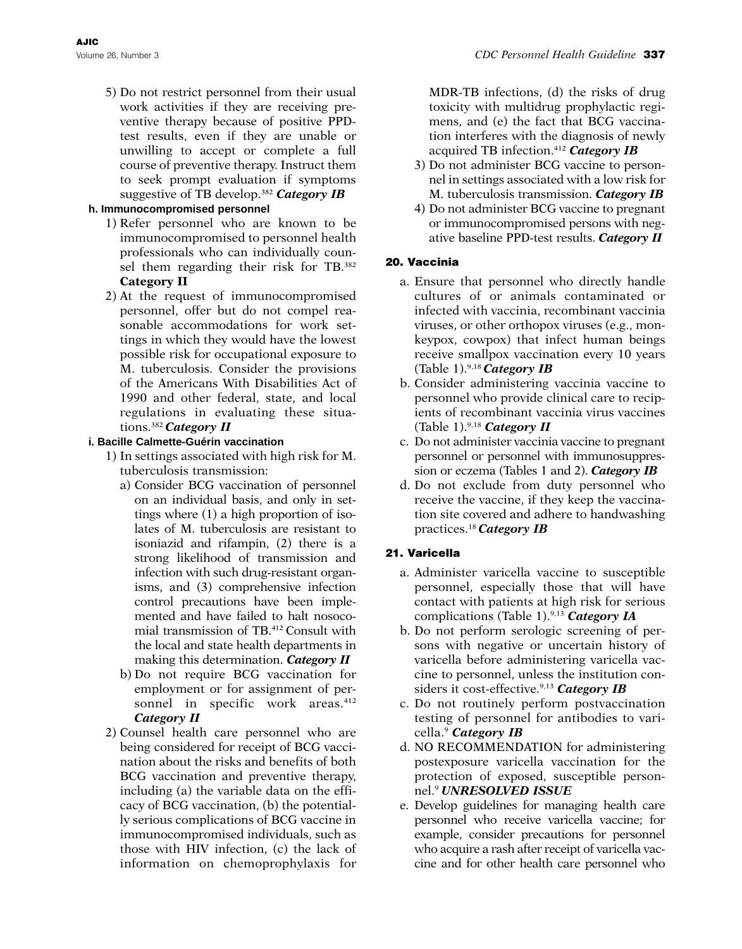5) Do not restrict personnel from their usual work activities if they are receiving preventive therapy because of positive PPDtest results, even if they are unable or unwilling to accept or complete a full course of preventive therapy. Instruct them to seek prompt evaluation if symptoms suggestive of TB develop.382 *Category IB* 

# **h. Immunocompromised personnel**

- 1) Refer personnel who are known to be immunocompromised to personnel health professionals who can individually counsel them regarding their risk for TB.382 **Category II**
- 2) At the request of immunocompromised personnel, offer but do not compel reasonable accommodations for work settings in which they would have the lowest possible risk for occupational exposure to M. tuberculosis. Consider the provisions of the Americans With Disabilities Act of 1990 and other federal, state, and local regulations in evaluating these situations.382 *Category II*

# **i. Bacille Calmette-Guérin vaccination**

- 1) In settings associated with high risk for M. tuberculosis transmission:
	- a) Consider BCG vaccination of personnel on an individual basis, and only in settings where (1) a high proportion of isolates of M. tuberculosis are resistant to isoniazid and rifampin, (2) there is a strong likelihood of transmission and infection with such drug-resistant organisms, and (3) comprehensive infection control precautions have been implemented and have failed to halt nosocomial transmission of TB.412 Consult with the local and state health departments in making this determination. *Category II*
	- b) Do not require BCG vaccination for employment or for assignment of personnel in specific work areas.<sup>412</sup> *Category II*
- 2) Counsel health care personnel who are being considered for receipt of BCG vaccination about the risks and benefits of both BCG vaccination and preventive therapy, including (a) the variable data on the efficacy of BCG vaccination, (b) the potentially serious complications of BCG vaccine in immunocompromised individuals, such as those with HIV infection, (c) the lack of information on chemoprophylaxis for

MDR-TB infections, (d) the risks of drug toxicity with multidrug prophylactic regimens, and (e) the fact that BCG vaccination interferes with the diagnosis of newly acquired TB infection.412 *Category IB* 

- 3) Do not administer BCG vaccine to personnel in settings associated with a low risk for M. tuberculosis transmission. *Category IB*
- 4) Do not administer BCG vaccine to pregnant or immunocompromised persons with negative baseline PPD-test results. *Category II*

# **20. Vaccinia**

- a. Ensure that personnel who directly handle cultures of or animals contaminated or infected with vaccinia, recombinant vaccinia viruses, or other orthopox viruses (e.g., monkeypox, cowpox) that infect human beings receive smallpox vaccination every 10 years (Table 1).9,18 *Category IB*
- b. Consider administering vaccinia vaccine to personnel who provide clinical care to recipients of recombinant vaccinia virus vaccines (Table 1).9,18 *Category II*
- c. Do not administer vaccinia vaccine to pregnant personnel or personnel with immunosuppression or eczema (Tables 1 and 2). *Category IB*
- d. Do not exclude from duty personnel who receive the vaccine, if they keep the vaccination site covered and adhere to handwashing practices.18 *Category IB*

# **21. Varicella**

- a. Administer varicella vaccine to susceptible personnel, especially those that will have contact with patients at high risk for serious complications (Table 1).9,13 *Category IA*
- b. Do not perform serologic screening of persons with negative or uncertain history of varicella before administering varicella vaccine to personnel, unless the institution considers it cost-effective.9,13 *Category IB*
- c. Do not routinely perform postvaccination testing of personnel for antibodies to varicella.9 *Category IB*
- d. NO RECOMMENDATION for administering postexposure varicella vaccination for the protection of exposed, susceptible personnel.9 *UNRESOLVED ISSUE*
- e. Develop guidelines for managing health care personnel who receive varicella vaccine; for example, consider precautions for personnel who acquire a rash after receipt of varicella vaccine and for other health care personnel who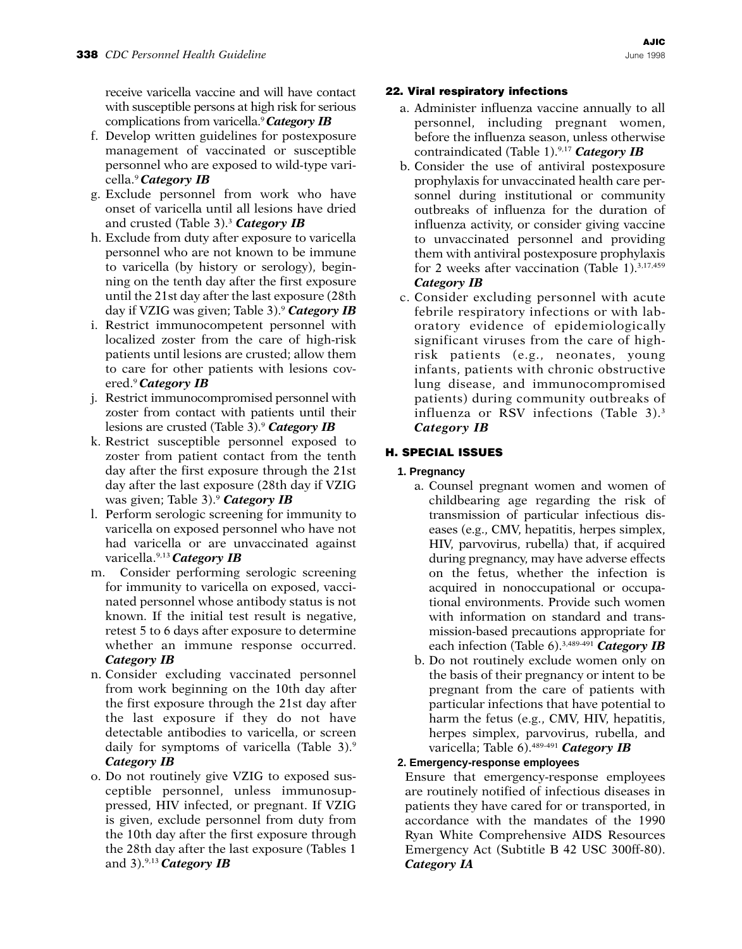receive varicella vaccine and will have contact with susceptible persons at high risk for serious complications from varicella.9 *Category IB* 

- f. Develop written guidelines for postexposure management of vaccinated or susceptible personnel who are exposed to wild-type varicella.9 *Category IB*
- g. Exclude personnel from work who have onset of varicella until all lesions have dried and crusted (Table 3).3 *Category IB*
- h. Exclude from duty after exposure to varicella personnel who are not known to be immune to varicella (by history or serology), beginning on the tenth day after the first exposure until the 21st day after the last exposure (28th day if VZIG was given; Table 3).9 *Category IB*
- i. Restrict immunocompetent personnel with localized zoster from the care of high-risk patients until lesions are crusted; allow them to care for other patients with lesions covered.9 *Category IB*
- j. Restrict immunocompromised personnel with zoster from contact with patients until their lesions are crusted (Table 3).9 *Category IB*
- k. Restrict susceptible personnel exposed to zoster from patient contact from the tenth day after the first exposure through the 21st day after the last exposure (28th day if VZIG was given; Table 3).9 *Category IB*
- l. Perform serologic screening for immunity to varicella on exposed personnel who have not had varicella or are unvaccinated against varicella.9,13 *Category IB*
- m. Consider performing serologic screening for immunity to varicella on exposed, vaccinated personnel whose antibody status is not known. If the initial test result is negative, retest 5 to 6 days after exposure to determine whether an immune response occurred. *Category IB*
- n. Consider excluding vaccinated personnel from work beginning on the 10th day after the first exposure through the 21st day after the last exposure if they do not have detectable antibodies to varicella, or screen daily for symptoms of varicella (Table 3).<sup>9</sup> *Category IB*
- o. Do not routinely give VZIG to exposed susceptible personnel, unless immunosuppressed, HIV infected, or pregnant. If VZIG is given, exclude personnel from duty from the 10th day after the first exposure through the 28th day after the last exposure (Tables 1 and 3).9,13 *Category IB*

# **22. Viral respiratory infections**

- a. Administer influenza vaccine annually to all personnel, including pregnant women, before the influenza season, unless otherwise contraindicated (Table 1).9,17 *Category IB*
- b. Consider the use of antiviral postexposure prophylaxis for unvaccinated health care personnel during institutional or community outbreaks of influenza for the duration of influenza activity, or consider giving vaccine to unvaccinated personnel and providing them with antiviral postexposure prophylaxis for 2 weeks after vaccination (Table 1).3,17,459 *Category IB*
- c. Consider excluding personnel with acute febrile respiratory infections or with laboratory evidence of epidemiologically significant viruses from the care of highrisk patients (e.g., neonates, young infants, patients with chronic obstructive lung disease, and immunocompromised patients) during community outbreaks of influenza or RSV infections (Table 3).3 *Category IB*

# **H. SPECIAL ISSUES**

- **1. Pregnancy** 
	- a. Counsel pregnant women and women of childbearing age regarding the risk of transmission of particular infectious diseases (e.g., CMV, hepatitis, herpes simplex, HIV, parvovirus, rubella) that, if acquired during pregnancy, may have adverse effects on the fetus, whether the infection is acquired in nonoccupational or occupational environments. Provide such women with information on standard and transmission-based precautions appropriate for each infection (Table 6).3,489-491 *Category IB*
	- b. Do not routinely exclude women only on the basis of their pregnancy or intent to be pregnant from the care of patients with particular infections that have potential to harm the fetus (e.g., CMV, HIV, hepatitis, herpes simplex, parvovirus, rubella, and varicella; Table 6).<sup>489-491</sup> Category IB

# **2. Emergency-response employees**

Ensure that emergency-response employees are routinely notified of infectious diseases in patients they have cared for or transported, in accordance with the mandates of the 1990 Ryan White Comprehensive AIDS Resources Emergency Act (Subtitle B 42 USC 300ff-80). *Category IA*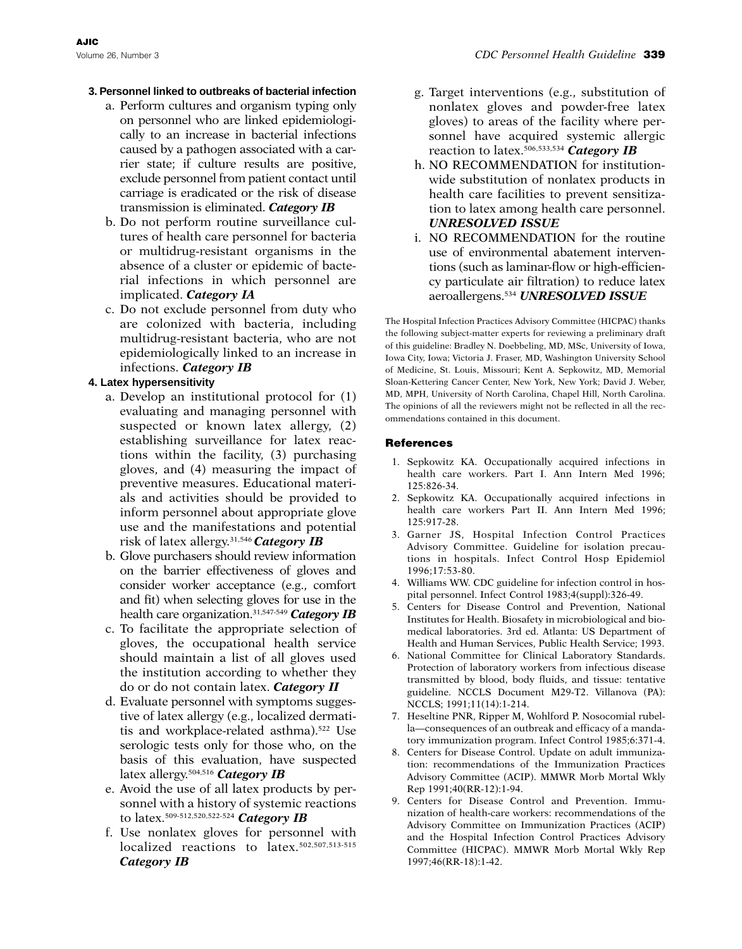- **3. Personnel linked to outbreaks of bacterial infection** 
	- a. Perform cultures and organism typing only on personnel who are linked epidemiologically to an increase in bacterial infections caused by a pathogen associated with a carrier state; if culture results are positive, exclude personnel from patient contact until carriage is eradicated or the risk of disease transmission is eliminated. *Category IB*
	- b. Do not perform routine surveillance cultures of health care personnel for bacteria or multidrug-resistant organisms in the absence of a cluster or epidemic of bacterial infections in which personnel are implicated. *Category IA*
	- c. Do not exclude personnel from duty who are colonized with bacteria, including multidrug-resistant bacteria, who are not epidemiologically linked to an increase in infections. *Category IB*

## **4. Latex hypersensitivity**

- a. Develop an institutional protocol for (1) evaluating and managing personnel with suspected or known latex allergy, (2) establishing surveillance for latex reactions within the facility, (3) purchasing gloves, and (4) measuring the impact of preventive measures. Educational materials and activities should be provided to inform personnel about appropriate glove use and the manifestations and potential risk of latex allergy.31,546 *Category IB*
- b. Glove purchasers should review information on the barrier effectiveness of gloves and consider worker acceptance (e.g., comfort and fit) when selecting gloves for use in the health care organization.31,547-549 *Category IB*
- c. To facilitate the appropriate selection of gloves, the occupational health service should maintain a list of all gloves used the institution according to whether they do or do not contain latex. *Category II*
- d. Evaluate personnel with symptoms suggestive of latex allergy (e.g., localized dermatitis and workplace-related asthma).522 Use serologic tests only for those who, on the basis of this evaluation, have suspected latex allergy.504,516 *Category IB*
- e. Avoid the use of all latex products by personnel with a history of systemic reactions to latex.509-512,520,522-524 *Category IB*
- f. Use nonlatex gloves for personnel with localized reactions to latex.502,507,513-515 *Category IB*
- g. Target interventions (e.g., substitution of nonlatex gloves and powder-free latex gloves) to areas of the facility where personnel have acquired systemic allergic reaction to latex.506,533,534 *Category IB*
- h. NO RECOMMENDATION for institutionwide substitution of nonlatex products in health care facilities to prevent sensitization to latex among health care personnel. *UNRESOLVED ISSUE*
- i. NO RECOMMENDATION for the routine use of environmental abatement interventions (such as laminar-flow or high-efficiency particulate air filtration) to reduce latex aeroallergens.534 *UNRESOLVED ISSUE*

The Hospital Infection Practices Advisory Committee (HICPAC) thanks the following subject-matter experts for reviewing a preliminary draft of this guideline: Bradley N. Doebbeling, MD, MSc, University of Iowa, Iowa City, Iowa; Victoria J. Fraser, MD, Washington University School of Medicine, St. Louis, Missouri; Kent A. Sepkowitz, MD, Memorial Sloan-Kettering Cancer Center, New York, New York; David J. Weber, MD, MPH, University of North Carolina, Chapel Hill, North Carolina. The opinions of all the reviewers might not be reflected in all the recommendations contained in this document.

## **References**

- 1. Sepkowitz KA. Occupationally acquired infections in health care workers. Part I. Ann Intern Med 1996; 125:826-34.
- 2. Sepkowitz KA. Occupationally acquired infections in health care workers Part II. Ann Intern Med 1996; 125:917-28.
- 3. Garner JS, Hospital Infection Control Practices Advisory Committee. Guideline for isolation precautions in hospitals. Infect Control Hosp Epidemiol 1996;17:53-80.
- 4. Williams WW. CDC guideline for infection control in hospital personnel. Infect Control 1983;4(suppl):326-49.
- 5. Centers for Disease Control and Prevention, National Institutes for Health. Biosafety in microbiological and biomedical laboratories. 3rd ed. Atlanta: US Department of Health and Human Services, Public Health Service; 1993.
- 6. National Committee for Clinical Laboratory Standards. Protection of laboratory workers from infectious disease transmitted by blood, body fluids, and tissue: tentative guideline. NCCLS Document M29-T2. Villanova (PA): NCCLS; 1991;11(14):1-214.
- 7. Heseltine PNR, Ripper M, Wohlford P. Nosocomial rubella—consequences of an outbreak and efficacy of a mandatory immunization program. Infect Control 1985;6:371-4.
- 8. Centers for Disease Control. Update on adult immunization: recommendations of the Immunization Practices Advisory Committee (ACIP). MMWR Morb Mortal Wkly Rep 1991;40(RR-12):1-94.
- 9. Centers for Disease Control and Prevention. Immunization of health-care workers: recommendations of the Advisory Committee on Immunization Practices (ACIP) and the Hospital Infection Control Practices Advisory Committee (HICPAC). MMWR Morb Mortal Wkly Rep 1997;46(RR-18):1-42.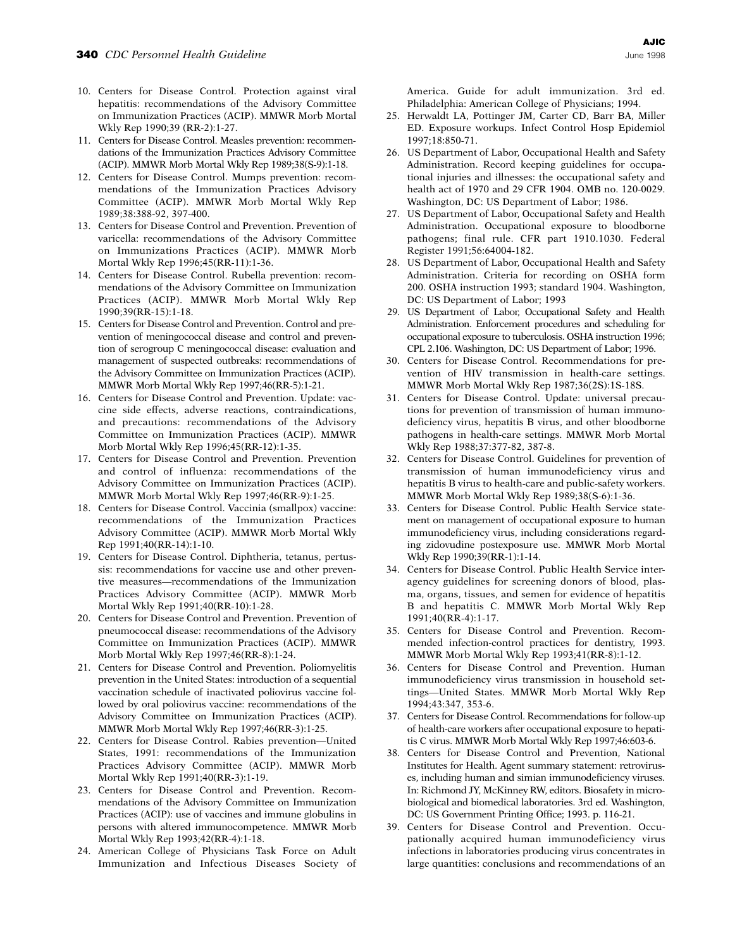- 10. Centers for Disease Control. Protection against viral hepatitis: recommendations of the Advisory Committee on Immunization Practices (ACIP). MMWR Morb Mortal Wkly Rep 1990;39 (RR-2):1-27.
- 11. Centers for Disease Control. Measles prevention: recommendations of the Immunization Practices Advisory Committee (ACIP). MMWR Morb Mortal Wkly Rep 1989;38(S-9):1-18.
- 12. Centers for Disease Control. Mumps prevention: recommendations of the Immunization Practices Advisory Committee (ACIP). MMWR Morb Mortal Wkly Rep 1989;38:388-92, 397-400.
- 13. Centers for Disease Control and Prevention. Prevention of varicella: recommendations of the Advisory Committee on Immunizations Practices (ACIP). MMWR Morb Mortal Wkly Rep 1996;45(RR-11):1-36.
- 14. Centers for Disease Control. Rubella prevention: recommendations of the Advisory Committee on Immunization Practices (ACIP). MMWR Morb Mortal Wkly Rep 1990;39(RR-15):1-18.
- 15. Centers for Disease Control and Prevention. Control and prevention of meningococcal disease and control and prevention of serogroup C meningococcal disease: evaluation and management of suspected outbreaks: recommendations of the Advisory Committee on Immunization Practices (ACIP). MMWR Morb Mortal Wkly Rep 1997;46(RR-5):1-21.
- 16. Centers for Disease Control and Prevention. Update: vaccine side effects, adverse reactions, contraindications, and precautions: recommendations of the Advisory Committee on Immunization Practices (ACIP). MMWR Morb Mortal Wkly Rep 1996;45(RR-12):1-35.
- 17. Centers for Disease Control and Prevention. Prevention and control of influenza: recommendations of the Advisory Committee on Immunization Practices (ACIP). MMWR Morb Mortal Wkly Rep 1997;46(RR-9):1-25.
- 18. Centers for Disease Control. Vaccinia (smallpox) vaccine: recommendations of the Immunization Practices Advisory Committee (ACIP). MMWR Morb Mortal Wkly Rep 1991;40(RR-14):1-10.
- 19. Centers for Disease Control. Diphtheria, tetanus, pertussis: recommendations for vaccine use and other preventive measures—recommendations of the Immunization Practices Advisory Committee (ACIP). MMWR Morb Mortal Wkly Rep 1991;40(RR-10):1-28.
- 20. Centers for Disease Control and Prevention. Prevention of pneumococcal disease: recommendations of the Advisory Committee on Immunization Practices (ACIP). MMWR Morb Mortal Wkly Rep 1997;46(RR-8):1-24.
- 21. Centers for Disease Control and Prevention. Poliomyelitis prevention in the United States: introduction of a sequential vaccination schedule of inactivated poliovirus vaccine followed by oral poliovirus vaccine: recommendations of the Advisory Committee on Immunization Practices (ACIP). MMWR Morb Mortal Wkly Rep 1997;46(RR-3):1-25.
- 22. Centers for Disease Control. Rabies prevention—United States, 1991: recommendations of the Immunization Practices Advisory Committee (ACIP). MMWR Morb Mortal Wkly Rep 1991;40(RR-3):1-19.
- 23. Centers for Disease Control and Prevention. Recommendations of the Advisory Committee on Immunization Practices (ACIP): use of vaccines and immune globulins in persons with altered immunocompetence. MMWR Morb Mortal Wkly Rep 1993;42(RR-4):1-18.
- 24. American College of Physicians Task Force on Adult Immunization and Infectious Diseases Society of

America. Guide for adult immunization. 3rd ed. Philadelphia: American College of Physicians; 1994.

- 25. Herwaldt LA, Pottinger JM, Carter CD, Barr BA, Miller ED. Exposure workups. Infect Control Hosp Epidemiol 1997;18:850-71.
- 26. US Department of Labor, Occupational Health and Safety Administration. Record keeping guidelines for occupational injuries and illnesses: the occupational safety and health act of 1970 and 29 CFR 1904. OMB no. 120-0029. Washington, DC: US Department of Labor; 1986.
- 27. US Department of Labor, Occupational Safety and Health Administration. Occupational exposure to bloodborne pathogens; final rule. CFR part 1910.1030. Federal Register 1991;56:64004-182.
- 28. US Department of Labor, Occupational Health and Safety Administration. Criteria for recording on OSHA form 200. OSHA instruction 1993; standard 1904. Washington, DC: US Department of Labor; 1993
- 29. US Department of Labor, Occupational Safety and Health Administration. Enforcement procedures and scheduling for occupational exposure to tuberculosis. OSHA instruction 1996; CPL 2.106. Washington, DC: US Department of Labor; 1996.
- 30. Centers for Disease Control. Recommendations for prevention of HIV transmission in health-care settings. MMWR Morb Mortal Wkly Rep 1987;36(2S):1S-18S.
- 31. Centers for Disease Control. Update: universal precautions for prevention of transmission of human immunodeficiency virus, hepatitis B virus, and other bloodborne pathogens in health-care settings. MMWR Morb Mortal Wkly Rep 1988;37:377-82, 387-8.
- 32. Centers for Disease Control. Guidelines for prevention of transmission of human immunodeficiency virus and hepatitis B virus to health-care and public-safety workers. MMWR Morb Mortal Wkly Rep 1989;38(S-6):1-36.
- 33. Centers for Disease Control. Public Health Service statement on management of occupational exposure to human immunodeficiency virus, including considerations regarding zidovudine postexposure use. MMWR Morb Mortal Wkly Rep 1990;39(RR-1):1-14.
- 34. Centers for Disease Control. Public Health Service interagency guidelines for screening donors of blood, plasma, organs, tissues, and semen for evidence of hepatitis B and hepatitis C. MMWR Morb Mortal Wkly Rep 1991;40(RR-4):1-17.
- 35. Centers for Disease Control and Prevention. Recommended infection-control practices for dentistry, 1993. MMWR Morb Mortal Wkly Rep 1993;41(RR-8):1-12.
- 36. Centers for Disease Control and Prevention. Human immunodeficiency virus transmission in household settings—United States. MMWR Morb Mortal Wkly Rep 1994;43:347, 353-6.
- 37. Centers for Disease Control. Recommendations for follow-up of health-care workers after occupational exposure to hepatitis C virus. MMWR Morb Mortal Wkly Rep 1997;46:603-6.
- 38. Centers for Disease Control and Prevention, National Institutes for Health. Agent summary statement: retroviruses, including human and simian immunodeficiency viruses. In: Richmond JY, McKinney RW, editors. Biosafety in microbiological and biomedical laboratories. 3rd ed. Washington, DC: US Government Printing Office; 1993. p. 116-21.
- 39. Centers for Disease Control and Prevention. Occupationally acquired human immunodeficiency virus infections in laboratories producing virus concentrates in large quantities: conclusions and recommendations of an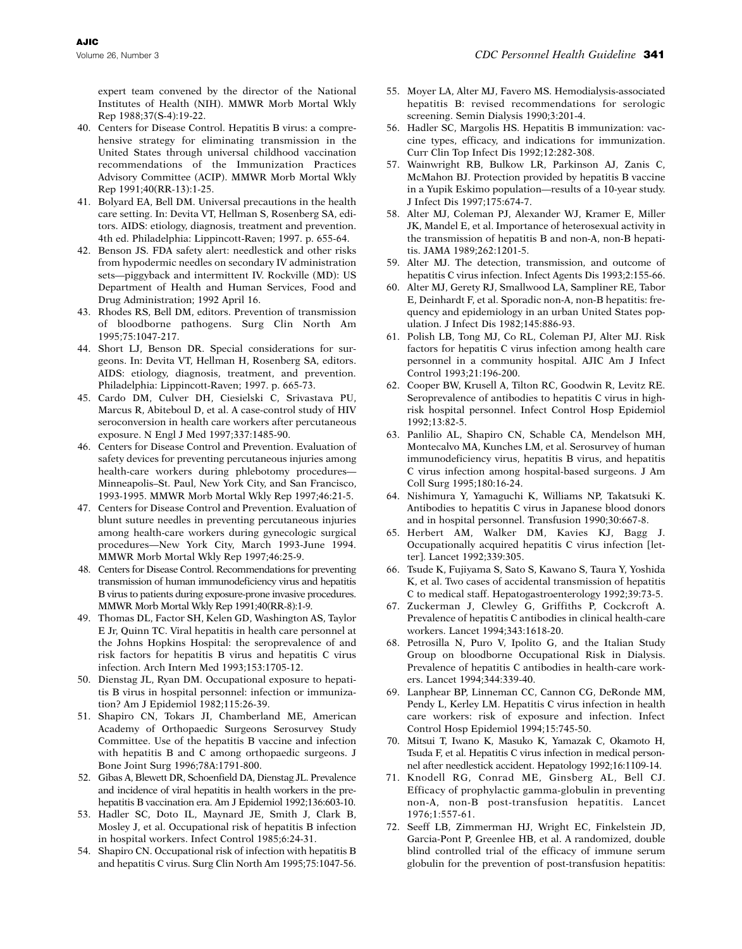expert team convened by the director of the National Institutes of Health (NIH). MMWR Morb Mortal Wkly Rep 1988;37(S-4):19-22.

- 40. Centers for Disease Control. Hepatitis B virus: a comprehensive strategy for eliminating transmission in the United States through universal childhood vaccination recommendations of the Immunization Practices Advisory Committee (ACIP). MMWR Morb Mortal Wkly Rep 1991;40(RR-13):1-25.
- 41. Bolyard EA, Bell DM. Universal precautions in the health care setting. In: Devita VT, Hellman S, Rosenberg SA, editors. AIDS: etiology, diagnosis, treatment and prevention. 4th ed. Philadelphia: Lippincott-Raven; 1997. p. 655-64.
- 42. Benson JS. FDA safety alert: needlestick and other risks from hypodermic needles on secondary IV administration sets—piggyback and intermittent IV. Rockville (MD): US Department of Health and Human Services, Food and Drug Administration; 1992 April 16.
- 43. Rhodes RS, Bell DM, editors. Prevention of transmission of bloodborne pathogens. Surg Clin North Am 1995;75:1047-217.
- 44. Short LJ, Benson DR. Special considerations for surgeons. In: Devita VT, Hellman H, Rosenberg SA, editors. AIDS: etiology, diagnosis, treatment, and prevention. Philadelphia: Lippincott-Raven; 1997. p. 665-73.
- 45. Cardo DM, Culver DH, Ciesielski C, Srivastava PU, Marcus R, Abiteboul D, et al. A case-control study of HIV seroconversion in health care workers after percutaneous exposure. N Engl J Med 1997;337:1485-90.
- 46. Centers for Disease Control and Prevention. Evaluation of safety devices for preventing percutaneous injuries among health-care workers during phlebotomy procedures— Minneapolis–St. Paul, New York City, and San Francisco, 1993-1995. MMWR Morb Mortal Wkly Rep 1997;46:21-5.
- 47. Centers for Disease Control and Prevention. Evaluation of blunt suture needles in preventing percutaneous injuries among health-care workers during gynecologic surgical procedures—New York City, March 1993-June 1994. MMWR Morb Mortal Wkly Rep 1997;46:25-9.
- 48. Centers for Disease Control. Recommendations for preventing transmission of human immunodeficiency virus and hepatitis B virus to patients during exposure-prone invasive procedures. MMWR Morb Mortal Wkly Rep 1991;40(RR-8):1-9.
- 49. Thomas DL, Factor SH, Kelen GD, Washington AS, Taylor E Jr, Quinn TC. Viral hepatitis in health care personnel at the Johns Hopkins Hospital: the seroprevalence of and risk factors for hepatitis B virus and hepatitis C virus infection. Arch Intern Med 1993;153:1705-12.
- 50. Dienstag JL, Ryan DM. Occupational exposure to hepatitis B virus in hospital personnel: infection or immunization? Am J Epidemiol 1982;115:26-39.
- 51. Shapiro CN, Tokars JI, Chamberland ME, American Academy of Orthopaedic Surgeons Serosurvey Study Committee. Use of the hepatitis B vaccine and infection with hepatitis B and C among orthopaedic surgeons. J Bone Joint Surg 1996;78A:1791-800.
- 52. Gibas A, Blewett DR, Schoenfield DA, Dienstag JL. Prevalence and incidence of viral hepatitis in health workers in the prehepatitis B vaccination era. Am J Epidemiol 1992;136:603-10.
- 53. Hadler SC, Doto IL, Maynard JE, Smith J, Clark B, Mosley J, et al. Occupational risk of hepatitis B infection in hospital workers. Infect Control 1985;6:24-31.
- 54. Shapiro CN. Occupational risk of infection with hepatitis B and hepatitis C virus. Surg Clin North Am 1995;75:1047-56.
- 55. Moyer LA, Alter MJ, Favero MS. Hemodialysis-associated hepatitis B: revised recommendations for serologic screening. Semin Dialysis 1990;3:201-4.
- 56. Hadler SC, Margolis HS. Hepatitis B immunization: vaccine types, efficacy, and indications for immunization. Curr Clin Top Infect Dis 1992;12:282-308.
- 57. Wainwright RB, Bulkow LR, Parkinson AJ, Zanis C, McMahon BJ. Protection provided by hepatitis B vaccine in a Yupik Eskimo population—results of a 10-year study. J Infect Dis 1997;175:674-7.
- 58. Alter MJ, Coleman PJ, Alexander WJ, Kramer E, Miller JK, Mandel E, et al. Importance of heterosexual activity in the transmission of hepatitis B and non-A, non-B hepatitis. JAMA 1989;262:1201-5.
- 59. Alter MJ. The detection, transmission, and outcome of hepatitis C virus infection. Infect Agents Dis 1993;2:155-66.
- 60. Alter MJ, Gerety RJ, Smallwood LA, Sampliner RE, Tabor E, Deinhardt F, et al. Sporadic non-A, non-B hepatitis: frequency and epidemiology in an urban United States population. J Infect Dis 1982;145:886-93.
- 61. Polish LB, Tong MJ, Co RL, Coleman PJ, Alter MJ. Risk factors for hepatitis C virus infection among health care personnel in a community hospital. AJIC Am J Infect Control 1993;21:196-200.
- 62. Cooper BW, Krusell A, Tilton RC, Goodwin R, Levitz RE. Seroprevalence of antibodies to hepatitis C virus in highrisk hospital personnel. Infect Control Hosp Epidemiol 1992;13:82-5.
- 63. Panlilio AL, Shapiro CN, Schable CA, Mendelson MH, Montecalvo MA, Kunches LM, et al. Serosurvey of human immunodeficiency virus, hepatitis B virus, and hepatitis C virus infection among hospital-based surgeons. J Am Coll Surg 1995;180:16-24.
- 64. Nishimura Y, Yamaguchi K, Williams NP, Takatsuki K. Antibodies to hepatitis C virus in Japanese blood donors and in hospital personnel. Transfusion 1990;30:667-8.
- 65. Herbert AM, Walker DM, Kavies KJ, Bagg J. Occupationally acquired hepatitis C virus infection [letter]. Lancet 1992;339:305.
- 66. Tsude K, Fujiyama S, Sato S, Kawano S, Taura Y, Yoshida K, et al. Two cases of accidental transmission of hepatitis C to medical staff. Hepatogastroenterology 1992;39:73-5.
- 67. Zuckerman J, Clewley G, Griffiths P, Cockcroft A. Prevalence of hepatitis C antibodies in clinical health-care workers. Lancet 1994;343:1618-20.
- 68. Petrosilla N, Puro V, Ipolito G, and the Italian Study Group on bloodborne Occupational Risk in Dialysis. Prevalence of hepatitis C antibodies in health-care workers. Lancet 1994;344:339-40.
- 69. Lanphear BP, Linneman CC, Cannon CG, DeRonde MM, Pendy L, Kerley LM. Hepatitis C virus infection in health care workers: risk of exposure and infection. Infect Control Hosp Epidemiol 1994;15:745-50.
- 70. Mitsui T, Iwano K, Masuko K, Yamazak C, Okamoto H, Tsuda F, et al. Hepatitis C virus infection in medical personnel after needlestick accident. Hepatology 1992;16:1109-14.
- 71. Knodell RG, Conrad ME, Ginsberg AL, Bell CJ. Efficacy of prophylactic gamma-globulin in preventing non-A, non-B post-transfusion hepatitis. Lancet 1976;1:557-61.
- 72. Seeff LB, Zimmerman HJ, Wright EC, Finkelstein JD, Garcia-Pont P, Greenlee HB, et al. A randomized, double blind controlled trial of the efficacy of immune serum globulin for the prevention of post-transfusion hepatitis: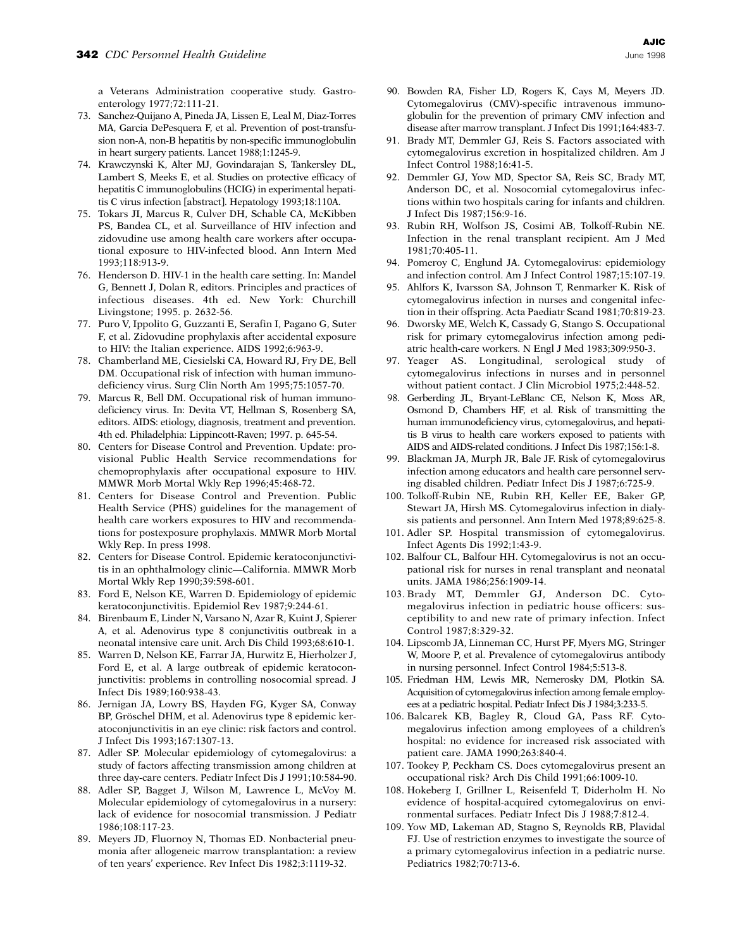a Veterans Administration cooperative study. Gastroenterology 1977;72:111-21.

- 73. Sanchez-Quijano A, Pineda JA, Lissen E, Leal M, Diaz-Torres MA, Garcia DePesquera F, et al. Prevention of post-transfusion non-A, non-B hepatitis by non-specific immunoglobulin in heart surgery patients. Lancet 1988;1:1245-9.
- 74. Krawczynski K, Alter MJ, Govindarajan S, Tankersley DL, Lambert S, Meeks E, et al. Studies on protective efficacy of hepatitis C immunoglobulins (HCIG) in experimental hepatitis C virus infection [abstract]. Hepatology 1993;18:110A.
- 75. Tokars JI, Marcus R, Culver DH, Schable CA, McKibben PS, Bandea CL, et al. Surveillance of HIV infection and zidovudine use among health care workers after occupational exposure to HIV-infected blood. Ann Intern Med 1993;118:913-9.
- 76. Henderson D. HIV-1 in the health care setting. In: Mandel G, Bennett J, Dolan R, editors. Principles and practices of infectious diseases. 4th ed. New York: Churchill Livingstone; 1995. p. 2632-56.
- 77. Puro V, Ippolito G, Guzzanti E, Serafin I, Pagano G, Suter F, et al. Zidovudine prophylaxis after accidental exposure to HIV: the Italian experience. AIDS 1992;6:963-9.
- 78. Chamberland ME, Ciesielski CA, Howard RJ, Fry DE, Bell DM. Occupational risk of infection with human immunodeficiency virus. Surg Clin North Am 1995;75:1057-70.
- 79. Marcus R, Bell DM. Occupational risk of human immunodeficiency virus. In: Devita VT, Hellman S, Rosenberg SA, editors. AIDS: etiology, diagnosis, treatment and prevention. 4th ed. Philadelphia: Lippincott-Raven; 1997. p. 645-54.
- 80. Centers for Disease Control and Prevention. Update: provisional Public Health Service recommendations for chemoprophylaxis after occupational exposure to HIV. MMWR Morb Mortal Wkly Rep 1996;45:468-72.
- 81. Centers for Disease Control and Prevention. Public Health Service (PHS) guidelines for the management of health care workers exposures to HIV and recommendations for postexposure prophylaxis. MMWR Morb Mortal Wkly Rep. In press 1998.
- 82. Centers for Disease Control. Epidemic keratoconjunctivitis in an ophthalmology clinic—California. MMWR Morb Mortal Wkly Rep 1990;39:598-601.
- 83. Ford E, Nelson KE, Warren D. Epidemiology of epidemic keratoconjunctivitis. Epidemiol Rev 1987;9:244-61.
- 84. Birenbaum E, Linder N, Varsano N, Azar R, Kuint J, Spierer A, et al. Adenovirus type 8 conjunctivitis outbreak in a neonatal intensive care unit. Arch Dis Child 1993;68:610-1.
- 85. Warren D, Nelson KE, Farrar JA, Hurwitz E, Hierholzer J, Ford E, et al. A large outbreak of epidemic keratoconjunctivitis: problems in controlling nosocomial spread. J Infect Dis 1989;160:938-43.
- 86. Jernigan JA, Lowry BS, Hayden FG, Kyger SA, Conway BP, Gröschel DHM, et al. Adenovirus type 8 epidemic keratoconjunctivitis in an eye clinic: risk factors and control. J Infect Dis 1993;167:1307-13.
- 87. Adler SP. Molecular epidemiology of cytomegalovirus: a study of factors affecting transmission among children at three day-care centers. Pediatr Infect Dis J 1991;10:584-90.
- 88. Adler SP, Bagget J, Wilson M, Lawrence L, McVoy M. Molecular epidemiology of cytomegalovirus in a nursery: lack of evidence for nosocomial transmission. J Pediatr 1986;108:117-23.
- 89. Meyers JD, Fluornoy N, Thomas ED. Nonbacterial pneumonia after allogeneic marrow transplantation: a review of ten years' experience. Rev Infect Dis 1982;3:1119-32.
- 90. Bowden RA, Fisher LD, Rogers K, Cays M, Meyers JD. Cytomegalovirus (CMV)-specific intravenous immunoglobulin for the prevention of primary CMV infection and disease after marrow transplant. J Infect Dis 1991;164:483-7.
- 91. Brady MT, Demmler GJ, Reis S. Factors associated with cytomegalovirus excretion in hospitalized children. Am J Infect Control 1988;16:41-5.
- 92. Demmler GJ, Yow MD, Spector SA, Reis SC, Brady MT, Anderson DC, et al. Nosocomial cytomegalovirus infections within two hospitals caring for infants and children. J Infect Dis 1987;156:9-16.
- 93. Rubin RH, Wolfson JS, Cosimi AB, Tolkoff-Rubin NE. Infection in the renal transplant recipient. Am J Med 1981;70:405-11.
- 94. Pomeroy C, Englund JA. Cytomegalovirus: epidemiology and infection control. Am J Infect Control 1987;15:107-19.
- 95. Ahlfors K, Ivarsson SA, Johnson T, Renmarker K. Risk of cytomegalovirus infection in nurses and congenital infection in their offspring. Acta Paediatr Scand 1981;70:819-23.
- 96. Dworsky ME, Welch K, Cassady G, Stango S. Occupational risk for primary cytomegalovirus infection among pediatric health-care workers. N Engl J Med 1983;309:950-3.
- 97. Yeager AS. Longitudinal, serological study of cytomegalovirus infections in nurses and in personnel without patient contact. J Clin Microbiol 1975;2:448-52.
- 98. Gerberding JL, Bryant-LeBlanc CE, Nelson K, Moss AR, Osmond D, Chambers HF, et al. Risk of transmitting the human immunodeficiency virus, cytomegalovirus, and hepatitis B virus to health care workers exposed to patients with AIDS and AIDS-related conditions. J Infect Dis 1987;156:1-8.
- 99. Blackman JA, Murph JR, Bale JF. Risk of cytomegalovirus infection among educators and health care personnel serving disabled children. Pediatr Infect Dis J 1987;6:725-9.
- 100. Tolkoff-Rubin NE, Rubin RH, Keller EE, Baker GP, Stewart JA, Hirsh MS. Cytomegalovirus infection in dialysis patients and personnel. Ann Intern Med 1978;89:625-8.
- 101. Adler SP. Hospital transmission of cytomegalovirus. Infect Agents Dis 1992;1:43-9.
- 102. Balfour CL, Balfour HH. Cytomegalovirus is not an occupational risk for nurses in renal transplant and neonatal units. JAMA 1986;256:1909-14.
- 103. Brady MT, Demmler GJ, Anderson DC. Cytomegalovirus infection in pediatric house officers: susceptibility to and new rate of primary infection. Infect Control 1987;8:329-32.
- 104. Lipscomb JA, Linneman CC, Hurst PF, Myers MG, Stringer W, Moore P, et al. Prevalence of cytomegalovirus antibody in nursing personnel. Infect Control 1984;5:513-8.
- 105. Friedman HM, Lewis MR, Nemerosky DM, Plotkin SA. Acquisition of cytomegalovirus infection among female employees at a pediatric hospital. Pediatr Infect Dis J 1984;3:233-5.
- 106. Balcarek KB, Bagley R, Cloud GA, Pass RF. Cytomegalovirus infection among employees of a children's hospital: no evidence for increased risk associated with patient care. JAMA 1990;263:840-4.
- 107. Tookey P, Peckham CS. Does cytomegalovirus present an occupational risk? Arch Dis Child 1991;66:1009-10.
- 108. Hokeberg I, Grillner L, Reisenfeld T, Diderholm H. No evidence of hospital-acquired cytomegalovirus on environmental surfaces. Pediatr Infect Dis J 1988;7:812-4.
- 109. Yow MD, Lakeman AD, Stagno S, Reynolds RB, Plavidal FJ. Use of restriction enzymes to investigate the source of a primary cytomegalovirus infection in a pediatric nurse. Pediatrics 1982;70:713-6.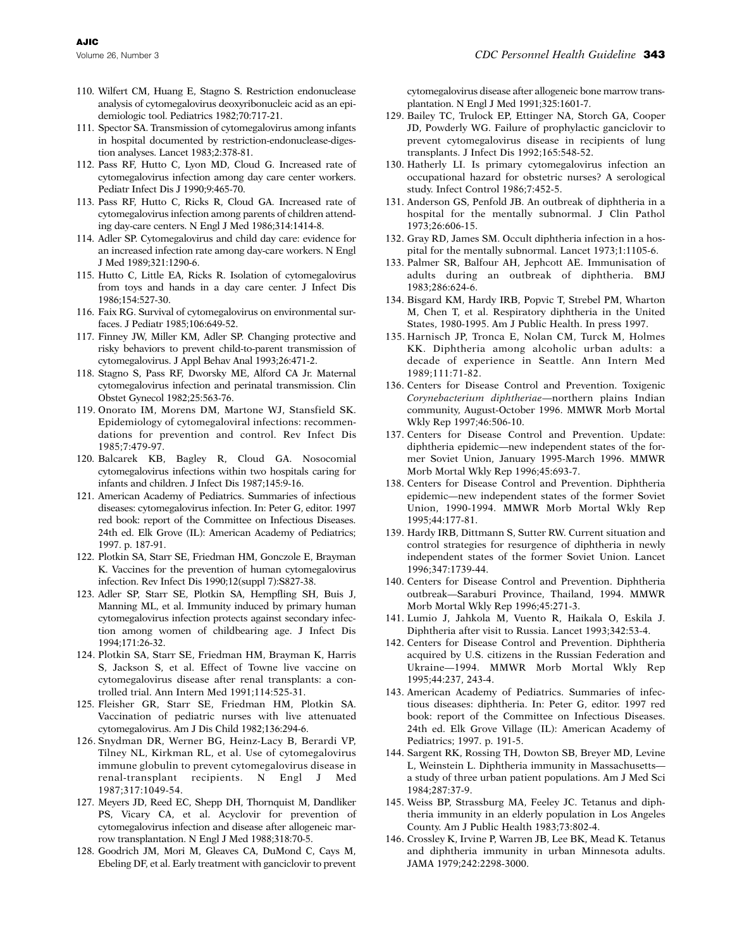- 110. Wilfert CM, Huang E, Stagno S. Restriction endonuclease analysis of cytomegalovirus deoxyribonucleic acid as an epidemiologic tool. Pediatrics 1982;70:717-21.
- 111. Spector SA. Transmission of cytomegalovirus among infants in hospital documented by restriction-endonuclease-digestion analyses. Lancet 1983;2:378-81.
- 112. Pass RF, Hutto C, Lyon MD, Cloud G. Increased rate of cytomegalovirus infection among day care center workers. Pediatr Infect Dis J 1990;9:465-70.
- 113. Pass RF, Hutto C, Ricks R, Cloud GA. Increased rate of cytomegalovirus infection among parents of children attending day-care centers. N Engl J Med 1986;314:1414-8.
- 114. Adler SP. Cytomegalovirus and child day care: evidence for an increased infection rate among day-care workers. N Engl J Med 1989;321:1290-6.
- 115. Hutto C, Little EA, Ricks R. Isolation of cytomegalovirus from toys and hands in a day care center. J Infect Dis 1986;154:527-30.
- 116. Faix RG. Survival of cytomegalovirus on environmental surfaces. J Pediatr 1985;106:649-52.
- 117. Finney JW, Miller KM, Adler SP. Changing protective and risky behaviors to prevent child-to-parent transmission of cytomegalovirus. J Appl Behav Anal 1993;26:471-2.
- 118. Stagno S, Pass RF, Dworsky ME, Alford CA Jr. Maternal cytomegalovirus infection and perinatal transmission. Clin Obstet Gynecol 1982;25:563-76.
- 119. Onorato IM, Morens DM, Martone WJ, Stansfield SK. Epidemiology of cytomegaloviral infections: recommendations for prevention and control. Rev Infect Dis 1985;7:479-97.
- 120. Balcarek KB, Bagley R, Cloud GA. Nosocomial cytomegalovirus infections within two hospitals caring for infants and children. J Infect Dis 1987;145:9-16.
- 121. American Academy of Pediatrics. Summaries of infectious diseases: cytomegalovirus infection. In: Peter G, editor. 1997 red book: report of the Committee on Infectious Diseases. 24th ed. Elk Grove (IL): American Academy of Pediatrics; 1997. p. 187-91.
- 122. Plotkin SA, Starr SE, Friedman HM, Gonczole E, Brayman K. Vaccines for the prevention of human cytomegalovirus infection. Rev Infect Dis 1990;12(suppl 7):S827-38.
- 123. Adler SP, Starr SE, Plotkin SA, Hempfling SH, Buis J, Manning ML, et al. Immunity induced by primary human cytomegalovirus infection protects against secondary infection among women of childbearing age. J Infect Dis 1994;171:26-32.
- 124. Plotkin SA, Starr SE, Friedman HM, Brayman K, Harris S, Jackson S, et al. Effect of Towne live vaccine on cytomegalovirus disease after renal transplants: a controlled trial. Ann Intern Med 1991;114:525-31.
- 125. Fleisher GR, Starr SE, Friedman HM, Plotkin SA. Vaccination of pediatric nurses with live attenuated cytomegalovirus. Am J Dis Child 1982;136:294-6.
- 126. Snydman DR, Werner BG, Heinz-Lacy B, Berardi VP, Tilney NL, Kirkman RL, et al. Use of cytomegalovirus immune globulin to prevent cytomegalovirus disease in renal-transplant recipients. N Engl J Med 1987;317:1049-54.
- 127. Meyers JD, Reed EC, Shepp DH, Thornquist M, Dandliker PS, Vicary CA, et al. Acyclovir for prevention of cytomegalovirus infection and disease after allogeneic marrow transplantation. N Engl J Med 1988;318:70-5.
- 128. Goodrich JM, Mori M, Gleaves CA, DuMond C, Cays M, Ebeling DF, et al. Early treatment with ganciclovir to prevent

cytomegalovirus disease after allogeneic bone marrow transplantation. N Engl J Med 1991;325:1601-7.

- 129. Bailey TC, Trulock EP, Ettinger NA, Storch GA, Cooper JD, Powderly WG. Failure of prophylactic ganciclovir to prevent cytomegalovirus disease in recipients of lung transplants. J Infect Dis 1992;165:548-52.
- 130. Hatherly LI. Is primary cytomegalovirus infection an occupational hazard for obstetric nurses? A serological study. Infect Control 1986;7:452-5.
- 131. Anderson GS, Penfold JB. An outbreak of diphtheria in a hospital for the mentally subnormal. J Clin Pathol 1973;26:606-15.
- 132. Gray RD, James SM. Occult diphtheria infection in a hospital for the mentally subnormal. Lancet 1973;1:1105-6.
- 133. Palmer SR, Balfour AH, Jephcott AE. Immunisation of adults during an outbreak of diphtheria. BMJ 1983;286:624-6.
- 134. Bisgard KM, Hardy IRB, Popvic T, Strebel PM, Wharton M, Chen T, et al. Respiratory diphtheria in the United States, 1980-1995. Am J Public Health. In press 1997.
- 135. Harnisch JP, Tronca E, Nolan CM, Turck M, Holmes KK. Diphtheria among alcoholic urban adults: a decade of experience in Seattle. Ann Intern Med 1989;111:71-82.
- 136. Centers for Disease Control and Prevention. Toxigenic *Corynebacterium diphtheriae*—northern plains Indian community, August-October 1996. MMWR Morb Mortal Wkly Rep 1997;46:506-10.
- 137. Centers for Disease Control and Prevention. Update: diphtheria epidemic—new independent states of the former Soviet Union, January 1995-March 1996. MMWR Morb Mortal Wkly Rep 1996;45:693-7.
- 138. Centers for Disease Control and Prevention. Diphtheria epidemic—new independent states of the former Soviet Union, 1990-1994. MMWR Morb Mortal Wkly Rep 1995;44:177-81.
- 139. Hardy IRB, Dittmann S, Sutter RW. Current situation and control strategies for resurgence of diphtheria in newly independent states of the former Soviet Union. Lancet 1996;347:1739-44.
- 140. Centers for Disease Control and Prevention. Diphtheria outbreak—Saraburi Province, Thailand, 1994. MMWR Morb Mortal Wkly Rep 1996;45:271-3.
- 141. Lumio J, Jahkola M, Vuento R, Haikala O, Eskila J. Diphtheria after visit to Russia. Lancet 1993;342:53-4.
- 142. Centers for Disease Control and Prevention. Diphtheria acquired by U.S. citizens in the Russian Federation and Ukraine—1994. MMWR Morb Mortal Wkly Rep 1995;44:237, 243-4.
- 143. American Academy of Pediatrics. Summaries of infectious diseases: diphtheria. In: Peter G, editor. 1997 red book: report of the Committee on Infectious Diseases. 24th ed. Elk Grove Village (IL): American Academy of Pediatrics; 1997. p. 191-5.
- 144. Sargent RK, Rossing TH, Dowton SB, Breyer MD, Levine L, Weinstein L. Diphtheria immunity in Massachusetts a study of three urban patient populations. Am J Med Sci 1984;287:37-9.
- 145. Weiss BP, Strassburg MA, Feeley JC. Tetanus and diphtheria immunity in an elderly population in Los Angeles County. Am J Public Health 1983;73:802-4.
- 146. Crossley K, Irvine P, Warren JB, Lee BK, Mead K. Tetanus and diphtheria immunity in urban Minnesota adults. JAMA 1979;242:2298-3000.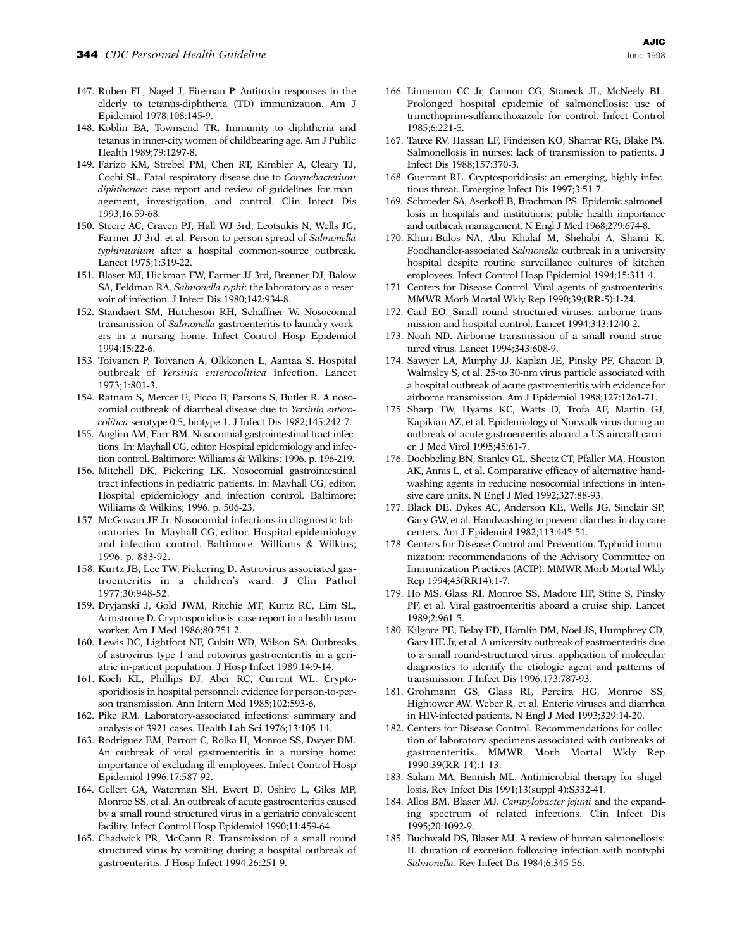- 147. Ruben FL, Nagel J, Fireman P. Antitoxin responses in the elderly to tetanus-diphtheria (TD) immunization. Am J Epidemiol 1978;108:145-9.
- 148. Koblin BA, Townsend TR. Immunity to diphtheria and tetanus in inner-city women of childbearing age. Am J Public Health 1989;79:1297-8.
- 149. Farizo KM, Strebel PM, Chen RT, Kimbler A, Cleary TJ, Cochi SL. Fatal respiratory disease due to *Corynebacterium diphtheriae*: case report and review of guidelines for management, investigation, and control. Clin Infect Dis 1993;16:59-68.
- 150. Steere AC, Craven PJ, Hall WJ 3rd, Leotsukis N, Wells JG, Farmer JJ 3rd, et al. Person-to-person spread of *Salmonella typhimurium* after a hospital common-source outbreak. Lancet 1975;1:319-22.
- 151. Blaser MJ, Hickman FW, Farmer JJ 3rd, Brenner DJ, Balow SA, Feldman RA. *Salmonella typhi*: the laboratory as a reservoir of infection. J Infect Dis 1980;142:934-8.
- 152. Standaert SM, Hutcheson RH, Schaffner W. Nosocomial transmission of *Salmonella* gastroenteritis to laundry workers in a nursing home. Infect Control Hosp Epidemiol 1994;15:22-6.
- 153. Toivanen P, Toivanen A, Olkkonen L, Aantaa S. Hospital outbreak of *Yersinia enterocolitica* infection. Lancet 1973;1:801-3.
- 154. Ratnam S, Mercer E, Picco B, Parsons S, Butler R. A nosocomial outbreak of diarrheal disease due to *Yersinia enterocolitica* serotype 0:5, biotype 1. J Infect Dis 1982;145:242-7.
- 155. Anglim AM, Farr BM. Nosocomial gastrointestinal tract infections. In: Mayhall CG, editor. Hospital epidemiology and infection control. Baltimore: Williams & Wilkins; 1996. p. 196-219.
- 156. Mitchell DK, Pickering LK. Nosocomial gastrointestinal tract infections in pediatric patients. In: Mayhall CG, editor. Hospital epidemiology and infection control. Baltimore: Williams & Wilkins; 1996. p. 506-23.
- 157. McGowan JE Jr. Nosocomial infections in diagnostic laboratories. In: Mayhall CG, editor. Hospital epidemiology and infection control. Baltimore: Williams & Wilkins; 1996. p. 883-92.
- 158. Kurtz JB, Lee TW, Pickering D. Astrovirus associated gastroenteritis in a children's ward. J Clin Pathol 1977;30:948-52.
- 159. Dryjanski J, Gold JWM, Ritchie MT, Kurtz RC, Lim SL, Armstrong D. Cryptosporidiosis: case report in a health team worker. Am J Med 1986;80:751-2.
- 160. Lewis DC, Lightfoot NF, Cubitt WD, Wilson SA. Outbreaks of astrovirus type 1 and rotovirus gastroenteritis in a geriatric in-patient population. J Hosp Infect 1989;14:9-14.
- 161. Koch KL, Phillips DJ, Aber RC, Current WL. Cryptosporidiosis in hospital personnel: evidence for person-to-person transmission. Ann Intern Med 1985;102:593-6.
- 162. Pike RM. Laboratory-associated infections: summary and analysis of 3921 cases. Health Lab Sci 1976;13:105-14.
- 163. Rodriguez EM, Parrott C, Rolka H, Monroe SS, Dwyer DM. An outbreak of viral gastroenteritis in a nursing home: importance of excluding ill employees. Infect Control Hosp Epidemiol 1996;17:587-92.
- 164. Gellert GA, Waterman SH, Ewert D, Oshiro L, Giles MP, Monroe SS, et al. An outbreak of acute gastroenteritis caused by a small round structured virus in a geriatric convalescent facility. Infect Control Hosp Epidemiol 1990;11:459-64.
- 165. Chadwick PR, McCann R. Transmission of a small round structured virus by vomiting during a hospital outbreak of gastroenteritis. J Hosp Infect 1994;26:251-9.
- 166. Linneman CC Jr, Cannon CG, Staneck JL, McNeely BL. Prolonged hospital epidemic of salmonellosis: use of trimethoprim-sulfamethoxazole for control. Infect Control 1985;6:221-5.
- 167. Tauxe RV, Hassan LF, Findeisen KO, Sharrar RG, Blake PA. Salmonellosis in nurses: lack of transmission to patients. J Infect Dis 1988;157:370-3.
- 168. Guerrant RL. Cryptosporidiosis: an emerging, highly infectious threat. Emerging Infect Dis 1997;3:51-7.
- 169. Schroeder SA, Aserkoff B, Brachman PS. Epidemic salmonellosis in hospitals and institutions: public health importance and outbreak management. N Engl J Med 1968;279:674-8.
- 170. Khuri-Bulos NA, Abu Khalaf M, Shehabi A, Shami K. Foodhandler-associated *Salmonella* outbreak in a university hospital despite routine surveillance cultures of kitchen employees. Infect Control Hosp Epidemiol 1994;15:311-4.
- 171. Centers for Disease Control. Viral agents of gastroenteritis. MMWR Morb Mortal Wkly Rep 1990;39;(RR-5):1-24.
- 172. Caul EO. Small round structured viruses: airborne transmission and hospital control. Lancet 1994;343:1240-2.
- 173. Noah ND. Airborne transmission of a small round structured virus. Lancet 1994;343:608-9.
- 174. Sawyer LA, Murphy JJ, Kaplan JE, Pinsky PF, Chacon D, Walmsley S, et al. 25-to 30-nm virus particle associated with a hospital outbreak of acute gastroenteritis with evidence for airborne transmission. Am J Epidemiol 1988;127:1261-71.
- 175. Sharp TW, Hyams KC, Watts D, Trofa AF, Martin GJ, Kapikian AZ, et al. Epidemiology of Norwalk virus during an outbreak of acute gastroenteritis aboard a US aircraft carrier. J Med Virol 1995;45:61-7.
- 176. Doebbeling BN, Stanley GL, Sheetz CT, Pfaller MA, Houston AK, Annis L, et al. Comparative efficacy of alternative handwashing agents in reducing nosocomial infections in intensive care units. N Engl J Med 1992;327:88-93.
- 177. Black DE, Dykes AC, Anderson KE, Wells JG, Sinclair SP, Gary GW, et al. Handwashing to prevent diarrhea in day care centers. Am J Epidemiol 1982;113:445-51.
- 178. Centers for Disease Control and Prevention. Typhoid immunization: recommendations of the Advisory Committee on Immunization Practices (ACIP). MMWR Morb Mortal Wkly Rep 1994;43(RR14):1-7.
- 179. Ho MS, Glass RI, Monroe SS, Madore HP, Stine S, Pinsky PF, et al. Viral gastroenteritis aboard a cruise ship. Lancet 1989;2:961-5.
- 180. Kilgore PE, Belay ED, Hamlin DM, Noel JS, Humphrey CD, Gary HE Jr, et al. A university outbreak of gastroenteritis due to a small round-structured virus: application of molecular diagnostics to identify the etiologic agent and patterns of transmission. J Infect Dis 1996;173:787-93.
- 181. Grohmann GS, Glass RI, Pereira HG, Monroe SS, Hightower AW, Weber R, et al. Enteric viruses and diarrhea in HIV-infected patients. N Engl J Med 1993;329:14-20.
- 182. Centers for Disease Control. Recommendations for collection of laboratory specimens associated with outbreaks of gastroenteritis. MMWR Morb Mortal Wkly Rep 1990;39(RR-14):1-13.
- 183. Salam MA, Bennish ML. Antimicrobial therapy for shigellosis. Rev Infect Dis 1991;13(suppl 4):S332-41.
- 184. Allos BM, Blaser MJ. *Campylobacter jejuni* and the expanding spectrum of related infections. Clin Infect Dis 1995;20:1092-9.
- 185. Buchwald DS, Blaser MJ. A review of human salmonellosis: II. duration of excretion following infection with nontyphi *Salmonella*. Rev Infect Dis 1984;6:345-56.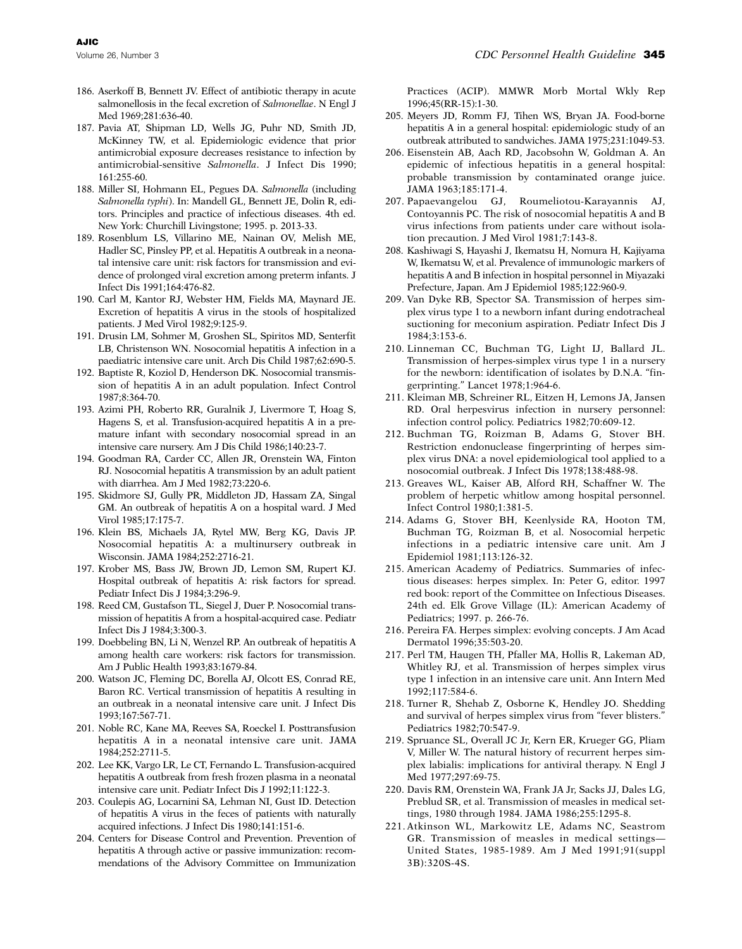- 186. Aserkoff B, Bennett JV. Effect of antibiotic therapy in acute salmonellosis in the fecal excretion of *Salmonellae*. N Engl J Med 1969;281:636-40.
- 187. Pavia AT, Shipman LD, Wells JG, Puhr ND, Smith JD, McKinney TW, et al. Epidemiologic evidence that prior antimicrobial exposure decreases resistance to infection by antimicrobial-sensitive *Salmonella*. J Infect Dis 1990; 161:255-60.
- 188. Miller SI, Hohmann EL, Pegues DA. *Salmonella* (including *Salmonella typhi*). In: Mandell GL, Bennett JE, Dolin R, editors. Principles and practice of infectious diseases. 4th ed. New York: Churchill Livingstone; 1995. p. 2013-33.
- 189. Rosenblum LS, Villarino ME, Nainan OV, Melish ME, Hadler SC, Pinsley PP, et al. Hepatitis A outbreak in a neonatal intensive care unit: risk factors for transmission and evidence of prolonged viral excretion among preterm infants. J Infect Dis 1991;164:476-82.
- 190. Carl M, Kantor RJ, Webster HM, Fields MA, Maynard JE. Excretion of hepatitis A virus in the stools of hospitalized patients. J Med Virol 1982;9:125-9.
- 191. Drusin LM, Sohmer M, Groshen SL, Spiritos MD, Senterfit LB, Christenson WN. Nosocomial hepatitis A infection in a paediatric intensive care unit. Arch Dis Child 1987;62:690-5.
- 192. Baptiste R, Koziol D, Henderson DK. Nosocomial transmission of hepatitis A in an adult population. Infect Control 1987;8:364-70.
- 193. Azimi PH, Roberto RR, Guralnik J, Livermore T, Hoag S, Hagens S, et al. Transfusion-acquired hepatitis A in a premature infant with secondary nosocomial spread in an intensive care nursery. Am J Dis Child 1986;140:23-7.
- 194. Goodman RA, Carder CC, Allen JR, Orenstein WA, Finton RJ. Nosocomial hepatitis A transmission by an adult patient with diarrhea. Am J Med 1982;73:220-6.
- 195. Skidmore SJ, Gully PR, Middleton JD, Hassam ZA, Singal GM. An outbreak of hepatitis A on a hospital ward. J Med Virol 1985;17:175-7.
- 196. Klein BS, Michaels JA, Rytel MW, Berg KG, Davis JP. Nosocomial hepatitis A: a multinursery outbreak in Wisconsin. JAMA 1984;252:2716-21.
- 197. Krober MS, Bass JW, Brown JD, Lemon SM, Rupert KJ. Hospital outbreak of hepatitis A: risk factors for spread. Pediatr Infect Dis J 1984;3:296-9.
- 198. Reed CM, Gustafson TL, Siegel J, Duer P. Nosocomial transmission of hepatitis A from a hospital-acquired case. Pediatr Infect Dis J 1984;3:300-3.
- 199. Doebbeling BN, Li N, Wenzel RP. An outbreak of hepatitis A among health care workers: risk factors for transmission. Am J Public Health 1993;83:1679-84.
- 200. Watson JC, Fleming DC, Borella AJ, Olcott ES, Conrad RE, Baron RC. Vertical transmission of hepatitis A resulting in an outbreak in a neonatal intensive care unit. J Infect Dis 1993;167:567-71.
- 201. Noble RC, Kane MA, Reeves SA, Roeckel I. Posttransfusion hepatitis A in a neonatal intensive care unit. JAMA 1984;252:2711-5.
- 202. Lee KK, Vargo LR, Le CT, Fernando L. Transfusion-acquired hepatitis A outbreak from fresh frozen plasma in a neonatal intensive care unit. Pediatr Infect Dis J 1992;11:122-3.
- 203. Coulepis AG, Locarnini SA, Lehman NI, Gust ID. Detection of hepatitis A virus in the feces of patients with naturally acquired infections. J Infect Dis 1980;141:151-6.
- 204. Centers for Disease Control and Prevention. Prevention of hepatitis A through active or passive immunization: recommendations of the Advisory Committee on Immunization

Practices (ACIP). MMWR Morb Mortal Wkly Rep 1996;45(RR-15):1-30.

- 205. Meyers JD, Romm FJ, Tihen WS, Bryan JA. Food-borne hepatitis A in a general hospital: epidemiologic study of an outbreak attributed to sandwiches. JAMA 1975;231:1049-53.
- 206. Eisenstein AB, Aach RD, Jacobsohn W, Goldman A. An epidemic of infectious hepatitis in a general hospital: probable transmission by contaminated orange juice. JAMA 1963;185:171-4.
- 207. Papaevangelou GJ, Roumeliotou-Karayannis AJ, Contoyannis PC. The risk of nosocomial hepatitis A and B virus infections from patients under care without isolation precaution. J Med Virol 1981;7:143-8.
- 208. Kashiwagi S, Hayashi J, Ikematsu H, Nomura H, Kajiyama W, Ikematsu W, et al. Prevalence of immunologic markers of hepatitis A and B infection in hospital personnel in Miyazaki Prefecture, Japan. Am J Epidemiol 1985;122:960-9.
- 209. Van Dyke RB, Spector SA. Transmission of herpes simplex virus type 1 to a newborn infant during endotracheal suctioning for meconium aspiration. Pediatr Infect Dis J 1984;3:153-6.
- 210. Linneman CC, Buchman TG, Light IJ, Ballard JL. Transmission of herpes-simplex virus type 1 in a nursery for the newborn: identification of isolates by D.N.A. "fingerprinting." Lancet 1978;1:964-6.
- 211. Kleiman MB, Schreiner RL, Eitzen H, Lemons JA, Jansen RD. Oral herpesvirus infection in nursery personnel: infection control policy. Pediatrics 1982;70:609-12.
- 212. Buchman TG, Roizman B, Adams G, Stover BH. Restriction endonuclease fingerprinting of herpes simplex virus DNA: a novel epidemiological tool applied to a nosocomial outbreak. J Infect Dis 1978;138:488-98.
- 213. Greaves WL, Kaiser AB, Alford RH, Schaffner W. The problem of herpetic whitlow among hospital personnel. Infect Control 1980;1:381-5.
- 214. Adams G, Stover BH, Keenlyside RA, Hooton TM, Buchman TG, Roizman B, et al. Nosocomial herpetic infections in a pediatric intensive care unit. Am J Epidemiol 1981;113:126-32.
- 215. American Academy of Pediatrics. Summaries of infectious diseases: herpes simplex. In: Peter G, editor. 1997 red book: report of the Committee on Infectious Diseases. 24th ed. Elk Grove Village (IL): American Academy of Pediatrics; 1997. p. 266-76.
- 216. Pereira FA. Herpes simplex: evolving concepts. J Am Acad Dermatol 1996;35:503-20.
- 217. Perl TM, Haugen TH, Pfaller MA, Hollis R, Lakeman AD, Whitley RJ, et al. Transmission of herpes simplex virus type 1 infection in an intensive care unit. Ann Intern Med 1992;117:584-6.
- 218. Turner R, Shehab Z, Osborne K, Hendley JO. Shedding and survival of herpes simplex virus from "fever blisters." Pediatrics 1982;70:547-9.
- 219. Spruance SL, Overall JC Jr, Kern ER, Krueger GG, Pliam V, Miller W. The natural history of recurrent herpes simplex labialis: implications for antiviral therapy. N Engl J Med 1977;297:69-75.
- 220. Davis RM, Orenstein WA, Frank JA Jr, Sacks JJ, Dales LG, Preblud SR, et al. Transmission of measles in medical settings, 1980 through 1984. JAMA 1986;255:1295-8.
- 221. Atkinson WL, Markowitz LE, Adams NC, Seastrom GR. Transmission of measles in medical settings— United States, 1985-1989. Am J Med 1991;91(suppl 3B):320S-4S.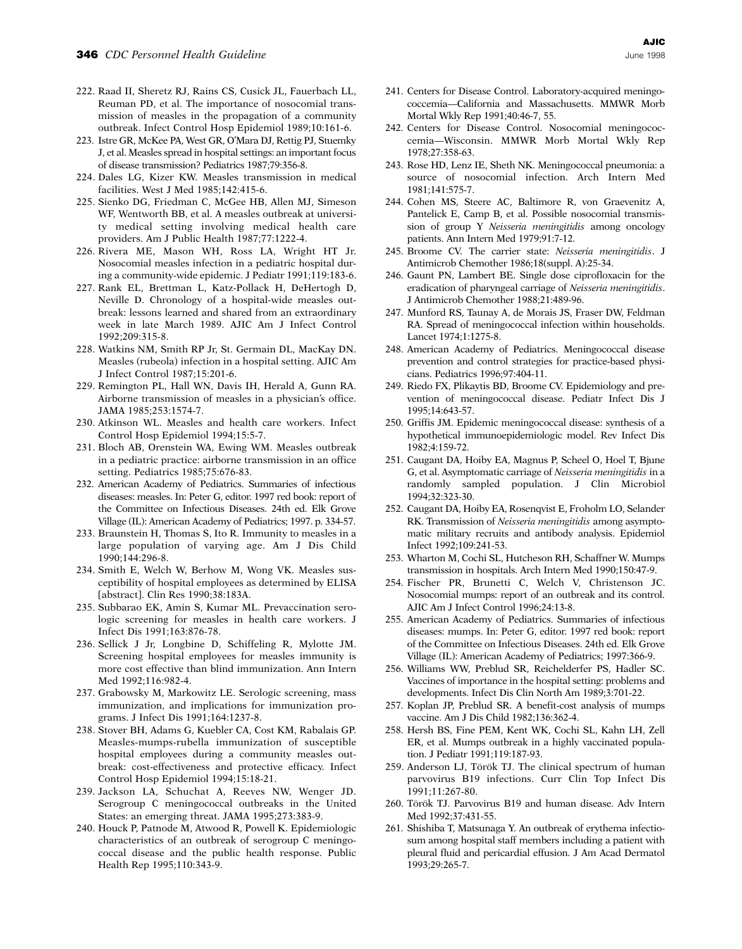- 222. Raad II, Sheretz RJ, Rains CS, Cusick JL, Fauerbach LL, Reuman PD, et al. The importance of nosocomial transmission of measles in the propagation of a community outbreak. Infect Control Hosp Epidemiol 1989;10:161-6.
- 223. Istre GR, McKee PA, West GR, O'Mara DJ, Rettig PJ, Stuemky J, et al. Measles spread in hospital settings: an important focus of disease transmission? Pediatrics 1987;79:356-8.
- 224. Dales LG, Kizer KW. Measles transmission in medical facilities. West J Med 1985;142:415-6.
- 225. Sienko DG, Friedman C, McGee HB, Allen MJ, Simeson WF, Wentworth BB, et al. A measles outbreak at university medical setting involving medical health care providers. Am J Public Health 1987;77:1222-4.
- 226. Rivera ME, Mason WH, Ross LA, Wright HT Jr. Nosocomial measles infection in a pediatric hospital during a community-wide epidemic. J Pediatr 1991;119:183-6.
- 227. Rank EL, Brettman L, Katz-Pollack H, DeHertogh D, Neville D. Chronology of a hospital-wide measles outbreak: lessons learned and shared from an extraordinary week in late March 1989. AJIC Am J Infect Control 1992;209:315-8.
- 228. Watkins NM, Smith RP Jr, St. Germain DL, MacKay DN. Measles (rubeola) infection in a hospital setting. AJIC Am J Infect Control 1987;15:201-6.
- 229. Remington PL, Hall WN, Davis IH, Herald A, Gunn RA. Airborne transmission of measles in a physician's office. JAMA 1985;253:1574-7.
- 230. Atkinson WL. Measles and health care workers. Infect Control Hosp Epidemiol 1994;15:5-7.
- 231. Bloch AB, Orenstein WA, Ewing WM. Measles outbreak in a pediatric practice: airborne transmission in an office setting. Pediatrics 1985;75:676-83.
- 232. American Academy of Pediatrics. Summaries of infectious diseases: measles. In: Peter G, editor. 1997 red book: report of the Committee on Infectious Diseases. 24th ed. Elk Grove Village (IL): American Academy of Pediatrics; 1997. p. 334-57.
- 233. Braunstein H, Thomas S, Ito R. Immunity to measles in a large population of varying age. Am J Dis Child 1990;144:296-8.
- 234. Smith E, Welch W, Berhow M, Wong VK. Measles susceptibility of hospital employees as determined by ELISA [abstract]. Clin Res 1990;38:183A.
- 235. Subbarao EK, Amin S, Kumar ML. Prevaccination serologic screening for measles in health care workers. J Infect Dis 1991;163:876-78.
- 236. Sellick J Jr, Longbine D, Schiffeling R, Mylotte JM. Screening hospital employees for measles immunity is more cost effective than blind immunization. Ann Intern Med 1992;116:982-4.
- 237. Grabowsky M, Markowitz LE. Serologic screening, mass immunization, and implications for immunization programs. J Infect Dis 1991;164:1237-8.
- 238. Stover BH, Adams G, Kuebler CA, Cost KM, Rabalais GP. Measles-mumps-rubella immunization of susceptible hospital employees during a community measles outbreak: cost-effectiveness and protective efficacy. Infect Control Hosp Epidemiol 1994;15:18-21.
- 239. Jackson LA, Schuchat A, Reeves NW, Wenger JD. Serogroup C meningococcal outbreaks in the United States: an emerging threat. JAMA 1995;273:383-9.
- 240. Houck P, Patnode M, Atwood R, Powell K. Epidemiologic characteristics of an outbreak of serogroup C meningococcal disease and the public health response. Public Health Rep 1995;110:343-9.
- 241. Centers for Disease Control. Laboratory-acquired meningococcemia—California and Massachusetts. MMWR Morb Mortal Wkly Rep 1991;40:46-7, 55.
- 242. Centers for Disease Control. Nosocomial meningococcemia—Wisconsin. MMWR Morb Mortal Wkly Rep 1978;27:358-63.
- 243. Rose HD, Lenz IE, Sheth NK. Meningococcal pneumonia: a source of nosocomial infection. Arch Intern Med 1981;141:575-7.
- 244. Cohen MS, Steere AC, Baltimore R, von Graevenitz A, Pantelick E, Camp B, et al. Possible nosocomial transmission of group Y *Neisseria meningitidis* among oncology patients. Ann Intern Med 1979;91:7-12.
- 245. Broome CV. The carrier state: *Neisseria meningitidis*. J Antimicrob Chemother 1986;18(suppl. A):25-34.
- 246. Gaunt PN, Lambert BE. Single dose ciprofloxacin for the eradication of pharyngeal carriage of *Neisseria meningitidis*. J Antimicrob Chemother 1988;21:489-96.
- 247. Munford RS, Taunay A, de Morais JS, Fraser DW, Feldman RA. Spread of meningococcal infection within households. Lancet 1974;1:1275-8.
- 248. American Academy of Pediatrics. Meningococcal disease prevention and control strategies for practice-based physicians. Pediatrics 1996;97:404-11.
- 249. Riedo FX, Plikaytis BD, Broome CV. Epidemiology and prevention of meningococcal disease. Pediatr Infect Dis J 1995;14:643-57.
- 250. Griffis JM. Epidemic meningococcal disease: synthesis of a hypothetical immunoepidemiologic model. Rev Infect Dis 1982;4:159-72.
- 251. Caugant DA, Hoiby EA, Magnus P, Scheel O, Hoel T, Bjune G, et al. Asymptomatic carriage of *Neisseria meningitidis* in a randomly sampled population. J Clin Microbiol 1994;32:323-30.
- 252. Caugant DA, Hoiby EA, Rosenqvist E, Froholm LO, Selander RK. Transmission of *Neisseria meningitidis* among asymptomatic military recruits and antibody analysis. Epidemiol Infect 1992;109:241-53.
- 253. Wharton M, Cochi SL, Hutcheson RH, Schaffner W. Mumps transmission in hospitals. Arch Intern Med 1990;150:47-9.
- 254. Fischer PR, Brunetti C, Welch V, Christenson JC. Nosocomial mumps: report of an outbreak and its control. AJIC Am J Infect Control 1996;24:13-8.
- 255. American Academy of Pediatrics. Summaries of infectious diseases: mumps. In: Peter G, editor. 1997 red book: report of the Committee on Infectious Diseases. 24th ed. Elk Grove Village (IL): American Academy of Pediatrics; 1997:366-9.
- 256. Williams WW, Preblud SR, Reichelderfer PS, Hadler SC. Vaccines of importance in the hospital setting: problems and developments. Infect Dis Clin North Am 1989;3:701-22.
- 257. Koplan JP, Preblud SR. A benefit-cost analysis of mumps vaccine. Am J Dis Child 1982;136:362-4.
- 258. Hersh BS, Fine PEM, Kent WK, Cochi SL, Kahn LH, Zell ER, et al. Mumps outbreak in a highly vaccinated population. J Pediatr 1991;119:187-93.
- 259. Anderson LJ, Török TJ. The clinical spectrum of human parvovirus B19 infections. Curr Clin Top Infect Dis 1991;11:267-80.
- 260. Török TJ. Parvovirus B19 and human disease. Adv Intern Med 1992;37:431-55.
- 261. Shishiba T, Matsunaga Y. An outbreak of erythema infectiosum among hospital staff members including a patient with pleural fluid and pericardial effusion. J Am Acad Dermatol 1993;29:265-7.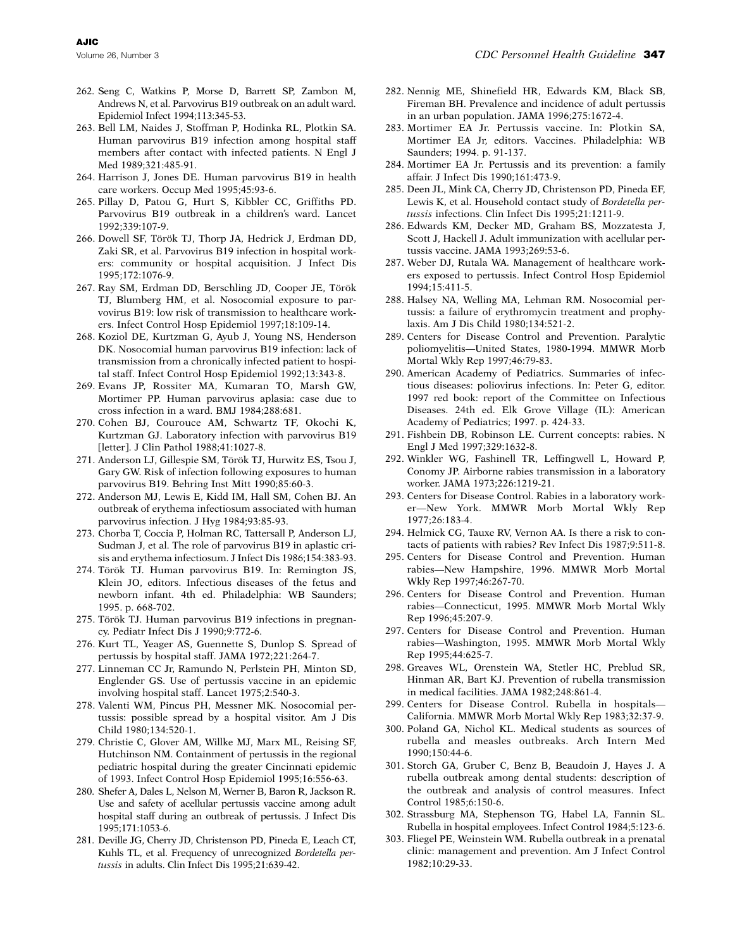- 262. Seng C, Watkins P, Morse D, Barrett SP, Zambon M, Andrews N, et al. Parvovirus B19 outbreak on an adult ward. Epidemiol Infect 1994;113:345-53.
- 263. Bell LM, Naides J, Stoffman P, Hodinka RL, Plotkin SA. Human parvovirus B19 infection among hospital staff members after contact with infected patients. N Engl J Med 1989;321:485-91.
- 264. Harrison J, Jones DE. Human parvovirus B19 in health care workers. Occup Med 1995;45:93-6.
- 265. Pillay D, Patou G, Hurt S, Kibbler CC, Griffiths PD. Parvovirus B19 outbreak in a children's ward. Lancet 1992;339:107-9.
- 266. Dowell SF, Török TJ, Thorp JA, Hedrick J, Erdman DD, Zaki SR, et al. Parvovirus B19 infection in hospital workers: community or hospital acquisition. J Infect Dis 1995;172:1076-9.
- 267. Ray SM, Erdman DD, Berschling JD, Cooper JE, Török TJ, Blumberg HM, et al. Nosocomial exposure to parvovirus B19: low risk of transmission to healthcare workers. Infect Control Hosp Epidemiol 1997;18:109-14.
- 268. Koziol DE, Kurtzman G, Ayub J, Young NS, Henderson DK. Nosocomial human parvovirus B19 infection: lack of transmission from a chronically infected patient to hospital staff. Infect Control Hosp Epidemiol 1992;13:343-8.
- 269. Evans JP, Rossiter MA, Kumaran TO, Marsh GW, Mortimer PP. Human parvovirus aplasia: case due to cross infection in a ward. BMJ 1984;288:681.
- 270. Cohen BJ, Courouce AM, Schwartz TF, Okochi K, Kurtzman GJ. Laboratory infection with parvovirus B19 [letter]. J Clin Pathol 1988;41:1027-8.
- 271. Anderson LJ, Gillespie SM, Török TJ, Hurwitz ES, Tsou J, Gary GW. Risk of infection following exposures to human parvovirus B19. Behring Inst Mitt 1990;85:60-3.
- 272. Anderson MJ, Lewis E, Kidd IM, Hall SM, Cohen BJ. An outbreak of erythema infectiosum associated with human parvovirus infection. J Hyg 1984;93:85-93.
- 273. Chorba T, Coccia P, Holman RC, Tattersall P, Anderson LJ, Sudman J, et al. The role of parvovirus B19 in aplastic crisis and erythema infectiosum. J Infect Dis 1986;154:383-93.
- 274. Török TJ. Human parvovirus B19. In: Remington JS, Klein JO, editors. Infectious diseases of the fetus and newborn infant. 4th ed. Philadelphia: WB Saunders; 1995. p. 668-702.
- 275. Török TJ. Human parvovirus B19 infections in pregnancy. Pediatr Infect Dis J 1990;9:772-6.
- 276. Kurt TL, Yeager AS, Guennette S, Dunlop S. Spread of pertussis by hospital staff. JAMA 1972;221:264-7.
- 277. Linneman CC Jr, Ramundo N, Perlstein PH, Minton SD, Englender GS. Use of pertussis vaccine in an epidemic involving hospital staff. Lancet 1975;2:540-3.
- 278. Valenti WM, Pincus PH, Messner MK. Nosocomial pertussis: possible spread by a hospital visitor. Am J Dis Child 1980;134:520-1.
- 279. Christie C, Glover AM, Willke MJ, Marx ML, Reising SF, Hutchinson NM. Containment of pertussis in the regional pediatric hospital during the greater Cincinnati epidemic of 1993. Infect Control Hosp Epidemiol 1995;16:556-63.
- 280. Shefer A, Dales L, Nelson M, Werner B, Baron R, Jackson R. Use and safety of acellular pertussis vaccine among adult hospital staff during an outbreak of pertussis. J Infect Dis 1995;171:1053-6.
- 281. Deville JG, Cherry JD, Christenson PD, Pineda E, Leach CT, Kuhls TL, et al. Frequency of unrecognized *Bordetella pertussis* in adults. Clin Infect Dis 1995;21:639-42.
- 282. Nennig ME, Shinefield HR, Edwards KM, Black SB, Fireman BH. Prevalence and incidence of adult pertussis in an urban population. JAMA 1996;275:1672-4.
- 283. Mortimer EA Jr. Pertussis vaccine. In: Plotkin SA, Mortimer EA Jr, editors. Vaccines. Philadelphia: WB Saunders; 1994. p. 91-137.
- 284. Mortimer EA Jr. Pertussis and its prevention: a family affair. J Infect Dis 1990;161:473-9.
- 285. Deen JL, Mink CA, Cherry JD, Christenson PD, Pineda EF, Lewis K, et al. Household contact study of *Bordetella pertussis* infections. Clin Infect Dis 1995;21:1211-9.
- 286. Edwards KM, Decker MD, Graham BS, Mozzatesta J, Scott J, Hackell J. Adult immunization with acellular pertussis vaccine. JAMA 1993;269:53-6.
- 287. Weber DJ, Rutala WA. Management of healthcare workers exposed to pertussis. Infect Control Hosp Epidemiol 1994;15:411-5.
- 288. Halsey NA, Welling MA, Lehman RM. Nosocomial pertussis: a failure of erythromycin treatment and prophylaxis. Am J Dis Child 1980;134:521-2.
- 289. Centers for Disease Control and Prevention. Paralytic poliomyelitis—United States, 1980-1994. MMWR Morb Mortal Wkly Rep 1997;46:79-83.
- 290. American Academy of Pediatrics. Summaries of infectious diseases: poliovirus infections. In: Peter G, editor. 1997 red book: report of the Committee on Infectious Diseases. 24th ed. Elk Grove Village (IL): American Academy of Pediatrics; 1997. p. 424-33.
- 291. Fishbein DB, Robinson LE. Current concepts: rabies. N Engl J Med 1997;329:1632-8.
- 292. Winkler WG, Fashinell TR, Leffingwell L, Howard P, Conomy JP. Airborne rabies transmission in a laboratory worker. JAMA 1973;226:1219-21.
- 293. Centers for Disease Control. Rabies in a laboratory worker—New York. MMWR Morb Mortal Wkly Rep 1977;26:183-4.
- 294. Helmick CG, Tauxe RV, Vernon AA. Is there a risk to contacts of patients with rabies? Rev Infect Dis 1987;9:511-8.
- 295. Centers for Disease Control and Prevention. Human rabies—New Hampshire, 1996. MMWR Morb Mortal Wkly Rep 1997;46:267-70.
- 296. Centers for Disease Control and Prevention. Human rabies—Connecticut, 1995. MMWR Morb Mortal Wkly Rep 1996;45:207-9.
- 297. Centers for Disease Control and Prevention. Human rabies—Washington, 1995. MMWR Morb Mortal Wkly Rep 1995;44:625-7.
- 298. Greaves WL, Orenstein WA, Stetler HC, Preblud SR, Hinman AR, Bart KJ. Prevention of rubella transmission in medical facilities. JAMA 1982;248:861-4.
- 299. Centers for Disease Control. Rubella in hospitals— California. MMWR Morb Mortal Wkly Rep 1983;32:37-9.
- 300. Poland GA, Nichol KL. Medical students as sources of rubella and measles outbreaks. Arch Intern Med 1990;150:44-6.
- 301. Storch GA, Gruber C, Benz B, Beaudoin J, Hayes J. A rubella outbreak among dental students: description of the outbreak and analysis of control measures. Infect Control 1985;6:150-6.
- 302. Strassburg MA, Stephenson TG, Habel LA, Fannin SL. Rubella in hospital employees. Infect Control 1984;5:123-6.
- 303. Fliegel PE, Weinstein WM. Rubella outbreak in a prenatal clinic: management and prevention. Am J Infect Control 1982;10:29-33.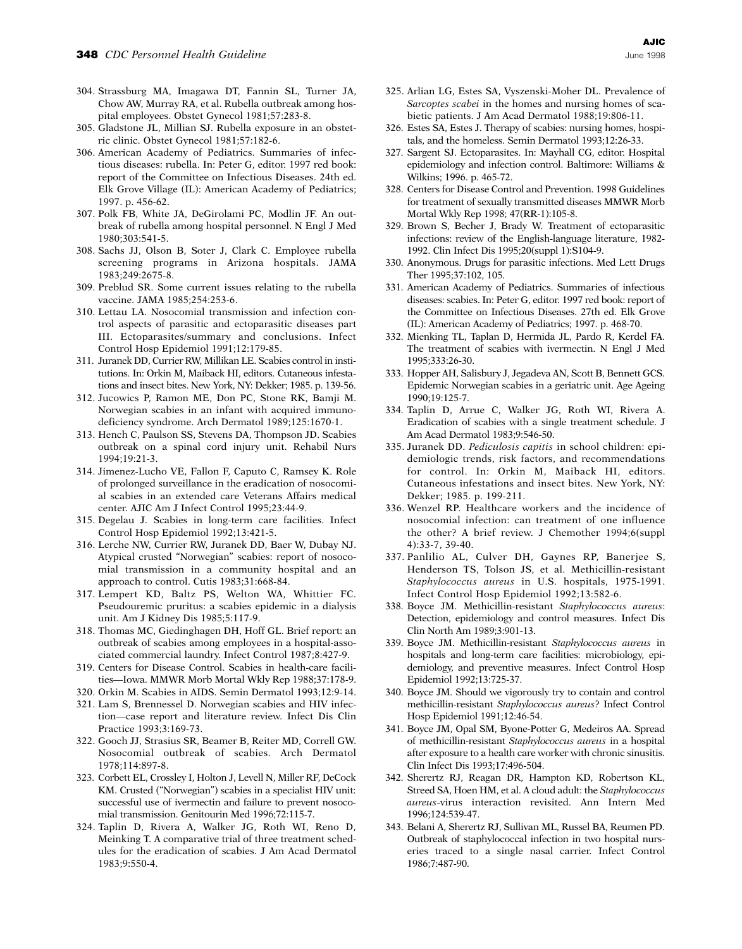- 304. Strassburg MA, Imagawa DT, Fannin SL, Turner JA, Chow AW, Murray RA, et al. Rubella outbreak among hospital employees. Obstet Gynecol 1981;57:283-8.
- 305. Gladstone JL, Millian SJ. Rubella exposure in an obstetric clinic. Obstet Gynecol 1981;57:182-6.
- 306. American Academy of Pediatrics. Summaries of infectious diseases: rubella. In: Peter G, editor. 1997 red book: report of the Committee on Infectious Diseases. 24th ed. Elk Grove Village (IL): American Academy of Pediatrics; 1997. p. 456-62.
- 307. Polk FB, White JA, DeGirolami PC, Modlin JF. An outbreak of rubella among hospital personnel. N Engl J Med 1980;303:541-5.
- 308. Sachs JJ, Olson B, Soter J, Clark C. Employee rubella screening programs in Arizona hospitals. JAMA 1983;249:2675-8.
- 309. Preblud SR. Some current issues relating to the rubella vaccine. JAMA 1985;254:253-6.
- 310. Lettau LA. Nosocomial transmission and infection control aspects of parasitic and ectoparasitic diseases part III. Ectoparasites/summary and conclusions. Infect Control Hosp Epidemiol 1991;12:179-85.
- 311. Juranek DD, Currier RW, Millikan LE. Scabies control in institutions. In: Orkin M, Maiback HI, editors. Cutaneous infestations and insect bites. New York, NY: Dekker; 1985. p. 139-56.
- 312. Jucowics P, Ramon ME, Don PC, Stone RK, Bamji M. Norwegian scabies in an infant with acquired immunodeficiency syndrome. Arch Dermatol 1989;125:1670-1.
- 313. Hench C, Paulson SS, Stevens DA, Thompson JD. Scabies outbreak on a spinal cord injury unit. Rehabil Nurs 1994;19:21-3.
- 314. Jimenez-Lucho VE, Fallon F, Caputo C, Ramsey K. Role of prolonged surveillance in the eradication of nosocomial scabies in an extended care Veterans Affairs medical center. AJIC Am J Infect Control 1995;23:44-9.
- 315. Degelau J. Scabies in long-term care facilities. Infect Control Hosp Epidemiol 1992;13:421-5.
- 316. Lerche NW, Currier RW, Juranek DD, Baer W, Dubay NJ. Atypical crusted "Norwegian" scabies: report of nosocomial transmission in a community hospital and an approach to control. Cutis 1983;31:668-84.
- 317. Lempert KD, Baltz PS, Welton WA, Whittier FC. Pseudouremic pruritus: a scabies epidemic in a dialysis unit. Am J Kidney Dis 1985;5:117-9.
- 318. Thomas MC, Giedinghagen DH, Hoff GL. Brief report: an outbreak of scabies among employees in a hospital-associated commercial laundry. Infect Control 1987;8:427-9.
- 319. Centers for Disease Control. Scabies in health-care facilities—Iowa. MMWR Morb Mortal Wkly Rep 1988;37:178-9.
- 320. Orkin M. Scabies in AIDS. Semin Dermatol 1993;12:9-14.
- 321. Lam S, Brennessel D. Norwegian scabies and HIV infection—case report and literature review. Infect Dis Clin Practice 1993;3:169-73.
- 322. Gooch JJ, Strasius SR, Beamer B, Reiter MD, Correll GW. Nosocomial outbreak of scabies. Arch Dermatol 1978;114:897-8.
- 323. Corbett EL, Crossley I, Holton J, Levell N, Miller RF, DeCock KM. Crusted ("Norwegian") scabies in a specialist HIV unit: successful use of ivermectin and failure to prevent nosocomial transmission. Genitourin Med 1996;72:115-7.
- 324. Taplin D, Rivera A, Walker JG, Roth WI, Reno D, Meinking T. A comparative trial of three treatment schedules for the eradication of scabies. J Am Acad Dermatol 1983;9:550-4.
- 325. Arlian LG, Estes SA, Vyszenski-Moher DL. Prevalence of *Sarcoptes scabei* in the homes and nursing homes of scabietic patients. J Am Acad Dermatol 1988;19:806-11.
- 326. Estes SA, Estes J. Therapy of scabies: nursing homes, hospitals, and the homeless. Semin Dermatol 1993;12:26-33.
- 327. Sargent SJ. Ectoparasites. In: Mayhall CG, editor. Hospital epidemiology and infection control. Baltimore: Williams & Wilkins; 1996. p. 465-72.
- 328. Centers for Disease Control and Prevention. 1998 Guidelines for treatment of sexually transmitted diseases MMWR Morb Mortal Wkly Rep 1998; 47(RR-1):105-8.
- 329. Brown S, Becher J, Brady W. Treatment of ectoparasitic infections: review of the English-language literature, 1982 1992. Clin Infect Dis 1995;20(suppl 1):S104-9.
- 330. Anonymous. Drugs for parasitic infections. Med Lett Drugs Ther 1995;37:102, 105.
- 331. American Academy of Pediatrics. Summaries of infectious diseases: scabies. In: Peter G, editor. 1997 red book: report of the Committee on Infectious Diseases. 27th ed. Elk Grove (IL): American Academy of Pediatrics; 1997. p. 468-70.
- 332. Mienking TL, Taplan D, Hermida JL, Pardo R, Kerdel FA. The treatment of scabies with ivermectin. N Engl J Med 1995;333:26-30.
- 333. Hopper AH, Salisbury J, Jegadeva AN, Scott B, Bennett GCS. Epidemic Norwegian scabies in a geriatric unit. Age Ageing 1990;19:125-7.
- 334. Taplin D, Arrue C, Walker JG, Roth WI, Rivera A. Eradication of scabies with a single treatment schedule. J Am Acad Dermatol 1983;9:546-50.
- 335. Juranek DD. *Pediculosis capitis* in school children: epidemiologic trends, risk factors, and recommendations for control. In: Orkin M, Maiback HI, editors. Cutaneous infestations and insect bites. New York, NY: Dekker; 1985. p. 199-211.
- 336. Wenzel RP. Healthcare workers and the incidence of nosocomial infection: can treatment of one influence the other? A brief review. J Chemother 1994;6(suppl 4):33-7, 39-40.
- 337. Panlilio AL, Culver DH, Gaynes RP, Banerjee S, Henderson TS, Tolson JS, et al. Methicillin-resistant *Staphylococcus aureus* in U.S. hospitals, 1975-1991. Infect Control Hosp Epidemiol 1992;13:582-6.
- 338. Boyce JM. Methicillin-resistant *Staphylococcus aureus*: Detection, epidemiology and control measures. Infect Dis Clin North Am 1989;3:901-13.
- 339. Boyce JM. Methicillin-resistant *Staphylococcus aureus* in hospitals and long-term care facilities: microbiology, epidemiology, and preventive measures. Infect Control Hosp Epidemiol 1992;13:725-37.
- 340. Boyce JM. Should we vigorously try to contain and control methicillin-resistant *Staphylococcus aureus*? Infect Control Hosp Epidemiol 1991;12:46-54.
- 341. Boyce JM, Opal SM, Byone-Potter G, Medeiros AA. Spread of methicillin-resistant *Staphylococcus aureus* in a hospital after exposure to a health care worker with chronic sinusitis. Clin Infect Dis 1993;17:496-504.
- 342. Sherertz RJ, Reagan DR, Hampton KD, Robertson KL, Streed SA, Hoen HM, et al. A cloud adult: the *Staphylococcus aureus*-virus interaction revisited. Ann Intern Med 1996;124:539-47.
- 343. Belani A, Sherertz RJ, Sullivan ML, Russel BA, Reumen PD. Outbreak of staphylococcal infection in two hospital nurseries traced to a single nasal carrier. Infect Control 1986;7:487-90.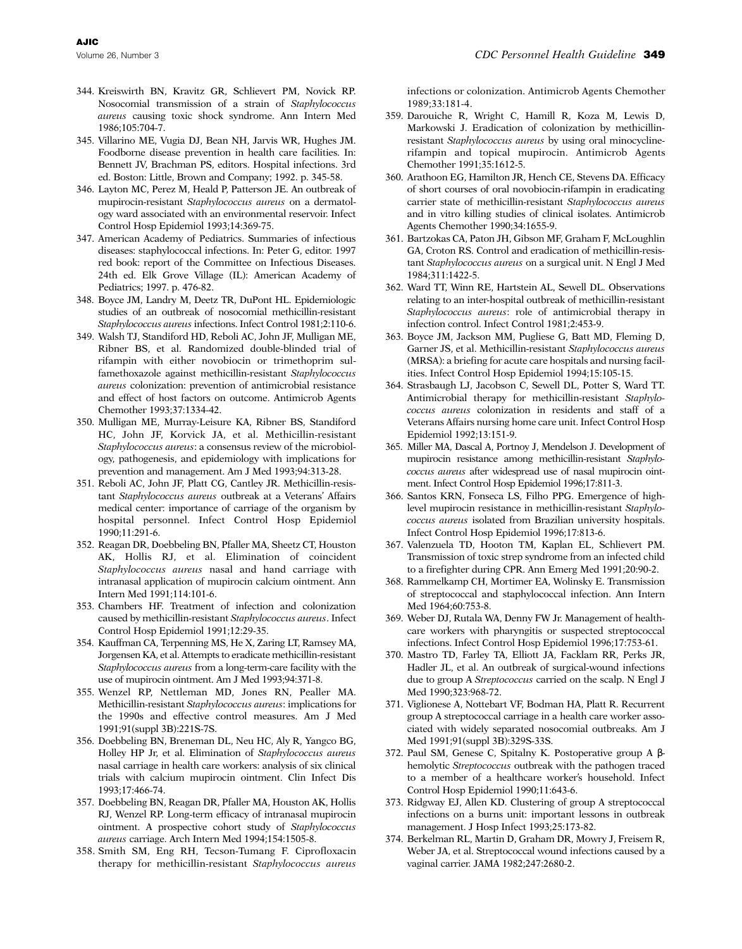- 344. Kreiswirth BN, Kravitz GR, Schlievert PM, Novick RP. Nosocomial transmission of a strain of *Staphylococcus aureus* causing toxic shock syndrome. Ann Intern Med 1986;105:704-7.
- 345. Villarino ME, Vugia DJ, Bean NH, Jarvis WR, Hughes JM. Foodborne disease prevention in health care facilities. In: Bennett JV, Brachman PS, editors. Hospital infections. 3rd ed. Boston: Little, Brown and Company; 1992. p. 345-58.
- 346. Layton MC, Perez M, Heald P, Patterson JE. An outbreak of mupirocin-resistant *Staphylococcus aureus* on a dermatology ward associated with an environmental reservoir. Infect Control Hosp Epidemiol 1993;14:369-75.
- 347. American Academy of Pediatrics. Summaries of infectious diseases: staphylococcal infections. In: Peter G, editor. 1997 red book: report of the Committee on Infectious Diseases. 24th ed. Elk Grove Village (IL): American Academy of Pediatrics; 1997. p. 476-82.
- 348. Boyce JM, Landry M, Deetz TR, DuPont HL. Epidemiologic studies of an outbreak of nosocomial methicillin-resistant *Staphylococcus aureus* infections. Infect Control 1981;2:110-6.
- 349. Walsh TJ, Standiford HD, Reboli AC, John JF, Mulligan ME, Ribner BS, et al. Randomized double-blinded trial of rifampin with either novobiocin or trimethoprim sulfamethoxazole against methicillin-resistant *Staphylococcus aureus* colonization: prevention of antimicrobial resistance and effect of host factors on outcome. Antimicrob Agents Chemother 1993;37:1334-42.
- 350. Mulligan ME, Murray-Leisure KA, Ribner BS, Standiford HC, John JF, Korvick JA, et al. Methicillin-resistant *Staphylococcus aureus*: a consensus review of the microbiology, pathogenesis, and epidemiology with implications for prevention and management. Am J Med 1993;94:313-28.
- 351. Reboli AC, John JF, Platt CG, Cantley JR. Methicillin-resistant *Staphylococcus aureus* outbreak at a Veterans' Affairs medical center: importance of carriage of the organism by hospital personnel. Infect Control Hosp Epidemiol 1990;11:291-6.
- 352. Reagan DR, Doebbeling BN, Pfaller MA, Sheetz CT, Houston AK, Hollis RJ, et al. Elimination of coincident *Staphylococcus aureus* nasal and hand carriage with intranasal application of mupirocin calcium ointment. Ann Intern Med 1991;114:101-6.
- 353. Chambers HF. Treatment of infection and colonization caused by methicillin-resistant *Staphylococcus aureus*. Infect Control Hosp Epidemiol 1991;12:29-35.
- 354. Kauffman CA, Terpenning MS, He X, Zaring LT, Ramsey MA, Jorgensen KA, et al. Attempts to eradicate methicillin-resistant *Staphylococcus aureus* from a long-term-care facility with the use of mupirocin ointment. Am J Med 1993;94:371-8.
- 355. Wenzel RP, Nettleman MD, Jones RN, Pealler MA. Methicillin-resistant *Staphylococcus aureus*: implications for the 1990s and effective control measures. Am J Med 1991;91(suppl 3B):221S-7S.
- 356. Doebbeling BN, Breneman DL, Neu HC, Aly R, Yangco BG, Holley HP Jr, et al. Elimination of *Staphylococcus aureus*  nasal carriage in health care workers: analysis of six clinical trials with calcium mupirocin ointment. Clin Infect Dis 1993;17:466-74.
- 357. Doebbeling BN, Reagan DR, Pfaller MA, Houston AK, Hollis RJ, Wenzel RP. Long-term efficacy of intranasal mupirocin ointment. A prospective cohort study of *Staphylococcus aureus* carriage. Arch Intern Med 1994;154:1505-8.
- 358. Smith SM, Eng RH, Tecson-Tumang F. Ciprofloxacin therapy for methicillin-resistant *Staphylococcus aureus*

infections or colonization. Antimicrob Agents Chemother 1989;33:181-4.

- 359. Darouiche R, Wright C, Hamill R, Koza M, Lewis D, Markowski J. Eradication of colonization by methicillinresistant *Staphylococcus aureus* by using oral minocyclinerifampin and topical mupirocin. Antimicrob Agents Chemother 1991;35:1612-5.
- 360. Arathoon EG, Hamilton JR, Hench CE, Stevens DA. Efficacy of short courses of oral novobiocin-rifampin in eradicating carrier state of methicillin-resistant *Staphylococcus aureus*  and in vitro killing studies of clinical isolates. Antimicrob Agents Chemother 1990;34:1655-9.
- 361. Bartzokas CA, Paton JH, Gibson MF, Graham F, McLoughlin GA, Croton RS. Control and eradication of methicillin-resistant *Staphylococcus aureus* on a surgical unit. N Engl J Med 1984;311:1422-5.
- 362. Ward TT, Winn RE, Hartstein AL, Sewell DL. Observations relating to an inter-hospital outbreak of methicillin-resistant *Staphylococcus aureus*: role of antimicrobial therapy in infection control. Infect Control 1981;2:453-9.
- 363. Boyce JM, Jackson MM, Pugliese G, Batt MD, Fleming D, Garner JS, et al. Methicillin-resistant *Staphylococcus aureus*  (MRSA): a briefing for acute care hospitals and nursing facilities. Infect Control Hosp Epidemiol 1994;15:105-15.
- 364. Strasbaugh LJ, Jacobson C, Sewell DL, Potter S, Ward TT. Antimicrobial therapy for methicillin-resistant *Staphylococcus aureus* colonization in residents and staff of a Veterans Affairs nursing home care unit. Infect Control Hosp Epidemiol 1992;13:151-9.
- 365. Miller MA, Dascal A, Portnoy J, Mendelson J. Development of mupirocin resistance among methicillin-resistant *Staphylococcus aureus* after widespread use of nasal mupirocin ointment. Infect Control Hosp Epidemiol 1996;17:811-3.
- 366. Santos KRN, Fonseca LS, Filho PPG. Emergence of highlevel mupirocin resistance in methicillin-resistant *Staphylococcus aureus* isolated from Brazilian university hospitals. Infect Control Hosp Epidemiol 1996;17:813-6.
- 367. Valenzuela TD, Hooton TM, Kaplan EL, Schlievert PM. Transmission of toxic strep syndrome from an infected child to a firefighter during CPR. Ann Emerg Med 1991;20:90-2.
- 368. Rammelkamp CH, Mortimer EA, Wolinsky E. Transmission of streptococcal and staphylococcal infection. Ann Intern Med 1964;60:753-8.
- 369. Weber DJ, Rutala WA, Denny FW Jr. Management of healthcare workers with pharyngitis or suspected streptococcal infections. Infect Control Hosp Epidemiol 1996;17:753-61.
- 370. Mastro TD, Farley TA, Elliott JA, Facklam RR, Perks JR, Hadler JL, et al. An outbreak of surgical-wound infections due to group A *Streptococcus* carried on the scalp. N Engl J Med 1990;323:968-72.
- 371. Viglionese A, Nottebart VF, Bodman HA, Platt R. Recurrent group A streptococcal carriage in a health care worker associated with widely separated nosocomial outbreaks. Am J Med 1991;91(suppl 3B):329S-33S.
- 372. Paul SM, Genese C, Spitalny K. Postoperative group A β hemolytic *Streptococcus* outbreak with the pathogen traced to a member of a healthcare worker's household. Infect Control Hosp Epidemiol 1990;11:643-6.
- 373. Ridgway EJ, Allen KD. Clustering of group A streptococcal infections on a burns unit: important lessons in outbreak management. J Hosp Infect 1993;25:173-82.
- 374. Berkelman RL, Martin D, Graham DR, Mowry J, Freisem R, Weber JA, et al. Streptococcal wound infections caused by a vaginal carrier. JAMA 1982;247:2680-2.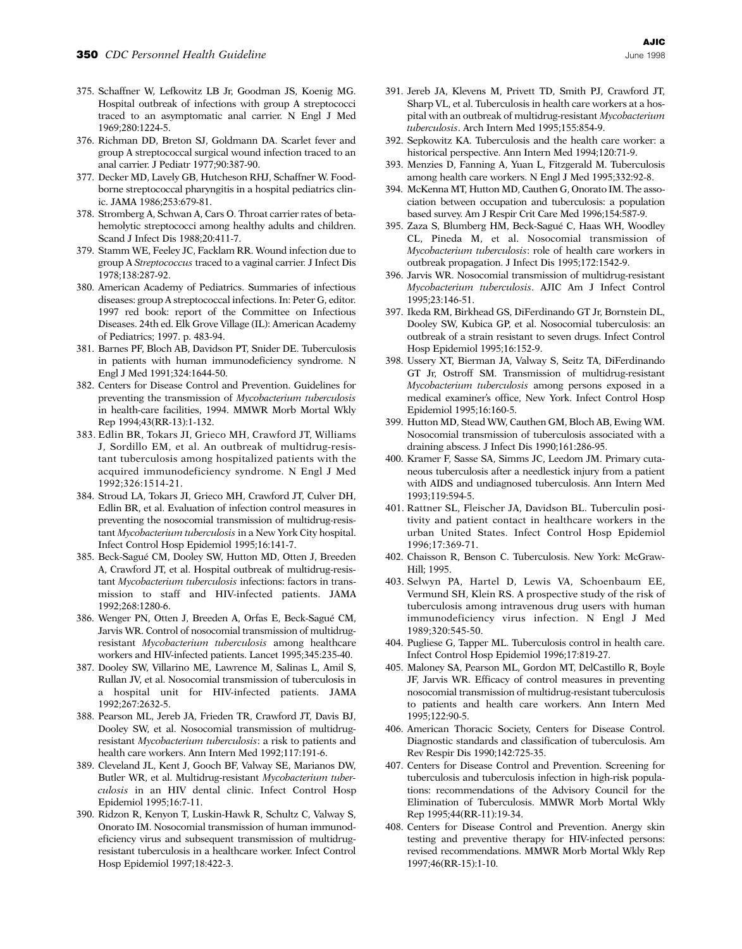- 375. Schaffner W, Lefkowitz LB Jr, Goodman JS, Koenig MG. Hospital outbreak of infections with group A streptococci traced to an asymptomatic anal carrier. N Engl J Med 1969;280:1224-5.
- 376. Richman DD, Breton SJ, Goldmann DA. Scarlet fever and group A streptococcal surgical wound infection traced to an anal carrier. J Pediatr 1977;90:387-90.
- 377. Decker MD, Lavely GB, Hutcheson RHJ, Schaffner W. Foodborne streptococcal pharyngitis in a hospital pediatrics clinic. JAMA 1986;253:679-81.
- 378. Stromberg A, Schwan A, Cars O. Throat carrier rates of betahemolytic streptococci among healthy adults and children. Scand J Infect Dis 1988;20:411-7.
- 379. Stamm WE, Feeley JC, Facklam RR. Wound infection due to group A *Streptococcus* traced to a vaginal carrier. J Infect Dis 1978;138:287-92.
- 380. American Academy of Pediatrics. Summaries of infectious diseases: group A streptococcal infections. In: Peter G, editor. 1997 red book: report of the Committee on Infectious Diseases. 24th ed. Elk Grove Village (IL): American Academy of Pediatrics; 1997. p. 483-94.
- 381. Barnes PF, Bloch AB, Davidson PT, Snider DE. Tuberculosis in patients with human immunodeficiency syndrome. N Engl J Med 1991;324:1644-50.
- 382. Centers for Disease Control and Prevention. Guidelines for preventing the transmission of *Mycobacterium tuberculosis*  in health-care facilities, 1994. MMWR Morb Mortal Wkly Rep 1994;43(RR-13):1-132.
- 383. Edlin BR, Tokars JI, Grieco MH, Crawford JT, Williams J, Sordillo EM, et al. An outbreak of multidrug-resistant tuberculosis among hospitalized patients with the acquired immunodeficiency syndrome. N Engl J Med 1992;326:1514-21.
- 384. Stroud LA, Tokars JI, Grieco MH, Crawford JT, Culver DH, Edlin BR, et al. Evaluation of infection control measures in preventing the nosocomial transmission of multidrug-resistant *Mycobacterium tuberculosis* in a New York City hospital. Infect Control Hosp Epidemiol 1995;16:141-7.
- 385. Beck-Sagué CM, Dooley SW, Hutton MD, Otten J, Breeden A, Crawford JT, et al. Hospital outbreak of multidrug-resistant *Mycobacterium tuberculosis* infections: factors in transmission to staff and HIV-infected patients. JAMA 1992;268:1280-6.
- 386. Wenger PN, Otten J, Breeden A, Orfas E, Beck-Sagué CM, Jarvis WR. Control of nosocomial transmission of multidrugresistant *Mycobacterium tuberculosis* among healthcare workers and HIV-infected patients. Lancet 1995;345:235-40.
- 387. Dooley SW, Villarino ME, Lawrence M, Salinas L, Amil S, Rullan JV, et al. Nosocomial transmission of tuberculosis in a hospital unit for HIV-infected patients. JAMA 1992;267:2632-5.
- 388. Pearson ML, Jereb JA, Frieden TR, Crawford JT, Davis BJ, Dooley SW, et al. Nosocomial transmission of multidrugresistant *Mycobacterium tuberculosis*: a risk to patients and health care workers. Ann Intern Med 1992;117:191-6.
- 389. Cleveland JL, Kent J, Gooch BF, Valway SE, Marianos DW, Butler WR, et al. Multidrug-resistant *Mycobacterium tuberculosis* in an HIV dental clinic. Infect Control Hosp Epidemiol 1995;16:7-11.
- 390. Ridzon R, Kenyon T, Luskin-Hawk R, Schultz C, Valway S, Onorato IM. Nosocomial transmission of human immunodeficiency virus and subsequent transmission of multidrugresistant tuberculosis in a healthcare worker. Infect Control Hosp Epidemiol 1997;18:422-3.
- 391. Jereb JA, Klevens M, Privett TD, Smith PJ, Crawford JT, Sharp VL, et al. Tuberculosis in health care workers at a hospital with an outbreak of multidrug-resistant *Mycobacterium tuberculosis*. Arch Intern Med 1995;155:854-9.
- 392. Sepkowitz KA. Tuberculosis and the health care worker: a historical perspective. Ann Intern Med 1994;120:71-9.
- 393. Menzies D, Fanning A, Yuan L, Fitzgerald M. Tuberculosis among health care workers. N Engl J Med 1995;332:92-8.
- 394. McKenna MT, Hutton MD, Cauthen G, Onorato IM. The association between occupation and tuberculosis: a population based survey. Am J Respir Crit Care Med 1996;154:587-9.
- 395. Zaza S, Blumberg HM, Beck-Sagué C, Haas WH, Woodley CL, Pineda M, et al. Nosocomial transmission of *Mycobacterium tuberculosis*: role of health care workers in outbreak propagation. J Infect Dis 1995;172:1542-9.
- 396. Jarvis WR. Nosocomial transmission of multidrug-resistant *Mycobacterium tuberculosis*. AJIC Am J Infect Control 1995;23:146-51.
- 397. Ikeda RM, Birkhead GS, DiFerdinando GT Jr, Bornstein DL, Dooley SW, Kubica GP, et al. Nosocomial tuberculosis: an outbreak of a strain resistant to seven drugs. Infect Control Hosp Epidemiol 1995;16:152-9.
- 398. Ussery XT, Bierman JA, Valway S, Seitz TA, DiFerdinando GT Jr, Ostroff SM. Transmission of multidrug-resistant *Mycobacterium tuberculosis* among persons exposed in a medical examiner's office, New York. Infect Control Hosp Epidemiol 1995;16:160-5.
- 399. Hutton MD, Stead WW, Cauthen GM, Bloch AB, Ewing WM. Nosocomial transmission of tuberculosis associated with a draining abscess. J Infect Dis 1990;161:286-95.
- 400. Kramer F, Sasse SA, Simms JC, Leedom JM. Primary cutaneous tuberculosis after a needlestick injury from a patient with AIDS and undiagnosed tuberculosis. Ann Intern Med 1993;119:594-5.
- 401. Rattner SL, Fleischer JA, Davidson BL. Tuberculin positivity and patient contact in healthcare workers in the urban United States. Infect Control Hosp Epidemiol 1996;17:369-71.
- 402. Chaisson R, Benson C. Tuberculosis. New York: McGraw-Hill; 1995.
- 403. Selwyn PA, Hartel D, Lewis VA, Schoenbaum EE, Vermund SH, Klein RS. A prospective study of the risk of tuberculosis among intravenous drug users with human immunodeficiency virus infection. N Engl J Med 1989;320:545-50.
- 404. Pugliese G, Tapper ML. Tuberculosis control in health care. Infect Control Hosp Epidemiol 1996;17:819-27.
- 405. Maloney SA, Pearson ML, Gordon MT, DelCastillo R, Boyle JF, Jarvis WR. Efficacy of control measures in preventing nosocomial transmission of multidrug-resistant tuberculosis to patients and health care workers. Ann Intern Med 1995;122:90-5.
- 406. American Thoracic Society, Centers for Disease Control. Diagnostic standards and classification of tuberculosis. Am Rev Respir Dis 1990;142:725-35.
- 407. Centers for Disease Control and Prevention. Screening for tuberculosis and tuberculosis infection in high-risk populations: recommendations of the Advisory Council for the Elimination of Tuberculosis. MMWR Morb Mortal Wkly Rep 1995;44(RR-11):19-34.
- 408. Centers for Disease Control and Prevention. Anergy skin testing and preventive therapy for HIV-infected persons: revised recommendations. MMWR Morb Mortal Wkly Rep 1997;46(RR-15):1-10.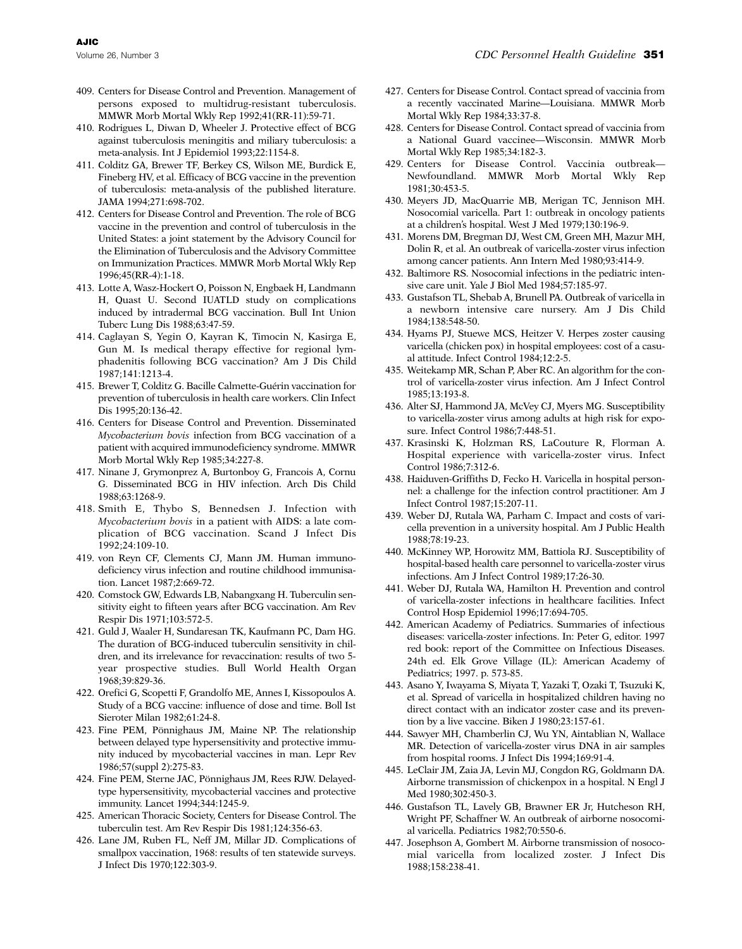- 409. Centers for Disease Control and Prevention. Management of persons exposed to multidrug-resistant tuberculosis. MMWR Morb Mortal Wkly Rep 1992;41(RR-11):59-71.
- 410. Rodrigues L, Diwan D, Wheeler J. Protective effect of BCG against tuberculosis meningitis and miliary tuberculosis: a meta-analysis. Int J Epidemiol 1993;22:1154-8.
- 411. Colditz GA, Brewer TF, Berkey CS, Wilson ME, Burdick E, Fineberg HV, et al. Efficacy of BCG vaccine in the prevention of tuberculosis: meta-analysis of the published literature. JAMA 1994;271:698-702.
- 412. Centers for Disease Control and Prevention. The role of BCG vaccine in the prevention and control of tuberculosis in the United States: a joint statement by the Advisory Council for the Elimination of Tuberculosis and the Advisory Committee on Immunization Practices. MMWR Morb Mortal Wkly Rep 1996;45(RR-4):1-18.
- 413. Lotte A, Wasz-Hockert O, Poisson N, Engbaek H, Landmann H, Quast U. Second IUATLD study on complications induced by intradermal BCG vaccination. Bull Int Union Tuberc Lung Dis 1988;63:47-59.
- 414. Caglayan S, Yegin O, Kayran K, Timocin N, Kasirga E, Gun M. Is medical therapy effective for regional lymphadenitis following BCG vaccination? Am J Dis Child 1987;141:1213-4.
- 415. Brewer T, Colditz G. Bacille Calmette-Guérin vaccination for prevention of tuberculosis in health care workers. Clin Infect Dis 1995;20:136-42.
- 416. Centers for Disease Control and Prevention. Disseminated *Mycobacterium bovis* infection from BCG vaccination of a patient with acquired immunodeficiency syndrome. MMWR Morb Mortal Wkly Rep 1985;34:227-8.
- 417. Ninane J, Grymonprez A, Burtonboy G, Francois A, Cornu G. Disseminated BCG in HIV infection. Arch Dis Child 1988;63:1268-9.
- 418. Smith E, Thybo S, Bennedsen J. Infection with *Mycobacterium bovis* in a patient with AIDS: a late complication of BCG vaccination. Scand J Infect Dis 1992;24:109-10.
- 419. von Reyn CF, Clements CJ, Mann JM. Human immunodeficiency virus infection and routine childhood immunisation. Lancet 1987;2:669-72.
- 420. Comstock GW, Edwards LB, Nabangxang H. Tuberculin sensitivity eight to fifteen years after BCG vaccination. Am Rev Respir Dis 1971;103:572-5.
- 421. Guld J, Waaler H, Sundaresan TK, Kaufmann PC, Dam HG. The duration of BCG-induced tuberculin sensitivity in children, and its irrelevance for revaccination: results of two 5 year prospective studies. Bull World Health Organ 1968;39:829-36.
- 422. Orefici G, Scopetti F, Grandolfo ME, Annes I, Kissopoulos A. Study of a BCG vaccine: influence of dose and time. Boll Ist Sieroter Milan 1982;61:24-8.
- 423. Fine PEM, Pönnighaus JM, Maine NP. The relationship between delayed type hypersensitivity and protective immunity induced by mycobacterial vaccines in man. Lepr Rev 1986;57(suppl 2):275-83.
- 424. Fine PEM, Sterne JAC, Pönnighaus JM, Rees RJW. Delayedtype hypersensitivity, mycobacterial vaccines and protective immunity. Lancet 1994;344:1245-9.
- 425. American Thoracic Society, Centers for Disease Control. The tuberculin test. Am Rev Respir Dis 1981;124:356-63.
- 426. Lane JM, Ruben FL, Neff JM, Millar JD. Complications of smallpox vaccination, 1968: results of ten statewide surveys. J Infect Dis 1970;122:303-9.
- 427. Centers for Disease Control. Contact spread of vaccinia from a recently vaccinated Marine—Louisiana. MMWR Morb Mortal Wkly Rep 1984;33:37-8.
- 428. Centers for Disease Control. Contact spread of vaccinia from a National Guard vaccinee—Wisconsin. MMWR Morb Mortal Wkly Rep 1985;34:182-3.
- 429. Centers for Disease Control. Vaccinia outbreak-Newfoundland. MMWR Morb Mortal Wkly Rep 1981;30:453-5.
- 430. Meyers JD, MacQuarrie MB, Merigan TC, Jennison MH. Nosocomial varicella. Part 1: outbreak in oncology patients at a children's hospital. West J Med 1979;130:196-9.
- 431. Morens DM, Bregman DJ, West CM, Green MH, Mazur MH, Dolin R, et al. An outbreak of varicella-zoster virus infection among cancer patients. Ann Intern Med 1980;93:414-9.
- 432. Baltimore RS. Nosocomial infections in the pediatric intensive care unit. Yale J Biol Med 1984;57:185-97.
- 433. Gustafson TL, Shebab A, Brunell PA. Outbreak of varicella in a newborn intensive care nursery. Am J Dis Child 1984;138:548-50.
- 434. Hyams PJ, Stuewe MCS, Heitzer V. Herpes zoster causing varicella (chicken pox) in hospital employees: cost of a casual attitude. Infect Control 1984;12:2-5.
- 435. Weitekamp MR, Schan P, Aber RC. An algorithm for the control of varicella-zoster virus infection. Am J Infect Control 1985;13:193-8.
- 436. Alter SJ, Hammond JA, McVey CJ, Myers MG. Susceptibility to varicella-zoster virus among adults at high risk for exposure. Infect Control 1986;7:448-51.
- 437. Krasinski K, Holzman RS, LaCouture R, Florman A. Hospital experience with varicella-zoster virus. Infect Control 1986;7:312-6.
- 438. Haiduven-Griffiths D, Fecko H. Varicella in hospital personnel: a challenge for the infection control practitioner. Am J Infect Control 1987;15:207-11.
- 439. Weber DJ, Rutala WA, Parham C. Impact and costs of varicella prevention in a university hospital. Am J Public Health 1988;78:19-23.
- 440. McKinney WP, Horowitz MM, Battiola RJ. Susceptibility of hospital-based health care personnel to varicella-zoster virus infections. Am J Infect Control 1989;17:26-30.
- 441. Weber DJ, Rutala WA, Hamilton H. Prevention and control of varicella-zoster infections in healthcare facilities. Infect Control Hosp Epidemiol 1996;17:694-705.
- 442. American Academy of Pediatrics. Summaries of infectious diseases: varicella-zoster infections. In: Peter G, editor. 1997 red book: report of the Committee on Infectious Diseases. 24th ed. Elk Grove Village (IL): American Academy of Pediatrics; 1997. p. 573-85.
- 443. Asano Y, Iwayama S, Miyata T, Yazaki T, Ozaki T, Tsuzuki K, et al. Spread of varicella in hospitalized children having no direct contact with an indicator zoster case and its prevention by a live vaccine. Biken J 1980;23:157-61.
- 444. Sawyer MH, Chamberlin CJ, Wu YN, Aintablian N, Wallace MR. Detection of varicella-zoster virus DNA in air samples from hospital rooms. J Infect Dis 1994;169:91-4.
- 445. LeClair JM, Zaia JA, Levin MJ, Congdon RG, Goldmann DA. Airborne transmission of chickenpox in a hospital. N Engl J Med 1980;302:450-3.
- 446. Gustafson TL, Lavely GB, Brawner ER Jr, Hutcheson RH, Wright PF, Schaffner W. An outbreak of airborne nosocomial varicella. Pediatrics 1982;70:550-6.
- 447. Josephson A, Gombert M. Airborne transmission of nosocomial varicella from localized zoster. J Infect Dis 1988;158:238-41.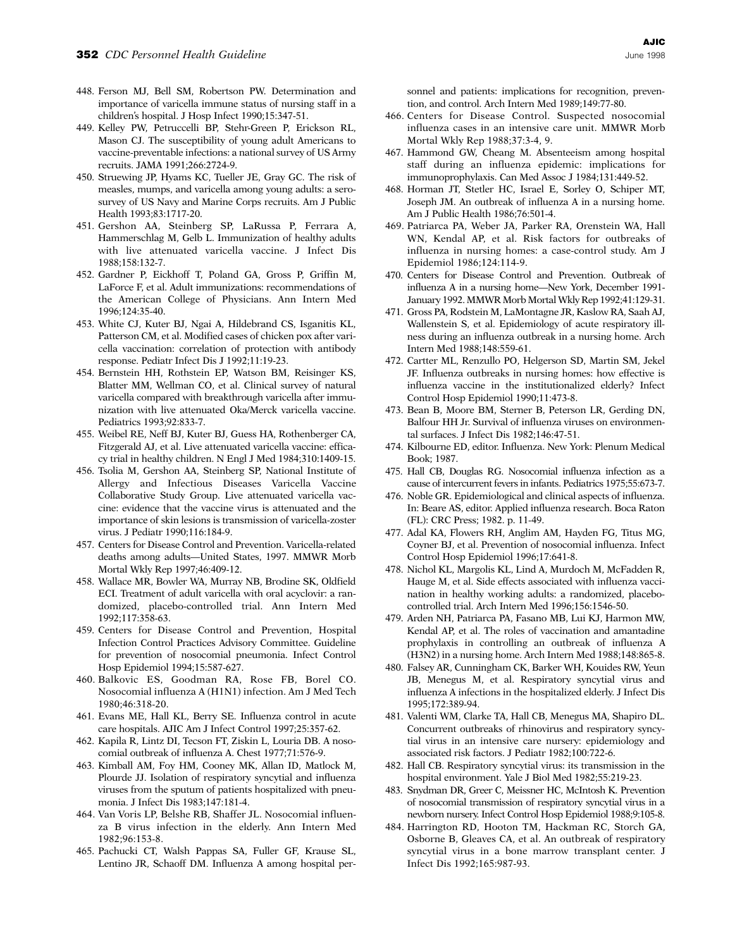- 448. Ferson MJ, Bell SM, Robertson PW. Determination and importance of varicella immune status of nursing staff in a children's hospital. J Hosp Infect 1990;15:347-51.
- 449. Kelley PW, Petruccelli BP, Stehr-Green P, Erickson RL, Mason CJ. The susceptibility of young adult Americans to vaccine-preventable infections: a national survey of US Army recruits. JAMA 1991;266:2724-9.
- 450. Struewing JP, Hyams KC, Tueller JE, Gray GC. The risk of measles, mumps, and varicella among young adults: a serosurvey of US Navy and Marine Corps recruits. Am J Public Health 1993;83:1717-20.
- 451. Gershon AA, Steinberg SP, LaRussa P, Ferrara A, Hammerschlag M, Gelb L. Immunization of healthy adults with live attenuated varicella vaccine. J Infect Dis 1988;158:132-7.
- 452. Gardner P, Eickhoff T, Poland GA, Gross P, Griffin M, LaForce F, et al. Adult immunizations: recommendations of the American College of Physicians. Ann Intern Med 1996;124:35-40.
- 453. White CJ, Kuter BJ, Ngai A, Hildebrand CS, Isganitis KL, Patterson CM, et al. Modified cases of chicken pox after varicella vaccination: correlation of protection with antibody response. Pediatr Infect Dis J 1992;11:19-23.
- 454. Bernstein HH, Rothstein EP, Watson BM, Reisinger KS, Blatter MM, Wellman CO, et al. Clinical survey of natural varicella compared with breakthrough varicella after immunization with live attenuated Oka/Merck varicella vaccine. Pediatrics 1993;92:833-7.
- 455. Weibel RE, Neff BJ, Kuter BJ, Guess HA, Rothenberger CA, Fitzgerald AJ, et al. Live attenuated varicella vaccine: efficacy trial in healthy children. N Engl J Med 1984;310:1409-15.
- 456. Tsolia M, Gershon AA, Steinberg SP, National Institute of Allergy and Infectious Diseases Varicella Vaccine Collaborative Study Group. Live attenuated varicella vaccine: evidence that the vaccine virus is attenuated and the importance of skin lesions is transmission of varicella-zoster virus. J Pediatr 1990;116:184-9.
- 457. Centers for Disease Control and Prevention. Varicella-related deaths among adults—United States, 1997. MMWR Morb Mortal Wkly Rep 1997;46:409-12.
- 458. Wallace MR, Bowler WA, Murray NB, Brodine SK, Oldfield ECI. Treatment of adult varicella with oral acyclovir: a randomized, placebo-controlled trial. Ann Intern Med 1992;117:358-63.
- 459. Centers for Disease Control and Prevention, Hospital Infection Control Practices Advisory Committee. Guideline for prevention of nosocomial pneumonia. Infect Control Hosp Epidemiol 1994;15:587-627.
- 460. Balkovic ES, Goodman RA, Rose FB, Borel CO. Nosocomial influenza A (H1N1) infection. Am J Med Tech 1980;46:318-20.
- 461. Evans ME, Hall KL, Berry SE. Influenza control in acute care hospitals. AJIC Am J Infect Control 1997;25:357-62.
- 462. Kapila R, Lintz DI, Tecson FT, Ziskin L, Louria DB. A nosocomial outbreak of influenza A. Chest 1977;71:576-9.
- 463. Kimball AM, Foy HM, Cooney MK, Allan ID, Matlock M, Plourde JJ. Isolation of respiratory syncytial and influenza viruses from the sputum of patients hospitalized with pneumonia. J Infect Dis 1983;147:181-4.
- 464. Van Voris LP, Belshe RB, Shaffer JL. Nosocomial influenza B virus infection in the elderly. Ann Intern Med 1982;96:153-8.
- 465. Pachucki CT, Walsh Pappas SA, Fuller GF, Krause SL, Lentino JR, Schaoff DM. Influenza A among hospital per-

sonnel and patients: implications for recognition, prevention, and control. Arch Intern Med 1989;149:77-80.

- 466. Centers for Disease Control. Suspected nosocomial influenza cases in an intensive care unit. MMWR Morb Mortal Wkly Rep 1988;37:3-4, 9.
- 467. Hammond GW, Cheang M. Absenteeism among hospital staff during an influenza epidemic: implications for immunoprophylaxis. Can Med Assoc J 1984;131:449-52.
- 468. Horman JT, Stetler HC, Israel E, Sorley O, Schiper MT, Joseph JM. An outbreak of influenza A in a nursing home. Am J Public Health 1986;76:501-4.
- 469. Patriarca PA, Weber JA, Parker RA, Orenstein WA, Hall WN, Kendal AP, et al. Risk factors for outbreaks of influenza in nursing homes: a case-control study. Am J Epidemiol 1986;124:114-9.
- 470. Centers for Disease Control and Prevention. Outbreak of influenza A in a nursing home—New York, December 1991 January 1992. MMWR Morb Mortal Wkly Rep 1992;41:129-31.
- 471. Gross PA, Rodstein M, LaMontagne JR, Kaslow RA, Saah AJ, Wallenstein S, et al. Epidemiology of acute respiratory illness during an influenza outbreak in a nursing home. Arch Intern Med 1988;148:559-61.
- 472. Cartter ML, Renzullo PO, Helgerson SD, Martin SM, Jekel JF. Influenza outbreaks in nursing homes: how effective is influenza vaccine in the institutionalized elderly? Infect Control Hosp Epidemiol 1990;11:473-8.
- 473. Bean B, Moore BM, Sterner B, Peterson LR, Gerding DN, Balfour HH Jr. Survival of influenza viruses on environmental surfaces. J Infect Dis 1982;146:47-51.
- 474. Kilbourne ED, editor. Influenza. New York: Plenum Medical Book; 1987.
- 475. Hall CB, Douglas RG. Nosocomial influenza infection as a cause of intercurrent fevers in infants. Pediatrics 1975;55:673-7.
- 476. Noble GR. Epidemiological and clinical aspects of influenza. In: Beare AS, editor. Applied influenza research. Boca Raton (FL): CRC Press; 1982. p. 11-49.
- 477. Adal KA, Flowers RH, Anglim AM, Hayden FG, Titus MG, Coyner BJ, et al. Prevention of nosocomial influenza. Infect Control Hosp Epidemiol 1996;17:641-8.
- 478. Nichol KL, Margolis KL, Lind A, Murdoch M, McFadden R, Hauge M, et al. Side effects associated with influenza vaccination in healthy working adults: a randomized, placebocontrolled trial. Arch Intern Med 1996;156:1546-50.
- 479. Arden NH, Patriarca PA, Fasano MB, Lui KJ, Harmon MW, Kendal AP, et al. The roles of vaccination and amantadine prophylaxis in controlling an outbreak of influenza A (H3N2) in a nursing home. Arch Intern Med 1988;148:865-8.
- 480. Falsey AR, Cunningham CK, Barker WH, Kouides RW, Yeun JB, Menegus M, et al. Respiratory syncytial virus and influenza A infections in the hospitalized elderly. J Infect Dis 1995;172:389-94.
- 481. Valenti WM, Clarke TA, Hall CB, Menegus MA, Shapiro DL. Concurrent outbreaks of rhinovirus and respiratory syncytial virus in an intensive care nursery: epidemiology and associated risk factors. J Pediatr 1982;100:722-6.
- 482. Hall CB. Respiratory syncytial virus: its transmission in the hospital environment. Yale J Biol Med 1982;55:219-23.
- 483. Snydman DR, Greer C, Meissner HC, McIntosh K. Prevention of nosocomial transmission of respiratory syncytial virus in a newborn nursery. Infect Control Hosp Epidemiol 1988;9:105-8.
- 484. Harrington RD, Hooton TM, Hackman RC, Storch GA, Osborne B, Gleaves CA, et al. An outbreak of respiratory syncytial virus in a bone marrow transplant center. J Infect Dis 1992;165:987-93.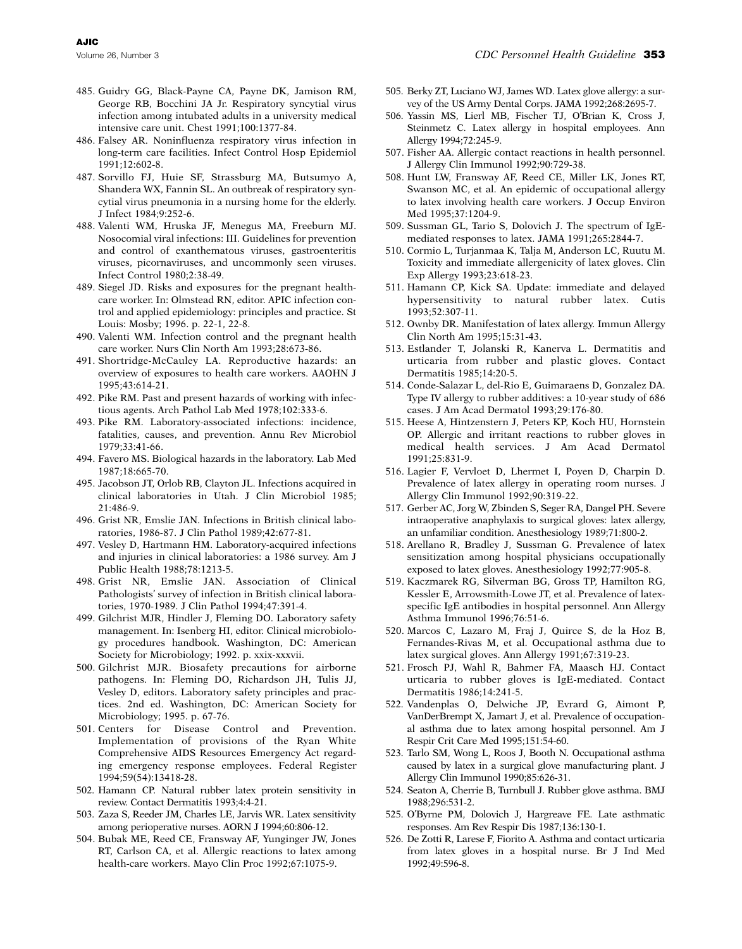- 485. Guidry GG, Black-Payne CA, Payne DK, Jamison RM, George RB, Bocchini JA Jr. Respiratory syncytial virus infection among intubated adults in a university medical intensive care unit. Chest 1991;100:1377-84.
- 486. Falsey AR. Noninfluenza respiratory virus infection in long-term care facilities. Infect Control Hosp Epidemiol 1991;12:602-8.
- 487. Sorvillo FJ, Huie SF, Strassburg MA, Butsumyo A, Shandera WX, Fannin SL. An outbreak of respiratory syncytial virus pneumonia in a nursing home for the elderly. J Infect 1984;9:252-6.
- 488. Valenti WM, Hruska JF, Menegus MA, Freeburn MJ. Nosocomial viral infections: III. Guidelines for prevention and control of exanthematous viruses, gastroenteritis viruses, picornaviruses, and uncommonly seen viruses. Infect Control 1980;2:38-49.
- 489. Siegel JD. Risks and exposures for the pregnant healthcare worker. In: Olmstead RN, editor. APIC infection control and applied epidemiology: principles and practice. St Louis: Mosby; 1996. p. 22-1, 22-8.
- 490. Valenti WM. Infection control and the pregnant health care worker. Nurs Clin North Am 1993;28:673-86.
- 491. Shortridge-McCauley LA. Reproductive hazards: an overview of exposures to health care workers. AAOHN J 1995;43:614-21.
- 492. Pike RM. Past and present hazards of working with infectious agents. Arch Pathol Lab Med 1978;102:333-6.
- 493. Pike RM. Laboratory-associated infections: incidence, fatalities, causes, and prevention. Annu Rev Microbiol 1979;33:41-66.
- 494. Favero MS. Biological hazards in the laboratory. Lab Med 1987;18:665-70.
- 495. Jacobson JT, Orlob RB, Clayton JL. Infections acquired in clinical laboratories in Utah. J Clin Microbiol 1985; 21:486-9.
- 496. Grist NR, Emslie JAN. Infections in British clinical laboratories, 1986-87. J Clin Pathol 1989;42:677-81.
- 497. Vesley D, Hartmann HM. Laboratory-acquired infections and injuries in clinical laboratories: a 1986 survey. Am J Public Health 1988;78:1213-5.
- 498. Grist NR, Emslie JAN. Association of Clinical Pathologists' survey of infection in British clinical laboratories, 1970-1989. J Clin Pathol 1994;47:391-4.
- 499. Gilchrist MJR, Hindler J, Fleming DO. Laboratory safety management. In: Isenberg HI, editor. Clinical microbiology procedures handbook. Washington, DC: American Society for Microbiology; 1992. p. xxix-xxxvii.
- 500. Gilchrist MJR. Biosafety precautions for airborne pathogens. In: Fleming DO, Richardson JH, Tulis JJ, Vesley D, editors. Laboratory safety principles and practices. 2nd ed. Washington, DC: American Society for Microbiology; 1995. p. 67-76.
- 501. Centers for Disease Control and Prevention. Implementation of provisions of the Ryan White Comprehensive AIDS Resources Emergency Act regarding emergency response employees. Federal Register 1994;59(54):13418-28.
- 502. Hamann CP. Natural rubber latex protein sensitivity in review. Contact Dermatitis 1993;4:4-21.
- 503. Zaza S, Reeder JM, Charles LE, Jarvis WR. Latex sensitivity among perioperative nurses. AORN J 1994;60:806-12.
- 504. Bubak ME, Reed CE, Fransway AF, Yunginger JW, Jones RT, Carlson CA, et al. Allergic reactions to latex among health-care workers. Mayo Clin Proc 1992;67:1075-9.
- 505. Berky ZT, Luciano WJ, James WD. Latex glove allergy: a survey of the US Army Dental Corps. JAMA 1992;268:2695-7.
- 506. Yassin MS, Lierl MB, Fischer TJ, O'Brian K, Cross J, Steinmetz C. Latex allergy in hospital employees. Ann Allergy 1994;72:245-9.
- 507. Fisher AA. Allergic contact reactions in health personnel. J Allergy Clin Immunol 1992;90:729-38.
- 508. Hunt LW, Fransway AF, Reed CE, Miller LK, Jones RT, Swanson MC, et al. An epidemic of occupational allergy to latex involving health care workers. J Occup Environ Med 1995;37:1204-9.
- 509. Sussman GL, Tario S, Dolovich J. The spectrum of IgEmediated responses to latex. JAMA 1991;265:2844-7.
- 510. Cormio L, Turjanmaa K, Talja M, Anderson LC, Ruutu M. Toxicity and immediate allergenicity of latex gloves. Clin Exp Allergy 1993;23:618-23.
- 511. Hamann CP, Kick SA. Update: immediate and delayed hypersensitivity to natural rubber latex. Cutis 1993;52:307-11.
- 512. Ownby DR. Manifestation of latex allergy. Immun Allergy Clin North Am 1995;15:31-43.
- 513. Estlander T, Jolanski R, Kanerva L. Dermatitis and urticaria from rubber and plastic gloves. Contact Dermatitis 1985;14:20-5.
- 514. Conde-Salazar L, del-Rio E, Guimaraens D, Gonzalez DA. Type IV allergy to rubber additives: a 10-year study of 686 cases. J Am Acad Dermatol 1993;29:176-80.
- 515. Heese A, Hintzenstern J, Peters KP, Koch HU, Hornstein OP. Allergic and irritant reactions to rubber gloves in medical health services. J Am Acad Dermatol 1991;25:831-9.
- 516. Lagier F, Vervloet D, Lhermet I, Poyen D, Charpin D. Prevalence of latex allergy in operating room nurses. J Allergy Clin Immunol 1992;90:319-22.
- 517. Gerber AC, Jorg W, Zbinden S, Seger RA, Dangel PH. Severe intraoperative anaphylaxis to surgical gloves: latex allergy, an unfamiliar condition. Anesthesiology 1989;71:800-2.
- 518. Arellano R, Bradley J, Sussman G. Prevalence of latex sensitization among hospital physicians occupationally exposed to latex gloves. Anesthesiology 1992;77:905-8.
- 519. Kaczmarek RG, Silverman BG, Gross TP, Hamilton RG, Kessler E, Arrowsmith-Lowe JT, et al. Prevalence of latexspecific IgE antibodies in hospital personnel. Ann Allergy Asthma Immunol 1996;76:51-6.
- 520. Marcos C, Lazaro M, Fraj J, Quirce S, de la Hoz B, Fernandes-Rivas M, et al. Occupational asthma due to latex surgical gloves. Ann Allergy 1991;67:319-23.
- 521. Frosch PJ, Wahl R, Bahmer FA, Maasch HJ. Contact urticaria to rubber gloves is IgE-mediated. Contact Dermatitis 1986;14:241-5.
- 522. Vandenplas O, Delwiche JP, Evrard G, Aimont P, VanDerBrempt X, Jamart J, et al. Prevalence of occupational asthma due to latex among hospital personnel. Am J Respir Crit Care Med 1995;151:54-60.
- 523. Tarlo SM, Wong L, Roos J, Booth N. Occupational asthma caused by latex in a surgical glove manufacturing plant. J Allergy Clin Immunol 1990;85:626-31.
- 524. Seaton A, Cherrie B, Turnbull J. Rubber glove asthma. BMJ 1988;296:531-2.
- 525. O'Byrne PM, Dolovich J, Hargreave FE. Late asthmatic responses. Am Rev Respir Dis 1987;136:130-1.
- 526. De Zotti R, Larese F, Fiorito A. Asthma and contact urticaria from latex gloves in a hospital nurse. Br J Ind Med 1992;49:596-8.